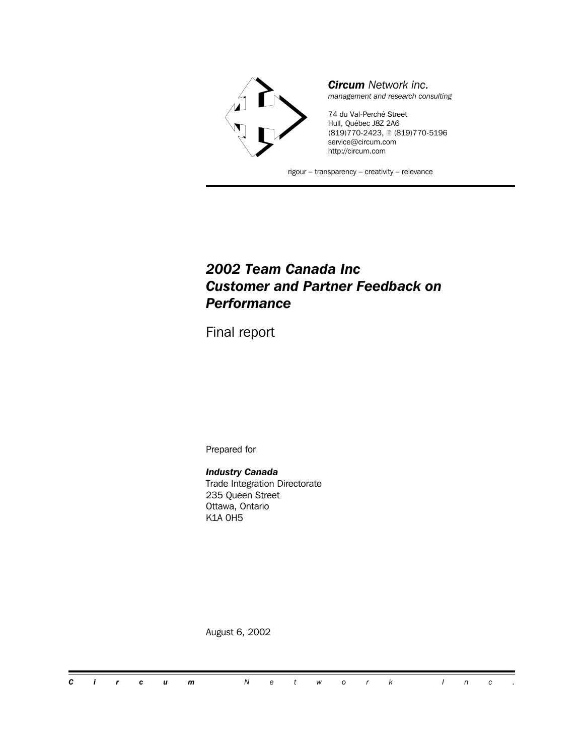

### *2002 Team Canada Inc Customer and Partner Feedback on Performance*

Final report

Prepared for

*Industry Canada* Trade Integration Directorate 235 Queen Street Ottawa, Ontario K1A 0H5

August 6, 2002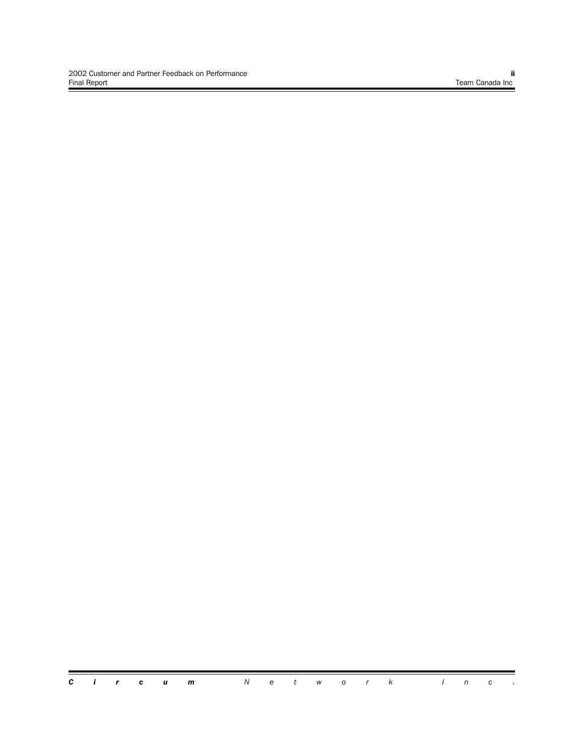Ξ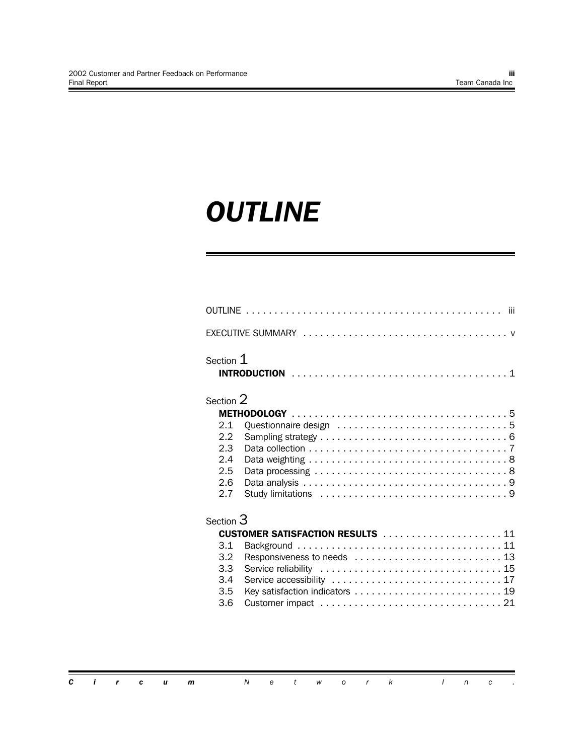## *OUTLINE*

|                  | iii                                     |
|------------------|-----------------------------------------|
|                  |                                         |
| Section 1        |                                         |
| Section 2        |                                         |
|                  |                                         |
| 2.1              |                                         |
| 2.2              |                                         |
| 2.3              |                                         |
| 2.4              |                                         |
| 2.5              |                                         |
| 2.6              |                                         |
| 2.7              |                                         |
| Section $3$      |                                         |
|                  | <b>CUSTOMER SATISFACTION RESULTS</b> 11 |
| 3.1              |                                         |
| 3.2 <sub>2</sub> | Responsiveness to needs  13             |
| 3.3              |                                         |
| 3.4              |                                         |
| 3.5              |                                         |
| 3.6              |                                         |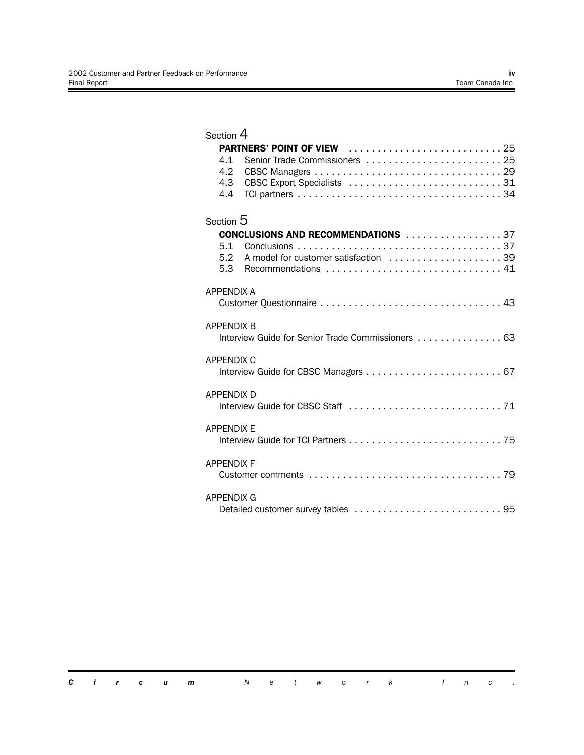f

| Section 4                |                                                                                    |
|--------------------------|------------------------------------------------------------------------------------|
| 4.1<br>4.2<br>4.3<br>4.4 | <b>PARTNERS' POINT OF VIEW 25</b>                                                  |
| Section 5                |                                                                                    |
| 5.1<br>5.2<br>5.3        | <b>CONCLUSIONS AND RECOMMENDATIONS 37</b><br>A model for customer satisfaction  39 |
| <b>APPENDIX A</b>        |                                                                                    |
| <b>APPENDIX B</b>        | Interview Guide for Senior Trade Commissioners 63                                  |
| <b>APPFNDIX C</b>        |                                                                                    |
| <b>APPENDIX D</b>        |                                                                                    |
| <b>APPENDIX E</b>        |                                                                                    |
| <b>APPENDIX F</b>        |                                                                                    |
| <b>APPENDIX G</b>        |                                                                                    |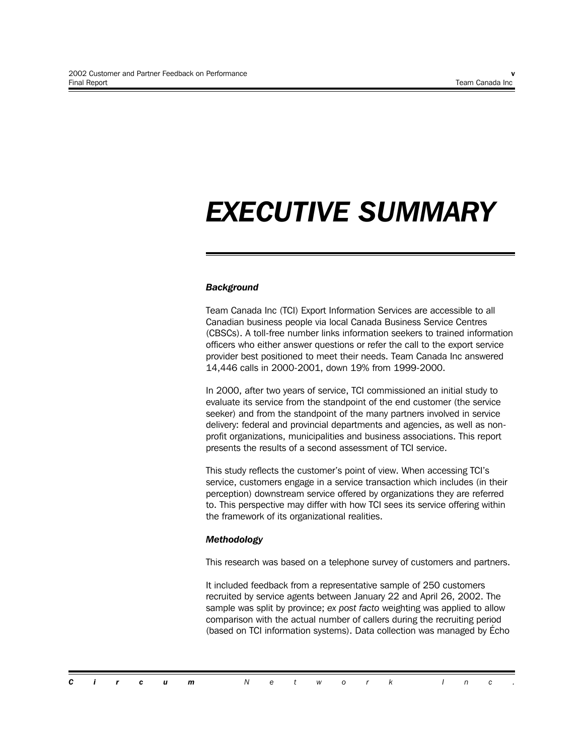## *EXECUTIVE SUMMARY*

#### *Background*

Team Canada Inc (TCI) Export Information Services are accessible to all Canadian business people via local Canada Business Service Centres (CBSCs). A toll-free number links information seekers to trained information officers who either answer questions or refer the call to the export service provider best positioned to meet their needs. Team Canada Inc answered 14,446 calls in 2000-2001, down 19% from 1999-2000.

In 2000, after two years of service, TCI commissioned an initial study to evaluate its service from the standpoint of the end customer (the service seeker) and from the standpoint of the many partners involved in service delivery: federal and provincial departments and agencies, as well as nonprofit organizations, municipalities and business associations. This report presents the results of a second assessment of TCI service.

This study reflects the customer's point of view. When accessing TCI's service, customers engage in a service transaction which includes (in their perception) downstream service offered by organizations they are referred to. This perspective may differ with how TCI sees its service offering within the framework of its organizational realities.

#### *Methodology*

This research was based on a telephone survey of customers and partners.

It included feedback from a representative sample of 250 customers recruited by service agents between January 22 and April 26, 2002. The sample was split by province; *ex post facto* weighting was applied to allow comparison with the actual number of callers during the recruiting period (based on TCI information systems). Data collection was managed by Echo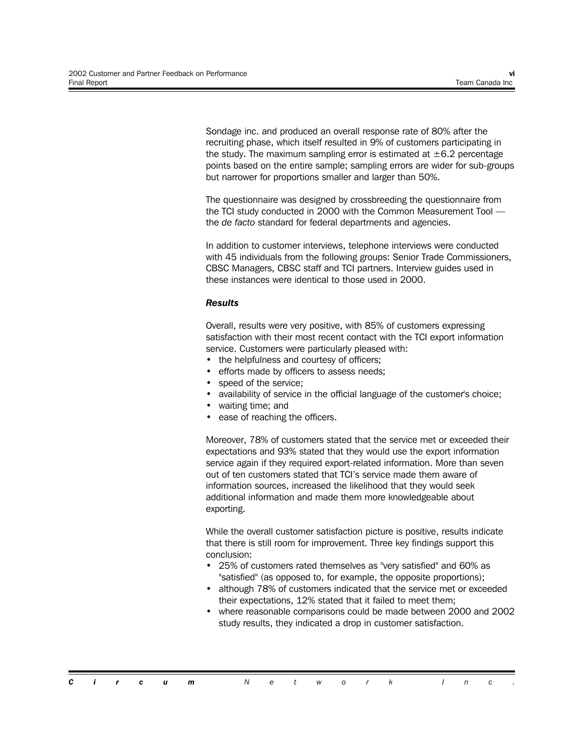Sondage inc. and produced an overall response rate of 80% after the recruiting phase, which itself resulted in 9% of customers participating in the study. The maximum sampling error is estimated at  $\pm 6.2$  percentage points based on the entire sample; sampling errors are wider for sub-groups but narrower for proportions smaller and larger than 50%.

The questionnaire was designed by crossbreeding the questionnaire from the TCI study conducted in 2000 with the Common Measurement Tool  $$ the *de facto* standard for federal departments and agencies.

In addition to customer interviews, telephone interviews were conducted with 45 individuals from the following groups: Senior Trade Commissioners, CBSC Managers, CBSC staff and TCI partners. Interview guides used in these instances were identical to those used in 2000.

#### *Results*

Overall, results were very positive, with 85% of customers expressing satisfaction with their most recent contact with the TCI export information service. Customers were particularly pleased with:

- the helpfulness and courtesy of officers;
- efforts made by officers to assess needs;
- speed of the service;
- availability of service in the official language of the customer's choice;
- waiting time; and
- ease of reaching the officers.

Moreover, 78% of customers stated that the service met or exceeded their expectations and 93% stated that they would use the export information service again if they required export-related information. More than seven out of ten customers stated that TCI's service made them aware of information sources, increased the likelihood that they would seek additional information and made them more knowledgeable about exporting.

While the overall customer satisfaction picture is positive, results indicate that there is still room for improvement. Three key findings support this conclusion:

- 25% of customers rated themselves as "very satisfied" and 60% as "satisfied" (as opposed to, for example, the opposite proportions);
- although 78% of customers indicated that the service met or exceeded their expectations, 12% stated that it failed to meet them;
- where reasonable comparisons could be made between 2000 and 2002 study results, they indicated a drop in customer satisfaction.

|  |  | <b>Circum</b> Network Inc. |  |  |  |  |  |  |
|--|--|----------------------------|--|--|--|--|--|--|
|  |  |                            |  |  |  |  |  |  |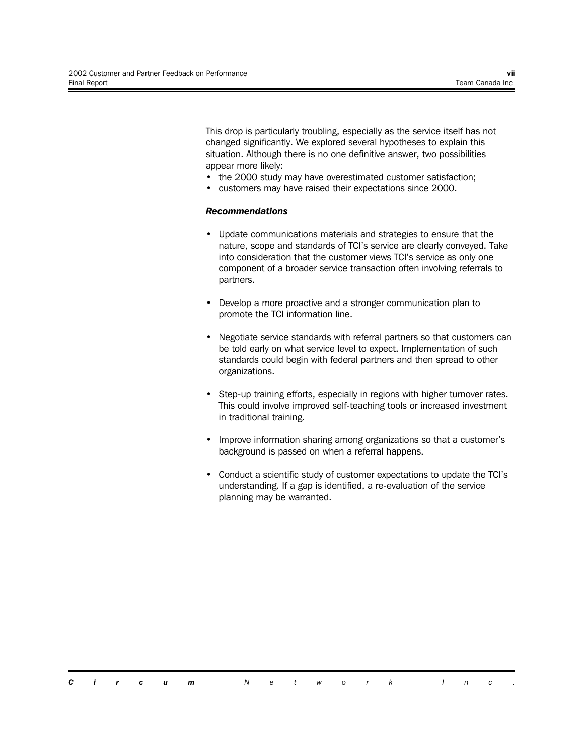This drop is particularly troubling, especially as the service itself has not changed significantly. We explored several hypotheses to explain this situation. Although there is no one definitive answer, two possibilities appear more likely:

- the 2000 study may have overestimated customer satisfaction;
- customers may have raised their expectations since 2000.

#### *Recommendations*

- Update communications materials and strategies to ensure that the nature, scope and standards of TCI's service are clearly conveyed. Take into consideration that the customer views TCI's service as only one component of a broader service transaction often involving referrals to partners.
- Develop a more proactive and a stronger communication plan to promote the TCI information line.
- Negotiate service standards with referral partners so that customers can be told early on what service level to expect. Implementation of such standards could begin with federal partners and then spread to other organizations.
- Step-up training efforts, especially in regions with higher turnover rates. This could involve improved self-teaching tools or increased investment in traditional training.
- Improve information sharing among organizations so that a customer's background is passed on when a referral happens.
- Conduct a scientific study of customer expectations to update the TCI's understanding. If a gap is identified, a re-evaluation of the service planning may be warranted.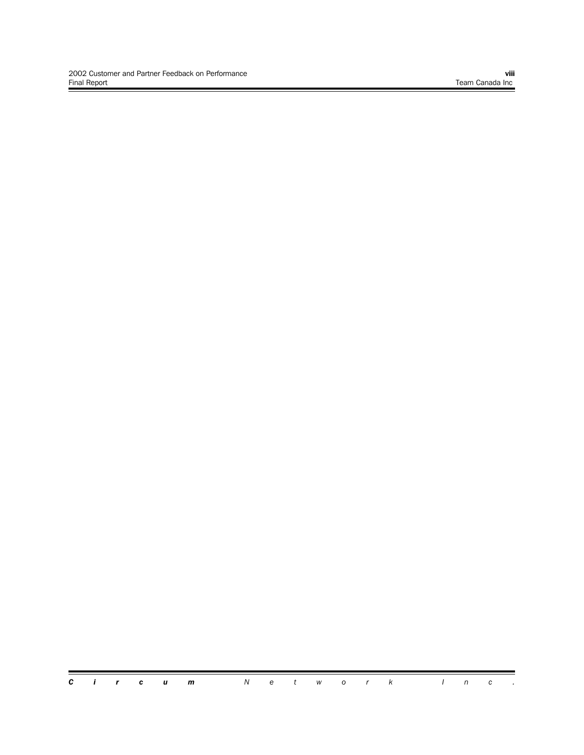Ξ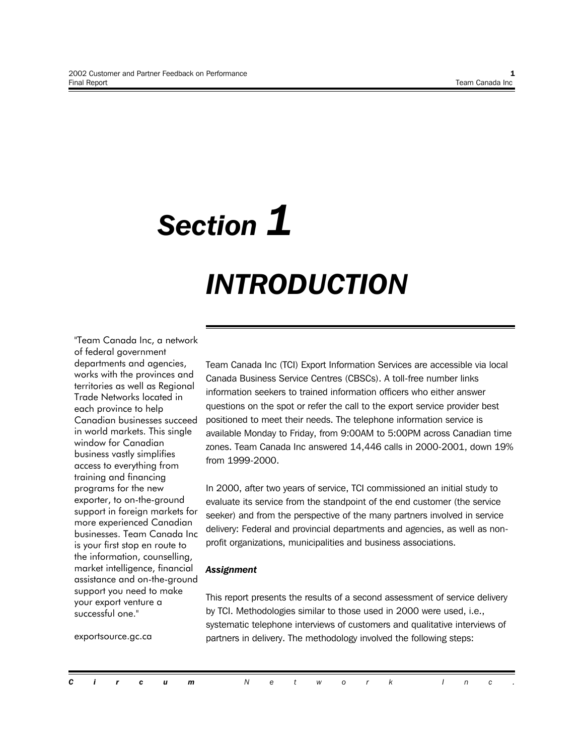# *Section 1*

## *INTRODUCTION*

"Team Canada Inc, a network of federal government departments and agencies, works with the provinces and territories as well as Regional Trade Networks located in each province to help Canadian businesses succeed in world markets. This single window for Canadian business vastly simplifies access to everything from training and financing programs for the new exporter, to on-the-ground support in foreign markets for more experienced Canadian businesses. Team Canada Inc is your first stop en route to the information, counselling, market intelligence, financial assistance and on-the-ground support you need to make your export venture a successful one."

Team Canada Inc (TCI) Export Information Services are accessible via local Canada Business Service Centres (CBSCs). A toll-free number links information seekers to trained information officers who either answer questions on the spot or refer the call to the export service provider best positioned to meet their needs. The telephone information service is available Monday to Friday, from 9:00AM to 5:00PM across Canadian time zones. Team Canada Inc answered 14,446 calls in 2000-2001, down 19% from 1999-2000.

In 2000, after two years of service, TCI commissioned an initial study to evaluate its service from the standpoint of the end customer (the service seeker) and from the perspective of the many partners involved in service delivery: Federal and provincial departments and agencies, as well as nonprofit organizations, municipalities and business associations.

#### *Assignment*

This report presents the results of a second assessment of service delivery by TCI. Methodologies similar to those used in 2000 were used, i.e., systematic telephone interviews of customers and qualitative interviews of partners in delivery. The methodology involved the following steps:

exportsource.gc.ca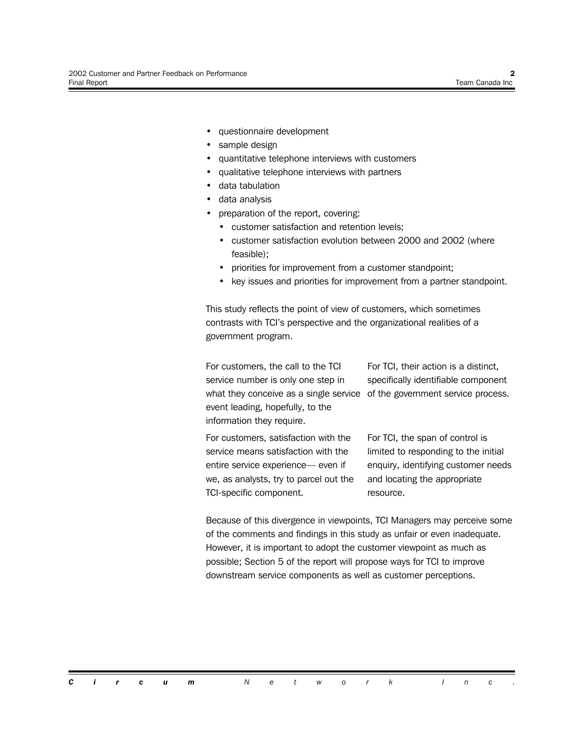- questionnaire development
- sample design
- quantitative telephone interviews with customers
- qualitative telephone interviews with partners
- data tabulation
- data analysis
- preparation of the report, covering:
	- customer satisfaction and retention levels:
	- customer satisfaction evolution between 2000 and 2002 (where feasible);
	- priorities for improvement from a customer standpoint;
	- key issues and priorities for improvement from a partner standpoint.

This study reflects the point of view of customers, which sometimes contrasts with TCI's perspective and the organizational realities of a government program.

For customers, the call to the TCI service number is only one step in what they conceive as a single service of the government service process. event leading, hopefully, to the information they require.

For TCI, their action is a distinct, specifically identifiable component

For customers, satisfaction with the service means satisfaction with the entire service experience— even if we, as analysts, try to parcel out the TCI-specific component.

For TCI, the span of control is limited to responding to the initial enquiry, identifying customer needs and locating the appropriate resource.

Because of this divergence in viewpoints, TCI Managers may perceive some of the comments and findings in this study as unfair or even inadequate. However, it is important to adopt the customer viewpoint as much as possible; Section 5 of the report will propose ways for TCI to improve downstream service components as well as customer perceptions.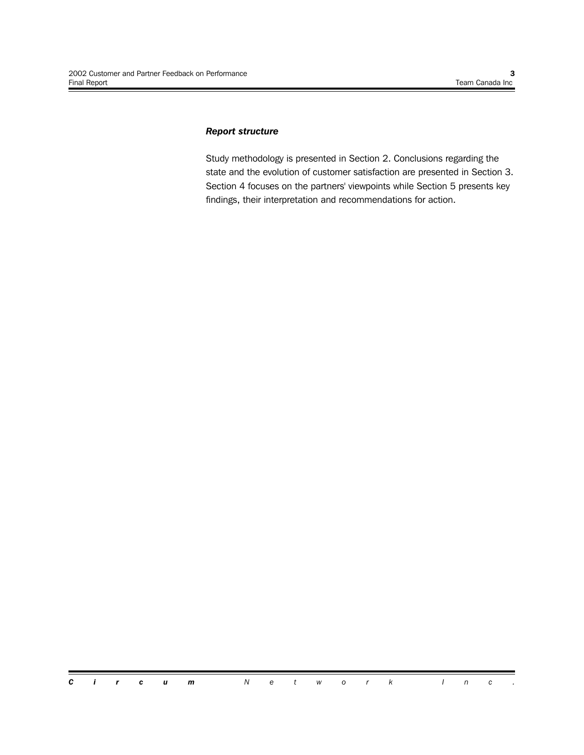#### *Report structure*

Study methodology is presented in Section 2. Conclusions regarding the state and the evolution of customer satisfaction are presented in Section 3. Section 4 focuses on the partners' viewpoints while Section 5 presents key findings, their interpretation and recommendations for action.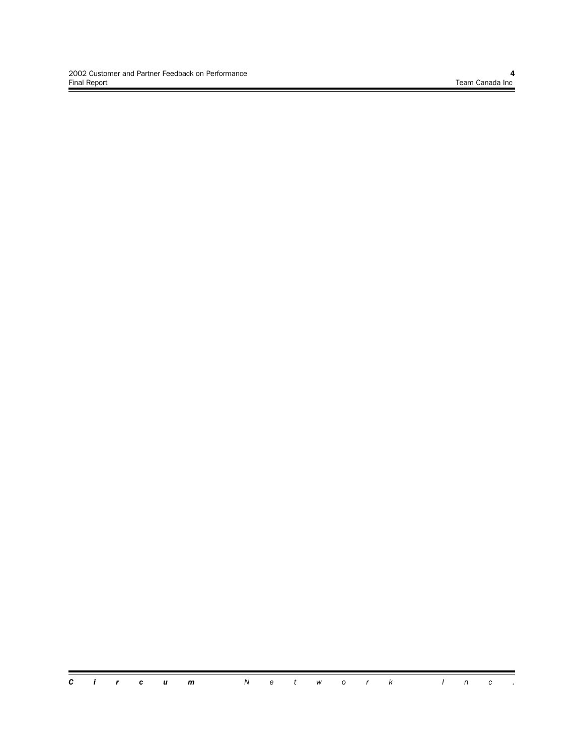Ξ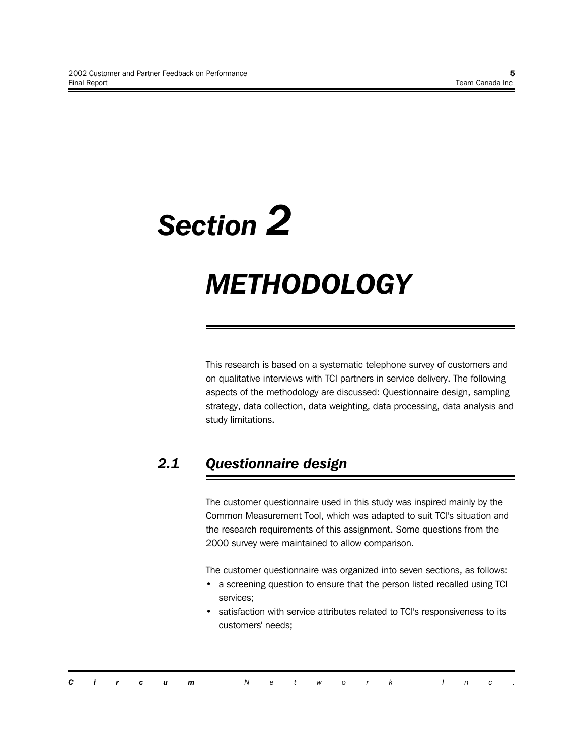# *Section 2*

## *METHODOLOGY*

This research is based on a systematic telephone survey of customers and on qualitative interviews with TCI partners in service delivery. The following aspects of the methodology are discussed: Questionnaire design, sampling strategy, data collection, data weighting, data processing, data analysis and study limitations.

## *2.1 Questionnaire design*

The customer questionnaire used in this study was inspired mainly by the Common Measurement Tool, which was adapted to suit TCI's situation and the research requirements of this assignment. Some questions from the 2000 survey were maintained to allow comparison.

The customer questionnaire was organized into seven sections, as follows:

- a screening question to ensure that the person listed recalled using TCI services;
- satisfaction with service attributes related to TCI's responsiveness to its customers' needs;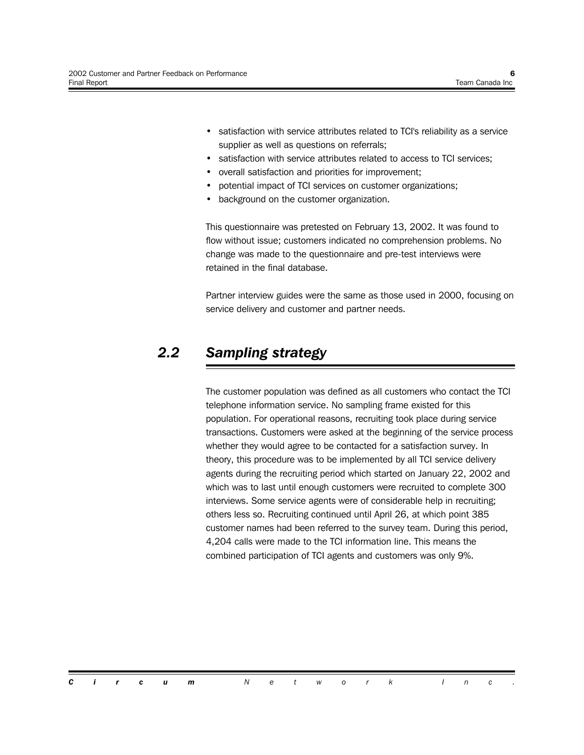- satisfaction with service attributes related to TCI's reliability as a service supplier as well as questions on referrals;
- satisfaction with service attributes related to access to TCI services;
- overall satisfaction and priorities for improvement;
- potential impact of TCI services on customer organizations;
- background on the customer organization.

This questionnaire was pretested on February 13, 2002. It was found to flow without issue; customers indicated no comprehension problems. No change was made to the questionnaire and pre-test interviews were retained in the final database.

Partner interview guides were the same as those used in 2000, focusing on service delivery and customer and partner needs.

#### *2.2 Sampling strategy*

The customer population was defined as all customers who contact the TCI telephone information service. No sampling frame existed for this population. For operational reasons, recruiting took place during service transactions. Customers were asked at the beginning of the service process whether they would agree to be contacted for a satisfaction survey. In theory, this procedure was to be implemented by all TCI service delivery agents during the recruiting period which started on January 22, 2002 and which was to last until enough customers were recruited to complete 300 interviews. Some service agents were of considerable help in recruiting; others less so. Recruiting continued until April 26, at which point 385 customer names had been referred to the survey team. During this period, 4,204 calls were made to the TCI information line. This means the combined participation of TCI agents and customers was only 9%.

*Circum Network Inc.*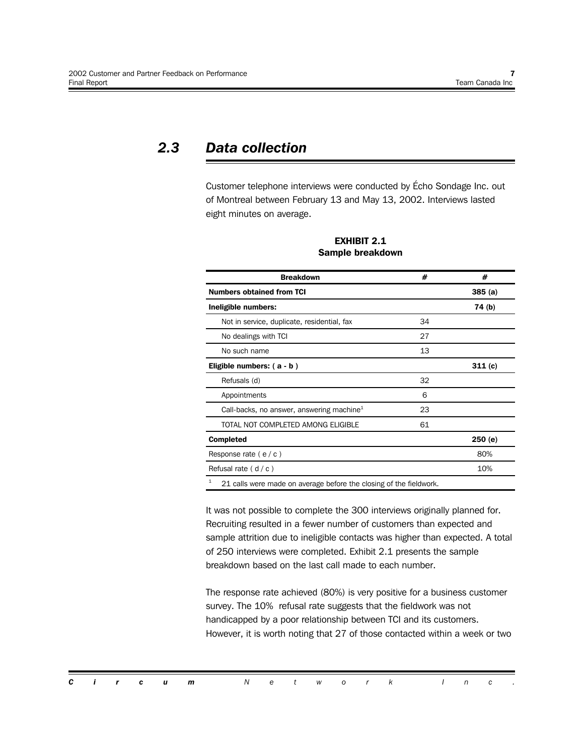### *2.3 Data collection*

Customer telephone interviews were conducted by Echo Sondage Inc. out of Montreal between February 13 and May 13, 2002. Interviews lasted eight minutes on average.

| <b>Breakdown</b>                                                       | #  | #      |
|------------------------------------------------------------------------|----|--------|
| <b>Numbers obtained from TCI</b>                                       |    | 385(a) |
| Ineligible numbers:                                                    |    | 74 (b) |
| Not in service, duplicate, residential, fax                            | 34 |        |
| No dealings with TCI                                                   | 27 |        |
| No such name                                                           | 13 |        |
| Eligible numbers: $(a - b)$                                            |    | 311(c) |
| Refusals (d)                                                           | 32 |        |
| Appointments                                                           | 6  |        |
| Call-backs, no answer, answering machine $1$                           | 23 |        |
| TOTAL NOT COMPLETED AMONG ELIGIBLE                                     | 61 |        |
| <b>Completed</b>                                                       |    | 250(e) |
| Response rate $(e/c)$                                                  |    | 80%    |
| Refusal rate $(d/c)$                                                   |    | 10%    |
| 1<br>21 calls were made on average before the closing of the fieldwork |    |        |

#### **EXHIBIT 2.1 Sample breakdown**

21 calls were made on average before the closing of the fieldwork.

It was not possible to complete the 300 interviews originally planned for. Recruiting resulted in a fewer number of customers than expected and sample attrition due to ineligible contacts was higher than expected. A total of 250 interviews were completed. Exhibit 2.1 presents the sample breakdown based on the last call made to each number.

The response rate achieved (80%) is very positive for a business customer survey. The 10% refusal rate suggests that the fieldwork was not handicapped by a poor relationship between TCI and its customers. However, it is worth noting that 27 of those contacted within a week or two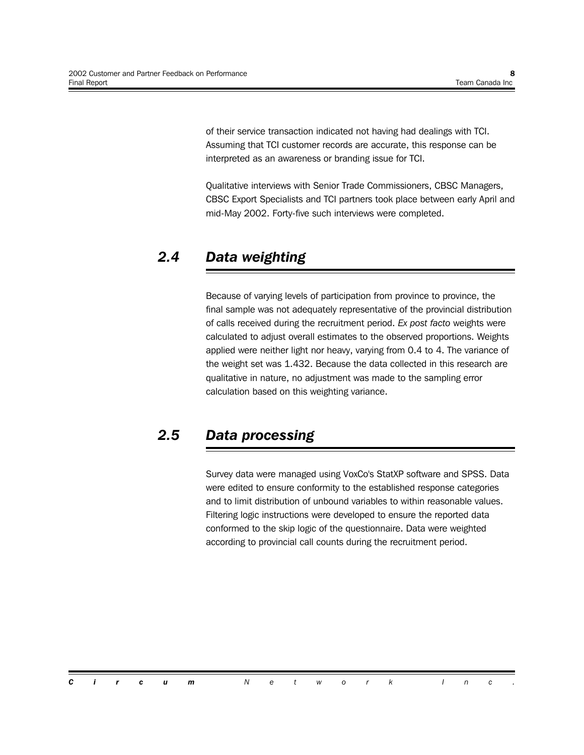of their service transaction indicated not having had dealings with TCI. Assuming that TCI customer records are accurate, this response can be interpreted as an awareness or branding issue for TCI.

Qualitative interviews with Senior Trade Commissioners, CBSC Managers, CBSC Export Specialists and TCI partners took place between early April and mid-May 2002. Forty-five such interviews were completed.

## *2.4 Data weighting*

Because of varying levels of participation from province to province, the final sample was not adequately representative of the provincial distribution of calls received during the recruitment period. *Ex post facto* weights were calculated to adjust overall estimates to the observed proportions. Weights applied were neither light nor heavy, varying from 0.4 to 4. The variance of the weight set was 1.432. Because the data collected in this research are qualitative in nature, no adjustment was made to the sampling error calculation based on this weighting variance.

### *2.5 Data processing*

Survey data were managed using VoxCo's StatXP software and SPSS. Data were edited to ensure conformity to the established response categories and to limit distribution of unbound variables to within reasonable values. Filtering logic instructions were developed to ensure the reported data conformed to the skip logic of the questionnaire. Data were weighted according to provincial call counts during the recruitment period.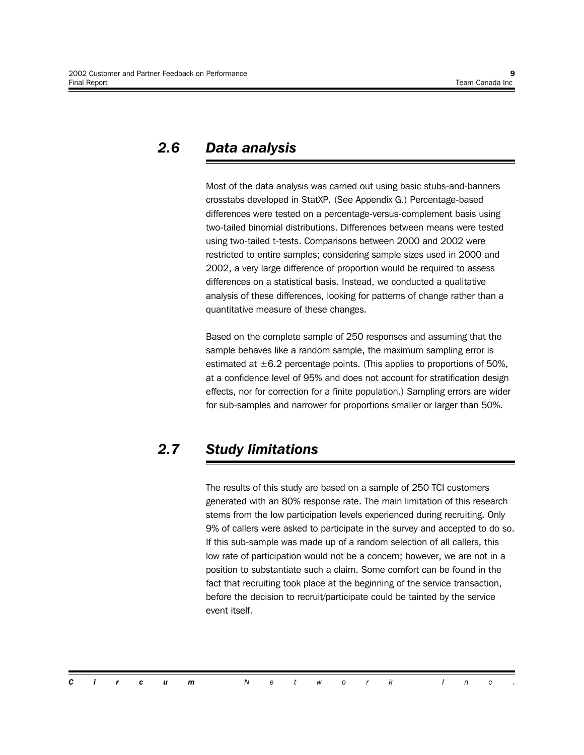### *2.6 Data analysis*

Most of the data analysis was carried out using basic stubs-and-banners crosstabs developed in StatXP. (See Appendix G.) Percentage-based differences were tested on a percentage-versus-complement basis using two-tailed binomial distributions. Differences between means were tested using two-tailed t-tests. Comparisons between 2000 and 2002 were restricted to entire samples; considering sample sizes used in 2000 and 2002, a very large difference of proportion would be required to assess differences on a statistical basis. Instead, we conducted a qualitative analysis of these differences, looking for patterns of change rather than a quantitative measure of these changes.

Based on the complete sample of 250 responses and assuming that the sample behaves like a random sample, the maximum sampling error is estimated at  $\pm 6.2$  percentage points. (This applies to proportions of 50%, at a confidence level of 95% and does not account for stratification design effects, nor for correction for a finite population.) Sampling errors are wider for sub-samples and narrower for proportions smaller or larger than 50%.

## *2.7 Study limitations*

The results of this study are based on a sample of 250 TCI customers generated with an 80% response rate. The main limitation of this research stems from the low participation levels experienced during recruiting. Only 9% of callers were asked to participate in the survey and accepted to do so. If this sub-sample was made up of a random selection of all callers, this low rate of participation would not be a concern; however, we are not in a position to substantiate such a claim. Some comfort can be found in the fact that recruiting took place at the beginning of the service transaction, before the decision to recruit/participate could be tainted by the service event itself.

|  |  | <b>Circum</b> Network Inc. |  |  |  |  |  |  |
|--|--|----------------------------|--|--|--|--|--|--|
|  |  |                            |  |  |  |  |  |  |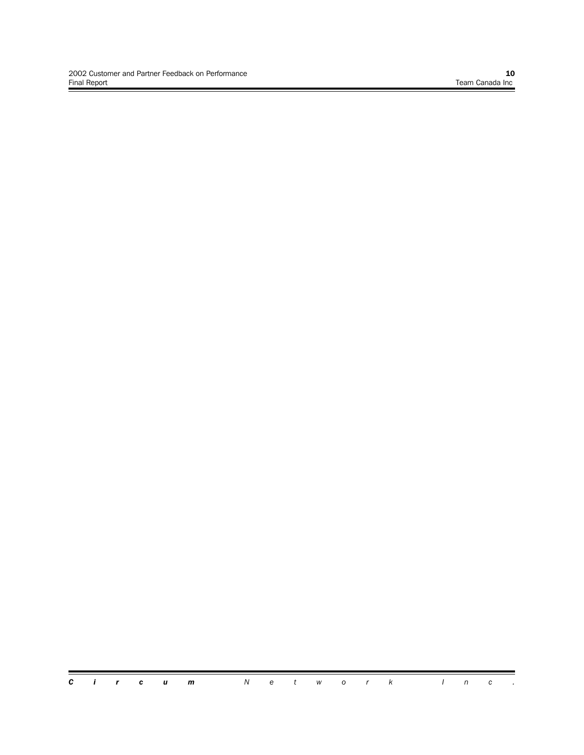Ξ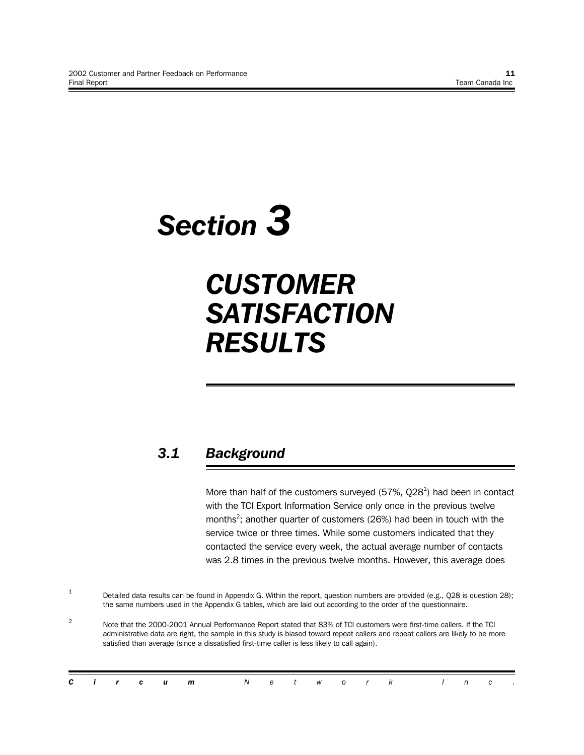# *Section 3*

## *CUSTOMER SATISFACTION RESULTS*

## *3.1 Background*

More than half of the customers surveyed (57%,  $Q28<sup>1</sup>$ ) had been in contact with the TCI Export Information Service only once in the previous twelve months<sup>2</sup>; another quarter of customers (26%) had been in touch with the service twice or three times. While some customers indicated that they contacted the service every week, the actual average number of contacts was 2.8 times in the previous twelve months. However, this average does

<sup>&</sup>lt;sup>2</sup> Note that the 2000-2001 Annual Performance Report stated that 83% of TCI customers were first-time callers. If the TCI administrative data are right, the sample in this study is biased toward repeat callers and repeat callers are likely to be more satisfied than average (since a dissatisfied first-time caller is less likely to call again).

| <b>Circum</b> Network Inc. |
|----------------------------|
|----------------------------|

<sup>&</sup>lt;sup>1</sup> Detailed data results can be found in Appendix G. Within the report, question numbers are provided (e.g., Q28 is question 28); the same numbers used in the Appendix G tables, which are laid out according to the order of the questionnaire.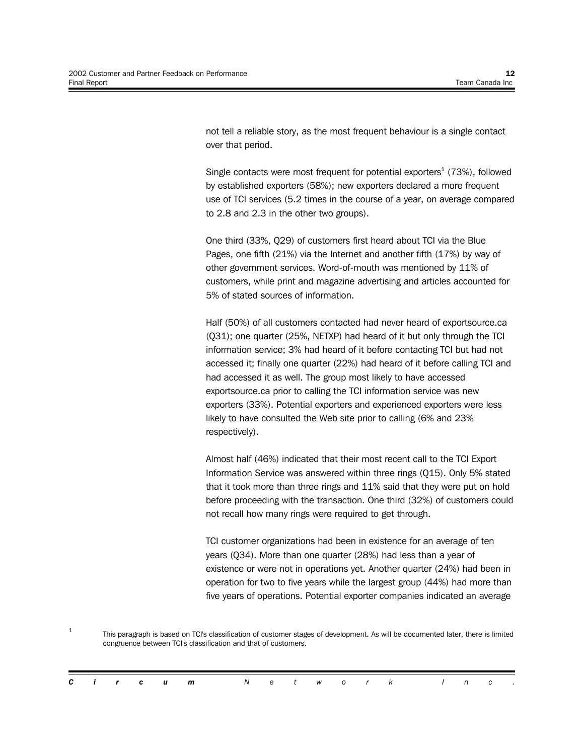not tell a reliable story, as the most frequent behaviour is a single contact over that period.

Single contacts were most frequent for potential exporters $^1$  (73%), followed by established exporters (58%); new exporters declared a more frequent use of TCI services (5.2 times in the course of a year, on average compared to 2.8 and 2.3 in the other two groups).

One third (33%, Q29) of customers first heard about TCI via the Blue Pages, one fifth (21%) via the Internet and another fifth (17%) by way of other government services. Word-of-mouth was mentioned by 11% of customers, while print and magazine advertising and articles accounted for 5% of stated sources of information.

Half (50%) of all customers contacted had never heard of exportsource.ca (Q31); one quarter (25%, NETXP) had heard of it but only through the TCI information service; 3% had heard of it before contacting TCI but had not accessed it; finally one quarter (22%) had heard of it before calling TCI and had accessed it as well. The group most likely to have accessed exportsource.ca prior to calling the TCI information service was new exporters (33%). Potential exporters and experienced exporters were less likely to have consulted the Web site prior to calling (6% and 23% respectively).

Almost half (46%) indicated that their most recent call to the TCI Export Information Service was answered within three rings (Q15). Only 5% stated that it took more than three rings and 11% said that they were put on hold before proceeding with the transaction. One third (32%) of customers could not recall how many rings were required to get through.

TCI customer organizations had been in existence for an average of ten years (Q34). More than one quarter (28%) had less than a year of existence or were not in operations yet. Another quarter (24%) had been in operation for two to five years while the largest group (44%) had more than five years of operations. Potential exporter companies indicated an average

 $1$  This paragraph is based on TCI's classification of customer stages of development. As will be documented later, there is limited congruence between TCI's classification and that of customers.

|  |  | <b>Circum</b> Network Inc. |  |  |  |  |  |  |
|--|--|----------------------------|--|--|--|--|--|--|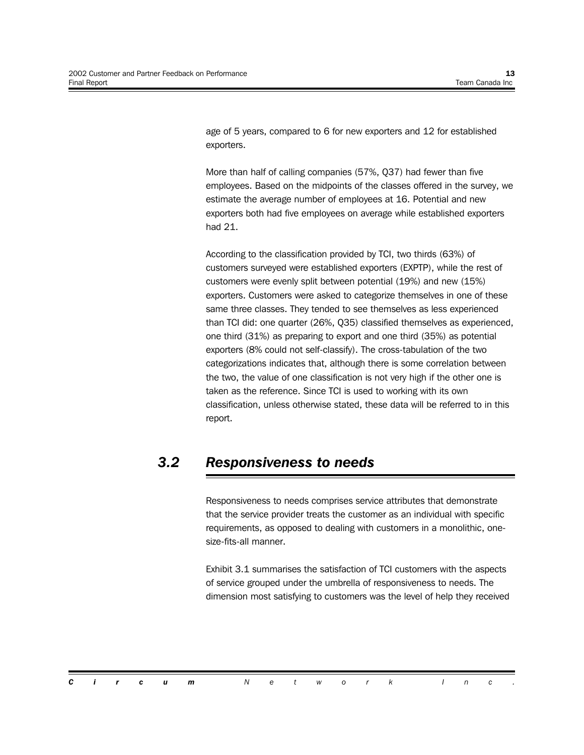age of 5 years, compared to 6 for new exporters and 12 for established exporters.

More than half of calling companies (57%, Q37) had fewer than five employees. Based on the midpoints of the classes offered in the survey, we estimate the average number of employees at 16. Potential and new exporters both had five employees on average while established exporters had 21.

According to the classification provided by TCI, two thirds (63%) of customers surveyed were established exporters (EXPTP), while the rest of customers were evenly split between potential (19%) and new (15%) exporters. Customers were asked to categorize themselves in one of these same three classes. They tended to see themselves as less experienced than TCI did: one quarter (26%, Q35) classified themselves as experienced, one third (31%) as preparing to export and one third (35%) as potential exporters (8% could not self-classify). The cross-tabulation of the two categorizations indicates that, although there is some correlation between the two, the value of one classification is not very high if the other one is taken as the reference. Since TCI is used to working with its own classification, unless otherwise stated, these data will be referred to in this report.

### *3.2 Responsiveness to needs*

Responsiveness to needs comprises service attributes that demonstrate that the service provider treats the customer as an individual with specific requirements, as opposed to dealing with customers in a monolithic, onesize-fits-all manner.

Exhibit 3.1 summarises the satisfaction of TCI customers with the aspects of service grouped under the umbrella of responsiveness to needs. The dimension most satisfying to customers was the level of help they received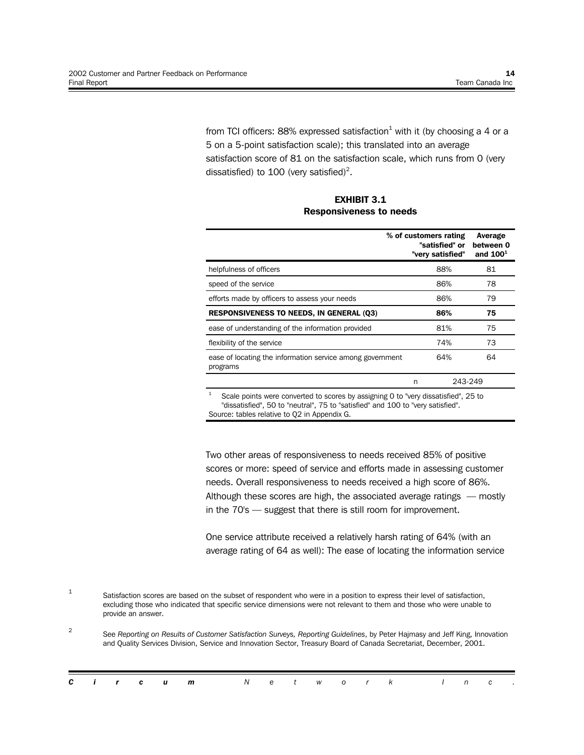from TCI officers: 88% expressed satisfaction $^1$  with it (by choosing a 4 or a 5 on a 5-point satisfaction scale); this translated into an average satisfaction score of 81 on the satisfaction scale, which runs from 0 (very dissatisfied) to 100 (very satisfied)<sup>2</sup>.

**EXHIBIT 3.1 Responsiveness to needs**

|                                                                                           |   | % of customers rating<br>"satisfied" or<br>"very satisfied" | Average<br>between 0<br>and $1001$ |
|-------------------------------------------------------------------------------------------|---|-------------------------------------------------------------|------------------------------------|
| helpfulness of officers                                                                   |   | 88%                                                         | 81                                 |
| speed of the service                                                                      |   | 86%                                                         | 78                                 |
| efforts made by officers to assess your needs                                             |   | 86%                                                         | 79                                 |
| <b>RESPONSIVENESS TO NEEDS, IN GENERAL (Q3)</b>                                           |   | 86%                                                         | 75                                 |
| ease of understanding of the information provided                                         |   | 81%                                                         | 75                                 |
| flexibility of the service                                                                |   | 74%                                                         | 73                                 |
| ease of locating the information service among government<br>programs                     |   | 64%                                                         | 64                                 |
|                                                                                           | n | 243-249                                                     |                                    |
| 1<br>Caele nointe ware computed to coares by coordinated to hand disortiofied $\Omega$ to |   |                                                             |                                    |

Scale points were converted to scores by assigning 0 to "very dissatisfied", 25 to "dissatisfied", 50 to "neutral", 75 to "satisfied" and 100 to "very satisfied". Source: tables relative to Q2 in Appendix G.

Two other areas of responsiveness to needs received 85% of positive scores or more: speed of service and efforts made in assessing customer needs. Overall responsiveness to needs received a high score of 86%. Although these scores are high, the associated average ratings  $-$  mostly in the  $70's$   $-$  suggest that there is still room for improvement.

One service attribute received a relatively harsh rating of 64% (with an average rating of 64 as well): The ease of locating the information service

<sup>2</sup> See *Reporting on Results of Customer Satisfaction Surveys, Reporting Guidelines*, by Peter Hajmasy and Jeff King, Innovation and Quality Services Division, Service and Innovation Sector, Treasury Board of Canada Secretariat, December, 2001.

|  |  | <b>Circum</b> Network Inc. |  |  |  |  |  |  |
|--|--|----------------------------|--|--|--|--|--|--|
|  |  |                            |  |  |  |  |  |  |

 $1$  Satisfaction scores are based on the subset of respondent who were in a position to express their level of satisfaction, excluding those who indicated that specific service dimensions were not relevant to them and those who were unable to provide an answer.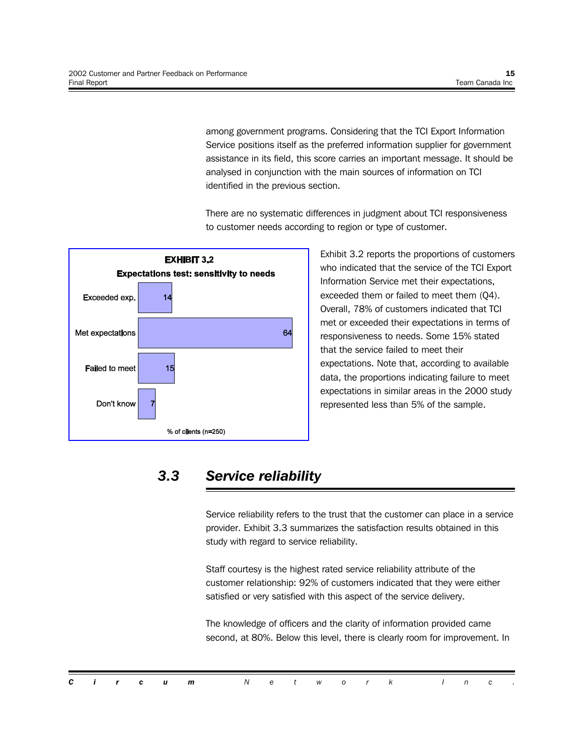among government programs. Considering that the TCI Export Information Service positions itself as the preferred information supplier for government assistance in its field, this score carries an important message. It should be analysed in conjunction with the main sources of information on TCI identified in the previous section.

There are no systematic differences in judgment about TCI responsiveness to customer needs according to region or type of customer.



Exhibit 3.2 reports the proportions of customers who indicated that the service of the TCI Export Information Service met their expectations, exceeded them or failed to meet them (Q4). Overall, 78% of customers indicated that TCI met or exceeded their expectations in terms of responsiveness to needs. Some 15% stated that the service failed to meet their expectations. Note that, according to available data, the proportions indicating failure to meet expectations in similar areas in the 2000 study represented less than 5% of the sample.

### *3.3 Service reliability*

Service reliability refers to the trust that the customer can place in a service provider. Exhibit 3.3 summarizes the satisfaction results obtained in this study with regard to service reliability.

Staff courtesy is the highest rated service reliability attribute of the customer relationship: 92% of customers indicated that they were either satisfied or very satisfied with this aspect of the service delivery.

The knowledge of officers and the clarity of information provided came second, at 80%. Below this level, there is clearly room for improvement. In

|  |  | <b>Circum</b> Network Inc. |  |  |  |  |  |  |
|--|--|----------------------------|--|--|--|--|--|--|
|  |  |                            |  |  |  |  |  |  |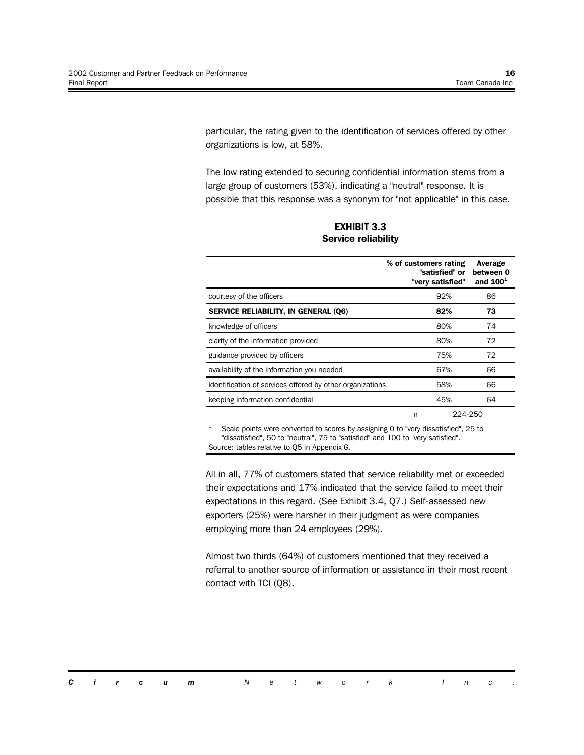particular, the rating given to the identification of services offered by other organizations is low, at 58%.

The low rating extended to securing confidential information stems from a large group of customers (53%), indicating a "neutral" response. It is possible that this response was a synonym for "not applicable" in this case.

|                                                           | % of customers rating<br>"satisfied" or<br>"very satisfied" |         | Average<br>between 0<br>and $1001$ |
|-----------------------------------------------------------|-------------------------------------------------------------|---------|------------------------------------|
| courtesy of the officers                                  | 92%                                                         |         | 86                                 |
| <b>SERVICE RELIABILITY, IN GENERAL (Q6)</b>               | 82%                                                         |         | 73                                 |
| knowledge of officers                                     | 80%                                                         |         | 74                                 |
| clarity of the information provided                       | 80%                                                         |         | 72                                 |
| guidance provided by officers                             | 75%                                                         |         | 72                                 |
| availability of the information you needed                | 67%                                                         |         | 66                                 |
| identification of services offered by other organizations | 58%                                                         |         | 66                                 |
| keeping information confidential                          | 45%                                                         |         | 64                                 |
|                                                           | n                                                           | 224-250 |                                    |

**EXHIBIT 3.3 Service reliability**

Scale points were converted to scores by assigning 0 to "very dissatisfied", 25 to "dissatisfied", 50 to "neutral", 75 to "satisfied" and 100 to "very satisfied". Source: tables relative to Q5 in Appendix G.

All in all, 77% of customers stated that service reliability met or exceeded their expectations and 17% indicated that the service failed to meet their expectations in this regard. (See Exhibit 3.4, Q7.) Self-assessed new exporters (25%) were harsher in their judgment as were companies employing more than 24 employees (29%).

Almost two thirds (64%) of customers mentioned that they received a referral to another source of information or assistance in their most recent contact with TCI (Q8).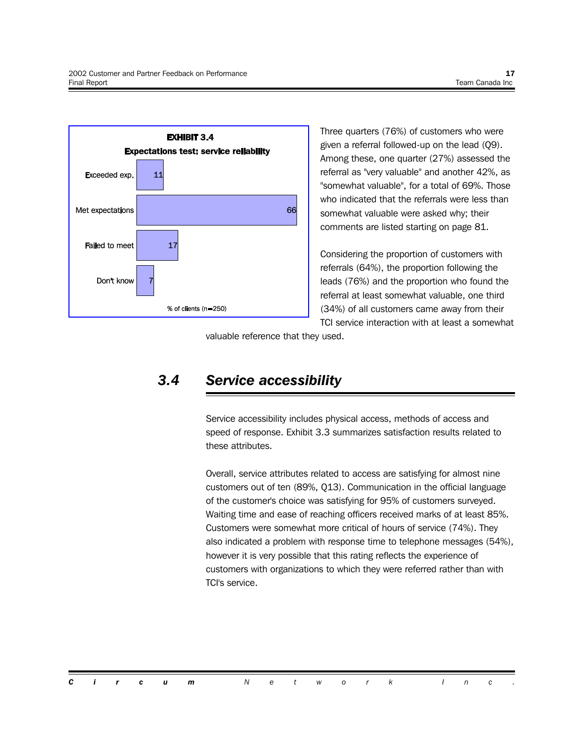



Three quarters (76%) of customers who were given a referral followed-up on the lead (Q9). Among these, one quarter (27%) assessed the referral as "very valuable" and another 42%, as "somewhat valuable", for a total of 69%. Those who indicated that the referrals were less than somewhat valuable were asked why; their comments are listed starting on page 81.

Considering the proportion of customers with referrals (64%), the proportion following the leads (76%) and the proportion who found the referral at least somewhat valuable, one third (34%) of all customers came away from their TCI service interaction with at least a somewhat

valuable reference that they used.

#### *3.4 Service accessibility*

Service accessibility includes physical access, methods of access and speed of response. Exhibit 3.3 summarizes satisfaction results related to these attributes.

Overall, service attributes related to access are satisfying for almost nine customers out of ten (89%, Q13). Communication in the official language of the customer's choice was satisfying for 95% of customers surveyed. Waiting time and ease of reaching officers received marks of at least 85%. Customers were somewhat more critical of hours of service (74%). They also indicated a problem with response time to telephone messages (54%), however it is very possible that this rating reflects the experience of customers with organizations to which they were referred rather than with TCI's service.

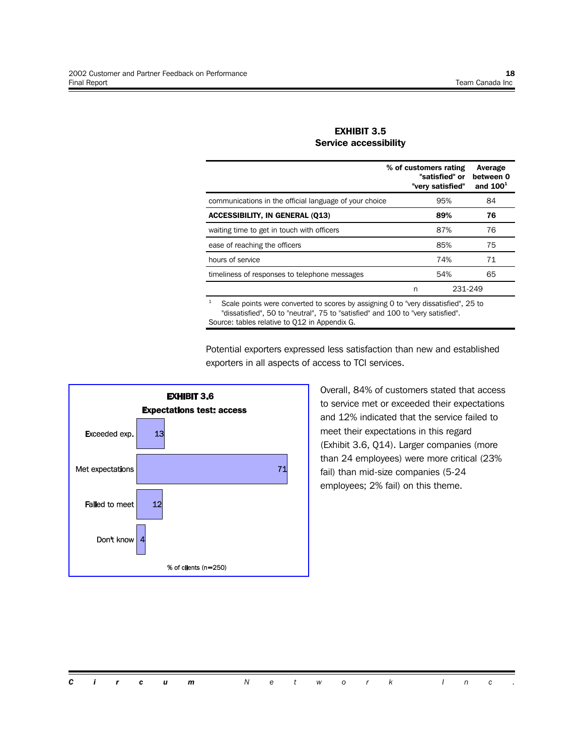#### **EXHIBIT 3.5 Service accessibility**

|                                                                                          |   | % of customers rating<br>"satisfied" or<br>"very satisfied" | Average<br>between 0<br>and $1001$ |
|------------------------------------------------------------------------------------------|---|-------------------------------------------------------------|------------------------------------|
| communications in the official language of your choice                                   |   | 95%                                                         | 84                                 |
| <b>ACCESSIBILITY, IN GENERAL (Q13)</b>                                                   |   | 89%                                                         | 76                                 |
| waiting time to get in touch with officers                                               |   | 87%                                                         | 76                                 |
| ease of reaching the officers                                                            |   | 85%                                                         | 75                                 |
| hours of service                                                                         |   | 74%                                                         | 71                                 |
| timeliness of responses to telephone messages                                            |   | 54%                                                         | 65                                 |
|                                                                                          | n | 231-249                                                     |                                    |
| 1.<br>Scale points were converted to scores by assigning 0 to "very dissatisfied", 25 to |   |                                                             |                                    |

"dissatisfied", 50 to "neutral", 75 to "satisfied" and 100 to "very satisfied". Source: tables relative to Q12 in Appendix G.



Potential exporters expressed less satisfaction than new and established exporters in all aspects of access to TCI services.

> Overall, 84% of customers stated that access to service met or exceeded their expectations and 12% indicated that the service failed to meet their expectations in this regard (Exhibit 3.6, Q14). Larger companies (more than 24 employees) were more critical (23% fail) than mid-size companies (5-24 employees; 2% fail) on this theme.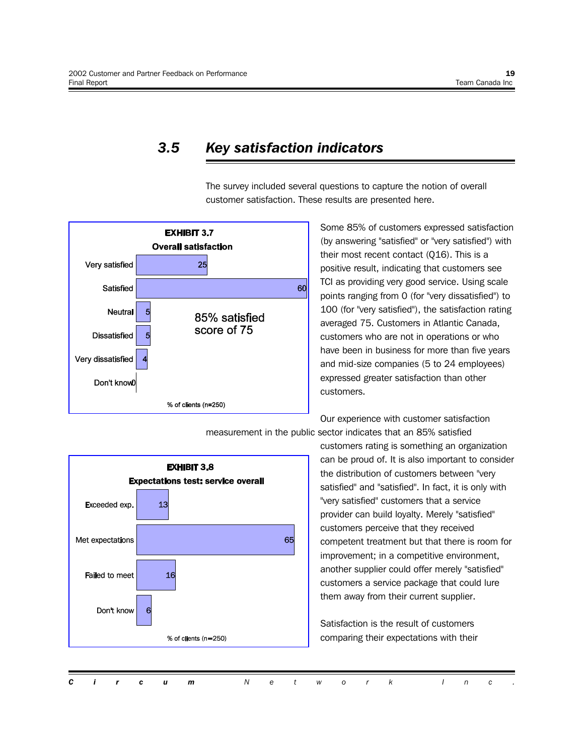## *3.5 Key satisfaction indicators*

The survey included several questions to capture the notion of overall customer satisfaction. These results are presented here.



Some 85% of customers expressed satisfaction (by answering "satisfied" or "very satisfied") with their most recent contact (Q16). This is a positive result, indicating that customers see TCI as providing very good service. Using scale points ranging from 0 (for "very dissatisfied") to 100 (for "very satisfied"), the satisfaction rating averaged 75. Customers in Atlantic Canada, customers who are not in operations or who have been in business for more than five years and mid-size companies (5 to 24 employees) expressed greater satisfaction than other customers.

Our experience with customer satisfaction





customers rating is something an organization can be proud of. It is also important to consider the distribution of customers between "very satisfied" and "satisfied". In fact, it is only with "very satisfied" customers that a service provider can build loyalty. Merely "satisfied" customers perceive that they received competent treatment but that there is room for improvement; in a competitive environment, another supplier could offer merely "satisfied" customers a service package that could lure them away from their current supplier.

Satisfaction is the result of customers comparing their expectations with their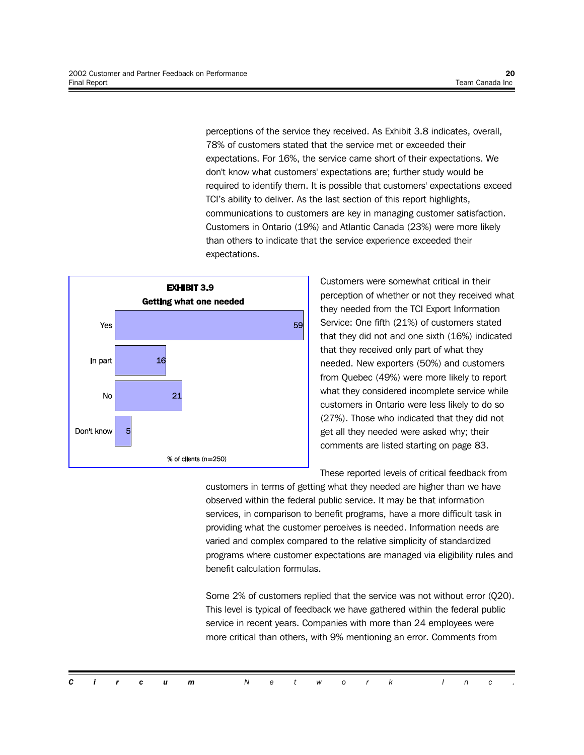perceptions of the service they received. As Exhibit 3.8 indicates, overall, 78% of customers stated that the service met or exceeded their expectations. For 16%, the service came short of their expectations. We don't know what customers' expectations are; further study would be required to identify them. It is possible that customers' expectations exceed TCI's ability to deliver. As the last section of this report highlights, communications to customers are key in managing customer satisfaction. Customers in Ontario (19%) and Atlantic Canada (23%) were more likely than others to indicate that the service experience exceeded their expectations.



Customers were somewhat critical in their perception of whether or not they received what they needed from the TCI Export Information Service: One fifth (21%) of customers stated that they did not and one sixth (16%) indicated that they received only part of what they needed. New exporters (50%) and customers from Quebec (49%) were more likely to report what they considered incomplete service while customers in Ontario were less likely to do so (27%). Those who indicated that they did not get all they needed were asked why; their comments are listed starting on page 83.

These reported levels of critical feedback from

customers in terms of getting what they needed are higher than we have observed within the federal public service. It may be that information services, in comparison to benefit programs, have a more difficult task in providing what the customer perceives is needed. Information needs are varied and complex compared to the relative simplicity of standardized programs where customer expectations are managed via eligibility rules and benefit calculation formulas.

Some 2% of customers replied that the service was not without error (Q20). This level is typical of feedback we have gathered within the federal public service in recent years. Companies with more than 24 employees were more critical than others, with 9% mentioning an error. Comments from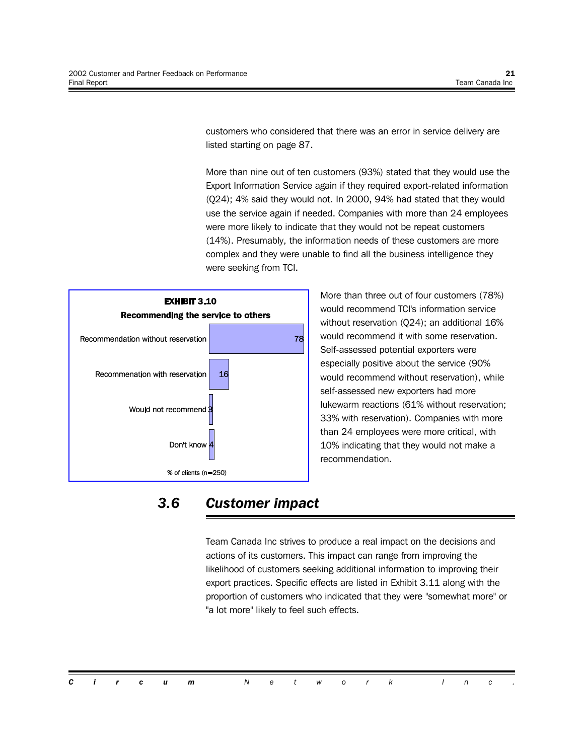customers who considered that there was an error in service delivery are listed starting on page 87.

More than nine out of ten customers (93%) stated that they would use the Export Information Service again if they required export-related information (Q24); 4% said they would not. In 2000, 94% had stated that they would use the service again if needed. Companies with more than 24 employees were more likely to indicate that they would not be repeat customers (14%). Presumably, the information needs of these customers are more complex and they were unable to find all the business intelligence they were seeking from TCI.



More than three out of four customers (78%) would recommend TCI's information service without reservation (Q24); an additional 16% would recommend it with some reservation. Self-assessed potential exporters were especially positive about the service (90% would recommend without reservation), while self-assessed new exporters had more lukewarm reactions (61% without reservation; 33% with reservation). Companies with more than 24 employees were more critical, with 10% indicating that they would not make a recommendation.

#### *3.6 Customer impact*

Team Canada Inc strives to produce a real impact on the decisions and actions of its customers. This impact can range from improving the likelihood of customers seeking additional information to improving their export practices. Specific effects are listed in Exhibit 3.11 along with the proportion of customers who indicated that they were "somewhat more" or "a lot more" likely to feel such effects.

|  |  | <b>Circum</b> Network Inc. |  |  |  |  |  |  |
|--|--|----------------------------|--|--|--|--|--|--|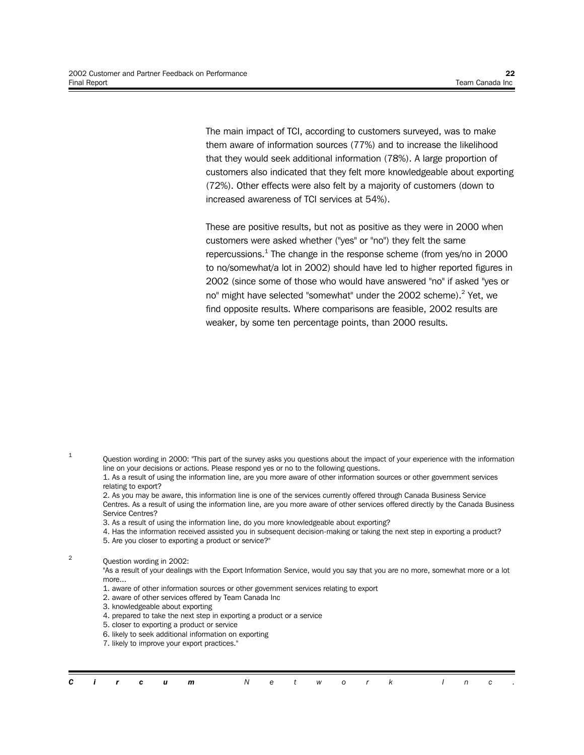The main impact of TCI, according to customers surveyed, was to make them aware of information sources (77%) and to increase the likelihood that they would seek additional information (78%). A large proportion of customers also indicated that they felt more knowledgeable about exporting (72%). Other effects were also felt by a majority of customers (down to increased awareness of TCI services at 54%).

These are positive results, but not as positive as they were in 2000 when customers were asked whether ("yes" or "no") they felt the same repercussions.<sup>1</sup> The change in the response scheme (from yes/no in 2000 to no/somewhat/a lot in 2002) should have led to higher reported figures in 2002 (since some of those who would have answered "no" if asked "yes or no" might have selected "somewhat" under the 2002 scheme).<sup>2</sup> Yet, we find opposite results. Where comparisons are feasible, 2002 results are weaker, by some ten percentage points, than 2000 results.

1 Question wording in 2000: "This part of the survey asks you questions about the impact of your experience with the information line on your decisions or actions. Please respond yes or no to the following questions.

1. As a result of using the information line, are you more aware of other information sources or other government services relating to export?

2. As you may be aware, this information line is one of the services currently offered through Canada Business Service Centres. As a result of using the information line, are you more aware of other services offered directly by the Canada Business Service Centres?

3. As a result of using the information line, do you more knowledgeable about exporting?

4. Has the information received assisted you in subsequent decision-making or taking the next step in exporting a product? 5. Are you closer to exporting a product or service?"

<sup>2</sup> Question wording in 2002:

"As a result of your dealings with the Export Information Service, would you say that you are no more, somewhat more or a lot more...

- 1. aware of other information sources or other government services relating to export
- 2. aware of other services offered by Team Canada Inc
- 3. knowledgeable about exporting
- 4. prepared to take the next step in exporting a product or a service
- 5. closer to exporting a product or service
- 6. likely to seek additional information on exporting
- 7. likely to improve your export practices."

|  |  |  | <b>Circum</b> Network Inc. |  |  |  |  |  |  |
|--|--|--|----------------------------|--|--|--|--|--|--|
|  |  |  |                            |  |  |  |  |  |  |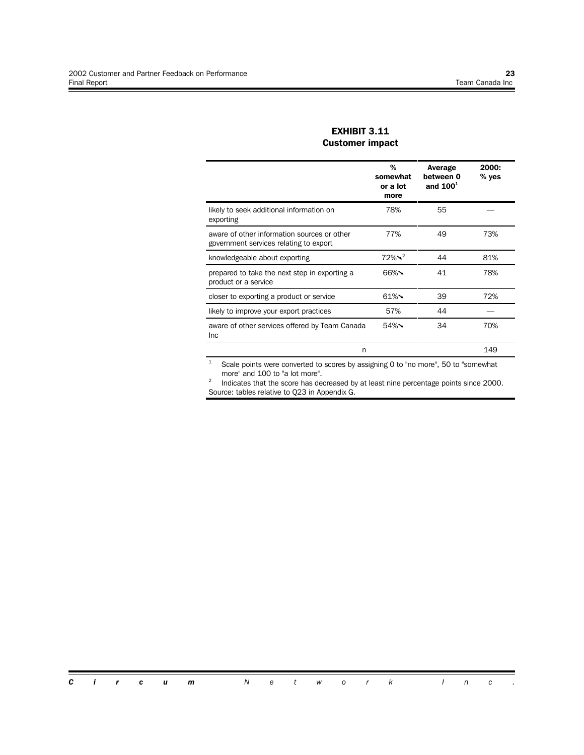#### **EXHIBIT 3.11 Customer impact**

|                                                                                       | %<br>somewhat<br>or a lot<br>more | Average<br>between 0<br>and $1001$ | 2000:<br>% yes |
|---------------------------------------------------------------------------------------|-----------------------------------|------------------------------------|----------------|
| likely to seek additional information on<br>exporting                                 | 78%                               | 55                                 |                |
| aware of other information sources or other<br>government services relating to export | 77%                               | 49                                 | 73%            |
| knowledgeable about exporting                                                         | $72\%$ $\lambda^2$                | 44                                 | 81%            |
| prepared to take the next step in exporting a<br>product or a service                 | $66\%$                            | 41                                 | 78%            |
| closer to exporting a product or service                                              | $61\%$                            | 39                                 | 72%            |
| likely to improve your export practices                                               | 57%                               | 44                                 |                |
| aware of other services offered by Team Canada<br>Inc                                 | $54\%$                            | 34                                 | 70%            |
| n                                                                                     |                                   |                                    | 149            |

 $1$  Scale points were converted to scores by assigning 0 to "no more", 50 to "somewhat more" and 100 to "a lot more".

 $2^2$  Indicates that the score has decreased by at least nine percentage points since 2000. Source: tables relative to Q23 in Appendix G.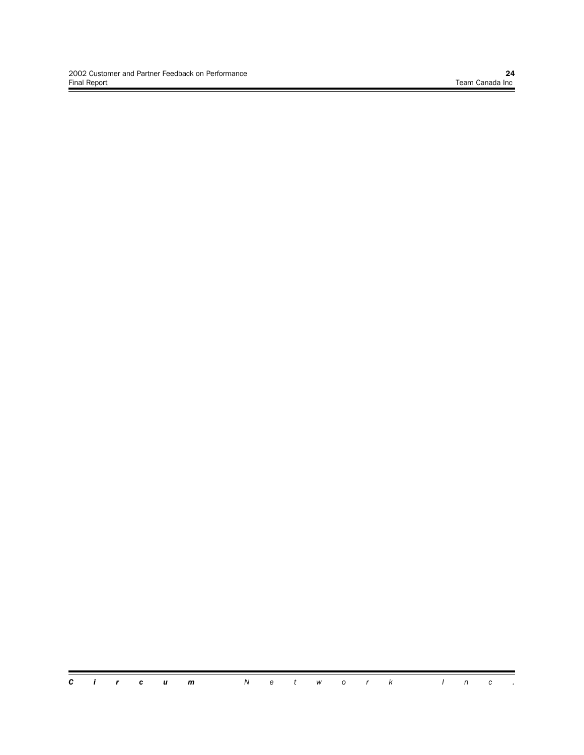Ξ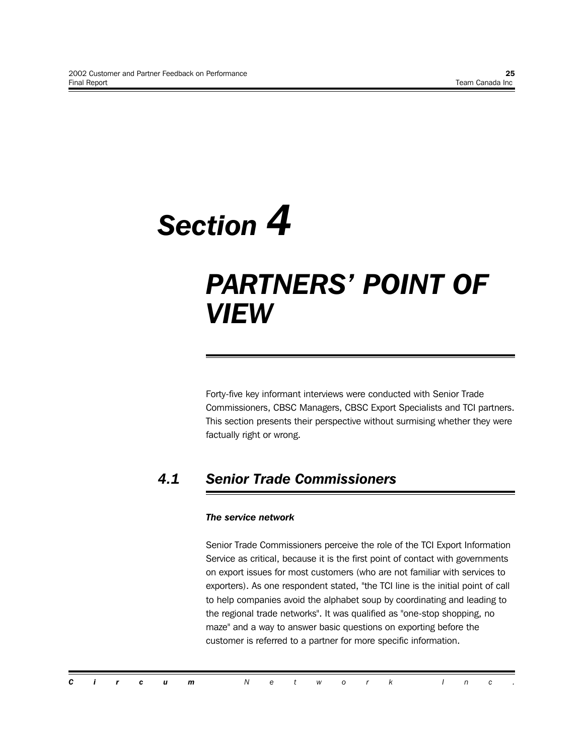# *Section 4*

## *PARTNERSí POINT OF VIEW*

Forty-five key informant interviews were conducted with Senior Trade Commissioners, CBSC Managers, CBSC Export Specialists and TCI partners. This section presents their perspective without surmising whether they were factually right or wrong.

## *4.1 Senior Trade Commissioners*

#### *The service network*

Senior Trade Commissioners perceive the role of the TCI Export Information Service as critical, because it is the first point of contact with governments on export issues for most customers (who are not familiar with services to exporters). As one respondent stated, "the TCI line is the initial point of call to help companies avoid the alphabet soup by coordinating and leading to the regional trade networks". It was qualified as "one-stop shopping, no maze" and a way to answer basic questions on exporting before the customer is referred to a partner for more specific information.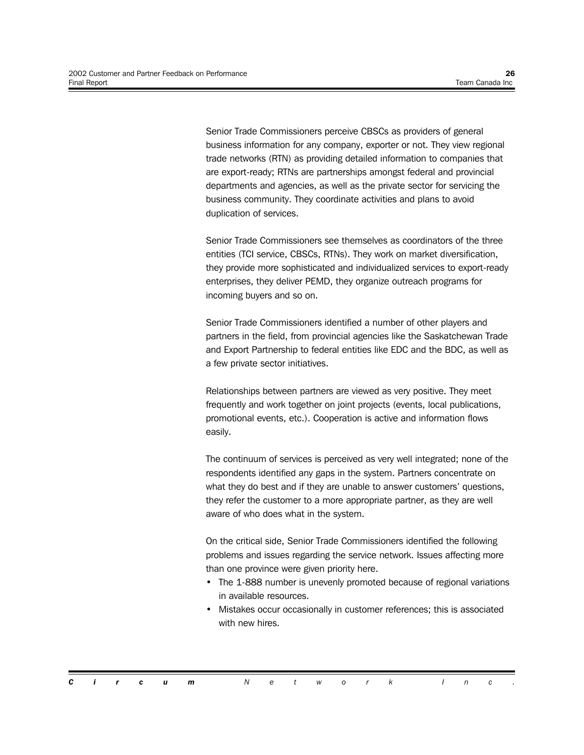Senior Trade Commissioners perceive CBSCs as providers of general business information for any company, exporter or not. They view regional trade networks (RTN) as providing detailed information to companies that are export-ready; RTNs are partnerships amongst federal and provincial departments and agencies, as well as the private sector for servicing the business community. They coordinate activities and plans to avoid duplication of services.

Senior Trade Commissioners see themselves as coordinators of the three entities (TCI service, CBSCs, RTNs). They work on market diversification, they provide more sophisticated and individualized services to export-ready enterprises, they deliver PEMD, they organize outreach programs for incoming buyers and so on.

Senior Trade Commissioners identified a number of other players and partners in the field, from provincial agencies like the Saskatchewan Trade and Export Partnership to federal entities like EDC and the BDC, as well as a few private sector initiatives.

Relationships between partners are viewed as very positive. They meet frequently and work together on joint projects (events, local publications, promotional events, etc.). Cooperation is active and information flows easily.

The continuum of services is perceived as very well integrated; none of the respondents identified any gaps in the system. Partners concentrate on what they do best and if they are unable to answer customers' questions, they refer the customer to a more appropriate partner, as they are well aware of who does what in the system.

On the critical side, Senior Trade Commissioners identified the following problems and issues regarding the service network. Issues affecting more than one province were given priority here.

- The 1-888 number is unevenly promoted because of regional variations in available resources.
- Mistakes occur occasionally in customer references; this is associated with new hires.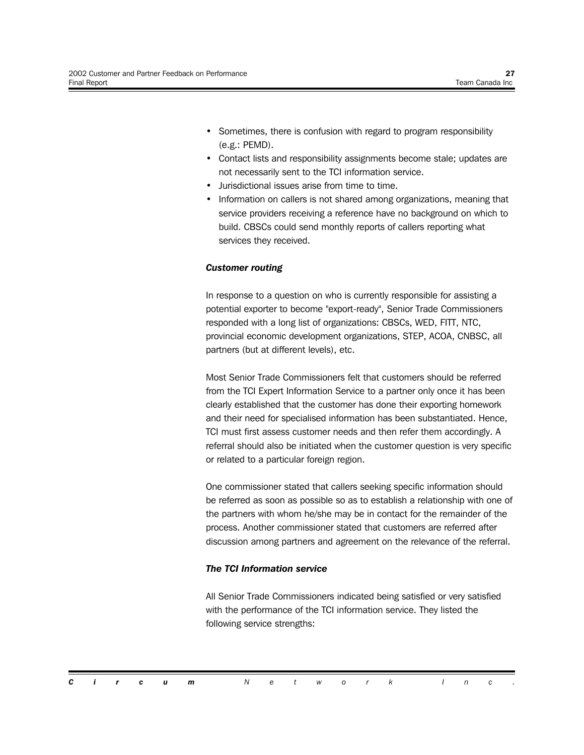- Sometimes, there is confusion with regard to program responsibility (e.g.: PEMD).
- Contact lists and responsibility assignments become stale; updates are not necessarily sent to the TCI information service.
- Jurisdictional issues arise from time to time.
- Information on callers is not shared among organizations, meaning that service providers receiving a reference have no background on which to build. CBSCs could send monthly reports of callers reporting what services they received.

#### *Customer routing*

In response to a question on who is currently responsible for assisting a potential exporter to become "export-ready", Senior Trade Commissioners responded with a long list of organizations: CBSCs, WED, FITT, NTC, provincial economic development organizations, STEP, ACOA, CNBSC, all partners (but at different levels), etc.

Most Senior Trade Commissioners felt that customers should be referred from the TCI Expert Information Service to a partner only once it has been clearly established that the customer has done their exporting homework and their need for specialised information has been substantiated. Hence, TCI must first assess customer needs and then refer them accordingly. A referral should also be initiated when the customer question is very specific or related to a particular foreign region.

One commissioner stated that callers seeking specific information should be referred as soon as possible so as to establish a relationship with one of the partners with whom he/she may be in contact for the remainder of the process. Another commissioner stated that customers are referred after discussion among partners and agreement on the relevance of the referral.

#### *The TCI Information service*

All Senior Trade Commissioners indicated being satisfied or very satisfied with the performance of the TCI information service. They listed the following service strengths: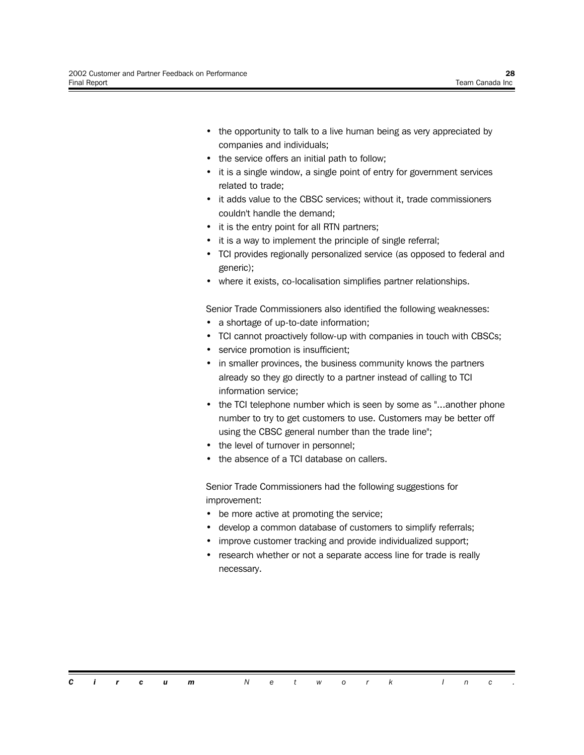- the opportunity to talk to a live human being as very appreciated by companies and individuals;
- the service offers an initial path to follow;
- it is a single window, a single point of entry for government services related to trade;
- it adds value to the CBSC services; without it, trade commissioners couldn't handle the demand;
- it is the entry point for all RTN partners;
- it is a way to implement the principle of single referral;
- TCI provides regionally personalized service (as opposed to federal and generic);
- where it exists, co-localisation simplifies partner relationships.

Senior Trade Commissioners also identified the following weaknesses:

- a shortage of up-to-date information;
- TCI cannot proactively follow-up with companies in touch with CBSCs;
- service promotion is insufficient;
- in smaller provinces, the business community knows the partners already so they go directly to a partner instead of calling to TCI information service;
- the TCI telephone number which is seen by some as "...another phone number to try to get customers to use. Customers may be better off using the CBSC general number than the trade line";
- the level of turnover in personnel;
- the absence of a TCI database on callers.

Senior Trade Commissioners had the following suggestions for improvement:

- be more active at promoting the service;
- develop a common database of customers to simplify referrals;
- improve customer tracking and provide individualized support;
- research whether or not a separate access line for trade is really necessary.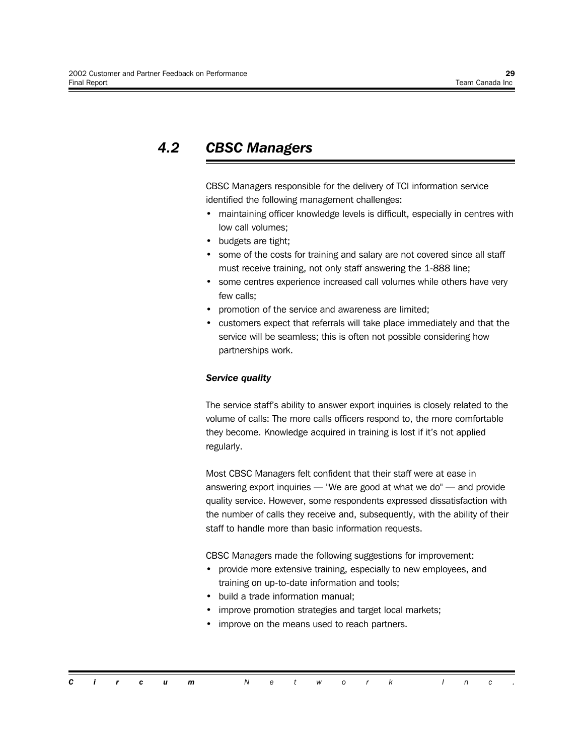### *4.2 CBSC Managers*

CBSC Managers responsible for the delivery of TCI information service identified the following management challenges:

- maintaining officer knowledge levels is difficult, especially in centres with low call volumes;
- budgets are tight;
- some of the costs for training and salary are not covered since all staff must receive training, not only staff answering the 1-888 line;
- some centres experience increased call volumes while others have very few calls;
- promotion of the service and awareness are limited;
- customers expect that referrals will take place immediately and that the service will be seamless; this is often not possible considering how partnerships work.

#### *Service quality*

The service staff's ability to answer export inquiries is closely related to the volume of calls: The more calls officers respond to, the more comfortable they become. Knowledge acquired in training is lost if it's not applied regularly.

Most CBSC Managers felt confident that their staff were at ease in answering export inquiries  $-$  "We are good at what we do"  $-$  and provide quality service. However, some respondents expressed dissatisfaction with the number of calls they receive and, subsequently, with the ability of their staff to handle more than basic information requests.

CBSC Managers made the following suggestions for improvement:

- provide more extensive training, especially to new employees, and training on up-to-date information and tools;
- build a trade information manual;
- improve promotion strategies and target local markets;
- improve on the means used to reach partners.

|  |  | <b>Circum</b> Network Inc. |  |  |  |  |  |  |
|--|--|----------------------------|--|--|--|--|--|--|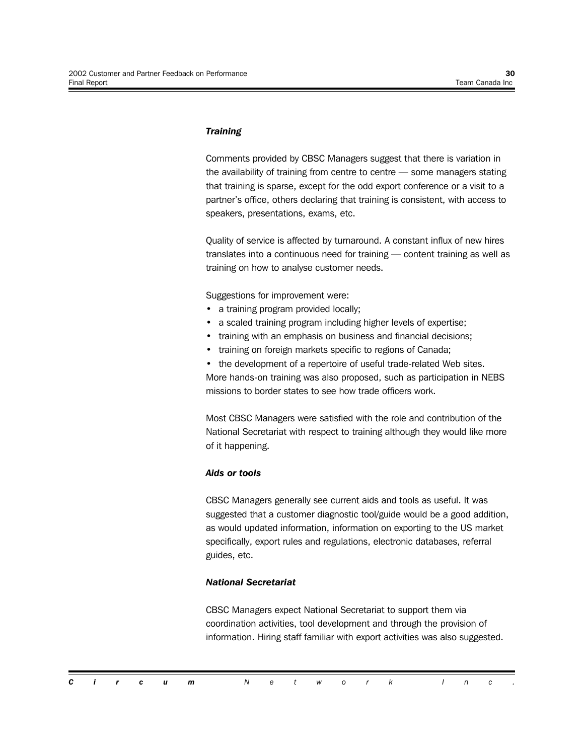#### *Training*

Comments provided by CBSC Managers suggest that there is variation in the availability of training from centre to centre  $-$  some managers stating that training is sparse, except for the odd export conference or a visit to a partner's office, others declaring that training is consistent, with access to speakers, presentations, exams, etc.

Quality of service is affected by turnaround. A constant influx of new hires translates into a continuous need for training  $-$  content training as well as training on how to analyse customer needs.

Suggestions for improvement were:

- a training program provided locally;
- a scaled training program including higher levels of expertise;
- training with an emphasis on business and financial decisions;
- training on foreign markets specific to regions of Canada;
- the development of a repertoire of useful trade-related Web sites.

More hands-on training was also proposed, such as participation in NEBS missions to border states to see how trade officers work.

Most CBSC Managers were satisfied with the role and contribution of the National Secretariat with respect to training although they would like more of it happening.

#### *Aids or tools*

CBSC Managers generally see current aids and tools as useful. It was suggested that a customer diagnostic tool/guide would be a good addition, as would updated information, information on exporting to the US market specifically, export rules and regulations, electronic databases, referral guides, etc.

#### *National Secretariat*

CBSC Managers expect National Secretariat to support them via coordination activities, tool development and through the provision of information. Hiring staff familiar with export activities was also suggested.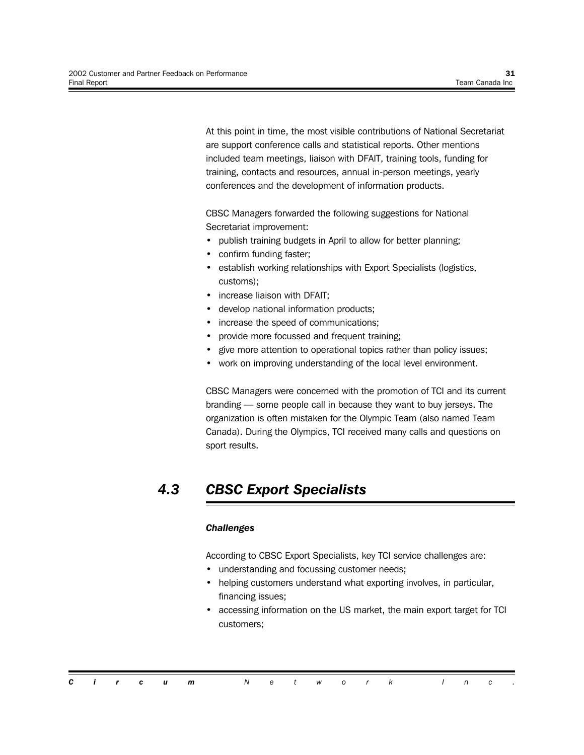At this point in time, the most visible contributions of National Secretariat are support conference calls and statistical reports. Other mentions included team meetings, liaison with DFAIT, training tools, funding for training, contacts and resources, annual in-person meetings, yearly conferences and the development of information products.

CBSC Managers forwarded the following suggestions for National Secretariat improvement:

- publish training budgets in April to allow for better planning;
- confirm funding faster;
- establish working relationships with Export Specialists (logistics, customs);
- increase liaison with DFAIT;
- develop national information products;
- increase the speed of communications;
- provide more focussed and frequent training;
- give more attention to operational topics rather than policy issues;
- work on improving understanding of the local level environment.

CBSC Managers were concerned with the promotion of TCI and its current branding  $-$  some people call in because they want to buy jerseys. The organization is often mistaken for the Olympic Team (also named Team Canada). During the Olympics, TCI received many calls and questions on sport results.

### *4.3 CBSC Export Specialists*

#### *Challenges*

According to CBSC Export Specialists, key TCI service challenges are:

- understanding and focussing customer needs;
- helping customers understand what exporting involves, in particular, financing issues;
- accessing information on the US market, the main export target for TCI customers;

*Circum Network Inc.*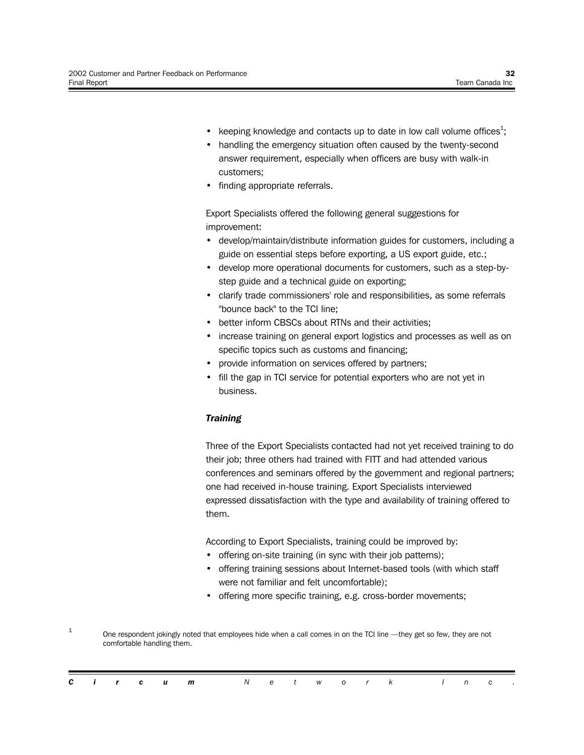- keeping knowledge and contacts up to date in low call volume offices<sup>1</sup>;
- handling the emergency situation often caused by the twenty-second answer requirement, especially when officers are busy with walk-in customers;
- finding appropriate referrals.

Export Specialists offered the following general suggestions for improvement:

- develop/maintain/distribute information guides for customers, including a guide on essential steps before exporting, a US export guide, etc.;
- develop more operational documents for customers, such as a step-bystep guide and a technical guide on exporting;
- clarify trade commissioners' role and responsibilities, as some referrals "bounce back" to the TCI line;
- better inform CBSCs about RTNs and their activities:
- increase training on general export logistics and processes as well as on specific topics such as customs and financing;
- provide information on services offered by partners;
- fill the gap in TCI service for potential exporters who are not yet in business.

#### *Training*

Three of the Export Specialists contacted had not yet received training to do their job; three others had trained with FITT and had attended various conferences and seminars offered by the government and regional partners; one had received in-house training. Export Specialists interviewed expressed dissatisfaction with the type and availability of training offered to them.

According to Export Specialists, training could be improved by:

- offering on-site training (in sync with their job patterns);
- offering training sessions about Internet-based tools (with which staff were not familiar and felt uncomfortable);
- offering more specific training, e.g. cross-border movements;

<sup>1</sup> One respondent jokingly noted that employees hide when a call comes in on the TCI line —they get so few, they are not comfortable handling them.

|  |  | <b>Circum</b> Network Inc. |  |  |  |  |  |  |
|--|--|----------------------------|--|--|--|--|--|--|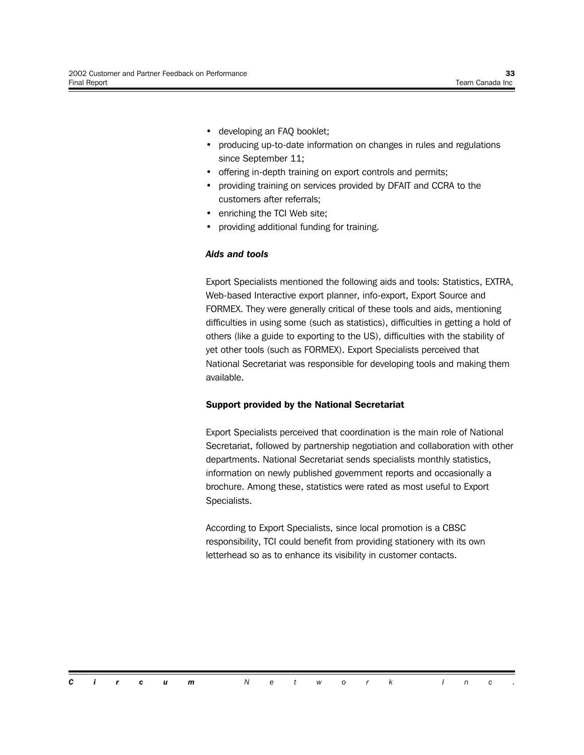- developing an FAQ booklet;
- producing up-to-date information on changes in rules and regulations since September 11;
- offering in-depth training on export controls and permits;
- providing training on services provided by DFAIT and CCRA to the customers after referrals;
- enriching the TCI Web site;
- providing additional funding for training.

#### *Aids and tools*

Export Specialists mentioned the following aids and tools: Statistics, EXTRA, Web-based Interactive export planner, info-export, Export Source and FORMEX. They were generally critical of these tools and aids, mentioning difficulties in using some (such as statistics), difficulties in getting a hold of others (like a guide to exporting to the US), difficulties with the stability of yet other tools (such as FORMEX). Export Specialists perceived that National Secretariat was responsible for developing tools and making them available.

#### **Support provided by the National Secretariat**

Export Specialists perceived that coordination is the main role of National Secretariat, followed by partnership negotiation and collaboration with other departments. National Secretariat sends specialists monthly statistics, information on newly published government reports and occasionally a brochure. Among these, statistics were rated as most useful to Export Specialists.

According to Export Specialists, since local promotion is a CBSC responsibility, TCI could benefit from providing stationery with its own letterhead so as to enhance its visibility in customer contacts.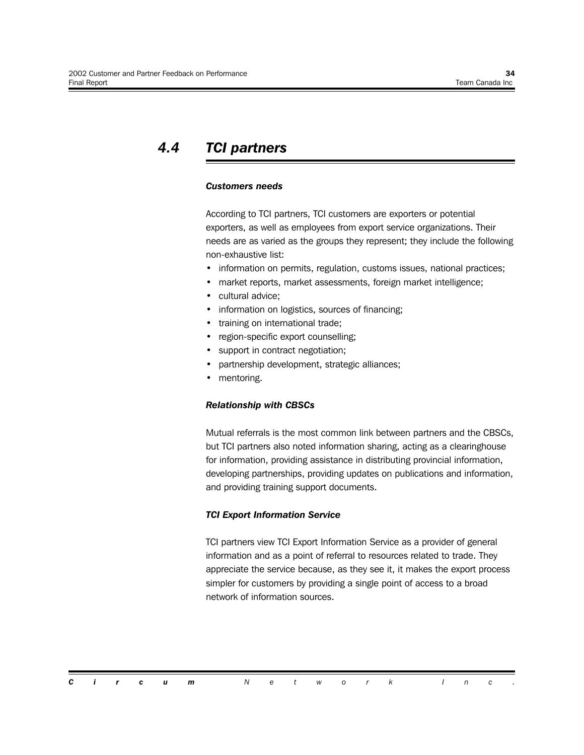### *4.4 TCI partners*

#### *Customers needs*

According to TCI partners, TCI customers are exporters or potential exporters, as well as employees from export service organizations. Their needs are as varied as the groups they represent; they include the following non-exhaustive list:

- information on permits, regulation, customs issues, national practices;
- market reports, market assessments, foreign market intelligence;
- cultural advice;
- information on logistics, sources of financing;
- training on international trade;
- region-specific export counselling;
- support in contract negotiation;
- partnership development, strategic alliances;
- mentoring.

#### *Relationship with CBSCs*

Mutual referrals is the most common link between partners and the CBSCs, but TCI partners also noted information sharing, acting as a clearinghouse for information, providing assistance in distributing provincial information, developing partnerships, providing updates on publications and information, and providing training support documents.

#### *TCI Export Information Service*

TCI partners view TCI Export Information Service as a provider of general information and as a point of referral to resources related to trade. They appreciate the service because, as they see it, it makes the export process simpler for customers by providing a single point of access to a broad network of information sources.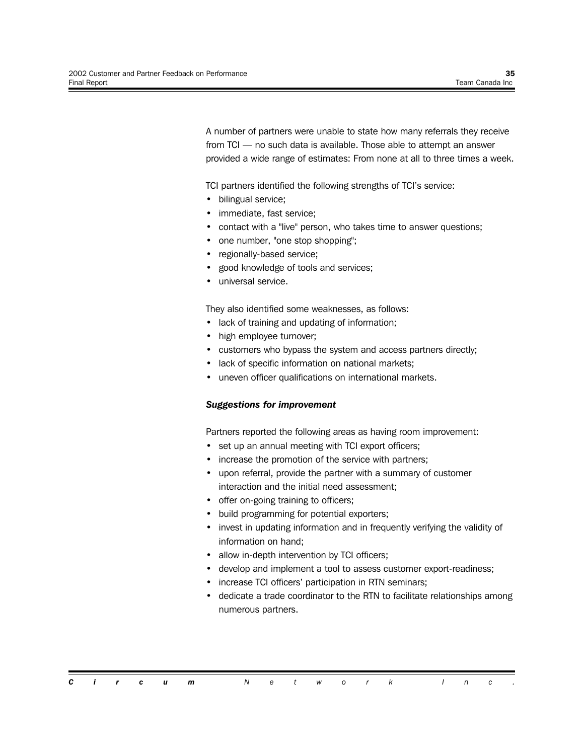A number of partners were unable to state how many referrals they receive from  $TCI$   $\rightarrow$  no such data is available. Those able to attempt an answer provided a wide range of estimates: From none at all to three times a week.

TCI partners identified the following strengths of TCI's service:

- bilingual service;
- immediate, fast service;
- contact with a "live" person, who takes time to answer questions;
- one number, "one stop shopping";
- regionally-based service;
- good knowledge of tools and services;
- universal service.

They also identified some weaknesses, as follows:

- lack of training and updating of information;
- high employee turnover;
- customers who bypass the system and access partners directly;
- lack of specific information on national markets;
- $\bullet$  uneven officer qualifications on international markets.

#### *Suggestions for improvement*

Partners reported the following areas as having room improvement:

- set up an annual meeting with TCI export officers;
- increase the promotion of the service with partners;
- upon referral, provide the partner with a summary of customer interaction and the initial need assessment;
- offer on-going training to officers;
- build programming for potential exporters;
- invest in updating information and in frequently verifying the validity of information on hand;
- allow in-depth intervention by TCI officers;
- develop and implement a tool to assess customer export-readiness;
- increase TCI officers' participation in RTN seminars;
- dedicate a trade coordinator to the RTN to facilitate relationships among numerous partners.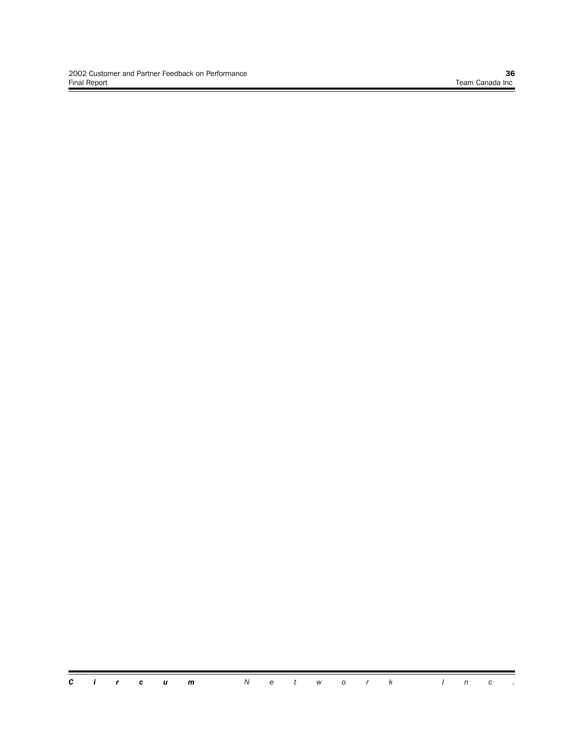Ξ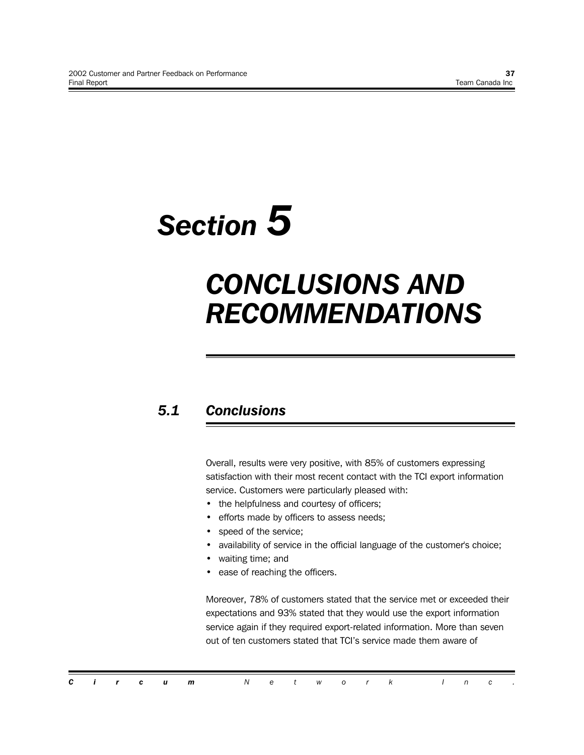# *Section 5*

# *CONCLUSIONS AND RECOMMENDATIONS*

### *5.1 Conclusions*

Overall, results were very positive, with 85% of customers expressing satisfaction with their most recent contact with the TCI export information service. Customers were particularly pleased with:

- the helpfulness and courtesy of officers;
- efforts made by officers to assess needs;
- speed of the service;
- availability of service in the official language of the customer's choice;
- waiting time; and
- ease of reaching the officers.

Moreover, 78% of customers stated that the service met or exceeded their expectations and 93% stated that they would use the export information service again if they required export-related information. More than seven out of ten customers stated that TCI's service made them aware of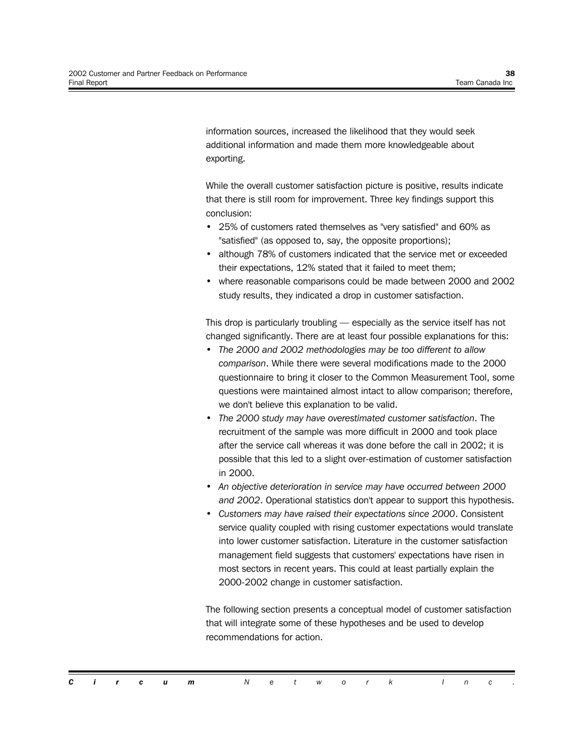information sources, increased the likelihood that they would seek additional information and made them more knowledgeable about exporting.

While the overall customer satisfaction picture is positive, results indicate that there is still room for improvement. Three key findings support this conclusion:

- 25% of customers rated themselves as "very satisfied" and 60% as "satisfied" (as opposed to, say, the opposite proportions);
- although 78% of customers indicated that the service met or exceeded their expectations, 12% stated that it failed to meet them;
- where reasonable comparisons could be made between 2000 and 2002 study results, they indicated a drop in customer satisfaction.

This drop is particularly troubling  $-$  especially as the service itself has not changed significantly. There are at least four possible explanations for this:

- The 2000 and 2002 methodologies may be too different to allow *comparison*. While there were several modifications made to the 2000 questionnaire to bring it closer to the Common Measurement Tool, some questions were maintained almost intact to allow comparison; therefore, we don't believe this explanation to be valid.
- The 2000 study may have overestimated customer satisfaction. The recruitment of the sample was more difficult in 2000 and took place after the service call whereas it was done before the call in 2002; it is possible that this led to a slight over-estimation of customer satisfaction in 2000.
- An objective deterioration in service may have occurred between 2000 *and 2002*. Operational statistics don't appear to support this hypothesis.
- ï *Customers may have raised their expectations since 2000*. Consistent service quality coupled with rising customer expectations would translate into lower customer satisfaction. Literature in the customer satisfaction management field suggests that customers' expectations have risen in most sectors in recent years. This could at least partially explain the 2000-2002 change in customer satisfaction.

The following section presents a conceptual model of customer satisfaction that will integrate some of these hypotheses and be used to develop recommendations for action.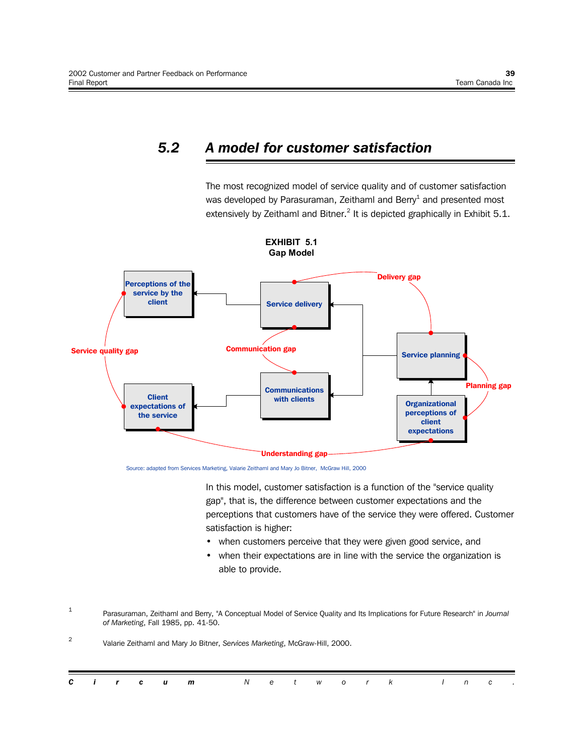### *5.2 A model for customer satisfaction*

The most recognized model of service quality and of customer satisfaction was developed by Parasuraman, Zeithaml and Berry $^{\rm 1}$  and presented most extensively by Zeithaml and Bitner.<sup>2</sup> It is depicted graphically in Exhibit 5.1.





Source: adapted from Services Marketing, Valarie Zeithaml and Mary Jo Bitner, McGraw Hill, 2000

In this model, customer satisfaction is a function of the "service quality gap", that is, the difference between customer expectations and the perceptions that customers have of the service they were offered. Customer satisfaction is higher:

- when customers perceive that they were given good service, and
- when their expectations are in line with the service the organization is able to provide.
- <sup>1</sup> Parasuraman, Zeithaml and Berry, "A Conceptual Model of Service Quality and Its Implications for Future Research" in *Journal of Marketing*, Fall 1985, pp. 41-50.
- <sup>2</sup> Valarie Zeithaml and Mary Jo Bitner, *Services Marketing*, McGraw-Hill, 2000.

|  |  |  | <b>Circum</b> Network Inc. |  |  |  |  |  |  |
|--|--|--|----------------------------|--|--|--|--|--|--|
|  |  |  |                            |  |  |  |  |  |  |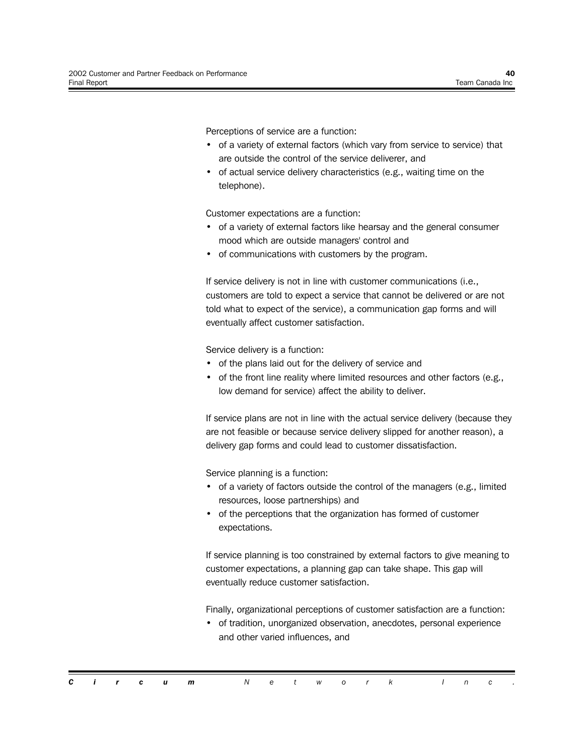Perceptions of service are a function:

- of a variety of external factors (which vary from service to service) that are outside the control of the service deliverer, and
- of actual service delivery characteristics (e.g., waiting time on the telephone).

Customer expectations are a function:

- of a variety of external factors like hearsay and the general consumer mood which are outside managers' control and
- of communications with customers by the program.

If service delivery is not in line with customer communications (i.e., customers are told to expect a service that cannot be delivered or are not told what to expect of the service), a communication gap forms and will eventually affect customer satisfaction.

Service delivery is a function:

- of the plans laid out for the delivery of service and
- of the front line reality where limited resources and other factors (e.g., low demand for service) affect the ability to deliver.

If service plans are not in line with the actual service delivery (because they are not feasible or because service delivery slipped for another reason), a delivery gap forms and could lead to customer dissatisfaction.

Service planning is a function:

- of a variety of factors outside the control of the managers (e.g., limited resources, loose partnerships) and
- of the perceptions that the organization has formed of customer expectations.

If service planning is too constrained by external factors to give meaning to customer expectations, a planning gap can take shape. This gap will eventually reduce customer satisfaction.

Finally, organizational perceptions of customer satisfaction are a function:

• of tradition, unorganized observation, anecdotes, personal experience and other varied influences, and

|  |  | <b>Circum</b> Network Inc. |  |  |  |  |  |  |
|--|--|----------------------------|--|--|--|--|--|--|
|  |  |                            |  |  |  |  |  |  |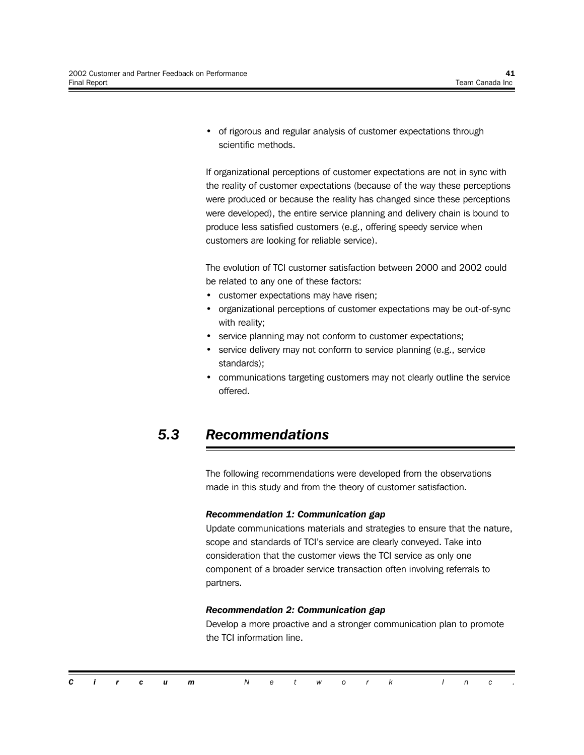• of rigorous and regular analysis of customer expectations through scientific methods.

If organizational perceptions of customer expectations are not in sync with the reality of customer expectations (because of the way these perceptions were produced or because the reality has changed since these perceptions were developed), the entire service planning and delivery chain is bound to produce less satisfied customers (e.g., offering speedy service when customers are looking for reliable service).

The evolution of TCI customer satisfaction between 2000 and 2002 could be related to any one of these factors:

- customer expectations may have risen;
- organizational perceptions of customer expectations may be out-of-sync with reality;
- service planning may not conform to customer expectations;
- service delivery may not conform to service planning (e.g., service standards);
- communications targeting customers may not clearly outline the service offered.

### *5.3 Recommendations*

The following recommendations were developed from the observations made in this study and from the theory of customer satisfaction.

#### *Recommendation 1: Communication gap*

Update communications materials and strategies to ensure that the nature, scope and standards of TCI's service are clearly conveyed. Take into consideration that the customer views the TCI service as only one component of a broader service transaction often involving referrals to partners.

#### *Recommendation 2: Communication gap*

Develop a more proactive and a stronger communication plan to promote the TCI information line.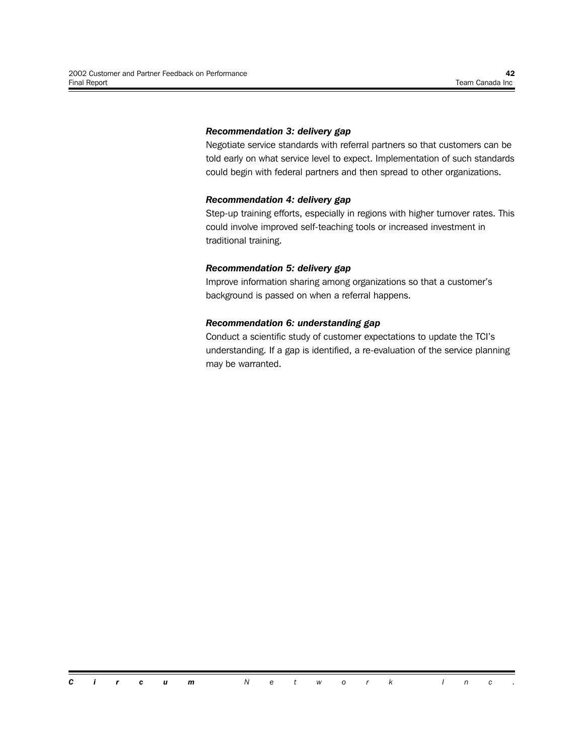#### *Recommendation 3: delivery gap*

Negotiate service standards with referral partners so that customers can be told early on what service level to expect. Implementation of such standards could begin with federal partners and then spread to other organizations.

#### *Recommendation 4: delivery gap*

Step-up training efforts, especially in regions with higher turnover rates. This could involve improved self-teaching tools or increased investment in traditional training.

#### *Recommendation 5: delivery gap*

Improve information sharing among organizations so that a customer's background is passed on when a referral happens.

#### *Recommendation 6: understanding gap*

Conduct a scientific study of customer expectations to update the TCI's understanding. If a gap is identified, a re-evaluation of the service planning may be warranted.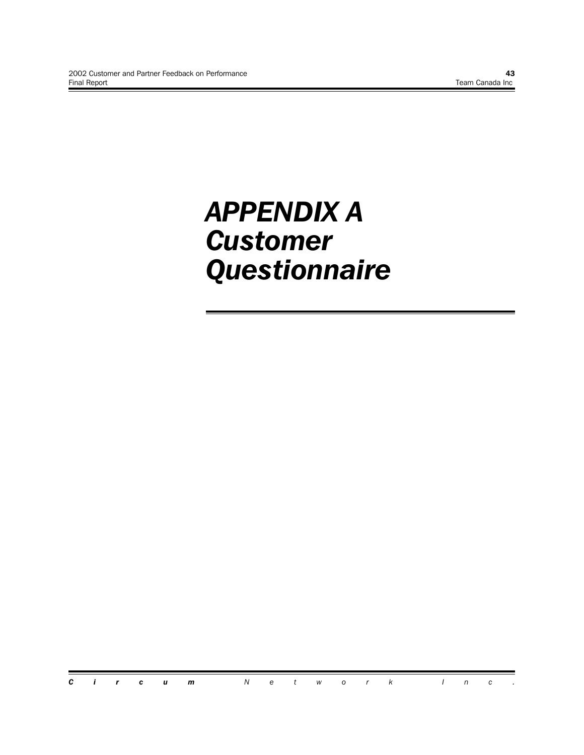# *APPENDIX A Customer Questionnaire*

*Circum Network Inc.*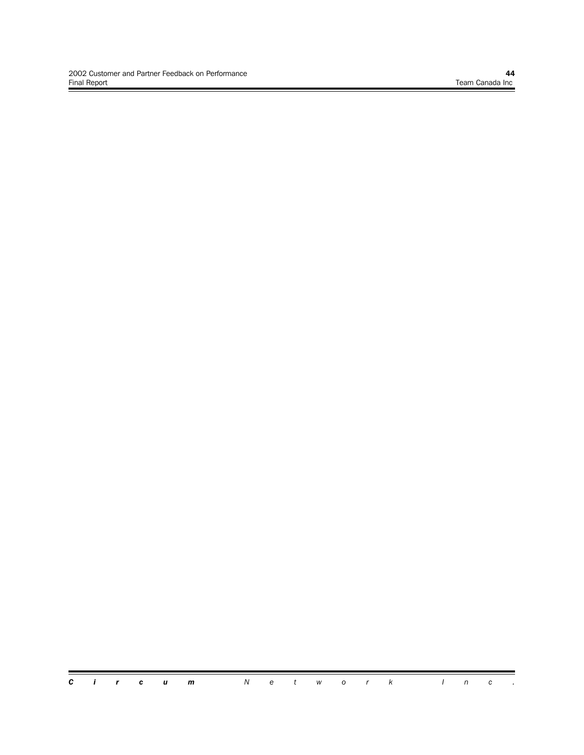Ξ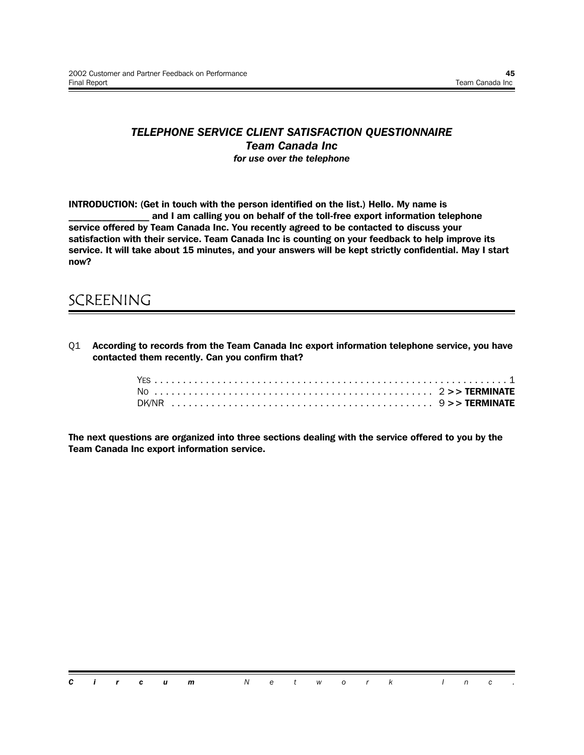#### *TELEPHONE SERVICE CLIENT SATISFACTION QUESTIONNAIRE Team Canada Inc for use over the telephone*

**INTRODUCTION: (Get in touch with the person identified on the list.) Hello. My name is** and I am calling you on behalf of the toll-free export information telephone **service offered by Team Canada Inc. You recently agreed to be contacted to discuss your satisfaction with their service. Team Canada Inc is counting on your feedback to help improve its service. It will take about 15 minutes, and your answers will be kept strictly confidential. May I start now?**

### SCREENING

Q1 **According to records from the Team Canada Inc export information telephone service, you have contacted them recently. Can you confirm that?**

**The next questions are organized into three sections dealing with the service offered to you by the Team Canada Inc export information service.**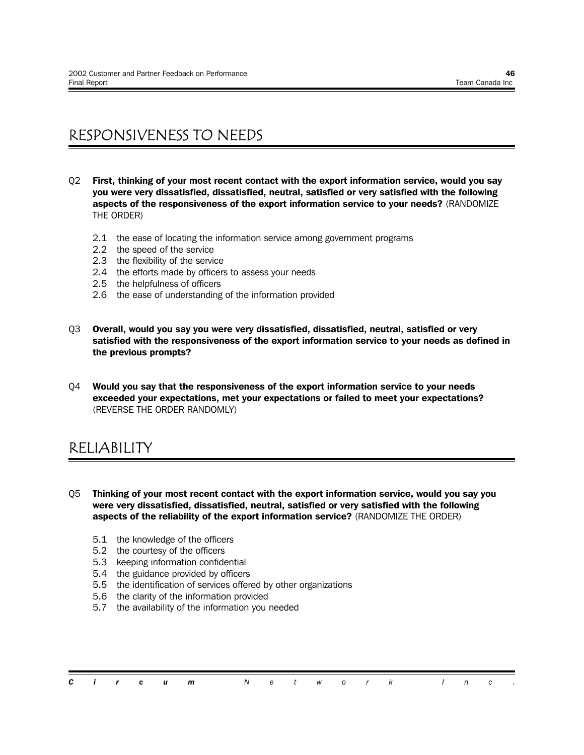### RESPONSIVENESS TO NEEDS

- Q2 **First, thinking of your most recent contact with the export information service, would you say you were very dissatisfied, dissatisfied, neutral, satisfied or very satisfied with the following aspects of the responsiveness of the export information service to your needs?** (RANDOMIZE THE ORDER)
	- 2.1 the ease of locating the information service among government programs
	- 2.2 the speed of the service
	- 2.3 the flexibility of the service
	- 2.4 the efforts made by officers to assess your needs
	- 2.5 the helpfulness of officers
	- 2.6 the ease of understanding of the information provided
- Q3 **Overall, would you say you were very dissatisfied, dissatisfied, neutral, satisfied or very satisfied with the responsiveness of the export information service to your needs as defined in the previous prompts?**
- Q4 **Would you say that the responsiveness of the export information service to your needs exceeded your expectations, met your expectations or failed to meet your expectations?** (REVERSE THE ORDER RANDOMLY)

### RELIABILITY

Q5 **Thinking of your most recent contact with the export information service, would you say you were very dissatisfied, dissatisfied, neutral, satisfied or very satisfied with the following aspects of the reliability of the export information service?** (RANDOMIZE THE ORDER)

- 5.1 the knowledge of the officers
- 5.2 the courtesy of the officers
- 5.3 keeping information confidential
- 5.4 the guidance provided by officers
- 5.5 the identification of services offered by other organizations
- 5.6 the clarity of the information provided
- 5.7 the availability of the information you needed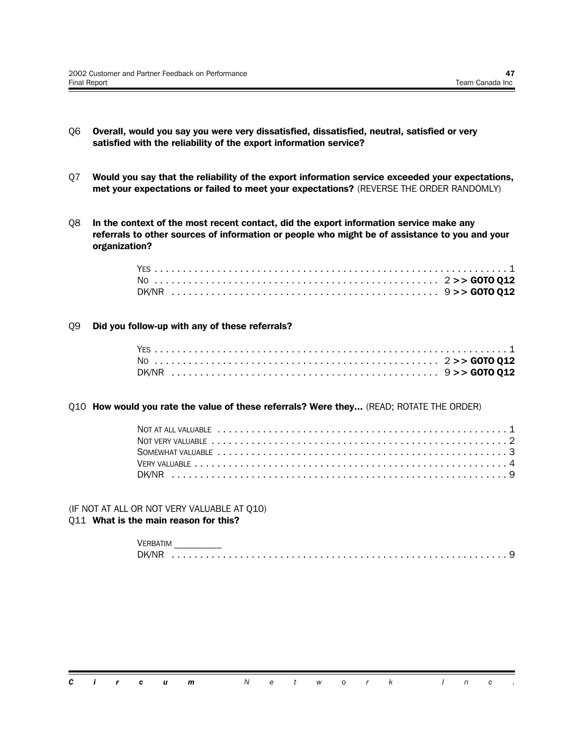- Q6 **Overall, would you say you were very dissatisfied, dissatisfied, neutral, satisfied or very satisfied with the reliability of the export information service?**
- Q7 **Would you say that the reliability of the export information service exceeded your expectations, met your expectations or failed to meet your expectations?** (REVERSE THE ORDER RANDOMLY)
- Q8 **In the context of the most recent contact, did the export information service make any referrals to other sources of information or people who might be of assistance to you and your organization?**

#### Q9 **Did you follow-up with any of these referrals?**

#### Q10 **How would you rate the value of these referrals? Were they...** (READ; ROTATE THE ORDER)

(IF NOT AT ALL OR NOT VERY VALUABLE AT Q10) Q11 **What is the main reason for this?**

#### VERBATIM \_\_\_\_\_\_\_\_\_\_ DK/NR . . . . . . . . . . . . . . . . . . . . . . . . . . . . . . . . . . . . . . . . . . . . . . . . . . . . . . . . . . . 9

*Circum Network Inc.*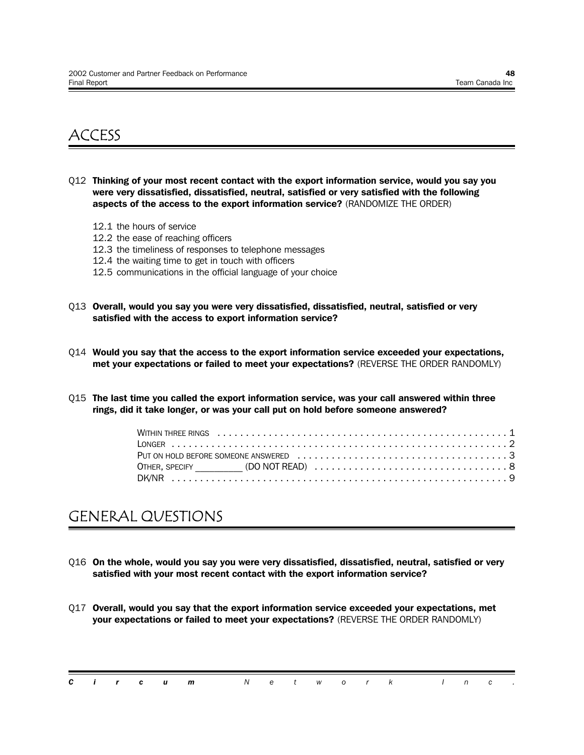### ACCESS

- Q12 **Thinking of your most recent contact with the export information service, would you say you were very dissatisfied, dissatisfied, neutral, satisfied or very satisfied with the following aspects of the access to the export information service?** (RANDOMIZE THE ORDER)
	- 12.1 the hours of service
	- 12.2 the ease of reaching officers
	- 12.3 the timeliness of responses to telephone messages
	- 12.4 the waiting time to get in touch with officers
	- 12.5 communications in the official language of your choice
- Q13 **Overall, would you say you were very dissatisfied, dissatisfied, neutral, satisfied or very satisfied with the access to export information service?**
- Q14 **Would you say that the access to the export information service exceeded your expectations, met your expectations or failed to meet your expectations?** (REVERSE THE ORDER RANDOMLY)
- Q15 **The last time you called the export information service, was your call answered within three rings, did it take longer, or was your call put on hold before someone answered?**

### GENERAL QUESTIONS

- Q16 **On the whole, would you say you were very dissatisfied, dissatisfied, neutral, satisfied or very satisfied with your most recent contact with the export information service?**
- Q17 **Overall, would you say that the export information service exceeded your expectations, met your expectations or failed to meet your expectations?** (REVERSE THE ORDER RANDOMLY)

|  |  | <b>Circum</b> Network Inc. |  |  |  |  |  |  |
|--|--|----------------------------|--|--|--|--|--|--|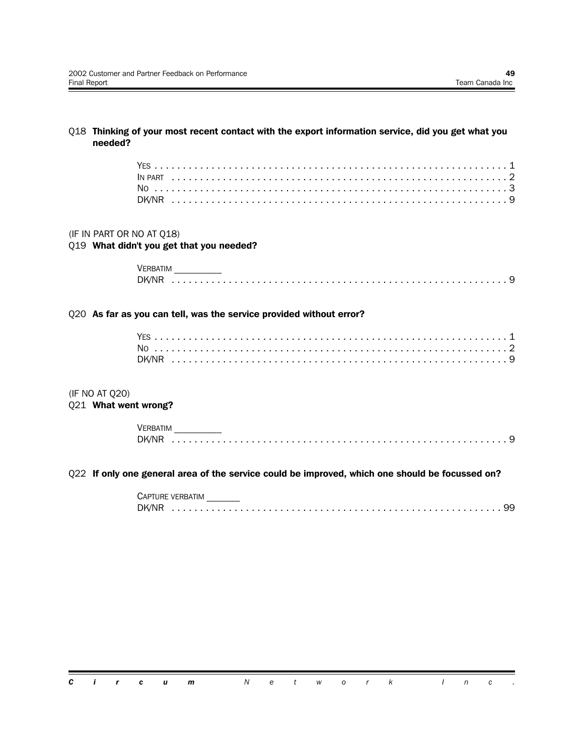#### Q18 **Thinking of your most recent contact with the export information service, did you get what you needed?**

#### (IF IN PART OR NO AT Q18)

#### Q19 **What didn't you get that you needed?**

| <b>VERRATIM</b> |  |  |  |  |
|-----------------|--|--|--|--|
|                 |  |  |  |  |

#### Q20 **As far as you can tell, was the service provided without error?**

#### (IF NO AT Q20) Q21 **What went wrong?**

| <b>VERRATIM</b> |  |  |  |  |  |  |  |
|-----------------|--|--|--|--|--|--|--|
|                 |  |  |  |  |  |  |  |

#### Q22 **If only one general area of the service could be improved, which one should be focussed on?**

CAPTURE VERBATIM DK/NR . . . . . . . . . . . . . . . . . . . . . . . . . . . . . . . . . . . . . . . . . . . . . . . . . . . . . . . . . . 99

*Circum Network Inc.*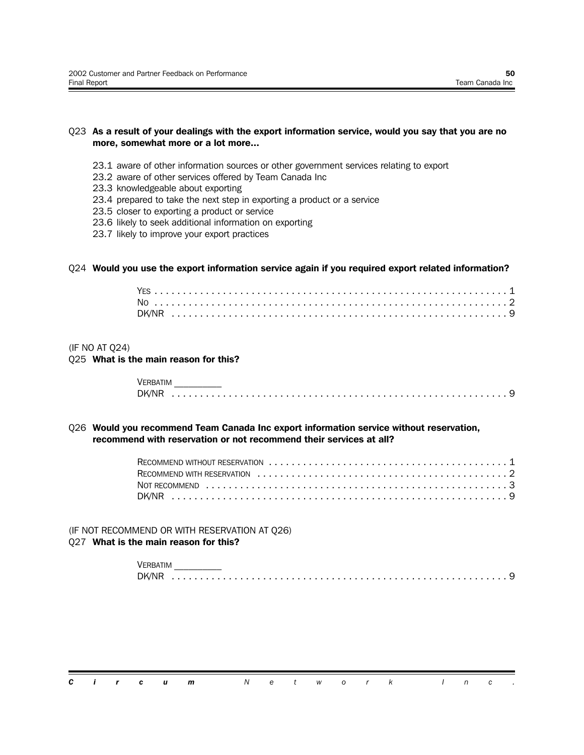#### Q23 **As a result of your dealings with the export information service, would you say that you are no more, somewhat more or a lot more...**

- 23.1 aware of other information sources or other government services relating to export
- 23.2 aware of other services offered by Team Canada Inc
- 23.3 knowledgeable about exporting
- 23.4 prepared to take the next step in exporting a product or a service
- 23.5 closer to exporting a product or service
- 23.6 likely to seek additional information on exporting
- 23.7 likely to improve your export practices

#### Q24 **Would you use the export information service again if you required export related information?**

#### (IF NO AT Q24)

#### Q25 **What is the main reason for this?**

| <b>VERRATIM</b> |  |  |  |  |  |  |  |  |  |  |  |  |  |  |  |  |  |  |  |  |  |  |  |  |
|-----------------|--|--|--|--|--|--|--|--|--|--|--|--|--|--|--|--|--|--|--|--|--|--|--|--|
|                 |  |  |  |  |  |  |  |  |  |  |  |  |  |  |  |  |  |  |  |  |  |  |  |  |

#### Q26 **Would you recommend Team Canada Inc export information service without reservation, recommend with reservation or not recommend their services at all?**

| NOT RECOMMEND $\dots\dots\dots\dots\dots\dots\dots\dots\dots\dots\dots\dots\dots\dots\dots\dots$ |  |
|--------------------------------------------------------------------------------------------------|--|
|                                                                                                  |  |
|                                                                                                  |  |

#### (IF NOT RECOMMEND OR WITH RESERVATION AT Q26) Q27 **What is the main reason for this?**

| <b>VERRATIM</b> |  |  |  |  |  |  |  |  |  |
|-----------------|--|--|--|--|--|--|--|--|--|
| DK/NR           |  |  |  |  |  |  |  |  |  |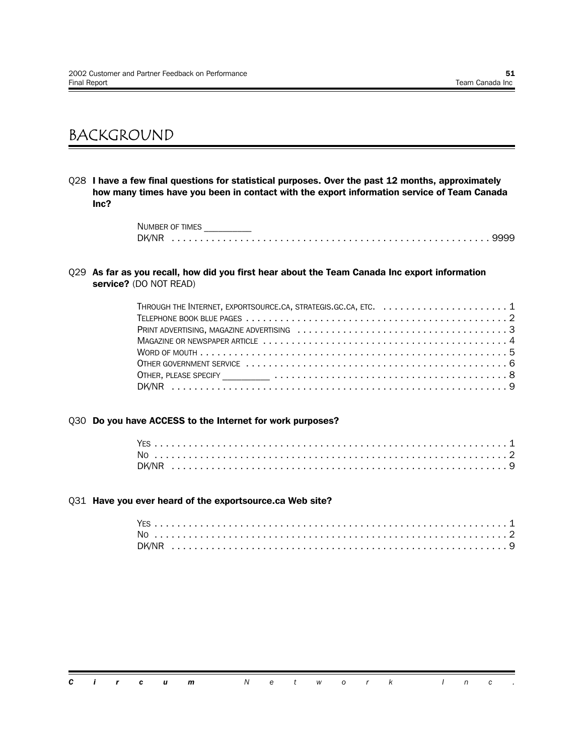### BACKGROUND

Q28 **I have a few final questions for statistical purposes. Over the past 12 months, approximately how many times have you been in contact with the export information service of Team Canada Inc?**

| NUMBER OF TIMES |  |  |  |  |
|-----------------|--|--|--|--|
|                 |  |  |  |  |

#### Q29 **As far as you recall, how did you first hear about the Team Canada Inc export information service?** (DO NOT READ)

| THROUGH THE INTERNET, EXPORTSOURCE.CA, STRATEGIS.GC.CA, ETC.  1 |  |  |  |  |  |  |  |  |  |  |  |  |
|-----------------------------------------------------------------|--|--|--|--|--|--|--|--|--|--|--|--|
|                                                                 |  |  |  |  |  |  |  |  |  |  |  |  |
|                                                                 |  |  |  |  |  |  |  |  |  |  |  |  |
|                                                                 |  |  |  |  |  |  |  |  |  |  |  |  |
|                                                                 |  |  |  |  |  |  |  |  |  |  |  |  |
|                                                                 |  |  |  |  |  |  |  |  |  |  |  |  |
|                                                                 |  |  |  |  |  |  |  |  |  |  |  |  |
|                                                                 |  |  |  |  |  |  |  |  |  |  |  |  |

#### Q30 **Do you have ACCESS to the Internet for work purposes?**

#### Q31 **Have you ever heard of the exportsource.ca Web site?**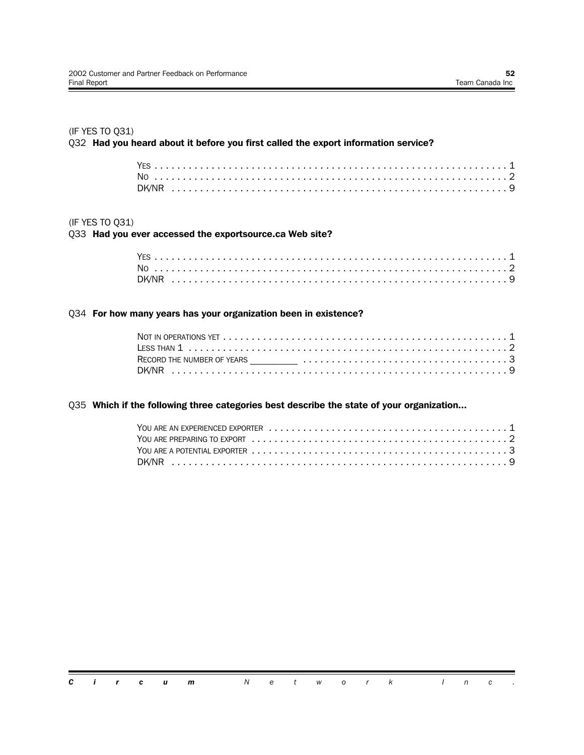#### (IF YES TO Q31)

#### Q32 **Had you heard about it before you first called the export information service?**

#### (IF YES TO Q31)

#### Q33 **Had you ever accessed the exportsource.ca Web site?**

#### Q34 **For how many years has your organization been in existence?**

| RECORD THE NUMBER OF YEARS <b>FOUR CONSERVANCE IN A SECORD THE NUMBER OF YEARS</b> |  |
|------------------------------------------------------------------------------------|--|
|                                                                                    |  |

#### Q35 **Which if the following three categories best describe the state of your organization...**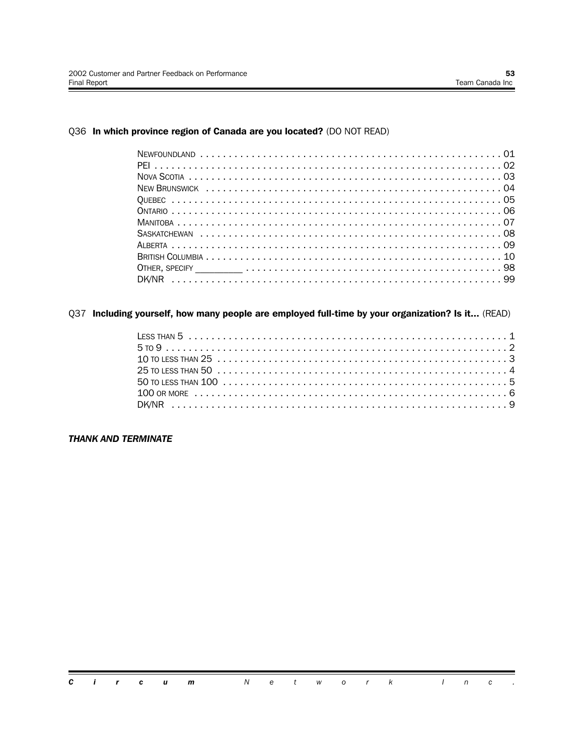#### Q36 In which province region of Canada are you located? (DO NOT READ)

#### Q37 Including yourself, how many people are employed full-time by your organization? Is it... (READ)

#### **THANK AND TERMINATE**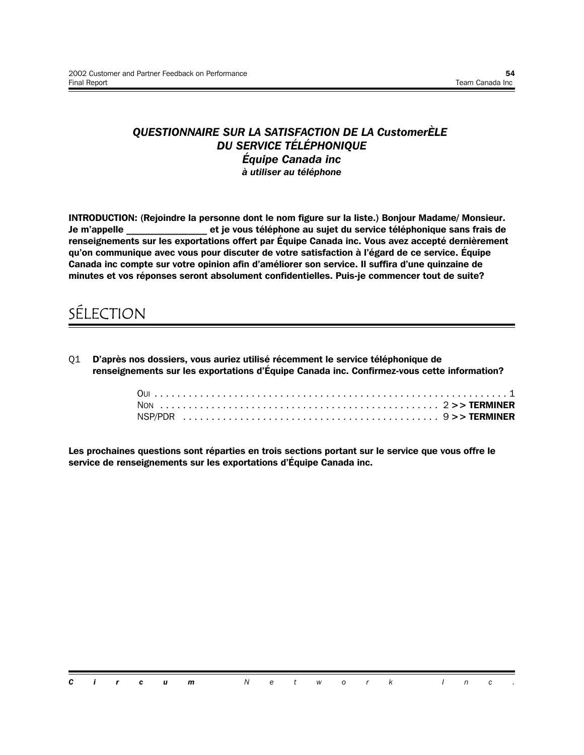#### **QUESTIONNAIRE SUR LA SATISFACTION DE LA CustomerÈLE** DU SERVICE TÉLÉPHONIQUE **Équipe Canada inc** à utiliser au téléphone

INTRODUCTION: (Rejoindre la personne dont le nom figure sur la liste.) Bonjour Madame/ Monsieur. Je m'appelle et je vous téléphone au sujet du service téléphonique sans frais de renseignements sur les exportations offert par Équipe Canada inc. Vous avez accepté dernièrement qu'on communique avec vous pour discuter de votre satisfaction à l'égard de ce service. Équipe Canada inc compte sur votre opinion afin d'améliorer son service. Il suffira d'une quinzaine de minutes et vos réponses seront absolument confidentielles. Puis-je commencer tout de suite?

### SÉLECTION

 $01$ D'après nos dossiers, vous auriez utilisé récemment le service téléphonique de renseignements sur les exportations d'Équipe Canada inc. Confirmez-vous cette information?

Les prochaines questions sont réparties en trois sections portant sur le service que vous offre le service de renseignements sur les exportations d'Équipe Canada inc.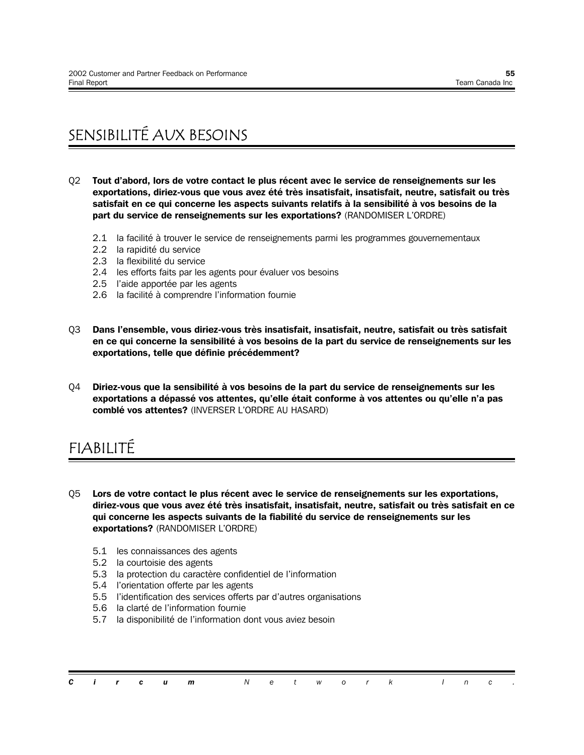### SENSIBILITÉ AUX BESOINS

- Q2 Tout d'abord, lors de votre contact le plus récent avec le service de renseignements sur les exportations, diriez-vous que vous avez été très insatisfait, insatisfait, neutre, satisfait ou très satisfait en ce qui concerne les aspects suivants relatifs à la sensibilité à vos besoins de la part du service de renseignements sur les exportations? (RANDOMISER L'ORDRE)
	- 2.1 la facilité à trouver le service de renseignements parmi les programmes gouvernementaux
	- 2.2 la rapidité du service
	- 2.3 la flexibilité du service
	- 2.4 les efforts faits par les agents pour évaluer vos besoins
	- 2.5 l'aide apportée par les agents
	- 2.6 la facilité à comprendre l'information fournie
- 03 Dans l'ensemble, vous diriez-vous très insatisfait, insatisfait, neutre, satisfait ou très satisfait en ce qui concerne la sensibilité à vos besoins de la part du service de renseignements sur les exportations, telle que définie précédemment?
- Q4 Diriez-vous que la sensibilité à vos besoins de la part du service de renseignements sur les exportations a dépassé vos attentes, qu'elle était conforme à vos attentes ou qu'elle n'a pas comblé vos attentes? (INVERSER L'ORDRE AU HASARD)

### FIABILITÉ

05 Lors de votre contact le plus récent avec le service de renseignements sur les exportations, diriez-vous que vous avez été très insatisfait, insatisfait, neutre, satisfait ou très satisfait en ce qui concerne les aspects suivants de la fiabilité du service de renseignements sur les exportations? (RANDOMISER L'ORDRE)

- 5.1 les connaissances des agents
- 5.2 la courtoisie des agents
- 5.3 la protection du caractère confidentiel de l'information
- 5.4 l'orientation offerte par les agents
- 5.5 l'identification des services offerts par d'autres organisations
- 5.6 la clarté de l'information fournie
- 5.7 la disponibilité de l'information dont vous aviez besoin

C i.  $\overline{N}$  $\boldsymbol{r}$  $\pmb{k}$  $\overline{I}$  $\mathbf{c}$ u  $\mathbf{m}$ e  $\mathbf{t}$  $\mathbf{o}$  $\overline{p}$ W  $\mathbf{C}$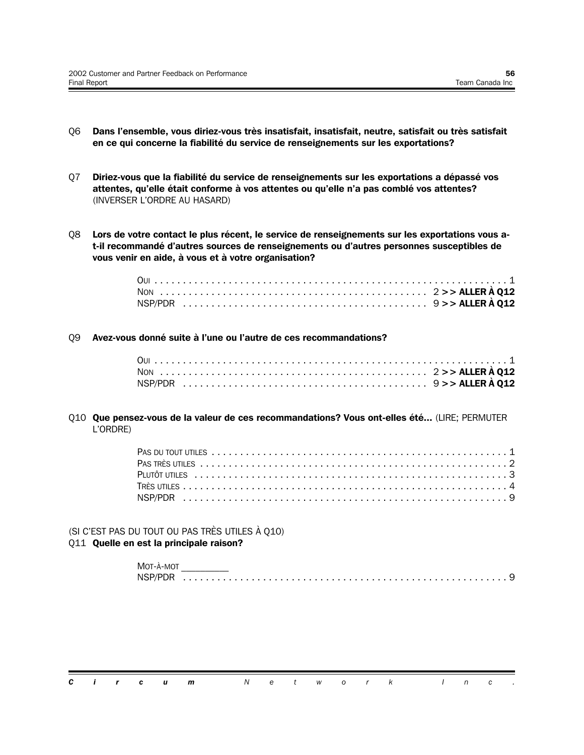- Q6 Dans l'ensemble, vous diriez-vous très insatisfait, insatisfait, neutre, satisfait ou très satisfait **en ce qui concerne la fiabilitÈ du service de renseignements sur les exportations?**
- Q7 **Diriez-vous que la fiabilité du service de renseignements sur les exportations a dépassé vos** attentes, qu'elle était conforme à vos attentes ou qu'elle n'a pas comblé vos attentes? (INVERSER LíORDRE AU HASARD)
- 08 Lors de votre contact le plus récent, le service de renseignements sur les exportations vous a**t-il recommandÈ díautres sources de renseignements ou díautres personnes susceptibles de** vous venir en aide, à vous et à votre organisation?

Q9 **Avez-vous donnÈ suite ‡ líune ou líautre de ces recommandations?**

Q10 **Que pensez-vous de la valeur de ces recommandations? Vous ont-elles ÈtÈ...** (LIRE; PERMUTER L'ORDRE)

(SI C'EST PAS DU TOUT OU PAS TRÈS UTILES  $\hat{A}$  O10) Q11 **Quelle en est la principale raison?**

| Мот-А-мот |  |  |  |  |
|-----------|--|--|--|--|
|           |  |  |  |  |

*Circum Network Inc.*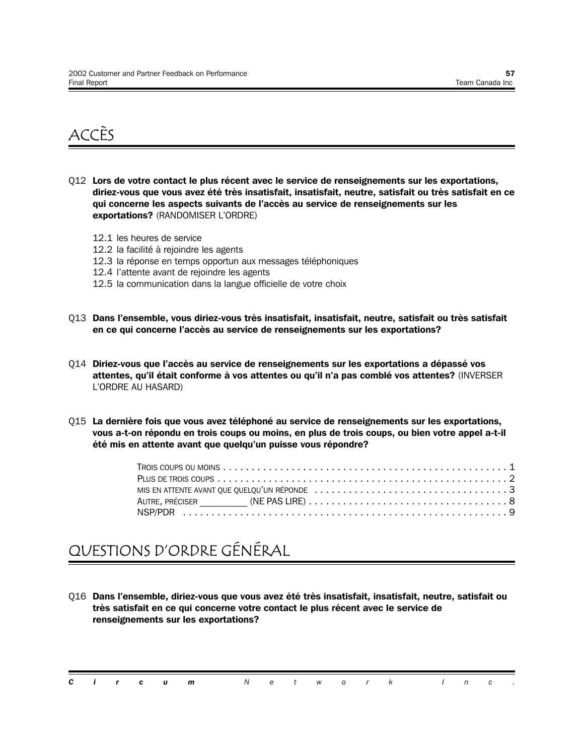### **ACCÈS**

- Q12 Lors de votre contact le plus récent avec le service de renseignements sur les exportations, diriez-vous que vous avez été très insatisfait, insatisfait, neutre, satisfait ou très satisfait en ce qui concerne les aspects suivants de l'accès au service de renseignements sur les exportations? (RANDOMISER L'ORDRE)
	- 12.1 les heures de service
	- 12.2 la facilité à rejoindre les agents
	- 12.3 la réponse en temps opportun aux messages téléphoniques
	- 12.4 l'attente avant de rejoindre les agents
	- 12.5 la communication dans la langue officielle de votre choix
- Q13 Dans l'ensemble, vous diriez-vous très insatisfait, insatisfait, neutre, satisfait ou très satisfait en ce qui concerne l'accès au service de renseignements sur les exportations?
- Q14 Diriez-vous que l'accès au service de renseignements sur les exportations a dépassé vos attentes, qu'il était conforme à vos attentes ou qu'il n'a pas comblé vos attentes? (INVERSER L'ORDRE AU HASARD)
- 015 La dernière fois que vous avez téléphoné au service de renseignements sur les exportations, vous a-t-on répondu en trois coups ou moins, en plus de trois coups, ou bien votre appel a-t-il été mis en attente avant que quelqu'un puisse vous répondre?

### QUESTIONS D'ORDRE GÉNÉRAL

016 Dans l'ensemble, diriez-vous que vous avez été très insatisfait, insatisfait, neutre, satisfait ou très satisfait en ce qui concerne votre contact le plus récent avec le service de renseignements sur les exportations?

|  |  | <b>Circum</b> Network Inc. |  |  |  |  |  |  |
|--|--|----------------------------|--|--|--|--|--|--|
|  |  |                            |  |  |  |  |  |  |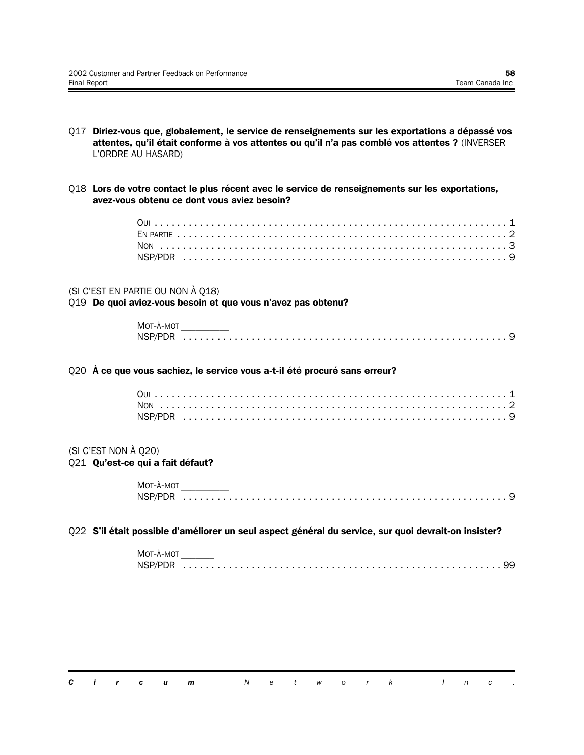- Q17 Diriez-vous que, globalement, le service de renseignements sur les exportations a dépassé vos attentes, qu'il était conforme à vos attentes ou qu'il n'a pas comblé vos attentes ? (INVERSER L'ORDRE AU HASARD)
- Q18 Lors de votre contact le plus récent avec le service de renseignements sur les exportations, avez-vous obtenu ce dont vous aviez besoin?

#### (SI C'EST EN PARTIE OU NON À Q18)

Q19 De quoi aviez-vous besoin et que vous n'avez pas obtenu?

| Мот-А-мот |  |
|-----------|--|
|           |  |

Q20 À ce que vous sachiez, le service vous a-t-il été procuré sans erreur?

#### (SI C'EST NON À Q20)

#### 021 Qu'est-ce qui a fait défaut?

| Мот-а̀-мот |  |  |  |
|------------|--|--|--|
| NSP/PDR    |  |  |  |

#### Q22 S'il était possible d'améliorer un seul aspect général du service, sur quoi devrait-on insister?

| Мот-а̀-мот |  |  |  |  |  |  |  |  |  |  |  |  |  |  |  |  |  |  |  |
|------------|--|--|--|--|--|--|--|--|--|--|--|--|--|--|--|--|--|--|--|
| NSP/PDR    |  |  |  |  |  |  |  |  |  |  |  |  |  |  |  |  |  |  |  |

 $\mathbf c$  $\boldsymbol{i}$  $\pmb{r}$  $\mathbf c$  $\pmb{u}$  $\pmb{m}$  ${\cal N}$  $\mathsf{e}% _{0}\left( \mathsf{e}\right)$  $t$  $\mathsf{o}$  $\boldsymbol{r}$  $\pmb{\mathsf{k}}$  $\mathcal{L}$  $\sqrt{n}$  $\mathbf{c}$ W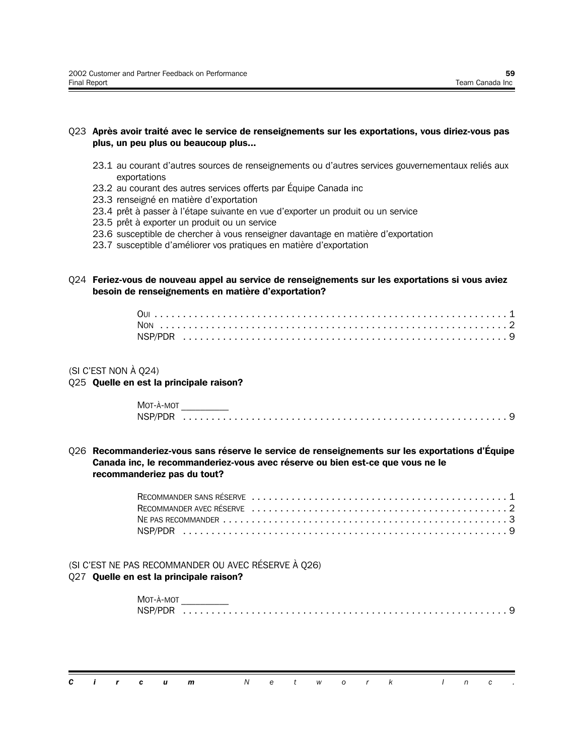#### Q23 Après avoir traité avec le service de renseignements sur les exportations, vous diriez-vous pas plus, un peu plus ou beaucoup plus...

- 23.1 au courant d'autres sources de renseignements ou d'autres services gouvernementaux reliés aux exportations
- 23.2 au courant des autres services offerts par Équipe Canada inc
- 23.3 renseigné en matière d'exportation
- 23.4 prêt à passer à l'étape suivante en vue d'exporter un produit ou un service
- 23.5 prêt à exporter un produit ou un service
- 23.6 susceptible de chercher à vous renseigner davantage en matière d'exportation
- 23.7 susceptible d'améliorer vos pratiques en matière d'exportation

#### Q24 Feriez-vous de nouveau appel au service de renseignements sur les exportations si vous aviez besoin de renseignements en matière d'exportation?

#### (SI C'EST NON  $\hat{A}$  Q24)

Q25 Quelle en est la principale raison?

| MOT-À-MOT |  |
|-----------|--|
|           |  |

Q26 Recommanderiez-vous sans réserve le service de renseignements sur les exportations d'Équipe Canada inc, le recommanderiez-vous avec réserve ou bien est-ce que vous ne le recommanderiez pas du tout?

#### (SI C'EST NE PAS RECOMMANDER OU AVEC RÉSERVE À Q26) Q27 Quelle en est la principale raison?

| MOT-À-MOT |  |  |  |  |  |
|-----------|--|--|--|--|--|
|           |  |  |  |  |  |

 $\mathbf c$  $\mathbf{i}$  ${\cal N}$  $\boldsymbol{t}$  $\boldsymbol{k}$  $\prime$  $\sqrt{n}$  $\mathbf{r}$  $\mathbf c$ u  $\mathbf{m}$  $\mathbf{e}$ W  $\mathsf{o}$  $\boldsymbol{r}$  $\mathbf c$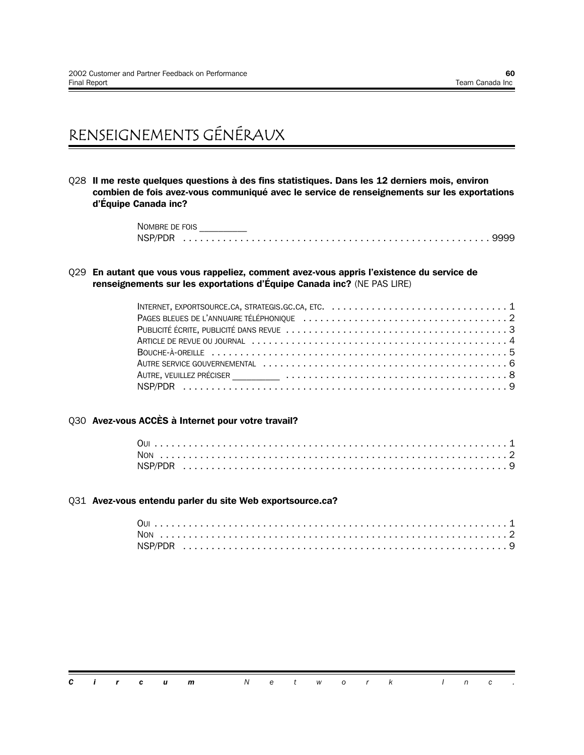### RENSEIGNEMENTS GÉNÉRAUX

Q28 II me reste quelques questions à des fins statistiques. Dans les 12 derniers mois, environ combien de fois avez-vous communiqué avec le service de renseignements sur les exportations d'Équipe Canada inc?

| NOMBRE DE FOIS |  |  |  |  |  |  |  |  |  |  |  |  |  |  |  |  |  |
|----------------|--|--|--|--|--|--|--|--|--|--|--|--|--|--|--|--|--|
|                |  |  |  |  |  |  |  |  |  |  |  |  |  |  |  |  |  |

Q29 En autant que vous vous rappeliez, comment avez-vous appris l'existence du service de renseignements sur les exportations d'Équipe Canada inc? (NE PAS LIRE)

#### Q30 Avez-vous ACCES à Internet pour votre travail?

#### Q31 Avez-vous entendu parler du site Web exportsource.ca?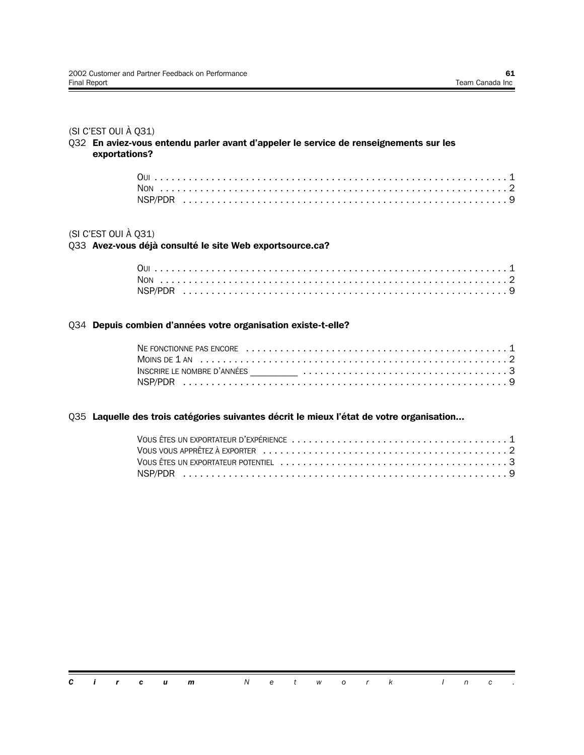#### (SI C'EST OUI À Q31)

Q32 En aviez-vous entendu parler avant d'appeler le service de renseignements sur les exportations?

#### (SI C'EST OUI À Q31)

Q33 Avez-vous déjà consulté le site Web exportsource.ca?

#### Q34 Depuis combien d'années votre organisation existe-t-elle?

| MOINS DE $1$ AN $\dots\dots\dots\dots\dots\dots\dots\dots\dots\dots\dots\dots\dots\dots\dots\dots$ |  |
|----------------------------------------------------------------------------------------------------|--|
|                                                                                                    |  |
|                                                                                                    |  |

#### Q35 Laquelle des trois catégories suivantes décrit le mieux l'état de votre organisation...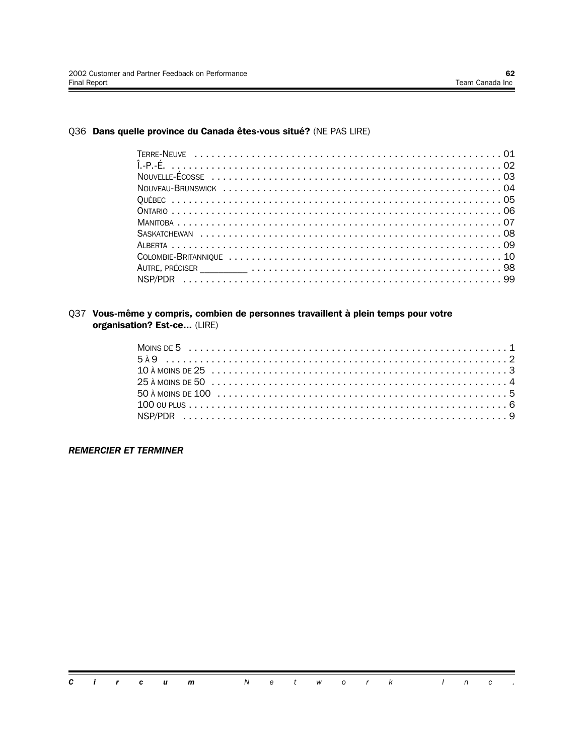#### Q36 Dans quelle province du Canada êtes-vous situé? (NE PAS LIRE)

#### Q37 Vous-même y compris, combien de personnes travaillent à plein temps pour votre organisation? Est-ce... (LIRE)

#### **REMERCIER ET TERMINER**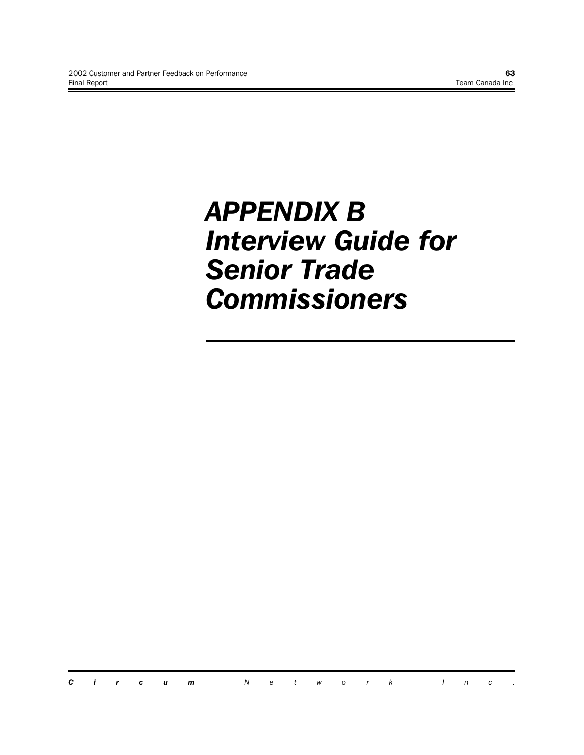## *APPENDIX B Interview Guide for Senior Trade Commissioners*

*Circum Network Inc.*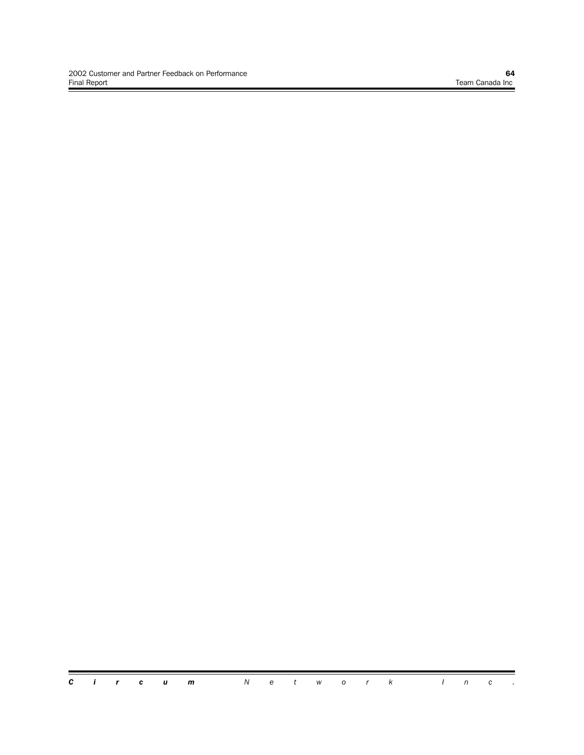Ξ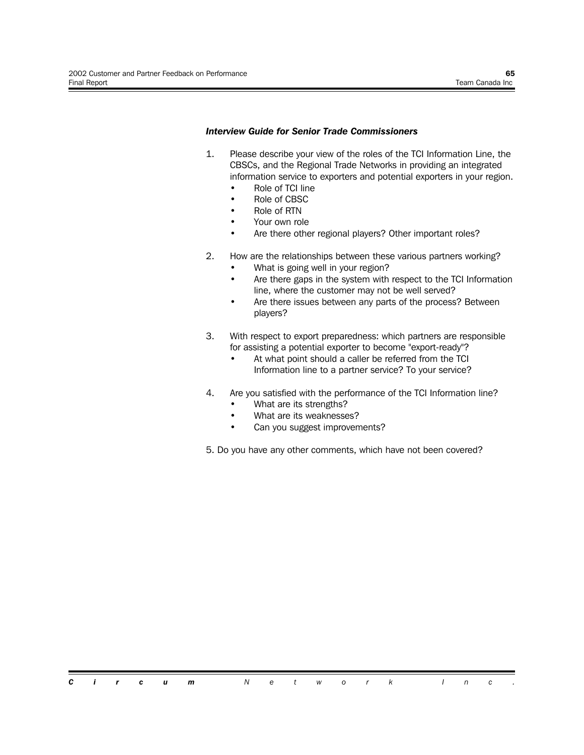### *Interview Guide for Senior Trade Commissioners*

- 1. Please describe your view of the roles of the TCI Information Line, the CBSCs, and the Regional Trade Networks in providing an integrated information service to exporters and potential exporters in your region.
	- Role of TCI line
	- Role of CBSC
	- Role of RTN
	- Your own role
	- Are there other regional players? Other important roles?
- 2. How are the relationships between these various partners working?
	- What is going well in your region?
	- Are there gaps in the system with respect to the TCI Information line, where the customer may not be well served?
	- Are there issues between any parts of the process? Between players?
- 3. With respect to export preparedness: which partners are responsible for assisting a potential exporter to become "export-ready"?
	- At what point should a caller be referred from the TCI Information line to a partner service? To your service?
- 4. Are you satisfied with the performance of the TCI Information line?
	- What are its strengths?
		- What are its weaknesses?
		- Can you suggest improvements?
- 5. Do you have any other comments, which have not been covered?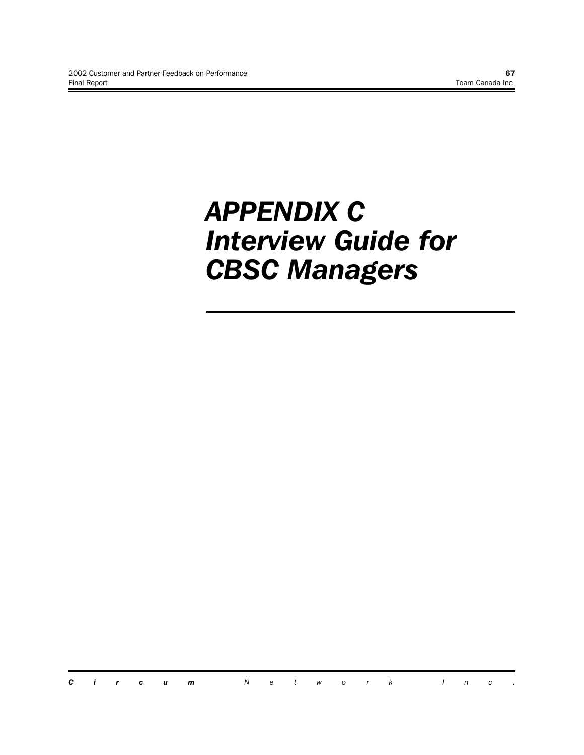# *APPENDIX C Interview Guide for CBSC Managers*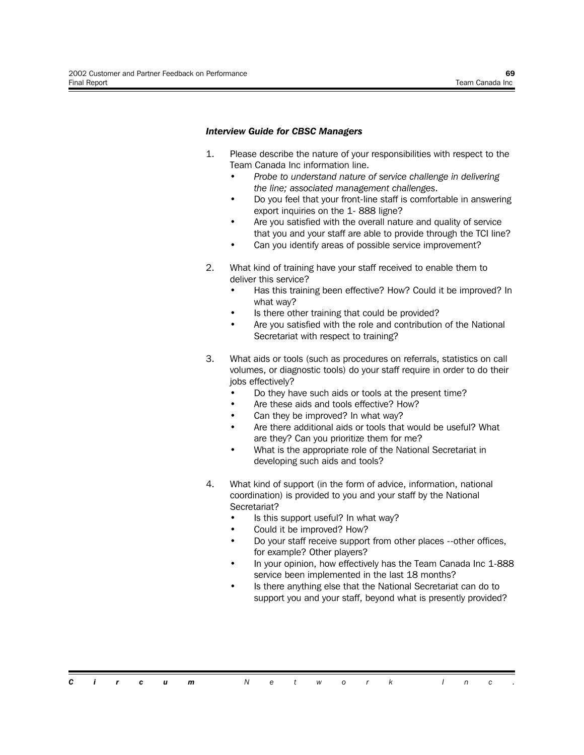### *Interview Guide for CBSC Managers*

- 1. Please describe the nature of your responsibilities with respect to the Team Canada Inc information line.
	- *ï Probe to understand nature of service challenge in delivering the line; associated management challenges*.
	- Do you feel that your front-line staff is comfortable in answering export inquiries on the 1- 888 ligne?
	- Are you satisfied with the overall nature and quality of service that you and your staff are able to provide through the TCI line?
	- Can you identify areas of possible service improvement?
- 2. What kind of training have your staff received to enable them to deliver this service?
	- Has this training been effective? How? Could it be improved? In what way?
	- Is there other training that could be provided?
	- Are you satisfied with the role and contribution of the National Secretariat with respect to training?
- 3. What aids or tools (such as procedures on referrals, statistics on call volumes, or diagnostic tools) do your staff require in order to do their jobs effectively?
	- Do they have such aids or tools at the present time?
	- Are these aids and tools effective? How?
	- Can they be improved? In what way?
	- Are there additional aids or tools that would be useful? What are they? Can you prioritize them for me?
	- What is the appropriate role of the National Secretariat in developing such aids and tools?
- 4. What kind of support (in the form of advice, information, national coordination) is provided to you and your staff by the National Secretariat?
	- Is this support useful? In what way?
	- Could it be improved? How?
	- Do your staff receive support from other places --other offices, for example? Other players?
	- In your opinion, how effectively has the Team Canada Inc 1-888 service been implemented in the last 18 months?
	- Is there anything else that the National Secretariat can do to support you and your staff, beyond what is presently provided?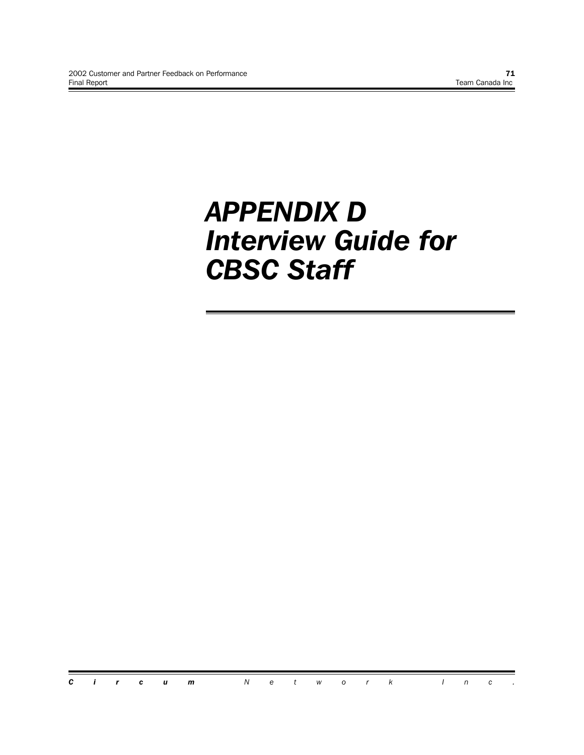# *APPENDIX D Interview Guide for CBSC Staff*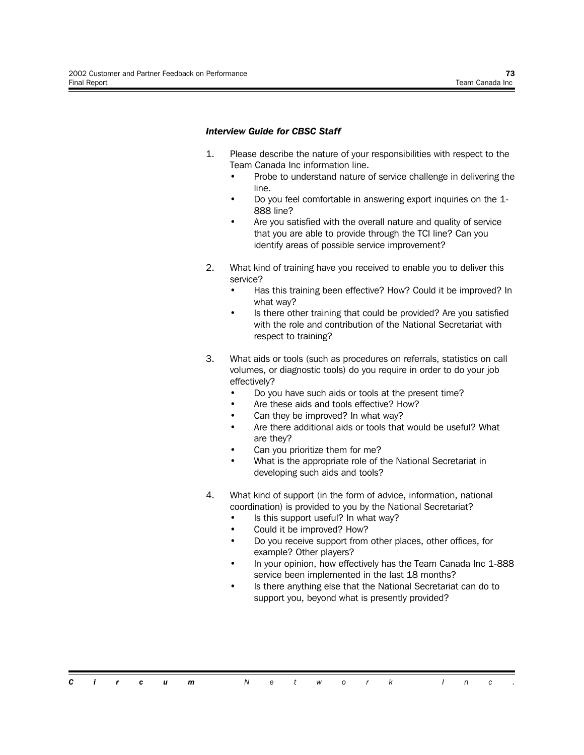### *Interview Guide for CBSC Staff*

- 1. Please describe the nature of your responsibilities with respect to the Team Canada Inc information line.
	- Probe to understand nature of service challenge in delivering the line.
	- Do you feel comfortable in answering export inquiries on the 1-888 line?
	- Are you satisfied with the overall nature and quality of service that you are able to provide through the TCI line? Can you identify areas of possible service improvement?
- 2. What kind of training have you received to enable you to deliver this service?
	- Has this training been effective? How? Could it be improved? In what way?
	- Is there other training that could be provided? Are you satisfied with the role and contribution of the National Secretariat with respect to training?
- 3. What aids or tools (such as procedures on referrals, statistics on call volumes, or diagnostic tools) do you require in order to do your job effectively?
	- Do you have such aids or tools at the present time?
	- Are these aids and tools effective? How?
	- Can they be improved? In what way?
	- Are there additional aids or tools that would be useful? What are they?
	- Can you prioritize them for me?
	- What is the appropriate role of the National Secretariat in developing such aids and tools?
- 4. What kind of support (in the form of advice, information, national coordination) is provided to you by the National Secretariat?
	- Is this support useful? In what way?
	- Could it be improved? How?
	- Do you receive support from other places, other offices, for example? Other players?
	- In your opinion, how effectively has the Team Canada Inc 1-888 service been implemented in the last 18 months?
	- Is there anything else that the National Secretariat can do to support you, beyond what is presently provided?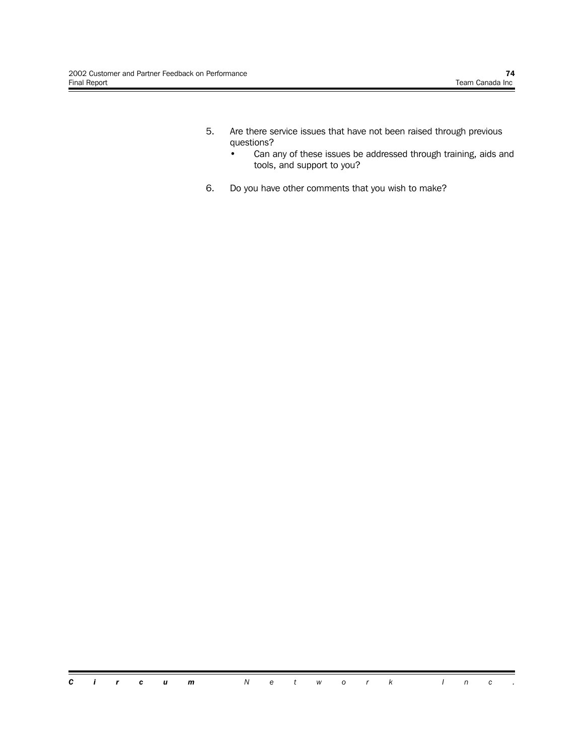- 5. Are there service issues that have not been raised through previous questions?
	- Can any of these issues be addressed through training, aids and tools, and support to you?
- 6. Do you have other comments that you wish to make?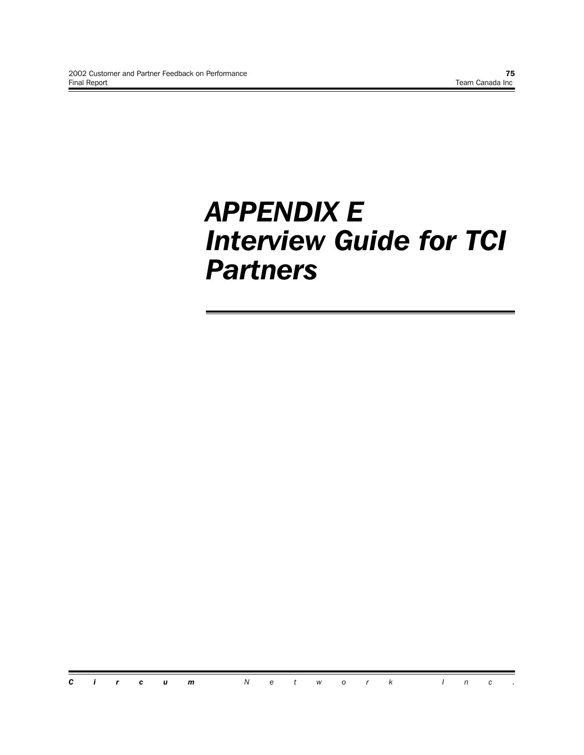# *APPENDIX E Interview Guide for TCI Partners*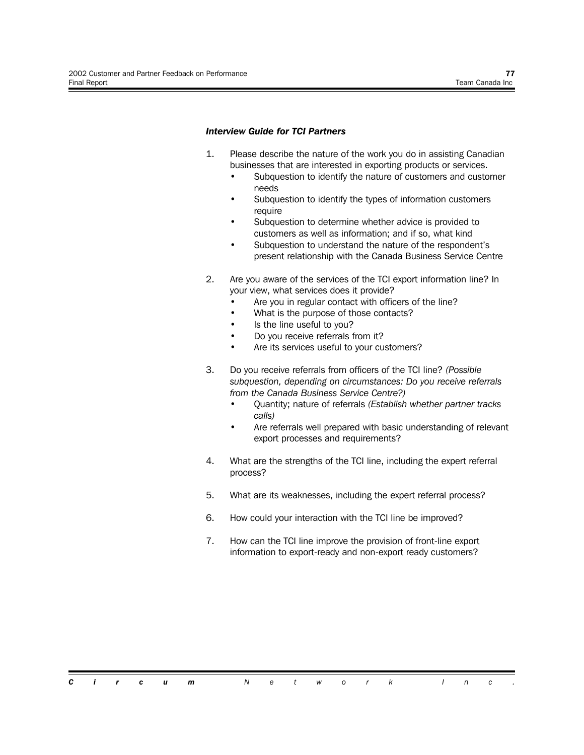### *Interview Guide for TCI Partners*

- 1. Please describe the nature of the work you do in assisting Canadian businesses that are interested in exporting products or services.
	- Subquestion to identify the nature of customers and customer needs
	- Subquestion to identify the types of information customers require
	- Subquestion to determine whether advice is provided to customers as well as information; and if so, what kind
	- Subquestion to understand the nature of the respondent's present relationship with the Canada Business Service Centre
- 2. Are you aware of the services of the TCI export information line? In your view, what services does it provide?
	- Are you in regular contact with officers of the line?
	- What is the purpose of those contacts?
	- Is the line useful to you?
	- Do you receive referrals from it?
	- Are its services useful to your customers?
- 3. Do you receive referrals from officers of the TCI line? *(Possible subquestion, depending on circumstances: Do you receive referrals from the Canada Business Service Centre?)*
	- ï Quantity; nature of referrals *(Establish whether partner tracks calls)*
	- Are referrals well prepared with basic understanding of relevant export processes and requirements?
- 4. What are the strengths of the TCI line, including the expert referral process?
- 5. What are its weaknesses, including the expert referral process?
- 6. How could your interaction with the TCI line be improved?
- 7. How can the TCI line improve the provision of front-line export information to export-ready and non-export ready customers?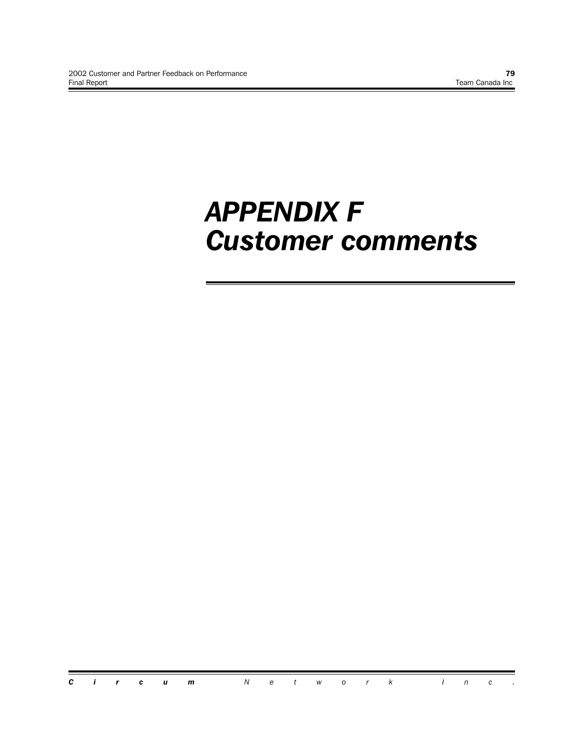# *APPENDIX F Customer comments*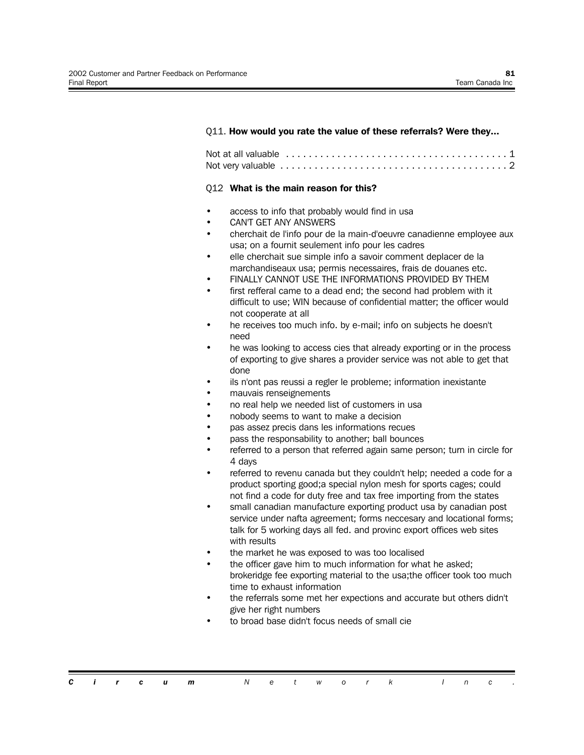### Q11. **How would you rate the value of these referrals? Were they...**

| Not at all valuable $\dots\dots\dots\dots\dots\dots\dots\dots\dots\dots\dots\dots\dots\dots$            |  |  |  |  |  |  |  |  |  |  |  |  |  |  |  |  |  |  |
|---------------------------------------------------------------------------------------------------------|--|--|--|--|--|--|--|--|--|--|--|--|--|--|--|--|--|--|
| Not very valuable $\ldots \ldots \ldots \ldots \ldots \ldots \ldots \ldots \ldots \ldots \ldots \ldots$ |  |  |  |  |  |  |  |  |  |  |  |  |  |  |  |  |  |  |

#### Q12 **What is the main reason for this?**

- access to info that probably would find in usa
- CAN'T GET ANY ANSWERS
- ï cherchait de l'info pour de la main-d'oeuvre canadienne employee aux usa; on a fournit seulement info pour les cadres
- elle cherchait sue simple info a savoir comment deplacer de la marchandiseaux usa; permis necessaires, frais de douanes etc.
- FINALLY CANNOT USE THE INFORMATIONS PROVIDED BY THEM
- first refferal came to a dead end; the second had problem with it difficult to use; WIN because of confidential matter; the officer would not cooperate at all
- he receives too much info. by e-mail; info on subjects he doesn't need
- he was looking to access cies that already exporting or in the process of exporting to give shares a provider service was not able to get that done
- ils n'ont pas reussi a regler le probleme; information inexistante
- mauvais renseignements
- no real help we needed list of customers in usa
- nobody seems to want to make a decision
- pas assez precis dans les informations recues
- pass the responsability to another; ball bounces
- referred to a person that referred again same person; turn in circle for 4 days
- referred to revenu canada but they couldn't help; needed a code for a product sporting good;a special nylon mesh for sports cages; could not find a code for duty free and tax free importing from the states
- small canadian manufacture exporting product usa by canadian post service under nafta agreement; forms neccesary and locational forms; talk for 5 working days all fed. and provinc export offices web sites with results
- the market he was exposed to was too localised
- the officer gave him to much information for what he asked; brokeridge fee exporting material to the usa;the officer took too much time to exhaust information
- the referrals some met her expections and accurate but others didn't give her right numbers
- to broad base didn't focus needs of small cie

|  |  | <b>Circum</b> Network Inc. |  |  |  |  |  |  |
|--|--|----------------------------|--|--|--|--|--|--|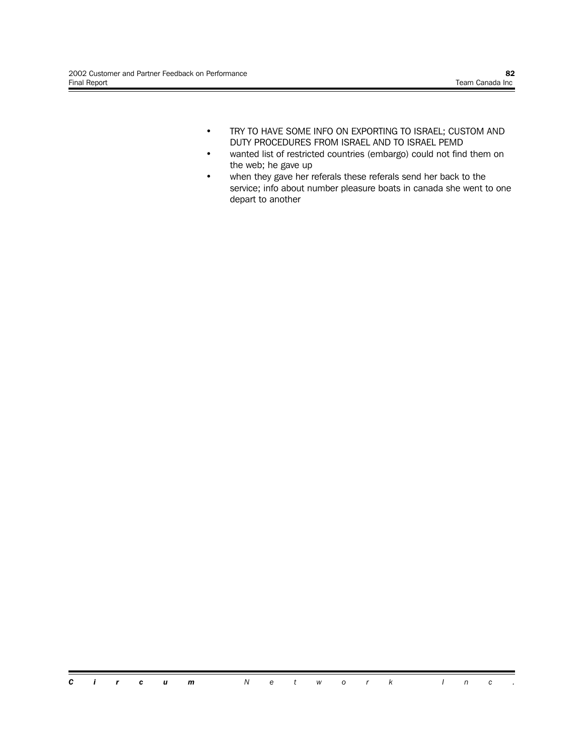- **TRY TO HAVE SOME INFO ON EXPORTING TO ISRAEL; CUSTOM AND** DUTY PROCEDURES FROM ISRAEL AND TO ISRAEL PEMD
- wanted list of restricted countries (embargo) could not find them on the web; he gave up
- when they gave her referals these referals send her back to the service; info about number pleasure boats in canada she went to one depart to another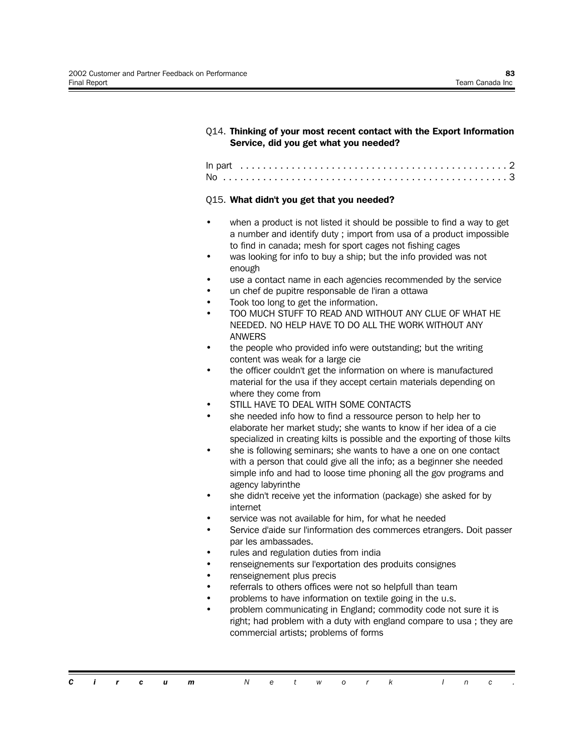# Q14. **Thinking of your most recent contact with the Export Information Service, did you get what you needed?**

| No |  |  |  |  |  |  |  |  |  |  |  |  |  |  |  |  |  |  |  |  |  |
|----|--|--|--|--|--|--|--|--|--|--|--|--|--|--|--|--|--|--|--|--|--|

## Q15. **What didn't you get that you needed?**

- when a product is not listed it should be possible to find a way to get a number and identify duty ; import from usa of a product impossible to find in canada; mesh for sport cages not fishing cages
- was looking for info to buy a ship; but the info provided was not enough
- use a contact name in each agencies recommended by the service
- un chef de pupitre responsable de l'iran a ottawa
- Took too long to get the information.
- TOO MUCH STUFF TO READ AND WITHOUT ANY CLUE OF WHAT HE NEEDED. NO HELP HAVE TO DO ALL THE WORK WITHOUT ANY ANWERS
- the people who provided info were outstanding; but the writing content was weak for a large cie
- the officer couldn't get the information on where is manufactured material for the usa if they accept certain materials depending on where they come from
- STILL HAVE TO DEAL WITH SOME CONTACTS
- she needed info how to find a ressource person to help her to elaborate her market study; she wants to know if her idea of a cie specialized in creating kilts is possible and the exporting of those kilts
- she is following seminars; she wants to have a one on one contact with a person that could give all the info; as a beginner she needed simple info and had to loose time phoning all the gov programs and agency labyrinthe
- she didn't receive yet the information (package) she asked for by internet
- service was not available for him, for what he needed
- Service d'aide sur l'information des commerces etrangers. Doit passer par les ambassades.
- rules and regulation duties from india
- renseignements sur l'exportation des produits consignes
- renseignement plus precis
- referrals to others offices were not so helpfull than team
- problems to have information on textile going in the u.s.
- problem communicating in England; commodity code not sure it is right; had problem with a duty with england compare to usa ; they are commercial artists; problems of forms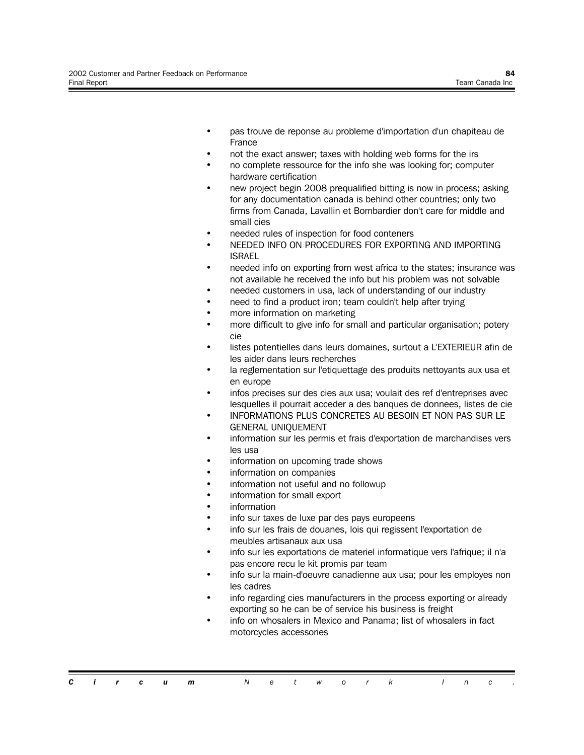- pas trouve de reponse au probleme d'importation d'un chapiteau de France
- not the exact answer; taxes with holding web forms for the irs
- no complete ressource for the info she was looking for; computer hardware certification
- new project begin 2008 prequalified bitting is now in process; asking for any documentation canada is behind other countries; only two firms from Canada, Lavallin et Bombardier don't care for middle and small cies
- needed rules of inspection for food conteners
- NEEDED INFO ON PROCEDURES FOR EXPORTING AND IMPORTING ISRAEL
- needed info on exporting from west africa to the states; insurance was not available he received the info but his problem was not solvable
- needed customers in usa, lack of understanding of our industry
- need to find a product iron; team couldn't help after trying
- more information on marketing
- more difficult to give info for small and particular organisation; potery cie
- listes potentielles dans leurs domaines, surtout a L'EXTERIEUR afin de les aider dans leurs recherches
- la reglementation sur l'etiquettage des produits nettoyants aux usa et en europe
- infos precises sur des cies aux usa; voulait des ref d'entreprises avec lesquelles il pourrait acceder a des banques de donnees, listes de cie
- INFORMATIONS PLUS CONCRETES AU BESOIN ET NON PAS SUR LE GENERAL UNIQUEMENT
- information sur les permis et frais d'exportation de marchandises vers les usa
- information on upcoming trade shows
- information on companies
- information not useful and no followup
- information for small export
- ï information
- info sur taxes de luxe par des pays europeens
- info sur les frais de douanes, lois qui regissent l'exportation de meubles artisanaux aux usa
- info sur les exportations de materiel informatique vers l'afrique; il n'a pas encore recu le kit promis par team
- info sur la main-d'oeuvre canadienne aux usa; pour les employes non les cadres
- info regarding cies manufacturers in the process exporting or already exporting so he can be of service his business is freight
- info on whosalers in Mexico and Panama; list of whosalers in fact motorcycles accessories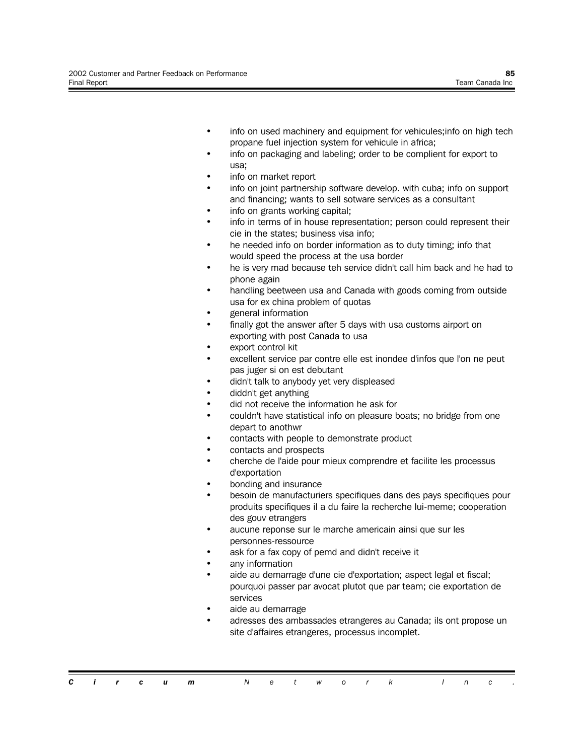- info on used machinery and equipment for vehicules; info on high tech propane fuel injection system for vehicule in africa;
- info on packaging and labeling; order to be complient for export to usa;
- info on market report
- info on joint partnership software develop. with cuba; info on support and financing; wants to sell sotware services as a consultant
- info on grants working capital;
- info in terms of in house representation; person could represent their cie in the states; business visa info;
- he needed info on border information as to duty timing; info that would speed the process at the usa border
- he is very mad because teh service didn't call him back and he had to phone again
- handling beetween usa and Canada with goods coming from outside usa for ex china problem of quotas
- general information
- finally got the answer after 5 days with usa customs airport on exporting with post Canada to usa
- export control kit
- excellent service par contre elle est inondee d'infos que l'on ne peut pas juger si on est debutant
- didn't talk to anybody yet very displeased
- diddn't get anything
- did not receive the information he ask for
- couldn't have statistical info on pleasure boats; no bridge from one depart to anothwr
- contacts with people to demonstrate product
- contacts and prospects
- cherche de l'aide pour mieux comprendre et facilite les processus d'exportation
- bonding and insurance
- besoin de manufacturiers specifiques dans des pays specifiques pour produits specifiques il a du faire la recherche lui-meme; cooperation des gouv etrangers
- aucune reponse sur le marche americain ainsi que sur les personnes-ressource
- ask for a fax copy of pemd and didn't receive it
- any information
- aide au demarrage d'une cie d'exportation; aspect legal et fiscal; pourquoi passer par avocat plutot que par team; cie exportation de services
- aide au demarrage
- adresses des ambassades etrangeres au Canada; ils ont propose un site d'affaires etrangeres, processus incomplet.

|  |  | <b>Circum</b> Network Inc. |  |  |  |  |  |  |
|--|--|----------------------------|--|--|--|--|--|--|
|  |  |                            |  |  |  |  |  |  |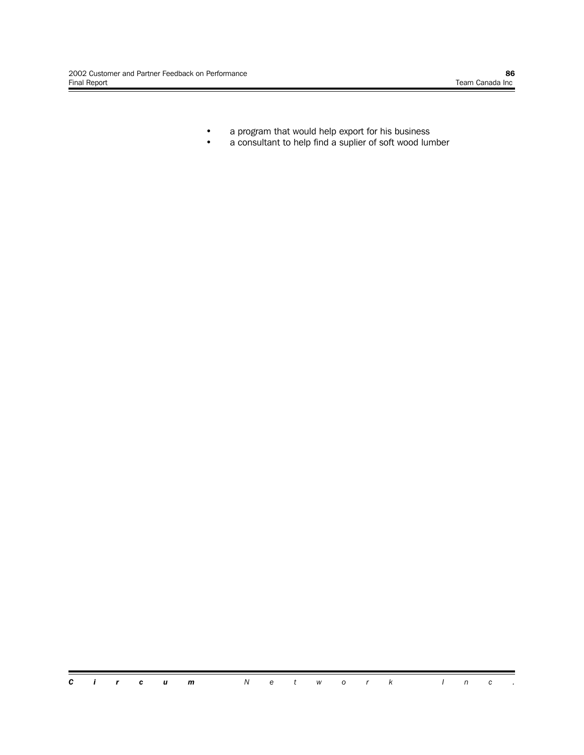- a program that would help export for his business<br>• a consultant to help find a suplier of soft wood lur
- a consultant to help find a suplier of soft wood lumber

*Circum Network Inc.*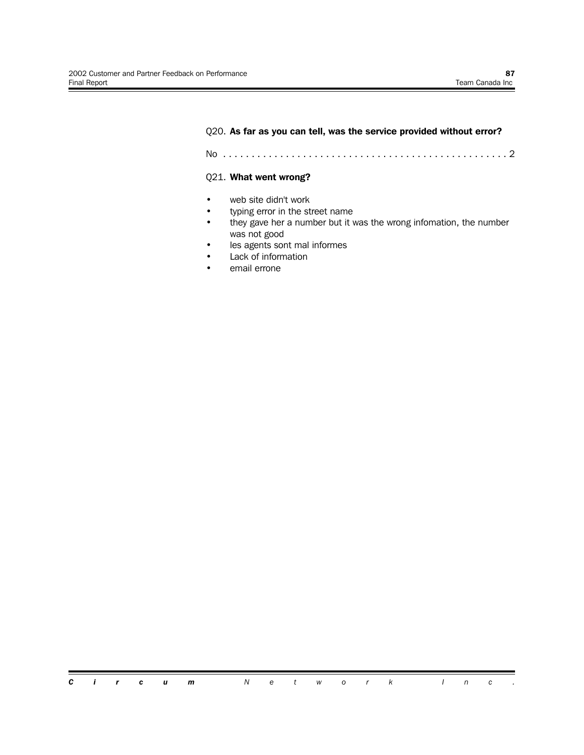# Q20. **As far as you can tell, was the service provided without error?**

No . . . . . . . . . . . . . . . . . . . . . . . . . . . . . . . . . . . . . . . . . . . . . . . . . . 2

### Q21. **What went wrong?**

- web site didn't work
- typing error in the street name
- they gave her a number but it was the wrong infomation, the number was not good
- les agents sont mal informes
- Lack of information
- email errone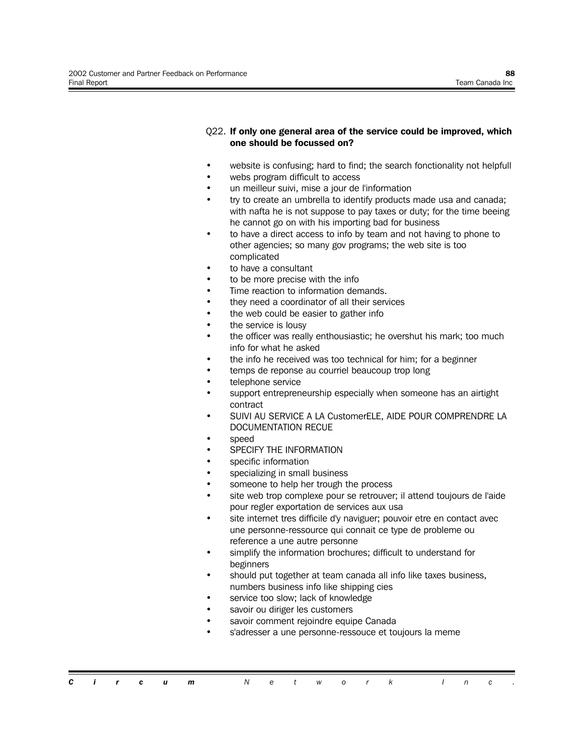# Q22. **If only one general area of the service could be improved, which one should be focussed on?**

- website is confusing; hard to find; the search fonctionality not helpfull
- webs program difficult to access
- un meilleur suivi, mise a jour de l'information
- try to create an umbrella to identify products made usa and canada; with nafta he is not suppose to pay taxes or duty; for the time beeing he cannot go on with his importing bad for business
- to have a direct access to info by team and not having to phone to other agencies; so many gov programs; the web site is too complicated
- to have a consultant
- to be more precise with the info
- Time reaction to information demands.
- they need a coordinator of all their services
- the web could be easier to gather info
- the service is lousy
- the officer was really enthousiastic; he overshut his mark; too much info for what he asked
- the info he received was too technical for him; for a beginner
- temps de reponse au courriel beaucoup trop long
- telephone service
- support entrepreneurship especially when someone has an airtight contract
- SUIVI AU SERVICE A LA CustomerELE, AIDE POUR COMPRENDRE LA DOCUMENTATION RECUE
- speed
- SPECIFY THE INFORMATION
- specific information
- specializing in small business
- someone to help her trough the process
- site web trop complexe pour se retrouver; il attend toujours de l'aide pour regler exportation de services aux usa
- site internet tres difficile d'y naviguer; pouvoir etre en contact avec une personne-ressource qui connait ce type de probleme ou reference a une autre personne
- simplify the information brochures; difficult to understand for beginners
- should put together at team canada all info like taxes business, numbers business info like shipping cies
- service too slow; lack of knowledge
- savoir ou diriger les customers
- savoir comment rejoindre equipe Canada
- s'adresser a une personne-ressouce et toujours la meme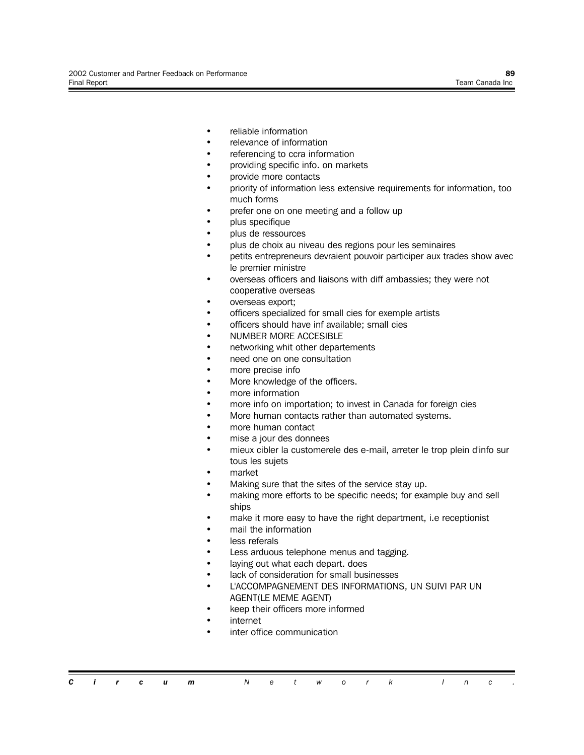- reliable information
- relevance of information
- referencing to ccra information
- providing specific info. on markets
- provide more contacts
- priority of information less extensive requirements for information, too much forms
- prefer one on one meeting and a follow up
- plus specifique
- plus de ressources
- plus de choix au niveau des regions pour les seminaires
- petits entrepreneurs devraient pouvoir participer aux trades show avec le premier ministre
- overseas officers and liaisons with diff ambassies; they were not cooperative overseas
- overseas export;
- officers specialized for small cies for exemple artists
- officers should have inf available; small cies
- NUMBER MORE ACCESIBLE
- networking whit other departements
- need one on one consultation
- more precise info
- More knowledge of the officers.
- more information
- more info on importation; to invest in Canada for foreign cies
- More human contacts rather than automated systems.
- more human contact
- mise a jour des donnees
- mieux cibler la customerele des e-mail, arreter le trop plein d'info sur tous les sujets
- market
- Making sure that the sites of the service stay up.
- making more efforts to be specific needs; for example buy and sell ships
- make it more easy to have the right department, i.e receptionist
- mail the information
- less referals
- Less arduous telephone menus and tagging.
- laying out what each depart. does
- lack of consideration for small businesses
- L'ACCOMPAGNEMENT DES INFORMATIONS, UN SUIVI PAR UN AGENT(LE MEME AGENT)
- keep their officers more informed
- ï internet
- inter office communication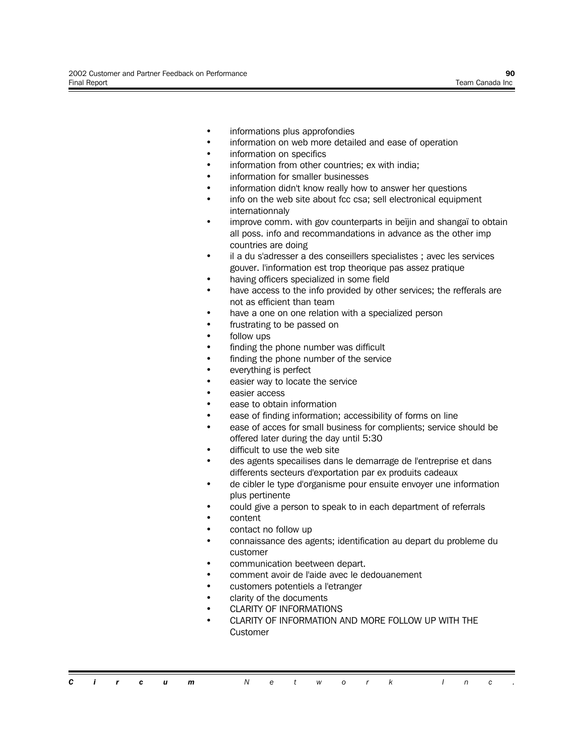- informations plus approfondies
- information on web more detailed and ease of operation
- information on specifics
- information from other countries; ex with india;
- information for smaller businesses
- information didn't know really how to answer her questions
- info on the web site about fcc csa; sell electronical equipment internationnaly
- improve comm. with gov counterparts in beijin and shangaï to obtain all poss. info and recommandations in advance as the other imp countries are doing
- il a du s'adresser a des conseillers specialistes ; avec les services gouver. l'information est trop theorique pas assez pratique
- having officers specialized in some field
- have access to the info provided by other services; the refferals are not as efficient than team
- have a one on one relation with a specialized person
- frustrating to be passed on
- follow ups
- finding the phone number was difficult
- finding the phone number of the service
- everything is perfect
- easier way to locate the service
- easier access
- ease to obtain information
- ease of finding information; accessibility of forms on line
- ease of acces for small business for complients; service should be offered later during the day until 5:30
- difficult to use the web site
- des agents specailises dans le demarrage de l'entreprise et dans differents secteurs d'exportation par ex produits cadeaux
- de cibler le type d'organisme pour ensuite envoyer une information plus pertinente
- could give a person to speak to in each department of referrals
- content
- contact no follow up
- connaissance des agents; identification au depart du probleme du customer
- communication beetween depart.
- comment avoir de l'aide avec le dedouanement
- customers potentiels a l'etranger
- clarity of the documents
- **CLARITY OF INFORMATIONS**
- CLARITY OF INFORMATION AND MORE FOLLOW UP WITH THE Customer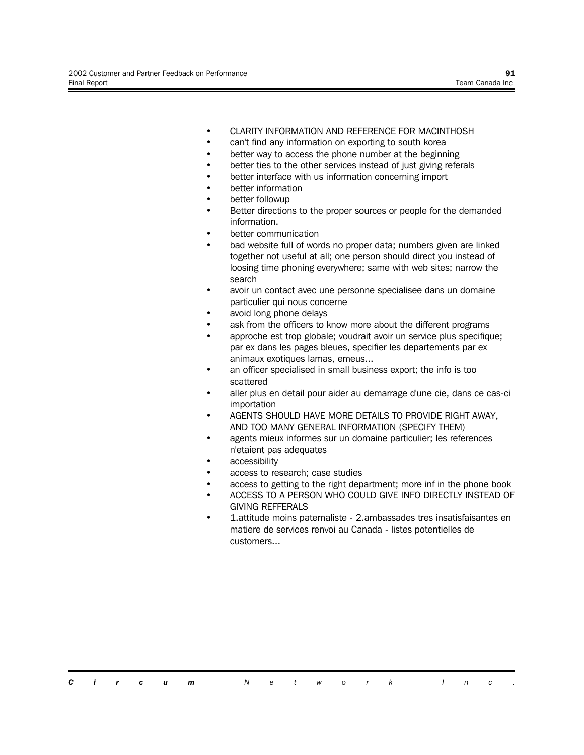- CLARITY INFORMATION AND REFERENCE FOR MACINTHOSH
- can't find any information on exporting to south korea
- better way to access the phone number at the beginning
- better ties to the other services instead of just giving referals
- better interface with us information concerning import
- better information
- better followup
- Better directions to the proper sources or people for the demanded information.
- better communication
- bad website full of words no proper data; numbers given are linked together not useful at all; one person should direct you instead of loosing time phoning everywhere; same with web sites; narrow the search
- avoir un contact avec une personne specialisee dans un domaine particulier qui nous concerne
- avoid long phone delays
- ask from the officers to know more about the different programs
- approche est trop globale; voudrait avoir un service plus specifique; par ex dans les pages bleues, specifier les departements par ex animaux exotiques lamas, emeus...
- an officer specialised in small business export; the info is too scattered
- aller plus en detail pour aider au demarrage d'une cie, dans ce cas-ci importation
- AGENTS SHOULD HAVE MORE DETAILS TO PROVIDE RIGHT AWAY, AND TOO MANY GENERAL INFORMATION (SPECIFY THEM)
- agents mieux informes sur un domaine particulier; les references n'etaient pas adequates
- accessibility
- access to research; case studies
- access to getting to the right department; more inf in the phone book
- ACCESS TO A PERSON WHO COULD GIVE INFO DIRECTLY INSTEAD OF GIVING REFFERALS
- 1.attitude moins paternaliste 2.ambassades tres insatisfaisantes en matiere de services renvoi au Canada - listes potentielles de customers...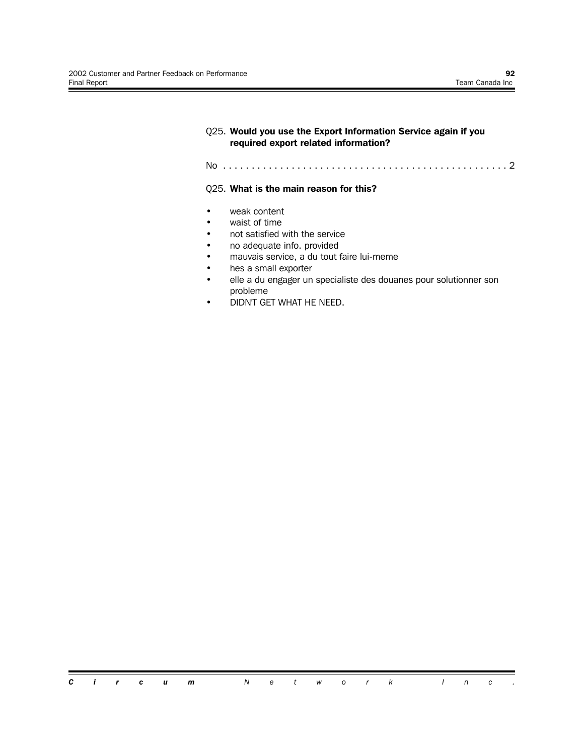# Q25. **Would you use the Export Information Service again if you required export related information?**

No . . . . . . . . . . . . . . . . . . . . . . . . . . . . . . . . . . . . . . . . . . . . . . . . . . 2

### Q25. **What is the main reason for this?**

- weak content
- waist of time
- not satisfied with the service
- no adequate info. provided
- mauvais service, a du tout faire lui-meme
- hes a small exporter
- elle a du engager un specialiste des douanes pour solutionner son probleme
- DIDN'T GET WHAT HE NEED.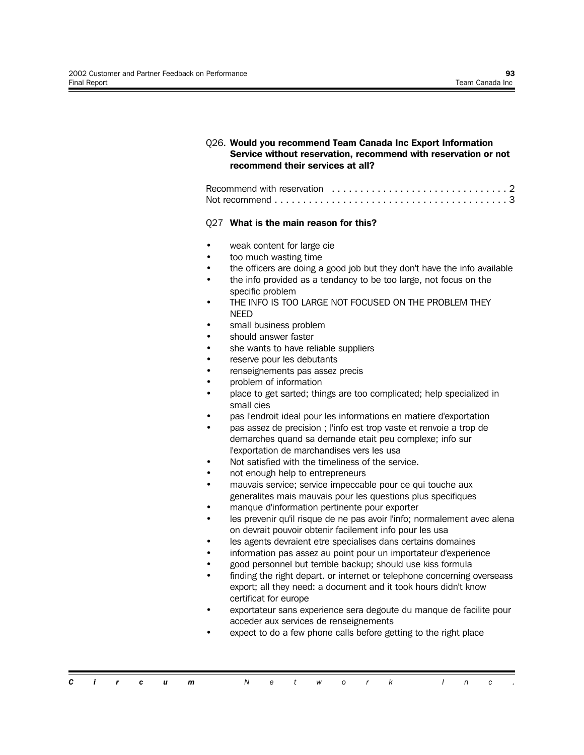# Q26. **Would you recommend Team Canada Inc Export Information Service without reservation, recommend with reservation or not recommend their services at all?**

### Q27 **What is the main reason for this?**

- weak content for large cie
- too much wasting time
- the officers are doing a good job but they don't have the info available
- the info provided as a tendancy to be too large, not focus on the specific problem
- THE INFO IS TOO LARGE NOT FOCUSED ON THE PROBLEM THEY NEED
- small business problem
- should answer faster
- she wants to have reliable suppliers
- reserve pour les debutants
- renseignements pas assez precis
- problem of information
- place to get sarted; things are too complicated; help specialized in small cies
- pas l'endroit ideal pour les informations en matiere d'exportation
- pas assez de precision ; l'info est trop vaste et renvoie a trop de demarches quand sa demande etait peu complexe; info sur l'exportation de marchandises vers les usa
- Not satisfied with the timeliness of the service.
- not enough help to entrepreneurs
- mauvais service; service impeccable pour ce qui touche aux generalites mais mauvais pour les questions plus specifiques
- manque d'information pertinente pour exporter
- les prevenir qu'il risque de ne pas avoir l'info; normalement avec alena on devrait pouvoir obtenir facilement info pour les usa
- les agents devraient etre specialises dans certains domaines
- information pas assez au point pour un importateur d'experience
- good personnel but terrible backup; should use kiss formula
- finding the right depart, or internet or telephone concerning overseass export; all they need: a document and it took hours didn't know certificat for europe
- exportateur sans experience sera degoute du manque de facilite pour acceder aux services de renseignements
- expect to do a few phone calls before getting to the right place

|  |  |  | <b>Circum</b> Network Inc. |  |  |  |  |  |  |
|--|--|--|----------------------------|--|--|--|--|--|--|
|  |  |  |                            |  |  |  |  |  |  |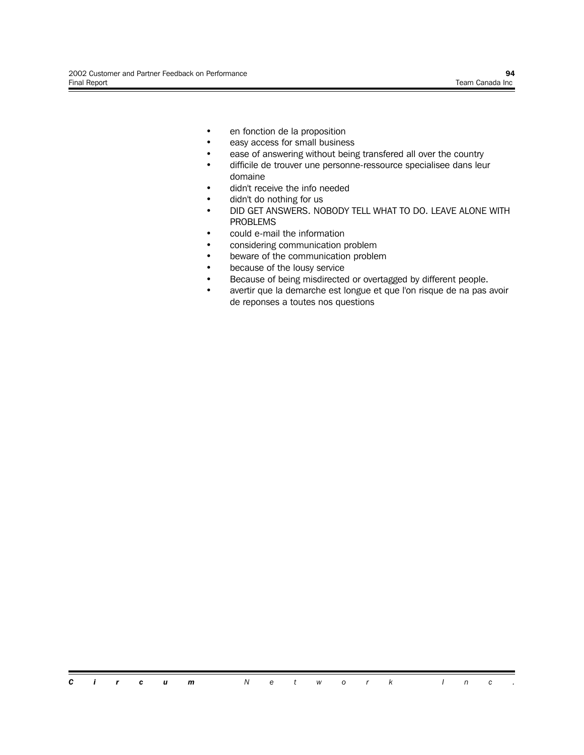- en fonction de la proposition
- easy access for small business
- ease of answering without being transfered all over the country
- difficile de trouver une personne-ressource specialisee dans leur domaine
- didn't receive the info needed
- didn't do nothing for us
- DID GET ANSWERS. NOBODY TELL WHAT TO DO. LEAVE ALONE WITH PROBLEMS
- could e-mail the information
- considering communication problem
- beware of the communication problem
- because of the lousy service
- Because of being misdirected or overtagged by different people.
- avertir que la demarche est longue et que l'on risque de na pas avoir de reponses a toutes nos questions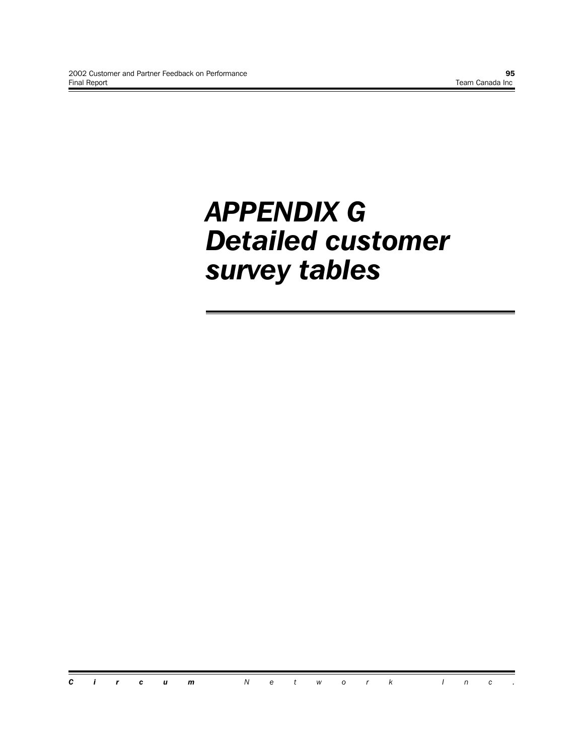# *APPENDIX G Detailed customer survey tables*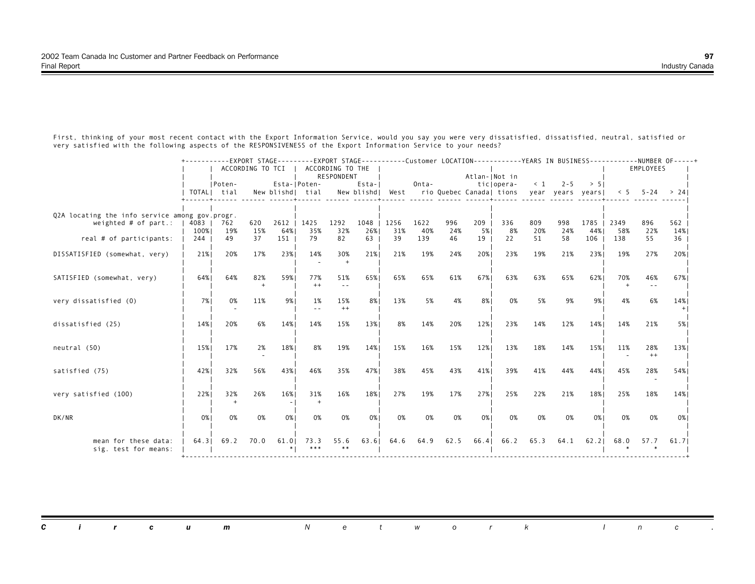|                                                                          |                | ----------EXPORT STAGE--------EXPORT STAGE----------Customer LOCATION-----------YEARS IN BUSINESS-----------NUMBER OF-----+ | ACCORDING TO TCI      |               |                                  | ACCORDING TO THE<br>RESPONDENT |               |             |             |            | Atlan- Not in |                                                                                                |            |            |               |             | EMPLOYEES      |            |
|--------------------------------------------------------------------------|----------------|-----------------------------------------------------------------------------------------------------------------------------|-----------------------|---------------|----------------------------------|--------------------------------|---------------|-------------|-------------|------------|---------------|------------------------------------------------------------------------------------------------|------------|------------|---------------|-------------|----------------|------------|
|                                                                          |                | IPoten-<br>TOTAL  tial                                                                                                      |                       |               | Esta- Poten-<br>New blishd  tial |                                | Esta-I        |             | Onta-       |            |               | tic opera-<br>New blishd   West rio Quebec Canada   tions year years years   $\leq$ 5 -24 > 24 |            | $< 1$ 2-5  | > 51          |             |                |            |
| Q2A locating the info service among gov.progr.<br>weighted $#$ of part.: | 4083  <br>100% | 762<br>19%                                                                                                                  | 620<br>15%            | 2612 l<br>64% | 1425<br>35%                      | 1292<br>32%                    | 1048  <br>26% | 1256<br>31% | 1622<br>40% | 996<br>24% | 209<br>5%     | 336<br>8%                                                                                      | 809<br>20% | 998<br>24% | 1785  <br>44% | 2349<br>58% | 896<br>22%     | 562<br>14% |
| real # of participants:                                                  | 244            | 49                                                                                                                          | 37                    | 151           | 79                               | 82                             | 63            | 39          | 139         | 46         | 19            | 22                                                                                             | 51         | 58         | 106           | 138         | 55             | 36         |
| DISSATISFIED (somewhat, very)                                            | 21%            | 20%                                                                                                                         | 17%                   | 23%           | 14%                              | 30%                            | 21%           | 21%         | 19%         | 24%        | 20%           | 23%                                                                                            | 19%        | 21%        | 23%           | 19%         | 27%            | 20%        |
| SATISFIED (somewhat, very)                                               | 64%            | 64%                                                                                                                         | 82%<br>$\overline{+}$ | 59%           | 77%<br>$^{++}$                   | 51%<br>$\sim$ $\sim$           | 65%           | 65%         | 65%         | 61%        | 67%           | 63%                                                                                            | 63%        | 65%        | 62%           | 70%         | 46%            | 67%        |
| very dissatisfied (0)                                                    | 7%             | 0%                                                                                                                          | 11%                   | 9%            | 1%                               | 15%<br>$^{++}$                 | 8%            | 13%         | 5%          | 4%         | 8%            | 0%                                                                                             | 5%         | 9%         | 9%            | 4%          | 6%             | 14%        |
| dissatisfied (25)                                                        | 14%            | 20%                                                                                                                         | 6%                    | 14%           | 14%                              | 15%                            | 13%           | 8%          | 14%         | 20%        | 12%           | 23%                                                                                            | 14%        | 12%        | 14%           | 14%         | 21%            | 5% 1       |
| neutral (50)                                                             | 15%            | 17%                                                                                                                         | 2%                    | 18%           | 8%                               | 19%                            | 14%           | 15%         | 16%         | 15%        | 12%           | 13%                                                                                            | 18%        | 14%        | 15%           | 11%         | 28%<br>$^{++}$ | 13%        |
| satisfied (75)                                                           | 42%            | 32%                                                                                                                         | 56%                   | 43%           | 46%                              | 35%                            | 47%           | 38%         | 45%         | 43%        | 41%           | 39%                                                                                            | 41%        | 44%        | 44%           | 45%         | 28%            | 54%        |
| very satisfied (100)                                                     | 22%            | 32%                                                                                                                         | 26%                   | 16%           | 31%                              | 16%                            | 18%           | 27%         | 19%         | 17%        | 27%           | 25%                                                                                            | 22%        | 21%        | 18%           | 25%         | 18%            | 14%        |
| DK/NR                                                                    | 0%             | 0%                                                                                                                          | 0%                    | 0%            | 0%                               | 0%                             | 0%            | 0%          | 0%          | 0%         | 0%            | 0%                                                                                             | 0%         | 0%         | 0%            | 0%          | 0%             | $0\%$      |
| mean for these data:<br>sig. test for means:                             | 64.31          | 69.2                                                                                                                        | 70.0                  | 61.01         | 73.3                             | 55.6<br>$**$                   | 63.61         | 64.6        | 64.9        | 62.5       | 66.4          | 66.2                                                                                           | 65.3       | 64.1       | $62.2$        | 68.0        | 57.7           | 61.71      |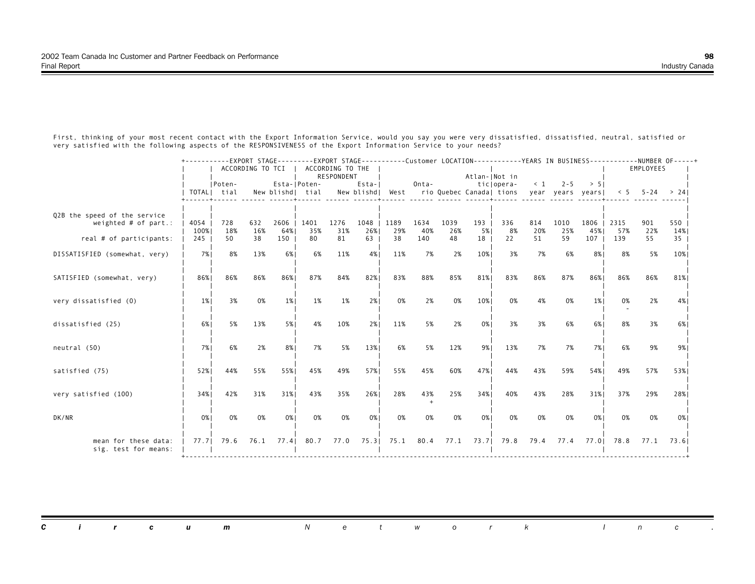|                                                        |              | +-----------EXPORT STAGE---------EXPORT STAGE----------Customer LOCATION-----------YEARS IN BUSINESS-----------NUMBER OF-----+ | ACCORDING TO TCI |               |                                  | ACCORDING TO THE |                      |                |             |             |               |                                                          |            |             |             |             | EMPLOYEES       |                 |
|--------------------------------------------------------|--------------|--------------------------------------------------------------------------------------------------------------------------------|------------------|---------------|----------------------------------|------------------|----------------------|----------------|-------------|-------------|---------------|----------------------------------------------------------|------------|-------------|-------------|-------------|-----------------|-----------------|
|                                                        |              | IPoten-<br>TOTAL  tial                                                                                                         |                  |               | Esta- Poten-<br>New blishd  tial | RESPONDENT       | Esta-I<br>New blishd | West           | Onta-       |             | Atlan- Not in | ticlopera-<br>rio Quebec Canadal tions year years yearsl | $\leq 1$   | $2 - 5$     | > 51        |             | $< 5$ 5-24 > 24 |                 |
| Q2B the speed of the service<br>weighted $#$ of part.: | 4054<br>100% | 728<br>18%                                                                                                                     | 632<br>16%       | 2606  <br>64% | 1401<br>35%                      | 1276<br>31%      | 1048<br>26%          | 1189<br>29%    | 1634<br>40% | 1039<br>26% | 193<br>5%     | 336<br>8%                                                | 814<br>20% | 1010<br>25% | 1806<br>45% | 2315<br>57% | 901<br>22%      | 550<br>14%      |
| real # of participants:                                | 245          | 50                                                                                                                             | 38               | 150           | 80                               | 81               | 63                   | 38             | 140         | 48          | 18            | 22                                                       | 51         | 59          | 107         | 139         | 55              | 35 <sup>2</sup> |
| DISSATISFIED (somewhat, very)                          | 7%           | 8%                                                                                                                             | 13%              | $6\%$         | 6%                               | 11%              | 4%                   | 11%            | 7%          | 2%          | 10%           | 3%                                                       | 7%         | 6%          | 8%          | 8%          | 5%              | 10%             |
| SATISFIED (somewhat, very)                             | 86%          | 86%                                                                                                                            | 86%              | 86%1          | 87%                              | 84%              | 82%                  | 83%            | 88%         | 85%         | 81%           | 83%                                                      | 86%        | 87%         | 86%         | 86%         | 86%             | 81%             |
| very dissatisfied (0)                                  | $1\%$        | 3%                                                                                                                             | 0%               | $1\%$         | 1%                               | 1%               | 2%1                  | 0%             | 2%          | 0%          | 10%           | 0%                                                       | 4%         | 0%          | $1\%$       | 0%          | 2%              | 4%              |
| dissatisfied (25)                                      | 6%           | 5%                                                                                                                             | 13%              | 5%            | 4%                               | 10%              | 2%                   | 11%            | 5%          | 2%          | 0%            | 3%                                                       | 3%         | 6%          | 6%          | 8%          | 3%              | 6%              |
| neutral (50)                                           | 7%           | 6%                                                                                                                             | 2%               | 8%            | 7%                               | 5%               | 13%                  | 6%             | 5%          | 12%         | 9%            | 13%                                                      | 7%         | 7%          | 7% l        | 6%          | 9%              | 9%              |
| satisfied (75)                                         | 52%          | 44%                                                                                                                            | 55%              | 55%           | 45%                              | 49%              | 57%                  | 55%            | 45%         | 60%         | 47%           | 44%                                                      | 43%        | 59%         | 54%         | 49%         | 57%             | 53%             |
| very satisfied (100)                                   | 34%          | 42%                                                                                                                            | 31%              | 31%           | 43%                              | 35%              | 26%                  | 28%            | 43%         | 25%         | 34%           | 40%                                                      | 43%        | 28%         | 31%         | 37%         | 29%             | 28%             |
| DK/NR                                                  | 0%           | 0%                                                                                                                             | 0%               | 0%            | 0%                               | 0%               | 0%                   | 0%             | 0%          | 0%          | 0%            | 0%                                                       | 0%         | 0%          | 0%          | 0%          | 0%              | 0%              |
| mean for these data:<br>sig. test for means:           |              | 77.71 79.6                                                                                                                     | 76.1             |               | 77.4 80.7                        |                  |                      | 77.0 75.3 75.1 |             | 80.4 77.1   |               | 73.71 79.8                                               |            | 79.4 77.4   |             | 77.0 78.8   | 77.1            | 73.61           |

*Circum Network Inc.* $\mathcal{L}$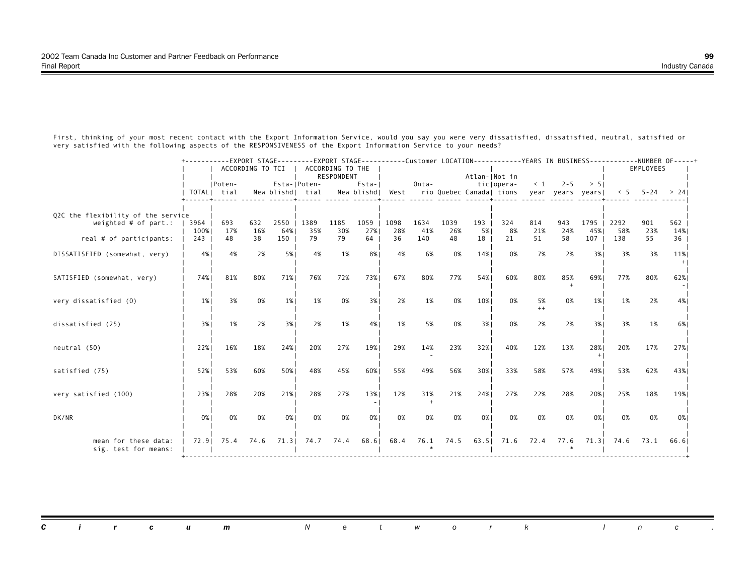|                                                              |             | +-----------EXPORT STAGE---------EXPORT STAGE----------Customer LOCATION-----------YEARS IN BUSINESS-----------NUMBER OF-----+ | ACCORDING TO TCI |            |                                  | ACCORDING TO THE |                      |           |            |           |               |                                                                            |            |           |            |            | EMPLOYEES |             |
|--------------------------------------------------------------|-------------|--------------------------------------------------------------------------------------------------------------------------------|------------------|------------|----------------------------------|------------------|----------------------|-----------|------------|-----------|---------------|----------------------------------------------------------------------------|------------|-----------|------------|------------|-----------|-------------|
|                                                              |             | IPoten-<br>TOTAL  tial                                                                                                         |                  |            | Esta- Poten-<br>New blishd  tial | RESPONDENT       | Esta-I<br>New blishd | West      | Onta-      |           | Atlan- Not in | ticlopera-<br>rio Quebec Canada  tions year years years  $\leq$ 5 -24 > 24 |            | $< 1$ 2-5 | > 51       |            |           |             |
|                                                              |             |                                                                                                                                |                  |            |                                  |                  |                      |           |            |           |               |                                                                            |            |           |            |            |           |             |
| Q2C the flexibility of the service<br>weighted $#$ of part.: | 3964        | 693                                                                                                                            | 632              | 2550       | 1389                             | 1185             | 1059                 | 1098      | 1634       | 1039      | 193           | 324                                                                        | 814        | 943       | 1795       | 2292       | 901       | 562         |
| real # of participants:                                      | 100%<br>243 | 17%<br>48                                                                                                                      | 16%<br>38        | 64%<br>150 | 35%<br>79                        | 30%<br>79        | 27%<br>64            | 28%<br>36 | 41%<br>140 | 26%<br>48 | 5%<br>18      | 8%<br>21                                                                   | 21%<br>51  | 24%<br>58 | 45%<br>107 | 58%<br>138 | 23%<br>55 | 14%<br>36 I |
| DISSATISFIED (somewhat, very)                                | 4%          | 4%                                                                                                                             | 2%               | 5%         | 4%                               | 1%               | $8\%$                | 4%        | 6%         | 0%        | 14%           | 0%                                                                         | 7%         | 2%        | 3%         | 3%         | 3%        | 11%         |
| SATISFIED (somewhat, very)                                   | 74%         | 81%                                                                                                                            | 80%              | 71%        | 76%                              | 72%              | 73%                  | 67%       | 80%        | 77%       | 54%           | 60%                                                                        | 80%        | 85%       | 69%        | 77%        | 80%       | 62%         |
| very dissatisfied (0)                                        | $1\%$       | 3%                                                                                                                             | 0%               | $1\%$      | 1%                               | 0%               | 3%                   | 2%        | 1%         | 0%        | 10%           | 0%                                                                         | 5%<br>$++$ | 0%        | $1\%$      | 1%         | 2%        | 4%          |
| dissatisfied (25)                                            | 3%          | 1%                                                                                                                             | 2%               | 3%         | 2%                               | 1%               | 4%                   | 1%        | 5%         | 0%        | 3%            | 0%                                                                         | 2%         | 2%        | 3%         | 3%         | 1%        | 6%          |
| neutral (50)                                                 | 22%         | 16%                                                                                                                            | 18%              | 24%        | 20%                              | 27%              | 19%                  | 29%       | 14%        | 23%       | 32%           | 40%                                                                        | 12%        | 13%       | 28%        | 20%        | 17%       | 27%         |
| satisfied (75)                                               | 52%         | 53%                                                                                                                            | 60%              | 50%        | 48%                              | 45%              | 60%                  | 55%       | 49%        | 56%       | 30%           | 33%                                                                        | 58%        | 57%       | 49%        | 53%        | 62%       | 43%         |
| very satisfied (100)                                         | 23%         | 28%                                                                                                                            | 20%              | 21%        | 28%                              | 27%              | 13%                  | 12%       | 31%        | 21%       | 24%           | 27%                                                                        | 22%        | 28%       | 20%        | 25%        | 18%       | 19%         |
| DK/NR                                                        | 0%          | 0%                                                                                                                             | 0%               | 0%         | 0%                               | 0%               | 0%                   | 0%        | 0%         | 0%        | 0%            | 0%                                                                         | 0%         | 0%        | 0%         | 0%         | 0%        | 0%          |
| mean for these data:<br>sig. test for means:                 |             | 72.91 75.4                                                                                                                     |                  |            | 74.6 71.3 74.7 74.4              |                  |                      |           |            |           |               | 68.6 68.4 76.1 74.5 63.5 71.6 72.4 77.6 71.3 74.6 73.1                     |            |           |            |            |           | 66.61       |

*Circum Network Inc.* $\mathcal{L}$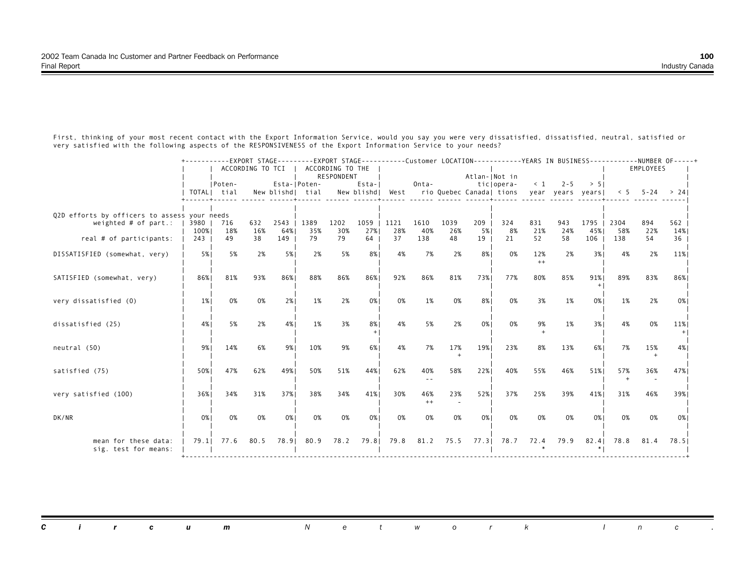|                                              |        | +----------EXPORT STAGE--------EXPORT STAGE----------Customer LOCATION-----------YEARS IN BUSINESS-----------NUMBER OF-----+ |     |      |                                     |            |            |      |       |      |               |                                                              |             |           |      |      |           |       |
|----------------------------------------------|--------|------------------------------------------------------------------------------------------------------------------------------|-----|------|-------------------------------------|------------|------------|------|-------|------|---------------|--------------------------------------------------------------|-------------|-----------|------|------|-----------|-------|
|                                              |        |                                                                                                                              |     |      | ACCORDING TO TCI   ACCORDING TO THE | RESPONDENT |            |      |       |      | Atlan- Not in |                                                              |             |           |      |      | EMPLOYEES |       |
|                                              |        | IPoten-                                                                                                                      |     |      | Esta- Poten-                        |            | Esta-I     |      | Onta- |      |               | ticlopera-                                                   |             | $< 1$ 2-5 | > 51 |      |           |       |
|                                              |        | TOTAL  tial                                                                                                                  |     |      | New blishd  tial                    |            | New blishd | West |       |      |               | rio Quebec Canada  tions year years years  $\leq$ 5 -24 > 24 |             |           |      |      |           |       |
|                                              |        |                                                                                                                              |     |      |                                     |            |            |      |       |      |               |                                                              |             |           |      |      |           |       |
| Q2D efforts by officers to assess your needs |        |                                                                                                                              |     |      |                                     |            |            |      |       |      |               |                                                              |             |           |      |      |           |       |
| weighted $#$ of part.:                       | 3980 I | 716                                                                                                                          | 632 | 2543 | 1389                                | 1202       | 1059       | 1121 | 1610  | 1039 | 209           | 324                                                          | 831         | 943       | 1795 | 2304 | 894       | 562   |
|                                              | 100%   | 18%                                                                                                                          | 16% | 64%  | 35%                                 | 30%        | 27%        | 28%  | 40%   | 26%  | 5%            | 8%                                                           | 21%         | 24%       | 45%  | 58%  | 22%       | 14%   |
| real # of participants:                      | 243    | 49                                                                                                                           | 38  | 149  | 79                                  | 79         | 64         | 37   | 138   | 48   | 19            | 21                                                           | 52          | 58        | 106  | 138  | 54        | 36 I  |
|                                              |        |                                                                                                                              |     |      |                                     |            |            |      |       |      |               |                                                              |             |           |      |      |           |       |
| DISSATISFIED (somewhat, very)                | 5%     | 5%                                                                                                                           | 2%  | 5%   | 2%                                  | 5%         | 8%         | 4%   | 7%    | 2%   | 8%            | 0%                                                           | 12%<br>$++$ | 2%        | 3%   | 4%   | 2%        | 11%   |
|                                              |        |                                                                                                                              |     |      |                                     |            |            |      |       |      |               |                                                              |             |           |      |      |           |       |
| SATISFIED (somewhat, very)                   | 86%    | 81%                                                                                                                          | 93% | 86%1 | 88%                                 | 86%        | 86%        | 92%  | 86%   | 81%  | 73%           | 77%                                                          | 80%         | 85%       | 91%  | 89%  | 83%       | 86%   |
|                                              |        |                                                                                                                              |     |      |                                     |            |            |      |       |      |               |                                                              |             |           |      |      |           |       |
|                                              |        |                                                                                                                              |     |      |                                     |            |            |      | 1%    | 0%   |               | 0%                                                           |             | 1%        |      |      |           |       |
| very dissatisfied (0)                        | $1\%$  | 0%                                                                                                                           | 0%  | 2%1  | 1%                                  | 2%         | 0%         | 0%   |       |      | 8%            |                                                              | 3%          |           | 0% 1 | 1%   | 2%        | 0%    |
|                                              |        |                                                                                                                              |     |      |                                     |            |            |      |       |      |               |                                                              |             |           |      |      |           |       |
| dissatisfied (25)                            | 4%     | 5%                                                                                                                           | 2%  | 4%   | 1%                                  | 3%         | 8%         | 4%   | 5%    | 2%   | 0%            | 0%                                                           | 9%          | 1%        | 3%   | 4%   | 0%        | 11%   |
|                                              |        |                                                                                                                              |     |      |                                     |            |            |      |       |      |               |                                                              |             |           |      |      |           |       |
| neutral (50)                                 | 9%     | 14%                                                                                                                          | 6%  | 9%1  | 10%                                 | 9%         | 6%         | 4%   | 7%    | 17%  | 19%           | 23%                                                          | 8%          | 13%       | 6%   | 7%   | 15%       | 4%    |
|                                              |        |                                                                                                                              |     |      |                                     |            |            |      |       |      |               |                                                              |             |           |      |      |           |       |
|                                              |        |                                                                                                                              |     |      |                                     |            |            |      |       |      |               |                                                              |             |           |      |      |           |       |
| satisfied (75)                               | 50%    | 47%                                                                                                                          | 62% | 49%  | 50%                                 | 51%        | 44%        | 62%  | 40%   | 58%  | 22%           | 40%                                                          | 55%         | 46%       | 51%  | 57%  | 36%       | 47%   |
|                                              |        |                                                                                                                              |     |      |                                     |            |            |      |       |      |               |                                                              |             |           |      |      |           |       |
| very satisfied (100)                         | 36%    | 34%                                                                                                                          | 31% | 37%  | 38%                                 | 34%        | 41%        | 30%  | 46%   | 23%  | 52%           | 37%                                                          | 25%         | 39%       | 41%  | 31%  | 46%       | 39%   |
|                                              |        |                                                                                                                              |     |      |                                     |            |            |      | $++$  |      |               |                                                              |             |           |      |      |           |       |
|                                              |        |                                                                                                                              |     |      |                                     |            |            |      |       |      |               |                                                              |             |           |      |      |           |       |
| DK/NR                                        | 0%     | 0%                                                                                                                           | 0%  | 0%   | 0%                                  | 0%         | 0%         | 0%   | 0%    | 0%   | 0%            | 0%                                                           | 0%          | 0%        | 0% l | 0%   | 0%        | 0%    |
|                                              |        |                                                                                                                              |     |      |                                     |            |            |      |       |      |               |                                                              |             |           |      |      |           |       |
| mean for these data:                         |        | 79.11 77.6                                                                                                                   |     |      | 80.5 78.9 80.9                      |            |            |      |       |      |               | 78.2 79.8 79.8 81.2 75.5 77.3 78.7                           |             | 72.4 79.9 | 82.4 | 78.8 | 81.4      | 78.51 |
| sig. test for means:                         |        |                                                                                                                              |     |      |                                     |            |            |      |       |      |               |                                                              |             |           |      |      |           |       |
|                                              |        |                                                                                                                              |     |      |                                     |            |            |      |       |      |               |                                                              |             |           |      |      |           |       |

*Circum Network Inc.* $\mathcal{L}$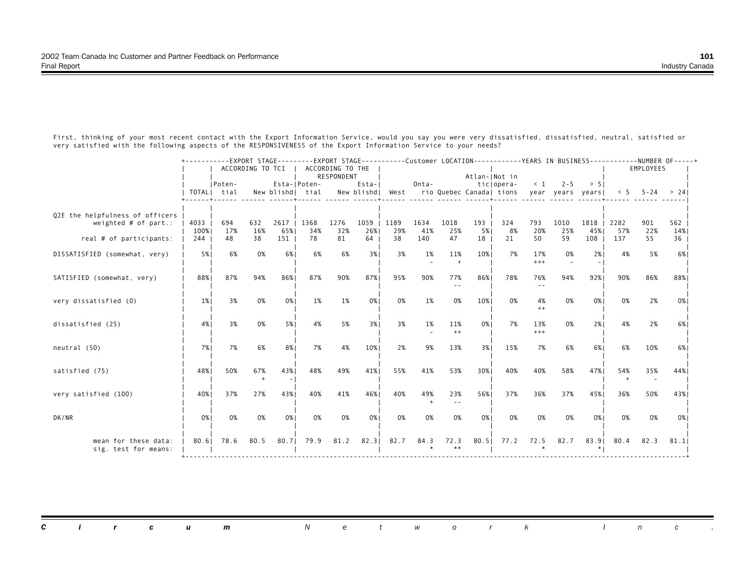|                                                           |              | +-----------EXPORT STAGE---------EXPORT STAGE----------Customer LOCATION-----------YEARS IN BUSINESS-----------NUMBER OF-----+ | ACCORDING TO TCI |               |                                  | ACCORDING TO THE |                       |             |             |              |               |                                                         |                 |             |             |             | EMPLOYEES       |            |
|-----------------------------------------------------------|--------------|--------------------------------------------------------------------------------------------------------------------------------|------------------|---------------|----------------------------------|------------------|-----------------------|-------------|-------------|--------------|---------------|---------------------------------------------------------|-----------------|-------------|-------------|-------------|-----------------|------------|
|                                                           |              | IPoten-<br>TOTAL  tial                                                                                                         |                  |               | Esta- Poten-<br>New blishd  tial | RESPONDENT       | Esta-I<br>New blishd! | West        | Onta-       |              | Atlan- Not in | ticlopera-<br>rio Quebec Canadal tions year years years | $\leq 1$        | $2 - 5$     | > 51        |             | $< 5$ 5-24 > 24 |            |
| Q2E the helpfulness of officers<br>weighted $#$ of part.: | 4033<br>100% | 694<br>17%                                                                                                                     | 632<br>16%       | 2617  <br>65% | 1368<br>34%                      | 1276<br>32%      | 1059<br>26%           | 1189<br>29% | 1634<br>41% | 1018<br>25%  | 193<br>5%     | 324<br>8%                                               | 793<br>20%      | 1010<br>25% | 1818<br>45% | 2282<br>57% | 901<br>22%      | 562<br>14% |
| real # of participants:                                   | 244          | 48                                                                                                                             | 38               | 151           | 78                               | 81               | 64                    | 38          | 140         | 47           | 18            | 21                                                      | 50              | 59          | 108         | 137         | 55              | 36 I       |
| DISSATISFIED (somewhat, very)                             | 5%           | 6%                                                                                                                             | 0%               | 6%            | 6%                               | 6%               | 3%                    | 3%          | 1%          | 11%          | 10%           | 7%                                                      | 17%<br>$^{+++}$ | 0%          | 2%          | 4%          | 5%              | 6%         |
| SATISFIED (somewhat, very)                                | 88%          | 87%                                                                                                                            | 94%              | 86%           | 87%                              | 90%              | 87%                   | 95%         | 90%         | 77%          | 86%           | 78%                                                     | 76%             | 94%         | 92%         | 90%         | 86%             | 88%1       |
| very dissatisfied (0)                                     | $1\%$        | 3%                                                                                                                             | 0%               | 0%            | 1%                               | 1%               | 0%                    | 0%          | 1%          | 0%           | 10%           | 0%                                                      | 4%<br>$++$      | 0%          | 0%          | 0%          | 2%              | 0%         |
| dissatisfied (25)                                         | 4%           | 3%                                                                                                                             | 0%               | 5%            | 4%                               | 5%               | 3%                    | 3%          | 1%          | 11%<br>$+ +$ | 0%            | 7%                                                      | 13%<br>$+++$    | 0%          | 2%1         | 4%          | 2%              | 6% I       |
| neutral (50)                                              | 7%           | 7%                                                                                                                             | 6%               | 8%            | 7%                               | 4%               | 10%                   | 2%          | 9%          | 13%          | 3%            | 15%                                                     | 7%              | 6%          | 6%          | 6%          | 10%             | 6%         |
| satisfied (75)                                            | 48%          | 50%                                                                                                                            | 67%              | 43%           | 48%                              | 49%              | 41%                   | 55%         | 41%         | 53%          | 30%           | 40%                                                     | 40%             | 58%         | 47%         | 54%         | 35%             | 44%        |
| very satisfied (100)                                      | 40%          | 37%                                                                                                                            | 27%              | 43%           | 40%                              | 41%              | 46%                   | 40%         | 49%         | 23%          | 56%           | 37%                                                     | 36%             | 37%         | 45%         | 36%         | 50%             | 43%        |
| DK/NR                                                     | 0%           | 0%                                                                                                                             | 0%               | 0%            | 0%                               | 0%               | 0%                    | 0%          | 0%          | 0%           | 0%            | 0%                                                      | 0%              | 0%          | 0%          | 0%          | 0%              | 0%         |
| mean for these data:<br>sig. test for means:              | 80.61        | 78.6                                                                                                                           | 80.5             |               | 80.7  79.9                       | 81.2             | 82.3                  | 82.7        | 84.3        | 72.3         | 80.5          | 77.2                                                    | 72.5            | 82.7        | 83.9        | 80.4        | 82.3            | 81.1       |

*Circum Network Inc.*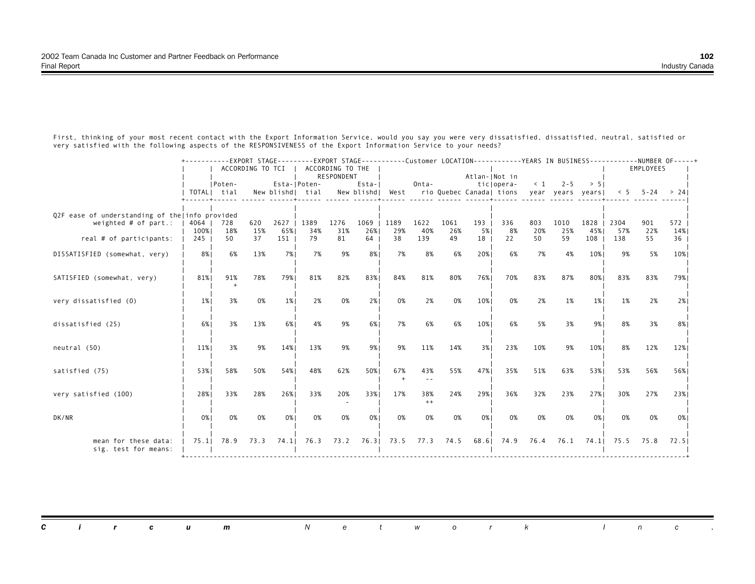|                                                                          |                | +-----------EXPORT STAGE---------EXPORT STAGE----------Customer LOCATION-----------YEARS IN BUSINESS-----------NUMBER OF-----+ | ACCORDING TO TCI |                 |                                  | ACCORDING TO THE |                      |                          |                      |             |               |                                                                            |            |             |             |                          | EMPLOYEES  |            |
|--------------------------------------------------------------------------|----------------|--------------------------------------------------------------------------------------------------------------------------------|------------------|-----------------|----------------------------------|------------------|----------------------|--------------------------|----------------------|-------------|---------------|----------------------------------------------------------------------------|------------|-------------|-------------|--------------------------|------------|------------|
|                                                                          |                | IPoten-<br>TOTAL  tial                                                                                                         |                  |                 | Esta- Poten-<br>New blishd  tial | RESPONDENT       | Esta-I<br>New blishd | West                     | Onta-                |             | Atlan- Not in | ticlopera-<br>rio Quebec Canada  tions year years years  $\leq$ 5 -24 > 24 |            | $< 1$ 2-5   | > 51        |                          |            |            |
|                                                                          |                |                                                                                                                                |                  |                 |                                  |                  |                      |                          |                      |             |               |                                                                            |            |             |             |                          |            |            |
| Q2F ease of understanding of the info provided<br>weighted $#$ of part.: | 4064  <br>100% | 728<br>18%                                                                                                                     | 620<br>15%       | $2627$  <br>65% | 1389<br>34%                      | 1276<br>31%      | 1069<br>26%          | 1189<br>29%              | 1622<br>40%          | 1061<br>26% | 193<br>5%     | 336<br>8%                                                                  | 803<br>20% | 1010<br>25% | 1828<br>45% | 2304<br>57%              | 901<br>22% | 572<br>14% |
| real # of participants:                                                  | 245            | 50                                                                                                                             | 37               | 151             | 79                               | 81               | 64                   | 38                       | 139                  | 49          | 18            | 22                                                                         | 50         | 59          | 108         | 138                      | 55         | 36         |
| DISSATISFIED (somewhat, very)                                            | 8%             | 6%                                                                                                                             | 13%              | 7%              | 7%                               | 9%               | $8\%$                | 7%                       | 8%                   | 6%          | 20%           | 6%                                                                         | 7%         | 4%          | 10%         | 9%                       | 5%         | 10%        |
| SATISFIED (somewhat, very)                                               | 81%            | 91%<br>$\ddot{}$                                                                                                               | 78%              | 79%1            | 81%                              | 82%              | 83%                  | 84%                      | 81%                  | 80%         | 76%           | 70%                                                                        | 83%        | 87%         | 80%         | 83%                      | 83%        | 79%        |
| very dissatisfied (0)                                                    | $1\%$          | 3%                                                                                                                             | 0%               | $1\%$           | 2%                               | 0%               | 2%1                  | 0%                       | 2%                   | 0%          | 10%           | 0%                                                                         | 2%         | 1%          | $1\%$       | 1%                       | 2%         | 2%1        |
| dissatisfied (25)                                                        | 6%             | 3%                                                                                                                             | 13%              | 6%              | 4%                               | 9%               | 6%                   | 7%                       | 6%                   | 6%          | 10%           | 6%                                                                         | 5%         | 3%          | 9%          | 8%                       | 3%         | 8%         |
| neutral (50)                                                             | 11%            | 3%                                                                                                                             | 9%               | 14%             | 13%                              | 9%               | 9%                   | 9%                       | 11%                  | 14%         | 3%            | 23%                                                                        | 10%        | 9%          | 10%         | 8%                       | 12%        | 12%        |
| satisfied (75)                                                           | 53%            | 58%                                                                                                                            | 50%              | 54%             | 48%                              | 62%              | 50%                  | 67%                      | 43%<br>$\frac{1}{2}$ | 55%         | 47%           | 35%                                                                        | 51%        | 63%         | 53%         | 53%                      | 56%        | 56%        |
| very satisfied (100)                                                     | 28%            | 33%                                                                                                                            | 28%              | 26%             | 33%                              | 20%              | 33%                  | 17%                      | 38%<br>$+ +$         | 24%         | 29%           | 36%                                                                        | 32%        | 23%         | 27%         | 30%                      | 27%        | 23%        |
| DK/NR                                                                    | 0%             | 0%                                                                                                                             | 0%               | 0%              | 0%                               | 0%               | 0%                   | 0%                       | 0%                   | 0%          | 0%            | 0%                                                                         | 0%         | 0%          | 0%          | 0%                       | 0%         | 0%         |
| mean for these data:<br>sig. test for means:                             |                | 75.11 78.9                                                                                                                     |                  |                 | 73.3 74.1 76.3                   |                  |                      | 73.2 76.3 73.5 77.3 74.5 |                      |             |               | 68.6  74.9                                                                 |            |             |             | 76.4 76.1 74.1 75.5 75.8 |            | 72.51      |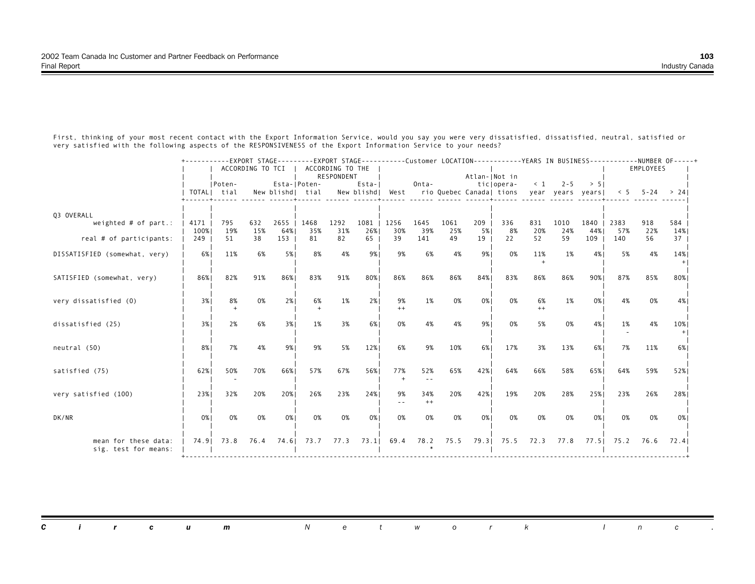|                                              |             | +----------EXPORT STAGE--------EXPORT STAGE----------Customer LOCATION-----------YEARS IN BUSINESS-----------NUMBER OF-----+ | ACCORDING TO TCI |             |                                  | ACCORDING TO THE<br>RESPONDENT |           |                  |                |           | Atlan- Not in |                                                                       |            |           |            |            | EMPLOYEES        |            |
|----------------------------------------------|-------------|------------------------------------------------------------------------------------------------------------------------------|------------------|-------------|----------------------------------|--------------------------------|-----------|------------------|----------------|-----------|---------------|-----------------------------------------------------------------------|------------|-----------|------------|------------|------------------|------------|
|                                              |             | Poten-<br>TOTAL  tial                                                                                                        |                  |             | Esta- Poten-<br>New blishd  tial |                                | Esta-I    | New blishd  West | Onta-          |           |               | ticlopera-<br>rio Quebec Canada  tions year years years               |            | $< 1$ 2-5 | > 51       |            | $< 5$ 5-24 > 241 |            |
| Q3 OVERALL<br>weighted $#$ of part.:         | 4171        | 795                                                                                                                          | 632              | 2655   1468 |                                  | 1292                           | 1081      | 1256             | 1645           | 1061      | 209           | 336                                                                   | 831        | 1010      | 1840       | 2383       | 918              | 584        |
| real # of participants:                      | 100%<br>249 | 19%<br>51                                                                                                                    | 15%<br>38        | 64%<br>153  | 35%<br>81                        | 31%<br>82                      | 26%<br>65 | 30%<br>39        | 39%<br>141     | 25%<br>49 | 5%  <br>19    | 8%<br>22                                                              | 20%<br>52  | 24%<br>59 | 44%<br>109 | 57%<br>140 | 22%<br>56        | 14% <br>37 |
| DISSATISFIED (somewhat, very)                | $6\%$       | 11%                                                                                                                          | 6%               | 5%          | 8%                               | 4%                             | 9%        | 9%               | 6%             | 4%        | 9%            | 0%                                                                    | 11%        | 1%        | 4%         | 5%         | 4%               | 14%        |
| SATISFIED (somewhat, very)                   | 86%         | 82%                                                                                                                          | 91%              | 86%1        | 83%                              | 91%                            | 80%       | 86%              | 86%            | 86%       | 84%           | 83%                                                                   | 86%        | 86%       | 90%        | 87%        | 85%              | 80%        |
| very dissatisfied (0)                        | 3%          | 8%                                                                                                                           | 0%               | 2%1         | 6%                               | 1%                             | 2%1       | 9%<br>$++$       | 1%             | 0%        | 0%            | 0%                                                                    | 6%<br>$++$ | 1%        | 0%         | 4%         | 0%               | 4%         |
| dissatisfied (25)                            | 3%          | 2%                                                                                                                           | 6%               | 3%          | 1%                               | 3%                             | 6%        | 0%               | 4%             | 4%        | 9%            | 0%                                                                    | 5%         | 0%        | 4%         | 1%         | 4%               | 10%        |
| neutral (50)                                 | 8%          | 7%                                                                                                                           | 4%               | 9%          | 9%                               | 5%                             | 12%       | 6%               | 9%             | 10%       | 6%            | 17%                                                                   | 3%         | 13%       | 6%         | 7%         | 11%              | 6% I       |
| satisfied (75)                               | 62%         | 50%                                                                                                                          | 70%              | 66%         | 57%                              | 67%                            | 56%       | 77%              | 52%<br>$=$ $=$ | 65%       | 42%           | 64%                                                                   | 66%        | 58%       | 65%        | 64%        | 59%              | 52%        |
| very satisfied (100)                         | 23%         | 32%                                                                                                                          | 20%              | 20%         | 26%                              | 23%                            | 24%       | 9%               | 34%<br>$^{++}$ | 20%       | 42%           | 19%                                                                   | 20%        | 28%       | 25%        | 23%        | 26%              | 28%        |
| DK/NR                                        | 0%          | 0%                                                                                                                           | 0%               | 0%          | 0%                               | 0%                             | 0%        | 0%               | 0%             | 0%        | 0%            | 0%                                                                    | 0%         | 0%        | 0%         | 0%         | 0%               | 0%         |
| mean for these data:<br>sig. test for means: |             | $74.9$ 73.8                                                                                                                  |                  |             |                                  |                                |           |                  |                |           |               | 76.4 74.6 73.7 77.3 73.1 69.4 78.2 75.5 79.3 75.5 72.3 77.8 77.5 75.2 |            |           |            |            | 76.6             | 72.41      |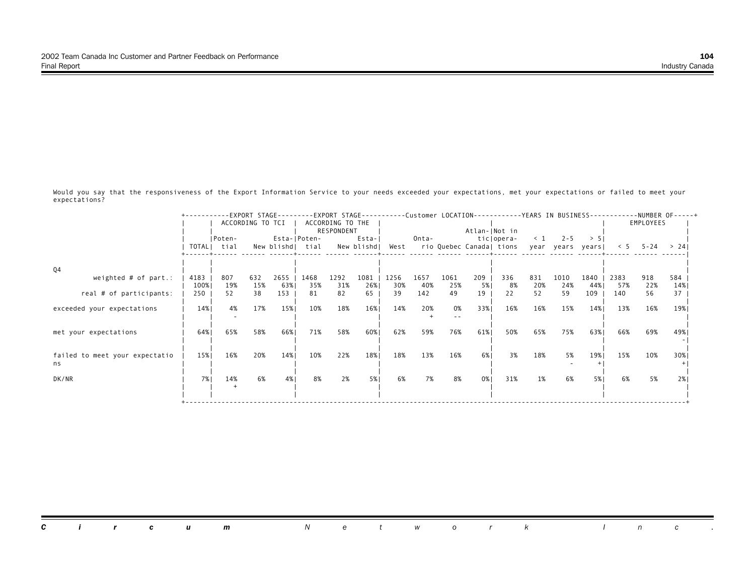Would you say that the responsiveness of the Export Information Service to your needs exceeded your expectations, met your expectations or failed to meet your expectations?

|                                | +--------- |             |                  |      |                  |                  |            |      |       |      |               |                          |          |                  |      |      |               | --EXPORT STAGE---------EXPORT STAGE----------Customer LOCATION-----------YEARS IN BUSINESS-----------NUMBER OF-----+ |
|--------------------------------|------------|-------------|------------------|------|------------------|------------------|------------|------|-------|------|---------------|--------------------------|----------|------------------|------|------|---------------|----------------------------------------------------------------------------------------------------------------------|
|                                |            |             | ACCORDING TO TCI |      |                  | ACCORDING TO THE |            |      |       |      |               |                          |          |                  |      |      | EMPLOYEES     |                                                                                                                      |
|                                |            |             |                  |      |                  | RESPONDENT       |            |      |       |      | Atlan- Not in |                          |          |                  |      |      |               |                                                                                                                      |
|                                |            | Poten-      |                  |      | Esta- Poten-     |                  | Esta-l     |      | Onta- |      |               | ticlopera-               | $\leq$ 1 | $2 - 5$          | > 51 |      |               |                                                                                                                      |
|                                |            | TOTALI tial |                  |      | New blishd  tial |                  | New blishd | West |       |      |               | rio Quebec Canada  tions |          | year years years |      |      | $5 - 24 > 24$ |                                                                                                                      |
|                                |            |             |                  |      |                  |                  |            |      |       |      |               |                          |          |                  |      |      |               |                                                                                                                      |
| Q4                             |            |             |                  |      |                  |                  |            |      |       |      |               |                          |          |                  |      |      |               |                                                                                                                      |
| weighted $#$ of part.:         | 4183       | 807         | 632              | 2655 | 1468             | 1292             | 1081       | 1256 | 1657  | 1061 | 209           | 336                      | 831      | 1010             | 1840 | 2383 | 918           | 584                                                                                                                  |
|                                | 100%       | 19%         | 15%              | 63%  | 35%              | 31%              | 26%        | 30%  | 40%   | 25%  | 5%            | 8%                       | 20%      | 24%              | 44%  | 57%  | 22%           | 14%                                                                                                                  |
| real # of participants:        | 250        | 52          | 38               | 153  | 81               | 82               | 65         | 39   | 142   | 49   | 19            | 22                       | 52       | 59               | 109  | 140  | 56            | 37                                                                                                                   |
|                                |            |             |                  |      |                  |                  |            |      |       |      |               |                          |          |                  |      |      |               |                                                                                                                      |
| exceeded your expectations     | 14%        | 4%          | 17%              | 15%  | 10%              | 18%              | 16%        | 14%  | 20%   | 0%   | 33%           | 16%                      | 16%      | 15%              | 14%  | 13%  | 16%           | 19%                                                                                                                  |
|                                |            |             |                  |      |                  |                  |            |      |       |      |               |                          |          |                  |      |      |               |                                                                                                                      |
|                                |            |             |                  |      |                  |                  |            |      |       |      |               |                          |          |                  |      |      |               |                                                                                                                      |
| met your expectations          | 64%        | 65%         | 58%              | 66%  | 71%              | 58%              | 60%        | 62%  | 59%   | 76%  | 61%           | 50%                      | 65%      | 75%              | 63%  | 66%  | 69%           | 49%                                                                                                                  |
|                                |            |             |                  |      |                  |                  |            |      |       |      |               |                          |          |                  |      |      |               |                                                                                                                      |
| failed to meet your expectatio | 15%        | 16%         | 20%              | 14%  | 10%              | 22%              | 18%        | 18%  | 13%   | 16%  | 6%            | 3%                       | 18%      | 5%               | 19%  | 15%  | 10%           | 30%                                                                                                                  |
| ns                             |            |             |                  |      |                  |                  |            |      |       |      |               |                          |          |                  |      |      |               |                                                                                                                      |
|                                |            |             |                  |      |                  |                  |            |      |       |      |               |                          |          |                  |      |      |               |                                                                                                                      |
| DK/NR                          | 7%         | 14%         | 6%               | 4%   | 8%               | 2%               | 5%         | 6%   | 7%    | 8%   | 0%            | 31%                      | 1%       | 6%               | 5%   | 6%   | 5%            | 2%1                                                                                                                  |
|                                |            |             |                  |      |                  |                  |            |      |       |      |               |                          |          |                  |      |      |               |                                                                                                                      |
|                                |            |             |                  |      |                  |                  |            |      |       |      |               |                          |          |                  |      |      |               |                                                                                                                      |
|                                |            |             |                  |      |                  |                  |            |      |       |      |               |                          |          |                  |      |      |               |                                                                                                                      |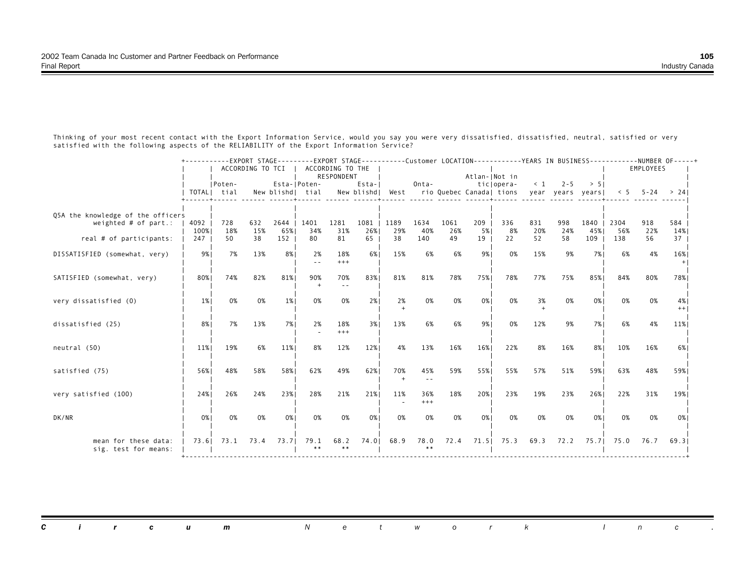|                                              |              | +-----------EXPORT STAGE---------EXPORT STAGE----------Customer LOCATION-----------YEARS IN BUSINESS-----------NUMBER OF-----+ | ACCORDING TO TCI |                |                     | ACCORDING TO THE     |             |             |                      |             |               |                                           |            |            |             |                | EMPLOYEES       |            |
|----------------------------------------------|--------------|--------------------------------------------------------------------------------------------------------------------------------|------------------|----------------|---------------------|----------------------|-------------|-------------|----------------------|-------------|---------------|-------------------------------------------|------------|------------|-------------|----------------|-----------------|------------|
|                                              |              | IPoten-                                                                                                                        |                  |                | Esta- Poten-        | RESPONDENT           | Esta-I      |             | Onta-                |             | Atlan- Not in | ticlopera-                                |            | $< 1$ 2-5  | > 51        |                |                 |            |
|                                              |              | TOTAL  tial                                                                                                                    |                  |                | New blishd  tial    |                      | New blishd  | West        |                      |             |               | rio Quebec Canadal tions year years years |            |            |             |                | $< 5$ 5-24 > 24 |            |
| Q5A the knowledge of the officers            |              |                                                                                                                                |                  |                |                     |                      |             |             |                      |             |               |                                           |            |            |             |                |                 |            |
| weighted $#$ of part.:                       | 4092<br>100% | 728<br>18%                                                                                                                     | 632<br>15%       | 2644<br>65%    | 1401<br>34%         | 1281<br>31%          | 1081<br>26% | 1189<br>29% | 1634<br>40%          | 1061<br>26% | 209<br>5%     | 336<br>8%                                 | 831<br>20% | 998<br>24% | 1840<br>45% | 2304<br>56%    | 918<br>22%      | 584<br>14% |
| real # of participants:                      | 247          | 50                                                                                                                             | 38               | 152            | 80                  | 81                   | 65          | 38          | 140                  | 49          | 19            | 22                                        | 52         | 58         | 109         | 138            | 56              | 37         |
| DISSATISFIED (somewhat, very)                | 9%           | 7%                                                                                                                             | 13%              | 8%             | 2%<br>$\sim$ $\sim$ | 18%<br>$+++$         | 6%          | 15%         | 6%                   | 6%          | 9%            | 0%                                        | 15%        | 9%         | 7% I        | 6%             | 4%              | 16%        |
| SATISFIED (somewhat, very)                   | 80%          | 74%                                                                                                                            | 82%              | 81%            | 90%                 | 70%<br>$\sim$ $\sim$ | 83%         | 81%         | 81%                  | 78%         | 75%           | 78%                                       | 77%        | 75%        | 85%         | 84%            | 80%             | 78%        |
| very dissatisfied (0)                        | $1\%$        | 0%                                                                                                                             | 0%               | $1\%$          | 0%                  | 0%                   | 2%1         | 2%          | 0%                   | 0%          | 0%            | 0%                                        | 3%         | 0%         | 0%          | 0%             | 0%              | 4%<br>$++$ |
| dissatisfied (25)                            | 8%           | 7%                                                                                                                             | 13%              | 7%             | 2%                  | 18%<br>$+++$         | 3%          | 13%         | 6%                   | 6%          | 9%            | 0%                                        | 12%        | 9%         | 7% l        | 6%             | 4%              | 11%        |
| neutral (50)                                 | 11%          | 19%                                                                                                                            | 6%               | 11%            | 8%                  | 12%                  | 12%         | 4%          | 13%                  | 16%         | 16%           | 22%                                       | 8%         | 16%        | 8%          | 10%            | 16%             | 6%         |
| satisfied (75)                               | 56%          | 48%                                                                                                                            | 58%              | 58%            | 62%                 | 49%                  | 62%         | 70%         | 45%<br>$\frac{1}{2}$ | 59%         | 55%           | 55%                                       | 57%        | 51%        | 59%         | 63%            | 48%             | 59%        |
| very satisfied (100)                         | 24%          | 26%                                                                                                                            | 24%              | 23%            | 28%                 | 21%                  | 21%         | 11%         | 36%<br>$+++$         | 18%         | 20%           | 23%                                       | 19%        | 23%        | 26%         | 22%            | 31%             | 19%        |
| DK/NR                                        | 0%           | 0%                                                                                                                             | 0%               | 0%             | 0%                  | 0%                   | 0%          | 0%          | 0%                   | 0%          | 0%            | 0%                                        | 0%         | 0%         | 0%          | 0%             | 0%              | 0%         |
| mean for these data:<br>sig. test for means: |              | 73.61 73.1                                                                                                                     |                  | 73.4 73.7 79.1 |                     | 68.2                 | 74.01       | 68.9        | 78.0                 | 72.4        |               | 71.5   75.3                               | 69.3       |            |             | 72.2 75.7 75.0 | 76.7            | 69.31      |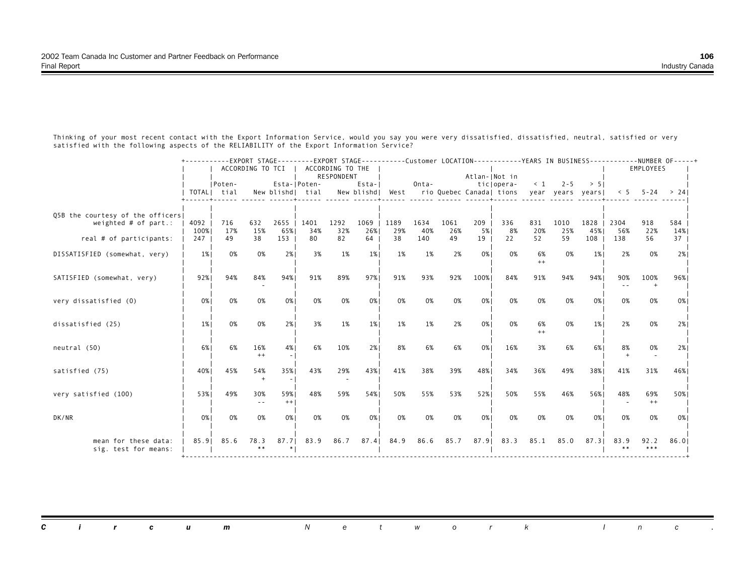|                                                             |              | +-----------EXPORT STAGE---------EXPORT STAGE----------Customer LOCATION-----------YEARS IN BUSINESS-----------NUMBER OF-----+ | ACCORDING TO TCI |               |                                  | ACCORDING TO THE |                       |             |             |             |               |                                                          |            |             |             |             | EMPLOYEES       |            |
|-------------------------------------------------------------|--------------|--------------------------------------------------------------------------------------------------------------------------------|------------------|---------------|----------------------------------|------------------|-----------------------|-------------|-------------|-------------|---------------|----------------------------------------------------------|------------|-------------|-------------|-------------|-----------------|------------|
|                                                             |              | IPoten-<br>TOTAL  tial                                                                                                         |                  |               | Esta- Poten-<br>New blishd  tial | RESPONDENT       | Esta-I<br>New blishdl | West        | Onta-       |             | Atlan- Not in | ticlopera-<br>rio Quebec Canadal tions year years yearsl | $\leq 1$   | $2 - 5$     | > 51        |             | $< 5$ 5-24 > 24 |            |
| Q5B the courtesy of the officers!<br>weighted $#$ of part.: | 4092<br>100% | 716<br>17%                                                                                                                     | 632<br>15%       | 2655  <br>65% | 1401<br>34%                      | 1292<br>32%      | 1069<br>26%           | 1189<br>29% | 1634<br>40% | 1061<br>26% | 209<br>5%     | 336<br>8%                                                | 831<br>20% | 1010<br>25% | 1828<br>45% | 2304<br>56% | 918<br>22%      | 584<br>14% |
| real # of participants:                                     | 247          | 49                                                                                                                             | 38               | 153           | 80                               | 82               | 64                    | 38          | 140         | 49          | 19            | 22                                                       | 52         | 59          | 108         | 138         | 56              | 37         |
| DISSATISFIED (somewhat, very)                               | $1\%$        | 0%                                                                                                                             | 0%               | 2%            | 3%                               | 1%               | $1\%$                 | 1%          | 1%          | 2%          | 0%            | 0%                                                       | 6%<br>$++$ | 0%          | $1\%$       | 2%          | 0%              | 2%1        |
| SATISFIED (somewhat, very)                                  | 92%          | 94%                                                                                                                            | 84%              | 94%           | 91%                              | 89%              | 97%                   | 91%         | 93%         | 92%         | 100%          | 84%                                                      | 91%        | 94%         | 94%         | 90%         | 100%            | 96%।       |
| very dissatisfied (0)                                       | 0%           | 0%                                                                                                                             | 0%               | 0%            | 0%                               | 0%               | 0%                    | 0%          | 0%          | 0%          | 0%            | 0%                                                       | 0%         | 0%          | 0%          | 0%          | 0%              | 0%         |
| dissatisfied (25)                                           | $1\%$        | 0%                                                                                                                             | 0%               | 2%1           | 3%                               | 1%               | $1\%$                 | 1%          | 1%          | 2%          | 0%            | 0%                                                       | 6%<br>$++$ | 0%          | $1\%$       | 2%          | 0%              | 2%1        |
| neutral (50)                                                | 6%           | 6%                                                                                                                             | 16%<br>$^{++}$   | 4%            | 6%                               | 10%              | 2%1                   | 8%          | 6%          | 6%          | 0%            | 16%                                                      | 3%         | 6%          | 6%          | 8%          | 0%              | 2%1        |
| satisfied (75)                                              | 40%          | 45%                                                                                                                            | 54%              | 35%           | 43%                              | 29%              | 43%                   | 41%         | 38%         | 39%         | 48%           | 34%                                                      | 36%        | 49%         | 38%         | 41%         | 31%             | 46%        |
| very satisfied (100)                                        | 53%          | 49%                                                                                                                            | 30%              | 59%<br>$++$   | 48%                              | 59%              | 54%                   | 50%         | 55%         | 53%         | 52%           | 50%                                                      | 55%        | 46%         | 56%         | 48%         | 69%<br>$++$     | 50%        |
| DK/NR                                                       | 0%           | 0%                                                                                                                             | 0%               | 0%            | 0%                               | 0%               | 0%                    | 0%          | 0%          | 0%          | 0%            | 0%                                                       | 0%         | 0%          | 0%          | 0%          | 0%              | 0%         |
| mean for these data:<br>sig. test for means:                | 85.91        | 85.6                                                                                                                           | 78.3<br>$**$     | 87.7          | 83.9                             | 86.7             | 87.41                 | 84.9        | 86.6        | 85.7        | 87.91         | 83.3                                                     | 85.1       | 85.0        | 87.31       | 83.9        | 92.2<br>***     | 86.01      |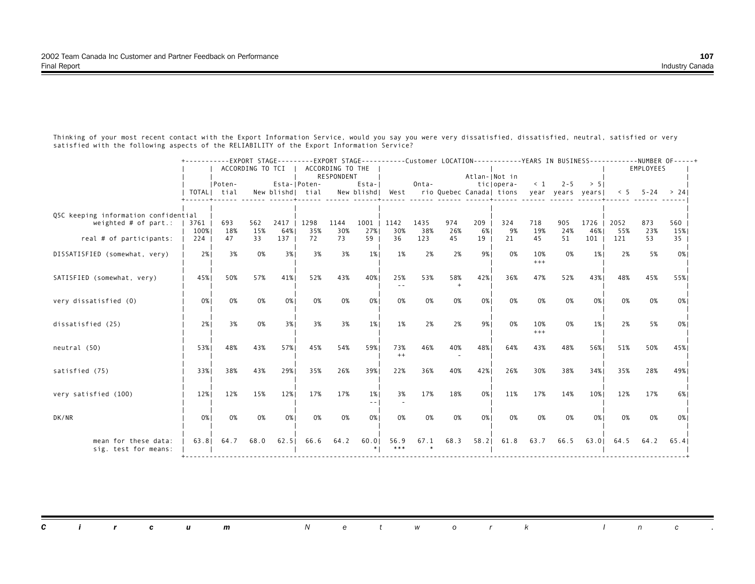|                                                                |             | +----------EXPORT STAGE--------EXPORT STAGE----------Customer LOCATION-----------YEARS IN BUSINESS-----------NUMBER OF-----+ | ACCORDING TO TCI |             |                                  | ACCORDING TO THE<br>RESPONDENT |           |                  |            |           | Atlan- Not in |                                                         |              |           |            |            | EMPLOYEES        |                        |
|----------------------------------------------------------------|-------------|------------------------------------------------------------------------------------------------------------------------------|------------------|-------------|----------------------------------|--------------------------------|-----------|------------------|------------|-----------|---------------|---------------------------------------------------------|--------------|-----------|------------|------------|------------------|------------------------|
|                                                                |             | Poten-<br>TOTAL  tial                                                                                                        |                  |             | Esta- Poten-<br>New blishd  tial |                                | Esta-I    | New blishd  West | Onta-      |           |               | ticlopera-<br>rio Quebec Canada  tions year years years | $\leq 1$     | $2 - 5$   | > 51       |            | $< 5$ 5-24 > 241 |                        |
| Q5C keeping information confidential<br>weighted $#$ of part.: | 3761        | 693                                                                                                                          | 562              | 2417   1298 |                                  | 1144                           | $1001$    | 1142             | 1435       | 974       | 209           | 324                                                     | 718          | 905       | 1726       | 2052       | 873              | 560                    |
| real # of participants:                                        | 100%<br>224 | 18%<br>47                                                                                                                    | 15%<br>33        | 64%<br>137  | 35%<br>72                        | 30%<br>73                      | 27%<br>59 | 30%<br>36        | 38%<br>123 | 26%<br>45 | 6%<br>19      | 9%<br>21                                                | 19%<br>45    | 24%<br>51 | 46%<br>101 | 55%<br>121 | 23%<br>53        | 15%<br>35 <sup>2</sup> |
| DISSATISFIED (somewhat, very)                                  | 2%          | 3%                                                                                                                           | 0%               | 3%          | 3%                               | 3%                             | $1\%$     | 1%               | 2%         | 2%        | 9%            | 0%                                                      | 10%<br>$+++$ | 0%        | $1\%$      | 2%         | 5%               | 0% l                   |
| SATISFIED (somewhat, very)                                     | 45%         | 50%                                                                                                                          | 57%              | 41%         | 52%                              | 43%                            | 40%       | 25%              | 53%        | 58%       | 42%           | 36%                                                     | 47%          | 52%       | 43%        | 48%        | 45%              | 55%                    |
| very dissatisfied (0)                                          | 0%          | 0%                                                                                                                           | 0%               | 0%          | 0%                               | 0%                             | 0%        | 0%               | 0%         | 0%        | 0%            | 0%                                                      | 0%           | 0%        | 0%         | 0%         | 0%               | 0%                     |
| dissatisfied (25)                                              | 2%1         | 3%                                                                                                                           | 0%               | 3%          | 3%                               | 3%                             | 1%        | 1%               | 2%         | 2%        | 9%            | 0%                                                      | 10%<br>$+++$ | 0%        | $1\%$      | 2%         | 5%               | 0%                     |
| neutral (50)                                                   | 53%         | 48%                                                                                                                          | 43%              | 57%         | 45%                              | 54%                            | 59%       | 73%<br>$++$      | 46%        | 40%       | 48%           | 64%                                                     | 43%          | 48%       | 56%        | 51%        | 50%              | 45%                    |
| satisfied (75)                                                 | 33%1        | 38%                                                                                                                          | 43%              | 29%         | 35%                              | 26%                            | 39%       | 22%              | 36%        | 40%       | 42%           | 26%                                                     | 30%          | 38%       | 34%        | 35%        | 28%              | 49%                    |
| very satisfied (100)                                           | 12%         | 12%                                                                                                                          | 15%              | 12%         | 17%                              | 17%                            | $1\%$     | 3%               | 17%        | 18%       | 0%            | 11%                                                     | 17%          | 14%       | 10%        | 12%        | 17%              | 6%                     |
| DK/NR                                                          | 0%          | 0%                                                                                                                           | 0%               | 0%          | 0%                               | 0%                             | 0%        | 0%               | 0%         | 0%        | 0%            | 0%                                                      | 0%           | 0%        | 0%         | 0%         | 0%               | 0%                     |
| mean for these data:<br>sig. test for means:                   | 63.81       | 64.7                                                                                                                         | 68.0             | 62.5        | 66.6                             | 64.2                           | 60.01     | 56.9<br>***      | 67.1       | 68.3      | 58.2          | 61.8                                                    | 63.7         | 66.5      | $63.0$     | 64.5       | 64.2             | 65.41                  |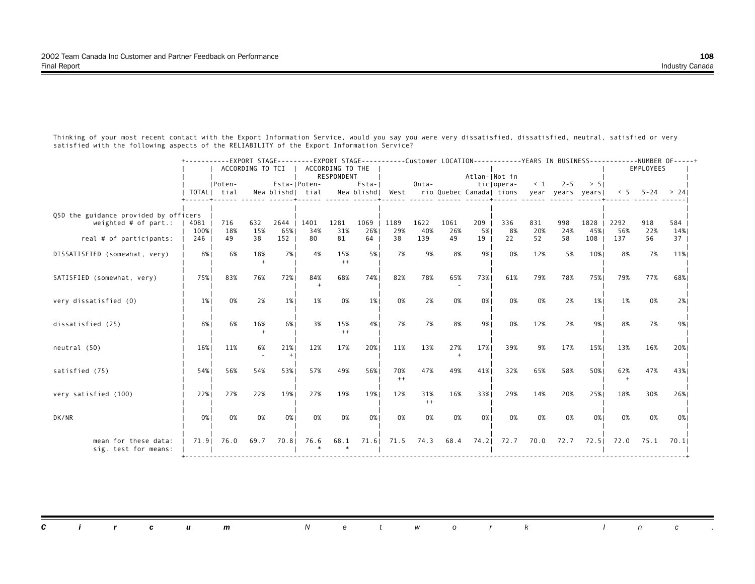|                                                                 |              | +-----------EXPORT STAGE---------EXPORT STAGE----------Customer LOCATION-----------YEARS IN BUSINESS-----------NUMBER OF-----+ | ACCORDING TO TCI |               |                                  | ACCORDING TO THE |                      |                     |              |             |               |                                                                            |            |            |             |                     | EMPLOYEES  |            |
|-----------------------------------------------------------------|--------------|--------------------------------------------------------------------------------------------------------------------------------|------------------|---------------|----------------------------------|------------------|----------------------|---------------------|--------------|-------------|---------------|----------------------------------------------------------------------------|------------|------------|-------------|---------------------|------------|------------|
|                                                                 |              | IPoten-<br>TOTAL  tial                                                                                                         |                  |               | Esta- Poten-<br>New blishd  tial | RESPONDENT       | Esta-I<br>New blishd | West                | Onta-        |             | Atlan- Not in | ticlopera-<br>rio Quebec Canada  tions year years years  $\leq$ 5 -24 > 24 |            | $< 1$ 2-5  | > 51        |                     |            |            |
|                                                                 |              |                                                                                                                                |                  |               |                                  |                  |                      |                     |              |             |               |                                                                            |            |            |             |                     |            |            |
| Q5D the guidance provided by officers<br>weighted $#$ of part.: | 4081<br>100% | 716<br>18%                                                                                                                     | 632<br>15%       | 2644  <br>65% | 1401<br>34%                      | 1281<br>31%      | 1069<br>26%          | 1189<br>29%         | 1622<br>40%  | 1061<br>26% | 209<br>5%     | 336<br>8%                                                                  | 831<br>20% | 998<br>24% | 1828<br>45% | 2292<br>56%         | 918<br>22% | 584<br>14% |
| real # of participants:                                         | 246          | 49                                                                                                                             | 38               | 152           | 80                               | 81               | 64                   | 38                  | 139          | 49          | 19            | 22                                                                         | 52         | 58         | 108         | 137                 | 56         | 37         |
| DISSATISFIED (somewhat, very)                                   | 8%           | 6%                                                                                                                             | 18%              | 7%            | 4%                               | 15%<br>$^{++}$   | 5%                   | 7%                  | 9%           | 8%          | 9%            | 0%                                                                         | 12%        | 5%         | 10%         | 8%                  | 7%         | 11%        |
| SATISFIED (somewhat, very)                                      | 75%          | 83%                                                                                                                            | 76%              | 72%           | 84%                              | 68%              | 74%                  | 82%                 | 78%          | 65%         | 73%           | 61%                                                                        | 79%        | 78%        | 75%         | 79%                 | 77%        | 68%        |
| very dissatisfied (0)                                           | $1\%$        | 0%                                                                                                                             | 2%               | 1%            | 1%                               | 0%               | $1\%$                | 0%                  | 2%           | 0%          | 0%            | 0%                                                                         | 0%         | 2%         | $1\%$       | 1%                  | 0%         | 2%1        |
| dissatisfied (25)                                               | 8%           | 6%                                                                                                                             | 16%              | 6%            | 3%                               | 15%<br>$^{++}$   | 4%                   | 7%                  | 7%           | 8%          | 9%            | 0%                                                                         | 12%        | 2%         | 9%          | 8%                  | 7%         | 9%1        |
| neutral (50)                                                    | 16%          | 11%                                                                                                                            | 6%               | 21%           | 12%                              | 17%              | 20%                  | 11%                 | 13%          | 27%         | 17%           | 39%                                                                        | 9%         | 17%        | 15%         | 13%                 | 16%        | 20%        |
| satisfied (75)                                                  | 54%          | 56%                                                                                                                            | 54%              | 53%           | 57%                              | 49%              | 56%                  | 70%<br>$++$         | 47%          | 49%         | 41%           | 32%                                                                        | 65%        | 58%        | 50%         | 62%                 | 47%        | 43%        |
| very satisfied (100)                                            | 22%          | 27%                                                                                                                            | 22%              | 19%           | 27%                              | 19%              | 19%                  | 12%                 | 31%<br>$+ +$ | 16%         | 33%           | 29%                                                                        | 14%        | 20%        | 25%         | 18%                 | 30%        | 26%        |
| DK/NR                                                           | 0%           | 0%                                                                                                                             | 0%               | 0%            | 0%                               | 0%               | 0%                   | 0%                  | 0%           | 0%          | 0%            | 0%                                                                         | 0%         | 0%         | 0%          | 0%                  | 0%         | 0%         |
| mean for these data:<br>sig. test for means:                    |              | 71.91 76.0                                                                                                                     | 69.7             |               | 70.8 76.6                        | 68.1             |                      | 71.6 71.5 74.3 68.4 |              |             |               | 74.21 72.7                                                                 |            |            |             | 70.0 72.7 72.5 72.0 | 75.1       | 70.11      |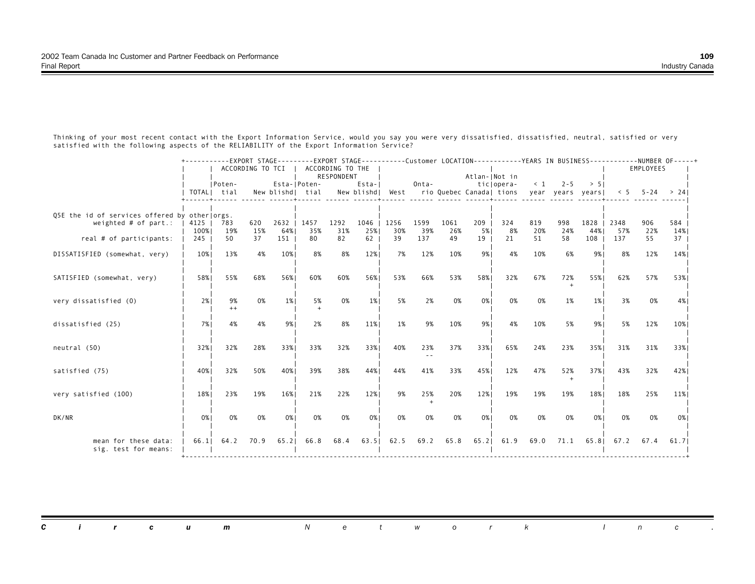|                                                                         |                | +----------EXPORT STAGE--------EXPORT STAGE----------Customer LOCATION-----------YEARS IN BUSINESS-----------NUMBER OF-----+ |            |                    | ACCORDING TO TCI   ACCORDING TO THE | RESPONDENT  |               |                  |             |             | Atlan- Not in |                                                               |            |            |             |             | EMPLOYEES  |                 |
|-------------------------------------------------------------------------|----------------|------------------------------------------------------------------------------------------------------------------------------|------------|--------------------|-------------------------------------|-------------|---------------|------------------|-------------|-------------|---------------|---------------------------------------------------------------|------------|------------|-------------|-------------|------------|-----------------|
|                                                                         |                | Poten-<br>TOTAL  tial                                                                                                        |            |                    | Esta- Poten-<br>New blishd  tial    |             | Esta-I        | New blishd  West | Onta-       |             | tic opera-    | rio Quebec Canada  tions year years years  $\leq$ 5 5-24 > 24 |            | $< 1$ 2-5  | > 51        |             |            |                 |
| Q5E the id of services offered by otherlorgs.<br>weighted $#$ of part.: | 4125  <br>100% | 783<br>19%                                                                                                                   | 620<br>15% | 2632   1457<br>64% | 35%                                 | 1292<br>31% | 1046  <br>25% | 1256<br>30%      | 1599<br>39% | 1061<br>26% | 209<br>5% 1   | 324<br>8%                                                     | 819<br>20% | 998<br>24% | 1828<br>44% | 2348<br>57% | 906<br>22% | 584<br>14%      |
| real # of participants:                                                 | 245            | 50                                                                                                                           | 37         | 151                | 80                                  | 82          | 62            | 39               | 137         | 49          | 19            | 21                                                            | 51         | 58         | 108         | 137         | 55         | 37 <sup>2</sup> |
| DISSATISFIED (somewhat, very)                                           | 10%            | 13%                                                                                                                          | 4%         | 10%                | 8%                                  | 8%          | 12%           | 7%               | 12%         | 10%         | 9%            | 4%                                                            | 10%        | 6%         | 9% 1        | 8%          | 12%        | 14%             |
| SATISFIED (somewhat, very)                                              | 58%            | 55%                                                                                                                          | 68%        | 56%                | 60%                                 | 60%         | 56%           | 53%              | 66%         | 53%         | 58%           | 32%                                                           | 67%        | 72%        | 55%         | 62%         | 57%        | 53%             |
| very dissatisfied (0)                                                   | 2%             | 9%<br>$^{++}$                                                                                                                | 0%         | $1\%$              | 5%                                  | 0%          | $1\%$         | 5%               | 2%          | 0%          | 0%            | 0%                                                            | 0%         | 1%         | $1\%$       | 3%          | 0%         | 4%              |
| dissatisfied (25)                                                       | 7%             | 4%                                                                                                                           | 4%         | 9%                 | 2%                                  | 8%          | 11%           | 1%               | 9%          | 10%         | 9%            | 4%                                                            | 10%        | 5%         | 9%          | 5%          | 12%        | 10%             |
| neutral (50)                                                            | 32%            | 32%                                                                                                                          | 28%        | 33%                | 33%                                 | 32%         | 33%           | 40%              | 23%         | 37%         | 33%           | 65%                                                           | 24%        | 23%        | 35%         | 31%         | 31%        | 33%1            |
| satisfied (75)                                                          | 40%            | 32%                                                                                                                          | 50%        | 40%                | 39%                                 | 38%         | 44%           | 44%              | 41%         | 33%         | 45%           | 12%                                                           | 47%        | 52%        | 37%1        | 43%         | 32%        | 42%             |
| very satisfied (100)                                                    | 18%            | 23%                                                                                                                          | 19%        | 16%                | 21%                                 | 22%         | 12%           | 9%               | 25%         | 20%         | 12%           | 19%                                                           | 19%        | 19%        | 18%         | 18%         | 25%        | 11%             |
| DK/NR                                                                   | 0%             | 0%                                                                                                                           | 0%         | 0%                 | 0%                                  | 0%          | 0%            | 0%               | 0%          | 0%          | 0%            | 0%                                                            | 0%         | 0%         | 0%          | 0%          | 0%         | 0%              |
| mean for these data:<br>sig. test for means:                            | 66.11          | 64.2                                                                                                                         | 70.9       | $65.2$             | 66.8                                | 68.4        | 63.51         | 62.5             | 69.2        | 65.8        | 65.2          | 61.9                                                          | 69.0       | 71.1       |             | 65.8 67.2   | 67.4       | 61.71           |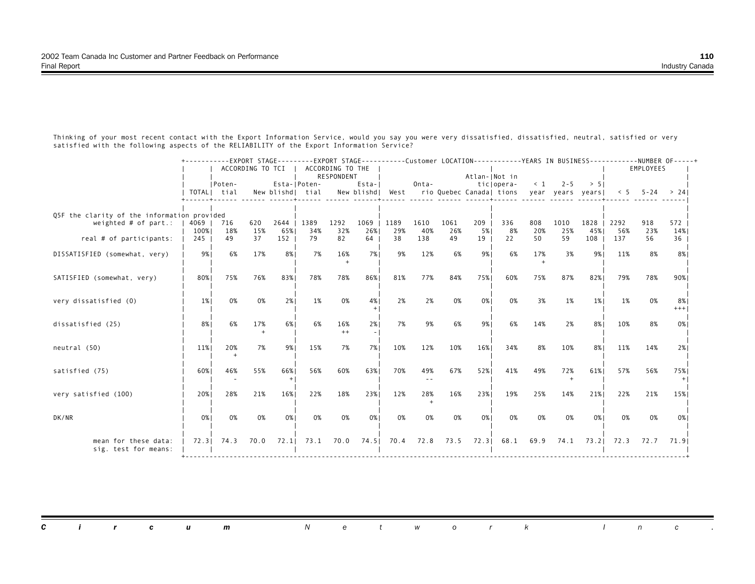|                                                                       |             | +----------EXPORT STAGE--------EXPORT STAGE----------Customer LOCATION-----------YEARS IN BUSINESS-----------NUMBER OF-----+ | ACCORDING TO TCI |            |                                  | ACCORDING TO THE<br>RESPONDENT |           |                          |            |           | Atlan- Not in |                                                         |           |                     |            |            | EMPLOYEES        |               |
|-----------------------------------------------------------------------|-------------|------------------------------------------------------------------------------------------------------------------------------|------------------|------------|----------------------------------|--------------------------------|-----------|--------------------------|------------|-----------|---------------|---------------------------------------------------------|-----------|---------------------|------------|------------|------------------|---------------|
|                                                                       |             | Poten-<br>TOTAL  tial                                                                                                        |                  |            | Esta- Poten-<br>New blishd  tial |                                | Esta-I    | New blishd  West         | Onta-      |           |               | ticlopera-<br>rio Quebec Canada  tions year years years |           | $< 1$ 2-5           | > 51       |            | $< 5$ 5-24 > 241 |               |
| Q5F the clarity of the information provided<br>weighted $#$ of part.: | 4069        | 716                                                                                                                          | 620              | 2644       | 1389                             | 1292                           | 1069      | 1189                     | 1610       | 1061      | 209           | 336                                                     | 808       | 1010                | 1828       | 2292       | 918              | 572           |
| real # of participants:                                               | 100%<br>245 | 18%<br>49                                                                                                                    | 15%<br>37        | 65%<br>152 | 34%<br>79                        | 32%<br>82                      | 26%<br>64 | 29%<br>38                | 40%<br>138 | 26%<br>49 | 5% 1<br>19    | 8%<br>22                                                | 20%<br>50 | 25%<br>59           | 45%<br>108 | 56%<br>137 | 23%<br>56        | 14%<br>36 I   |
| DISSATISFIED (somewhat, very)                                         | 9%          | 6%                                                                                                                           | 17%              | 8%         | 7%                               | 16%                            | 7%        | 9%                       | 12%        | 6%        | 9%            | 6%                                                      | 17%       | 3%                  | 9%         | 11%        | 8%               | 8%            |
| SATISFIED (somewhat, very)                                            | 80%         | 75%                                                                                                                          | 76%              | 83%1       | 78%                              | 78%                            | 86%       | 81%                      | 77%        | 84%       | 75%           | 60%                                                     | 75%       | 87%                 | 82%        | 79%        | 78%              | 90%           |
| very dissatisfied (0)                                                 | $1\%$       | 0%                                                                                                                           | 0%               | 2%1        | 1%                               | 0%                             | 4%        | 2%                       | 2%         | 0%        | 0%            | 0%                                                      | 3%        | 1%                  | $1\%$      | 1%         | 0%               | 8%  <br>$+++$ |
| dissatisfied (25)                                                     | 8%          | 6%                                                                                                                           | 17%              | 6%         | 6%                               | 16%<br>$++$                    | 2%1       | 7%                       | 9%         | 6%        | 9%            | 6%                                                      | 14%       | 2%                  | 8%         | 10%        | 8%               | 0%            |
| neutral (50)                                                          | 11%         | 20%<br>$+$                                                                                                                   | 7%               | 9%         | 15%                              | 7%                             | 7%        | 10%                      | 12%        | 10%       | 16%           | 34%                                                     | 8%        | 10%                 | 8%         | 11%        | 14%              | 2%1           |
| satisfied (75)                                                        | 60%         | 46%                                                                                                                          | 55%              | 66%        | 56%                              | 60%                            | 63%       | 70%                      | 49%        | 67%       | 52%           | 41%                                                     | 49%       | 72%                 | 61%        | 57%        | 56%              | 75%           |
| very satisfied (100)                                                  | 20%         | 28%                                                                                                                          | 21%              | 16%        | 22%                              | 18%                            | 23%       | 12%                      | 28%        | 16%       | 23%           | 19%                                                     | 25%       | 14%                 | 21%        | 22%        | 21%              | 15%           |
| DK/NR                                                                 | 0%          | 0%                                                                                                                           | 0%               | 0%         | 0%                               | 0%                             | 0%        | 0%                       | 0%         | 0%        | 0%            | 0%                                                      | 0%        | 0%                  | 0%         | 0%         | 0%               | 0%            |
| mean for these data:<br>sig. test for means:                          |             | 72.31 74.3                                                                                                                   |                  |            | 70.0 72.1 73.1                   |                                |           | 70.0 74.5 70.4 72.8 73.5 |            |           | 72.3          | 68.1                                                    |           | 69.9 74.1 73.2 72.3 |            |            | 72.7             | 71.91         |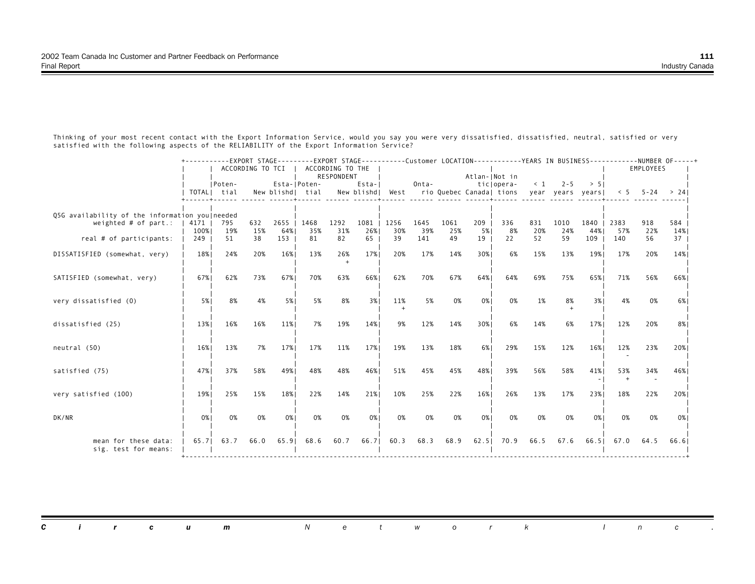|                                                                          |                | +-----------EXPORT STAGE--------EXPORT STAGE----------Customer LOCATION-----------YEARS IN BUSINESS-----------NUMBER OF-----+ |            | ACCORDING TO TCI I |                                  | ACCORDING TO THE |             |                  |             |             |               |                                                                            |            |             |             |             | EMPLOYEES  |            |  |
|--------------------------------------------------------------------------|----------------|-------------------------------------------------------------------------------------------------------------------------------|------------|--------------------|----------------------------------|------------------|-------------|------------------|-------------|-------------|---------------|----------------------------------------------------------------------------|------------|-------------|-------------|-------------|------------|------------|--|
|                                                                          |                | IPoten-<br>TOTAL  tial                                                                                                        |            |                    | Esta- Poten-<br>New blishd  tial | RESPONDENT       | Esta-I      | New blishd  West | Onta-       |             | Atlan- Not in | ticlopera-<br>rio Quebec Canada  tions year years years  $\leq$ 5 -24 > 24 |            | $< 1$ 2-5   | > 51        |             |            |            |  |
| Q5G availability of the information you needed<br>weighted $#$ of part.: | 4171  <br>100% | 795<br>19%                                                                                                                    | 632<br>15% | $2655$  <br>64%    | 1468<br>35%                      | 1292<br>31%      | 1081<br>26% | 1256<br>30%      | 1645<br>39% | 1061<br>25% | 209<br>5%     | 336<br>8%                                                                  | 831<br>20% | 1010<br>24% | 1840<br>44% | 2383<br>57% | 918<br>22% | 584<br>14% |  |
| real # of participants:                                                  | 249            | 51                                                                                                                            | 38         | 153                | 81                               | 82               | 65          | 39               | 141         | 49          | 19            | 22                                                                         | 52         | 59          | 109         | 140         | 56         | 37         |  |
| DISSATISFIED (somewhat, very)                                            | 18%            | 24%                                                                                                                           | 20%        | 16%                | 13%                              | 26%              | 17%         | 20%              | 17%         | 14%         | 30%           | 6%                                                                         | 15%        | 13%         | 19%         | 17%         | 20%        | 14%        |  |
| SATISFIED (somewhat, very)                                               | 67%            | 62%                                                                                                                           | 73%        | 67%                | 70%                              | 63%              | 66%         | 62%              | 70%         | 67%         | 64%           | 64%                                                                        | 69%        | 75%         | 65%         | 71%         | 56%        | 66%        |  |
| very dissatisfied (0)                                                    | 5%             | 8%                                                                                                                            | 4%         | 5%                 | 5%                               | 8%               | 3%          | 11%              | 5%          | 0%          | 0%            | 0%                                                                         | 1%         | 8%          | 3%          | 4%          | 0%         | 6%         |  |
| dissatisfied (25)                                                        | 13%            | 16%                                                                                                                           | 16%        | 11%                | 7%                               | 19%              | 14%         | 9%               | 12%         | 14%         | 30%           | 6%                                                                         | 14%        | 6%          | 17%         | 12%         | 20%        | 8%         |  |
| neutral (50)                                                             | 16%            | 13%                                                                                                                           | 7%         | 17%                | 17%                              | 11%              | 17%         | 19%              | 13%         | 18%         | 6%            | 29%                                                                        | 15%        | 12%         | 16%         | 12%         | 23%        | 20%        |  |
| satisfied (75)                                                           | 47%            | 37%                                                                                                                           | 58%        | 49%                | 48%                              | 48%              | 46%         | 51%              | 45%         | 45%         | 48%           | 39%                                                                        | 56%        | 58%         | 41%         | 53%         | 34%        | 46%        |  |
| very satisfied (100)                                                     | 19%            | 25%                                                                                                                           | 15%        | 18%                | 22%                              | 14%              | 21%         | 10%              | 25%         | 22%         | 16%           | 26%                                                                        | 13%        | 17%         | 23%         | 18%         | 22%        | 20%        |  |
| DK/NR                                                                    | 0%             | 0%                                                                                                                            | 0%         | 0%                 | 0%                               | 0%               | 0%          | 0%               | 0%          | 0%          | 0%            | 0%                                                                         | 0%         | 0%          | 0%          | 0%          | 0%         | 0%         |  |
| mean for these data:<br>sig. test for means:                             | 65.71          | 63.7                                                                                                                          | 66.0       | 65.91              | 68.6                             | 60.7             | 66.71       | 60.3             | 68.3        | 68.9        | 62.51         | 70.9                                                                       | 66.5       | 67.6        | 66.51       | 67.0        | 64.5       | 66.61      |  |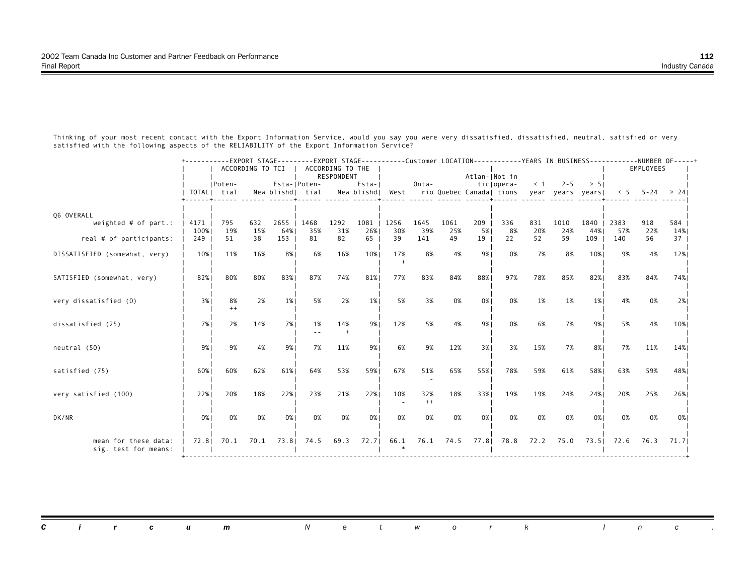|                                              |             | +----------EXPORT STAGE--------EXPORT STAGE----------Customer LOCATION-----------YEARS IN BUSINESS-----------NUMBER OF-----+ | ACCORDING TO TCI |             |                                  | ACCORDING TO THE<br>RESPONDENT |           |                  |                |           | Atlan- Not in |                                                         |           |           |            |                     | EMPLOYEES        |                         |
|----------------------------------------------|-------------|------------------------------------------------------------------------------------------------------------------------------|------------------|-------------|----------------------------------|--------------------------------|-----------|------------------|----------------|-----------|---------------|---------------------------------------------------------|-----------|-----------|------------|---------------------|------------------|-------------------------|
|                                              |             | Poten-<br>TOTAL  tial                                                                                                        |                  |             | Esta- Poten-<br>New blishd  tial |                                | Esta-I    | New blishd  West | Onta-          |           |               | ticlopera-<br>rio Quebec Canada  tions year years years |           | $< 1$ 2-5 | > 51       |                     | $< 5$ 5-24 > 241 |                         |
| Q6 OVERALL<br>weighted $#$ of part.:         | 4171        | 795                                                                                                                          | 632              | 2655   1468 |                                  | 1292                           | 1081      | 1256             | 1645           | 1061      | 209           | 336                                                     | 831       | 1010      | 1840       | 2383                | 918              | 584                     |
| real # of participants:                      | 100%<br>249 | 19%<br>51                                                                                                                    | 15%<br>38        | 64%<br>153  | 35%<br>81                        | 31%<br>82                      | 26%<br>65 | 30%<br>39        | 39%<br>141     | 25%<br>49 | 5% 1<br>19    | 8%<br>22                                                | 20%<br>52 | 24%<br>59 | 44%<br>109 | 57%<br>140          | 22%<br>56        | 14% <br>37 <sup>2</sup> |
| DISSATISFIED (somewhat, very)                | 10%         | 11%                                                                                                                          | 16%              | 8%          | 6%                               | 16%                            | 10%       | 17%              | 8%             | 4%        | 9%            | 0%                                                      | 7%        | 8%        | 10%        | 9%                  | 4%               | 12%                     |
| SATISFIED (somewhat, very)                   | 82%         | 80%                                                                                                                          | 80%              | 83%1        | 87%                              | 74%                            | 81%       | 77%              | 83%            | 84%       | 88%           | 97%                                                     | 78%       | 85%       | 82%        | 83%                 | 84%              | 74%                     |
| very dissatisfied (0)                        | 3%          | 8%<br>$++$                                                                                                                   | 2%               | $1\%$       | 5%                               | 2%                             | 1%        | 5%               | 3%             | 0%        | 0%            | 0%                                                      | 1%        | 1%        | $1\%$      | 4%                  | 0%               | 2%1                     |
| dissatisfied (25)                            | 7%          | 2%                                                                                                                           | 14%              | 7%          | 1%                               | 14%                            | 9%        | 12%              | 5%             | 4%        | 9%            | 0%                                                      | 6%        | 7%        | 9%         | 5%                  | 4%               | 10%                     |
| neutral (50)                                 | 9%          | 9%                                                                                                                           | 4%               | 9%          | 7%                               | 11%                            | 9%        | 6%               | 9%             | 12%       | 3%            | 3%                                                      | 15%       | 7%        | 8%         | 7%                  | 11%              | 14%                     |
| satisfied (75)                               | 60%1        | 60%                                                                                                                          | 62%              | 61%         | 64%                              | 53%                            | 59%       | 67%              | 51%            | 65%       | 55%           | 78%                                                     | 59%       | 61%       | 58%        | 63%                 | 59%              | 48%                     |
| very satisfied (100)                         | 22%         | 20%                                                                                                                          | 18%              | 22%         | 23%                              | 21%                            | 22%       | 10%              | 32%<br>$^{++}$ | 18%       | 33%           | 19%                                                     | 19%       | 24%       | 24%        | 20%                 | 25%              | 26%                     |
| DK/NR                                        | 0%          | 0%                                                                                                                           | 0%               | 0%          | 0%                               | 0%                             | 0%        | 0%               | 0%             | 0%        | 0%            | 0%                                                      | 0%        | 0%        | 0%         | 0%                  | 0%               | 0%                      |
| mean for these data:<br>sig. test for means: | 72.81       | 70.1                                                                                                                         |                  |             | 70.1 73.8 74.5                   |                                |           | 69.3 72.7 66.1   |                |           |               | 76.1 74.5 77.8 78.8                                     |           |           |            | 72.2 75.0 73.5 72.6 | 76.3             | 71.71                   |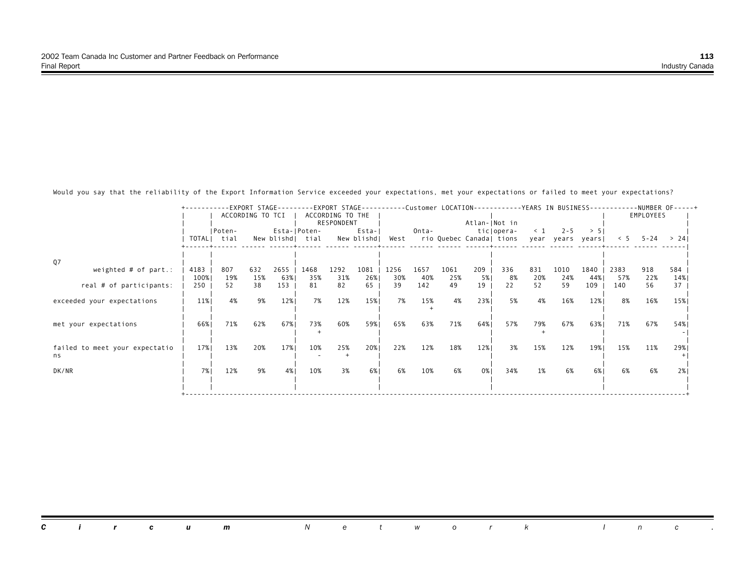Would you say that the reliability of the Export Information Service exceeded your expectations, met your expectations or failed to meet your expectations?

|                                |      |             |                  |      |                  |                  |            |      |       |      |               |                          |          |                  |      |      |                   | --EXPORT STAGE---------EXPORT STAGE----------Customer LOCATION-----------YEARS IN BUSINESS-----------NUMBER OF-----+ |
|--------------------------------|------|-------------|------------------|------|------------------|------------------|------------|------|-------|------|---------------|--------------------------|----------|------------------|------|------|-------------------|----------------------------------------------------------------------------------------------------------------------|
|                                |      |             | ACCORDING TO TCI |      |                  | ACCORDING TO THE |            |      |       |      |               |                          |          |                  |      |      | EMPLOYEES         |                                                                                                                      |
|                                |      |             |                  |      |                  | RESPONDENT       |            |      |       |      | Atlan- Not in |                          |          |                  |      |      |                   |                                                                                                                      |
|                                |      | Poten-      |                  |      | Esta- Poten-     |                  | Esta-l     |      | Onta- |      |               | ticlopera-               | $\leq$ 1 | $2 - 5$          | > 51 |      |                   |                                                                                                                      |
|                                |      | TOTALI tial |                  |      | New blishd  tial |                  | New blishd | West |       |      |               | rio Quebec Canada  tions |          | year years years |      |      | $5 - 5 - 24$ > 24 |                                                                                                                      |
|                                |      |             |                  |      |                  |                  |            |      |       |      |               |                          |          |                  |      |      |                   |                                                                                                                      |
|                                |      |             |                  |      |                  |                  |            |      |       |      |               |                          |          |                  |      |      |                   |                                                                                                                      |
| Q7<br>weighted $#$ of part.:   | 4183 | 807         | 632              | 2655 | 1468             | 1292             | 1081       | 1256 | 1657  | 1061 | 209           | 336                      | 831      | 1010             | 1840 | 2383 | 918               | 584                                                                                                                  |
|                                | 100% | 19%         | 15%              | 63%  | 35%              | 31%              | 26%        | 30%  | 40%   | 25%  | 5%            | 8%                       | 20%      | 24%              | 44%  | 57%  | 22%               | 14%                                                                                                                  |
| real # of participants:        | 250  | 52          | 38               | 153  | 81               | 82               | 65         | 39   | 142   | 49   | 19            | 22                       | 52       | 59               | 109  | 140  | 56                | 37                                                                                                                   |
|                                |      |             |                  |      |                  |                  |            |      |       |      |               |                          |          |                  |      |      |                   |                                                                                                                      |
| exceeded your expectations     | 11%  | 4%          | 9%               | 12%  | 7%               | 12%              | 15%        | 7%   | 15%   | 4%   | 23%           | 5%                       | 4%       | 16%              | 12%  | 8%   | 16%               | 15%                                                                                                                  |
|                                |      |             |                  |      |                  |                  |            |      |       |      |               |                          |          |                  |      |      |                   |                                                                                                                      |
|                                |      |             |                  |      |                  |                  |            |      |       |      |               |                          |          |                  |      |      |                   |                                                                                                                      |
| met your expectations          | 66%  | 71%         | 62%              | 67%  | 73%              | 60%              | 59%        | 65%  | 63%   | 71%  | 64%           | 57%                      | 79%      | 67%              | 63%  | 71%  | 67%               | 54%                                                                                                                  |
|                                |      |             |                  |      |                  |                  |            |      |       |      |               |                          |          |                  |      |      |                   |                                                                                                                      |
|                                |      |             |                  |      |                  |                  |            |      |       |      |               |                          |          |                  |      |      |                   |                                                                                                                      |
| failed to meet your expectatio | 17%  | 13%         | 20%              | 17%  | 10%              | 25%              | 20%        | 22%  | 12%   | 18%  | 12%           | 3%                       | 15%      | 12%              | 19%  | 15%  | 11%               | 29%                                                                                                                  |
| ns                             |      |             |                  |      |                  |                  |            |      |       |      |               |                          |          |                  |      |      |                   |                                                                                                                      |
|                                |      |             |                  |      |                  |                  |            |      |       |      |               |                          |          |                  |      |      |                   |                                                                                                                      |
| DK/NR                          | 7%   | 12%         | 9%               | 4%   | 10%              | 3%               | 6%         | 6%   | 10%   | 6%   | 0% I          | 34%                      | 1%       | 6%               | 6%   | 6%   | 6%                | 2%                                                                                                                   |
|                                |      |             |                  |      |                  |                  |            |      |       |      |               |                          |          |                  |      |      |                   |                                                                                                                      |
|                                |      |             |                  |      |                  |                  |            |      |       |      |               |                          |          |                  |      |      |                   |                                                                                                                      |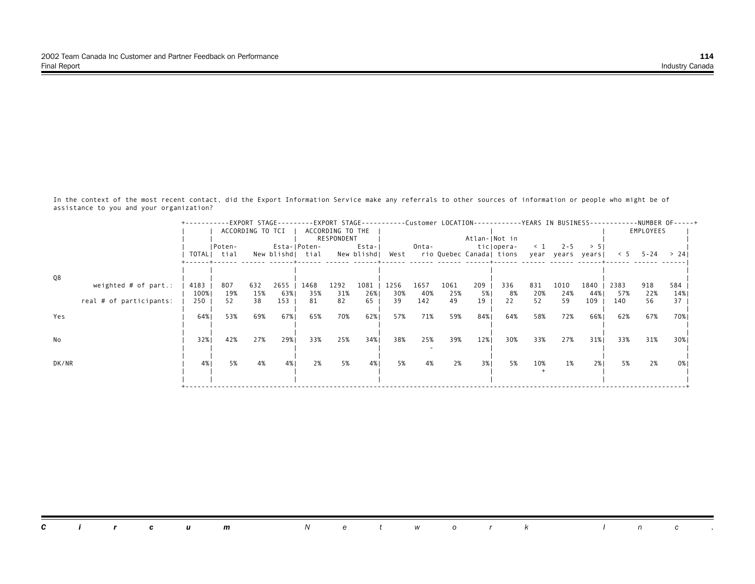In the context of the most recent contact, did the Export Information Service make any referrals to other sources of information or people who might be of assistance to you and your organization?

|                         | +--------    |                       |                  |             |                                  |                                |                     |             |             |             |               |                                        |            |                             |             |             |            | -EXPORT STAGE---------EXPORT STAGE----------Customer LOCATION-----------YEARS IN BUSINESS-----------NUMBER OF-----+ |  |
|-------------------------|--------------|-----------------------|------------------|-------------|----------------------------------|--------------------------------|---------------------|-------------|-------------|-------------|---------------|----------------------------------------|------------|-----------------------------|-------------|-------------|------------|---------------------------------------------------------------------------------------------------------------------|--|
|                         |              |                       | ACCORDING TO TCI |             |                                  | ACCORDING TO THE<br>RESPONDENT |                     |             |             |             | Atlan- Not in |                                        |            |                             |             |             | EMPLOYEES  |                                                                                                                     |  |
|                         |              | Poten-<br>TOTALI tial |                  |             | Esta- Poten-<br>New blishd  tial |                                | Esta-<br>New blishd | West        | Onta-       |             |               | tic opera-<br>rio Quebec Canada  tions | $\leq 1$   | $2 - 5$<br>year years years | > 51        | < 5         |            | $5 - 24$ > 24                                                                                                       |  |
|                         |              |                       |                  |             |                                  |                                |                     |             |             |             |               |                                        |            |                             |             |             |            |                                                                                                                     |  |
| Q8                      |              |                       |                  |             |                                  |                                |                     |             |             |             |               |                                        |            |                             |             |             |            |                                                                                                                     |  |
| weighted $#$ of part.:  | 4183<br>100% | 807<br>19%            | 632<br>15%       | 2655<br>63% | 1468<br>35%                      | 1292<br>31%                    | 1081<br>26%         | 1256<br>30% | 1657<br>40% | 1061<br>25% | 209<br>5%     | 336<br>8%                              | 831<br>20% | 1010<br>24%                 | 1840<br>44% | 2383<br>57% | 918<br>22% | 584<br>14%                                                                                                          |  |
| real # of participants: | 250          | 52                    | 38               | 153         | 81                               | 82                             | 65                  | 39          | 142         | 49          | 19            | 22                                     | 52         | 59                          | 109         | 140         | 56         | 37                                                                                                                  |  |
| Yes                     | 64%          | 53%                   | 69%              | 67%         | 65%                              | 70%                            | 62%                 | 57%         | 71%         | 59%         | 84%           | 64%                                    | 58%        | 72%                         | 66%         | 62%         | 67%        | 70%                                                                                                                 |  |
|                         |              |                       |                  |             |                                  |                                |                     |             |             |             |               |                                        |            |                             |             |             |            |                                                                                                                     |  |
| No                      | 32%          | 42%                   | 27%              | 29%         | 33%                              | 25%                            | 34%                 | 38%         | 25%         | 39%         | 12%           | 30%                                    | 33%        | 27%                         | 31%         | 33%         | 31%        | 30%                                                                                                                 |  |
|                         |              |                       |                  |             |                                  |                                |                     |             |             |             |               |                                        |            |                             |             |             |            |                                                                                                                     |  |
| DK/NR                   | 4%           | 5%                    | 4%               | 4%          | 2%                               | 5%                             | 4%                  | 5%          | 4%          | 2%          | 3%            | 5%                                     | 10%        | 1%                          | 2% 1        | 5%          | 2%         | 0% I                                                                                                                |  |
|                         |              |                       |                  |             |                                  |                                |                     |             |             |             |               |                                        |            |                             |             |             |            |                                                                                                                     |  |
|                         |              |                       |                  |             |                                  |                                |                     |             |             |             |               |                                        |            |                             |             |             |            |                                                                                                                     |  |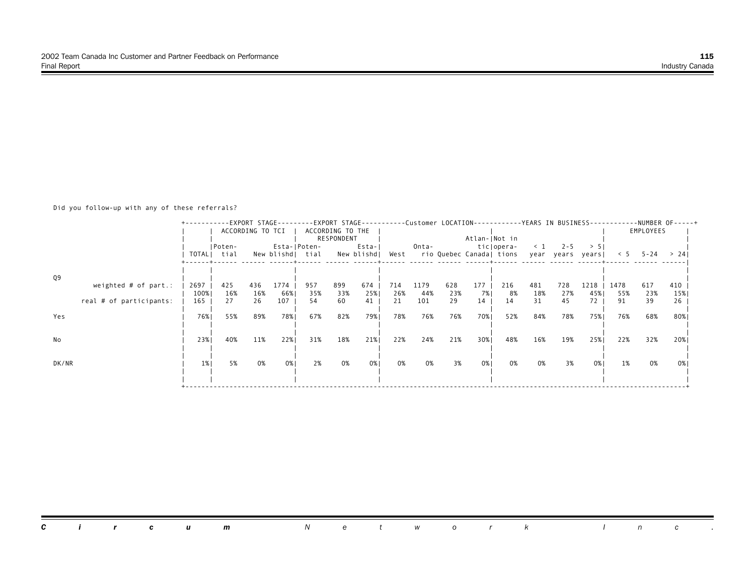Did you follow-up with any of these referrals?

|                              | +--------- |             |                  |      |                  |                  |            |      |       |     |                          |            |          |                  |      |      |           | -EXPORT STAGE--------EXPORT STAGE----------Customer LOCATION----------YEARS IN BUSINESS-----------NUMBER OF-----+ |
|------------------------------|------------|-------------|------------------|------|------------------|------------------|------------|------|-------|-----|--------------------------|------------|----------|------------------|------|------|-----------|-------------------------------------------------------------------------------------------------------------------|
|                              |            |             | ACCORDING TO TCI |      |                  | ACCORDING TO THE |            |      |       |     |                          |            |          |                  |      |      | EMPLOYEES |                                                                                                                   |
|                              |            |             |                  |      |                  | RESPONDENT       |            |      |       |     | Atlan- Not in            |            |          |                  |      |      |           |                                                                                                                   |
|                              |            | Poten-      |                  |      | Esta- Poten-     |                  | $Esta-$    |      | Onta- |     |                          | tic opera- | $\leq 1$ | $2 - 5$          | > 51 |      |           |                                                                                                                   |
|                              |            | TOTAL  tial |                  |      | New blishd  tial |                  | New blishd | West |       |     | rio Quebec Canada  tions |            |          | year years years |      | < 5  | 5 - 24    | $> 24$                                                                                                            |
|                              |            |             |                  |      |                  |                  |            |      |       |     |                          |            |          |                  |      |      |           |                                                                                                                   |
|                              |            |             |                  |      |                  |                  |            |      |       |     |                          |            |          |                  |      |      |           |                                                                                                                   |
| Q9<br>weighted $#$ of part.: | 2697       | 425         | 436              | 1774 | 957              | 899              | 674        | 714  | 1179  | 628 | 177                      | 216        | 481      | 728              | 1218 | 1478 | 617       | 410                                                                                                               |
|                              | 100%       | 16%         | 16%              | 66%  | 35%              | 33%              | 25%        | 26%  | 44%   | 23% | 7%                       | 8%         | 18%      | 27%              | 45%  | 55%  | 23%       | 15%                                                                                                               |
| real # of participants:      | 165        | 27          | 26               | 107  | 54               | 60               | 41         | 21   | 101   | 29  | 14                       | 14         | 31       | 45               | 72   | 91   | 39        | 26                                                                                                                |
|                              |            |             |                  |      |                  |                  |            |      |       |     |                          |            |          |                  |      |      |           |                                                                                                                   |
| Yes                          | 76%        | 55%         | 89%              | 78%  | 67%              | 82%              | 79%        | 78%  | 76%   | 76% | 70%                      | 52%        | 84%      | 78%              | 75%  | 76%  | 68%       | 80%।                                                                                                              |
|                              |            |             |                  |      |                  |                  |            |      |       |     |                          |            |          |                  |      |      |           |                                                                                                                   |
|                              |            |             |                  |      |                  |                  |            |      |       |     |                          |            |          |                  |      |      |           |                                                                                                                   |
| No                           | 23%        | 40%         | 11%              | 22%  | 31%              | 18%              | 21%        | 22%  | 24%   | 21% | 30%                      | 48%        | 16%      | 19%              | 25%  | 22%  | 32%       | 20%                                                                                                               |
|                              |            |             |                  |      |                  |                  |            |      |       |     |                          |            |          |                  |      |      |           |                                                                                                                   |
|                              |            |             |                  |      |                  |                  |            |      |       |     |                          |            |          |                  |      |      |           |                                                                                                                   |
| DK/NR                        | $1\%$      | 5%          | 0%               | 0%   | 2%               | 0%               | 0%         | 0%   | 0%    | 3%  | 0%                       | 0%         | 0%       | 3%               | 0%   | 1%   | 0%        | 0% I                                                                                                              |
|                              |            |             |                  |      |                  |                  |            |      |       |     |                          |            |          |                  |      |      |           |                                                                                                                   |
|                              |            |             |                  |      |                  |                  |            |      |       |     |                          |            |          |                  |      |      |           |                                                                                                                   |
|                              |            |             |                  |      |                  |                  |            |      |       |     |                          |            |          |                  |      |      |           |                                                                                                                   |

*Circum Network Inc.* $\sim 10$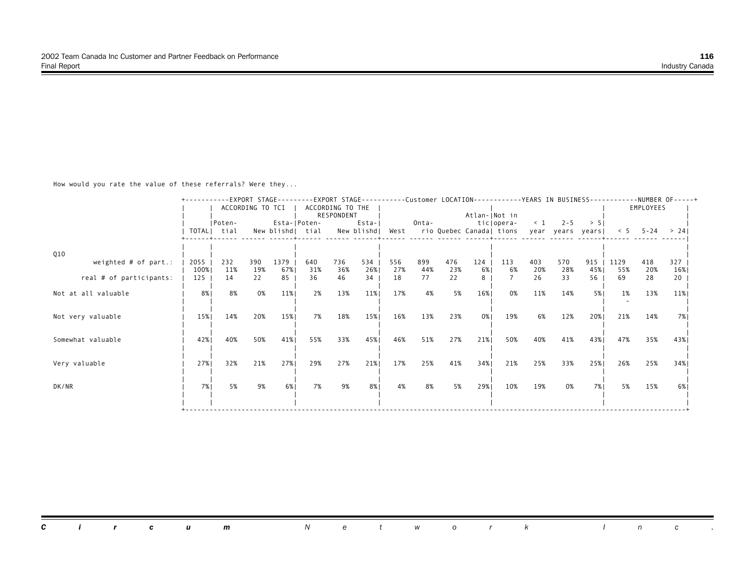How would you rate the value of these referrals? Were they...

|                         |      | +-----------EXPORT STAGE---------EXPORT STAGE----------Customer LOCATION-----------YEARS IN BUSINESS------------NUMBER OF-----+ |                  |      |                                   |                  |        |     |       |     |               |                                                               |                     |         |      |      |           |      |  |
|-------------------------|------|---------------------------------------------------------------------------------------------------------------------------------|------------------|------|-----------------------------------|------------------|--------|-----|-------|-----|---------------|---------------------------------------------------------------|---------------------|---------|------|------|-----------|------|--|
|                         |      |                                                                                                                                 | ACCORDING TO TCI |      |                                   | ACCORDING TO THE |        |     |       |     |               |                                                               |                     |         |      |      | EMPLOYEES |      |  |
|                         |      |                                                                                                                                 |                  |      |                                   | RESPONDENT       |        |     |       |     | Atlan- Not in |                                                               |                     |         |      |      |           |      |  |
|                         |      | IPoten-                                                                                                                         |                  |      | Esta-IPoten-                      |                  | Esta-I |     | Onta- |     |               | ticlopera-                                                    | $\langle 1 \rangle$ | $2 - 5$ | > 51 |      |           |      |  |
|                         |      | TOTALI tial                                                                                                                     |                  |      | New blishd  tial New blishd  West |                  |        |     |       |     |               | rio Quebec Canada  tions year years years  $\leq$ 5 5-24 > 24 |                     |         |      |      |           |      |  |
|                         |      |                                                                                                                                 |                  |      |                                   |                  |        |     |       |     |               |                                                               |                     |         |      |      |           |      |  |
|                         |      |                                                                                                                                 |                  |      |                                   |                  |        |     |       |     |               |                                                               |                     |         |      |      |           |      |  |
| Q10                     |      |                                                                                                                                 |                  |      |                                   |                  |        |     |       |     |               |                                                               |                     |         |      |      |           |      |  |
| weighted $#$ of part.:  | 2055 | 232                                                                                                                             | 390              | 1379 | 640                               | 736              | 534    | 556 | 899   | 476 | 124           | 113                                                           | 403                 | 570     | 915  | 1129 | 418       | 327  |  |
|                         | 100% | 11%                                                                                                                             | 19%              | 67%  | 31%                               | 36%              | 26%    | 27% | 44%   | 23% | 6%            | 6%                                                            | 20%                 | 28%     | 45%  | 55%  | 20%       | 16%  |  |
| real # of participants: | 125  | 14                                                                                                                              | 22               | 85   | 36                                | 46               | 34     | 18  | 77    | 22  | 8             |                                                               | 26                  | 33      | 56   | 69   | 28        | 20   |  |
|                         |      |                                                                                                                                 |                  |      |                                   |                  |        |     |       |     |               |                                                               |                     |         |      |      |           |      |  |
|                         |      |                                                                                                                                 |                  |      |                                   |                  |        |     |       |     |               |                                                               |                     |         |      |      |           |      |  |
| Not at all valuable     | 8%   | 8%                                                                                                                              | 0%               | 11%  | 2%                                | 13%              | 11%    | 17% | 4%    | 5%  | 16%           | 0%                                                            | 11%                 | 14%     | 5%   | 1%   | 13%       | 11%  |  |
|                         |      |                                                                                                                                 |                  |      |                                   |                  |        |     |       |     |               |                                                               |                     |         |      |      |           |      |  |
|                         |      |                                                                                                                                 |                  |      |                                   |                  |        |     |       |     |               |                                                               |                     |         |      |      |           |      |  |
| Not very valuable       | 15%  | 14%                                                                                                                             | 20%              | 15%  | 7%                                | 18%              | 15%    | 16% | 13%   | 23% | 0%            | 19%                                                           | 6%                  | 12%     | 20%  | 21%  | 14%       | 7% I |  |
|                         |      |                                                                                                                                 |                  |      |                                   |                  |        |     |       |     |               |                                                               |                     |         |      |      |           |      |  |
|                         |      |                                                                                                                                 |                  |      |                                   |                  |        |     |       |     |               |                                                               |                     |         |      |      |           |      |  |
| Somewhat valuable       | 42%  | 40%                                                                                                                             | 50%              | 41%  | 55%                               | 33%              | 45%    | 46% | 51%   | 27% | 21%           | 50%                                                           | 40%                 | 41%     | 43%  | 47%  | 35%       | 43%  |  |
|                         |      |                                                                                                                                 |                  |      |                                   |                  |        |     |       |     |               |                                                               |                     |         |      |      |           |      |  |
|                         |      |                                                                                                                                 |                  |      |                                   |                  |        |     |       |     |               |                                                               |                     |         |      |      |           |      |  |
| Very valuable           | 27%  | 32%                                                                                                                             | 21%              | 27%  | 29%                               | 27%              | 21%    | 17% | 25%   | 41% | 34%           | 21%                                                           | 25%                 | 33%     | 25%  | 26%  | 25%       | 34%  |  |
|                         |      |                                                                                                                                 |                  |      |                                   |                  |        |     |       |     |               |                                                               |                     |         |      |      |           |      |  |
|                         |      |                                                                                                                                 |                  |      |                                   |                  |        |     |       |     |               |                                                               |                     |         |      |      |           |      |  |
| DK/NR                   | 7%   | 5%                                                                                                                              | 9%               | 6%   | 7%                                | 9%               | 8%     | 4%  | 8%    | 5%  | 29%           | 10%                                                           | 19%                 | 0%      | 7% I | 5%   | 15%       | 6% 1 |  |
|                         |      |                                                                                                                                 |                  |      |                                   |                  |        |     |       |     |               |                                                               |                     |         |      |      |           |      |  |
|                         |      |                                                                                                                                 |                  |      |                                   |                  |        |     |       |     |               |                                                               |                     |         |      |      |           |      |  |
|                         |      |                                                                                                                                 |                  |      |                                   |                  |        |     |       |     |               |                                                               |                     |         |      |      |           |      |  |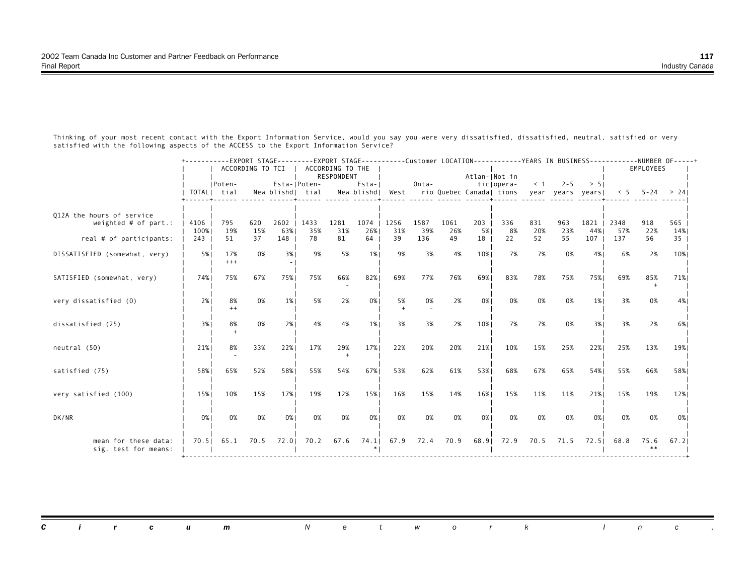|                                                     |              | +-----------EXPORT STAGE---------EXPORT STAGE----------Customer LOCATION-----------YEARS IN BUSINESS-----------NUMBER OF-----+ | ACCORDING TO TCI |             |                                  | ACCORDING TO THE |                       |                          |             |             |               |                                                         |            |                     |             |             | EMPLOYEES     |                 |
|-----------------------------------------------------|--------------|--------------------------------------------------------------------------------------------------------------------------------|------------------|-------------|----------------------------------|------------------|-----------------------|--------------------------|-------------|-------------|---------------|---------------------------------------------------------|------------|---------------------|-------------|-------------|---------------|-----------------|
|                                                     |              | IPoten-<br>TOTAL  tial                                                                                                         |                  |             | Esta- Poten-<br>New blishd  tial | RESPONDENT       | Esta-I<br>New blishd! | West                     | Onta-       |             | Atlan- Not in | ticlopera-<br>rio Quebec Canadal tions year years years | $\leq 1$   | $2 - 5$             | > 51        |             | $5 - 24 > 24$ |                 |
| Q12A the hours of service<br>weighted $#$ of part.: | 4106<br>100% | 795<br>19%                                                                                                                     | 620<br>15%       | 2602<br>63% | 1433<br>35%                      | 1281<br>31%      | 1074<br>26%           | 1256<br>31%              | 1587<br>39% | 1061<br>26% | 203<br>5%     | 336<br>8%                                               | 831<br>20% | 963<br>23%          | 1821<br>44% | 2348<br>57% | 918<br>22%    | 565<br>14%      |
| real # of participants:                             | 243          | 51                                                                                                                             | 37               | 148         | 78                               | 81               | 64                    | 39                       | 136         | 49          | 18            | 22                                                      | 52         | 55                  | 107         | 137         | 56            | 35 <sup>2</sup> |
| DISSATISFIED (somewhat, very)                       | 5%           | 17%<br>$+++$                                                                                                                   | 0%               | 3%          | 9%                               | 5%               | $1\%$                 | 9%                       | 3%          | 4%          | 10%           | 7%                                                      | 7%         | 0%                  | 4%          | 6%          | 2%            | 10%             |
| SATISFIED (somewhat, very)                          | 74%          | 75%                                                                                                                            | 67%              | 75%         | 75%                              | 66%              | 82%                   | 69%                      | 77%         | 76%         | 69%           | 83%                                                     | 78%        | 75%                 | 75%         | 69%         | 85%           | 71%             |
| very dissatisfied (0)                               | 2%1          | 8%<br>$++$                                                                                                                     | 0%               | 1%          | 5%                               | 2%               | 0%                    | 5%                       | 0%          | 2%          | 0%            | 0%                                                      | 0%         | 0%                  | $1\%$       | 3%          | 0%            | 4%              |
| dissatisfied (25)                                   | 3%           | 8%                                                                                                                             | 0%               | 2%          | 4%                               | 4%               | $1\%$                 | 3%                       | 3%          | 2%          | 10%           | 7%                                                      | 7%         | 0%                  | 3%          | 3%          | 2%            | 6%              |
| neutral (50)                                        | 21%          | 8%                                                                                                                             | 33%              | 22%         | 17%                              | 29%              | 17%                   | 22%                      | 20%         | 20%         | 21%           | 10%                                                     | 15%        | 25%                 | 22%         | 25%         | 13%           | 19%             |
| satisfied (75)                                      | 58%          | 65%                                                                                                                            | 52%              | 58%         | 55%                              | 54%              | 67%                   | 53%                      | 62%         | 61%         | 53%           | 68%                                                     | 67%        | 65%                 | 54%         | 55%         | 66%           | 58%             |
| very satisfied (100)                                | 15%          | 10%                                                                                                                            | 15%              | 17%         | 19%                              | 12%              | 15%                   | 16%                      | 15%         | 14%         | 16%           | 15%                                                     | 11%        | 11%                 | 21%         | 15%         | 19%           | 12%             |
| DK/NR                                               | 0%           | 0%                                                                                                                             | 0%               | 0%          | 0%                               | 0%               | 0%                    | 0%                       | 0%          | 0%          | 0%            | 0%                                                      | 0%         | 0%                  | 0%          | 0%          | 0%            | 0%              |
| mean for these data:<br>sig. test for means:        | 70.51        | 65.1                                                                                                                           |                  |             | 70.5 72.0 70.2                   |                  |                       | 67.6 74.1 67.9 72.4 70.9 |             |             |               | 68.9 72.9                                               |            | 70.5 71.5 72.5 68.8 |             |             | 75.6          | 67.21           |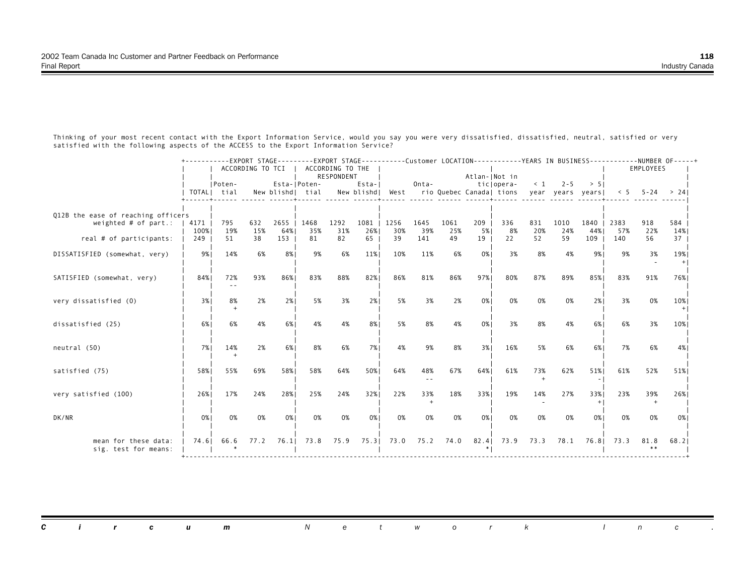|                                                              |             | +----------EXPORT STAGE--------EXPORT STAGE----------Customer LOCATION-----------YEARS IN BUSINESS-----------NUMBER OF-----+ | ACCORDING TO TCI |             |                                  | ACCORDING TO THE<br>RESPONDENT |           |                          |            |           | Atlan- Not in |                                                         |                     |                     |            |            | EMPLOYEES        |           |
|--------------------------------------------------------------|-------------|------------------------------------------------------------------------------------------------------------------------------|------------------|-------------|----------------------------------|--------------------------------|-----------|--------------------------|------------|-----------|---------------|---------------------------------------------------------|---------------------|---------------------|------------|------------|------------------|-----------|
|                                                              |             | Poten-<br>TOTAL  tial                                                                                                        |                  |             | Esta- Poten-<br>New blishd  tial |                                | Esta-I    | New blishd  West         | Onta-      |           |               | ticlopera-<br>rio Quebec Canada  tions year years years | $\langle 1 \rangle$ | $2 - 5$             | > 51       |            | $< 5$ 5-24 > 241 |           |
| Q12B the ease of reaching officers<br>weighted $#$ of part.: | 4171        | 795                                                                                                                          | 632              | 2655   1468 |                                  | 1292                           | 1081      | 1256                     | 1645       | 1061      | 209           | 336                                                     | 831                 | 1010                | 1840       | 2383       | 918              | 584       |
| real # of participants:                                      | 100%<br>249 | 19%<br>51                                                                                                                    | 15%<br>38        | 64%<br>153  | 35%<br>81                        | 31%<br>82                      | 26%<br>65 | 30%<br>39                | 39%<br>141 | 25%<br>49 | 5% 1<br>19    | 8%<br>22                                                | 20%<br>52           | 24%<br>59           | 44%<br>109 | 57%<br>140 | 22%<br>56        | 14%<br>37 |
| DISSATISFIED (somewhat, very)                                | 9%          | 14%                                                                                                                          | 6%               | 8%          | 9%                               | 6%                             | 11%       | 10%                      | 11%        | 6%        | 0%            | 3%                                                      | 8%                  | 4%                  | 9%         | 9%         | 3%               | 19%       |
| SATISFIED (somewhat, very)                                   | 84%         | 72%                                                                                                                          | 93%              | 86%1        | 83%                              | 88%                            | 82%       | 86%                      | 81%        | 86%       | 97%           | 80%                                                     | 87%                 | 89%                 | 85%        | 83%        | 91%              | 76%       |
| very dissatisfied (0)                                        | 3%          | 8%                                                                                                                           | 2%               | 2%          | 5%                               | 3%                             | 2%1       | 5%                       | 3%         | 2%        | 0%            | 0%                                                      | 0%                  | 0%                  | 2%1        | 3%         | 0%               | 10%       |
| dissatisfied (25)                                            | 6%          | 6%                                                                                                                           | 4%               | 6%          | 4%                               | 4%                             | 8%        | 5%                       | 8%         | 4%        | 0%            | 3%                                                      | 8%                  | 4%                  | 6%         | 6%         | 3%               | 10%       |
| neutral (50)                                                 | 7%          | 14%<br>$+$                                                                                                                   | 2%               | 6%          | 8%                               | 6%                             | 7%        | 4%                       | 9%         | 8%        | 3%            | 16%                                                     | 5%                  | 6%                  | 6%         | 7%         | 6%               | 4% I      |
| satisfied (75)                                               | 58%1        | 55%                                                                                                                          | 69%              | 58%         | 58%                              | 64%                            | 50%       | 64%                      | 48%        | 67%       | 64%           | 61%                                                     | 73%                 | 62%                 | 51%        | 61%        | 52%              | 51%       |
| very satisfied (100)                                         | 26%         | 17%                                                                                                                          | 24%              | 28%         | 25%                              | 24%                            | 32%       | 22%                      | 33%        | 18%       | 33%           | 19%                                                     | 14%                 | 27%                 | 33%        | 23%        | 39%              | 26%       |
| DK/NR                                                        | 0%          | 0%                                                                                                                           | 0%               | 0%          | 0%                               | 0%                             | 0%        | 0%                       | 0%         | 0%        | 0%            | 0%                                                      | 0%                  | 0%                  | 0%         | 0%         | 0%               | 0%        |
| mean for these data:<br>sig. test for means:                 | 74.61       | 66.6                                                                                                                         |                  |             | 77.2 76.1 73.8                   |                                |           | 75.9 75.3 73.0 75.2 74.0 |            |           |               | $82.4$ 73.9                                             |                     | 73.3 78.1 76.8 73.3 |            |            | 81.8             | 68.21     |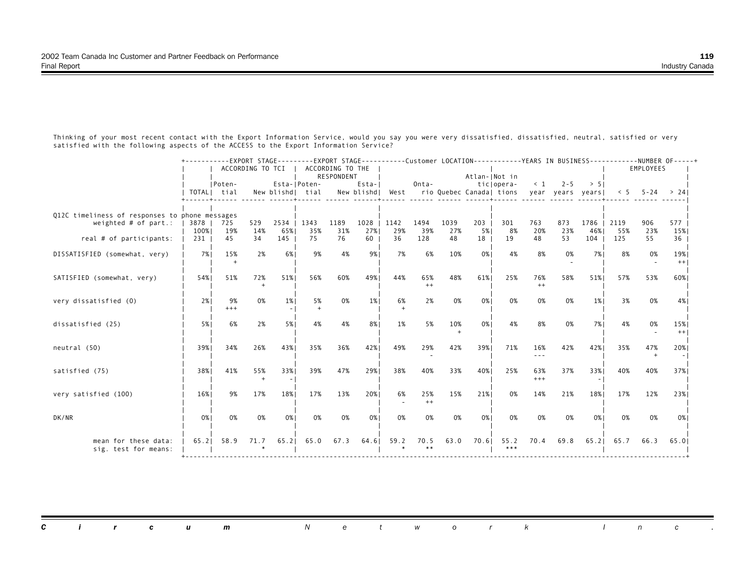|                                                                          |             | +----------EXPORT STAGE--------EXPORT STAGE----------Customer LOCATION-----------YEARS IN BUSINESS-----------NUMBER OF-----+ |           |            | ACCORDING TO TCI   ACCORDING TO THE | RESPONDENT |           |                  |                |           | Atlan- Not in |                                                                 |                |           |            |               | EMPLOYEES |             |
|--------------------------------------------------------------------------|-------------|------------------------------------------------------------------------------------------------------------------------------|-----------|------------|-------------------------------------|------------|-----------|------------------|----------------|-----------|---------------|-----------------------------------------------------------------|----------------|-----------|------------|---------------|-----------|-------------|
|                                                                          |             | Poten-<br>TOTAL  tial                                                                                                        |           |            | Esta- Poten-<br>New blishd  tial    |            | Esta-I    | New blishd  West | Onta-          |           | ticlopera-    | rio Quebec Canada  tions year years years  $\times$ 5 5-24 > 24 |                | $< 1$ 2-5 | > 51       |               |           |             |
| Q12C timeliness of responses to phone messages<br>weighted $#$ of part.: |             | 3878   725                                                                                                                   | 529       | $2534$     | 1343                                | 1189       | 1028      | 1142             | 1494           | 1039      | 203           | 301                                                             | 763            | 873       | 1786       | 2119          | 906       | 577         |
| real # of participants:                                                  | 100%<br>231 | 19%<br>45                                                                                                                    | 14%<br>34 | 65%<br>145 | 35%<br>75                           | 31%<br>76  | 27%<br>60 | 29%<br>36        | 39%<br>128     | 27%<br>48 | 5%  <br>18    | 8%<br>19                                                        | 20%<br>48      | 23%<br>53 | 46%<br>104 | 55%<br>125    | 23%<br>55 | 15%<br>36 I |
| DISSATISFIED (somewhat, very)                                            | 7%          | 15%                                                                                                                          | 2%        | 6%         | 9%                                  | 4%         | 9%        | 7%               | 6%             | 10%       | 0%            | 4%                                                              | 8%             | 0%        | 7% l       | 8%            | 0%        | 19%<br>$++$ |
| SATISFIED (somewhat, very)                                               | 54%         | 51%                                                                                                                          | 72%       | 51%        | 56%                                 | 60%        | 49%       | 44%              | 65%<br>$+ +$   | 48%       | 61%           | 25%                                                             | 76%<br>$^{++}$ | 58%       | 51%        | 57%           | 53%       | 60%         |
| very dissatisfied (0)                                                    | 2%1         | 9%<br>$+++$                                                                                                                  | 0%        | $1\%$      | 5%                                  | 0%         | 1%        | 6%               | 2%             | 0%        | 0%            | 0%                                                              | 0%             | 0%        | $1\%$      | 3%            | 0%        | 4%          |
| dissatisfied (25)                                                        | 5%          | 6%                                                                                                                           | 2%        | 5%         | 4%                                  | 4%         | 8%        | 1%               | 5%             | 10%       | 0%            | 4%                                                              | 8%             | 0%        | 7% l       | 4%            | 0%        | 15%<br>$++$ |
| neutral (50)                                                             | 39%         | 34%                                                                                                                          | 26%       | 43%        | 35%                                 | 36%        | 42%       | 49%              | 29%            | 42%       | 39%           | 71%                                                             | 16%            | 42%       | 42%        | 35%           | 47%       | 20%         |
| satisfied (75)                                                           | 38%1        | 41%                                                                                                                          | 55%       | 33%        | 39%                                 | 47%        | 29%       | 38%              | 40%            | 33%       | 40%           | 25%                                                             | 63%<br>$+++$   | 37%       | 33%        | 40%           | 40%       | 37%1        |
| very satisfied (100)                                                     | 16%         | 9%                                                                                                                           | 17%       | 18%        | 17%                                 | 13%        | 20%       | 6%               | 25%<br>$^{++}$ | 15%       | 21%           | 0%                                                              | 14%            | 21%       | 18%        | 17%           | 12%       | 23%         |
| DK/NR                                                                    | 0%          | 0%                                                                                                                           | 0%        | 0%         | 0%                                  | 0%         | 0%        | 0%               | 0%             | 0%        | 0%            | 0%                                                              | 0%             | 0%        | 0%         | 0%            | 0%        | 0%          |
| mean for these data:<br>sig. test for means:                             | 65.21       | 58.9                                                                                                                         | 71.7      | $65.2$     | 65.0                                | 67.3       | 64.61     | 59.2             | 70.5           | 63.0      | 70.61         | 55.2<br>***                                                     | 70.4           | 69.8      |            | $65.2$   65.7 | 66.3      | 65.01       |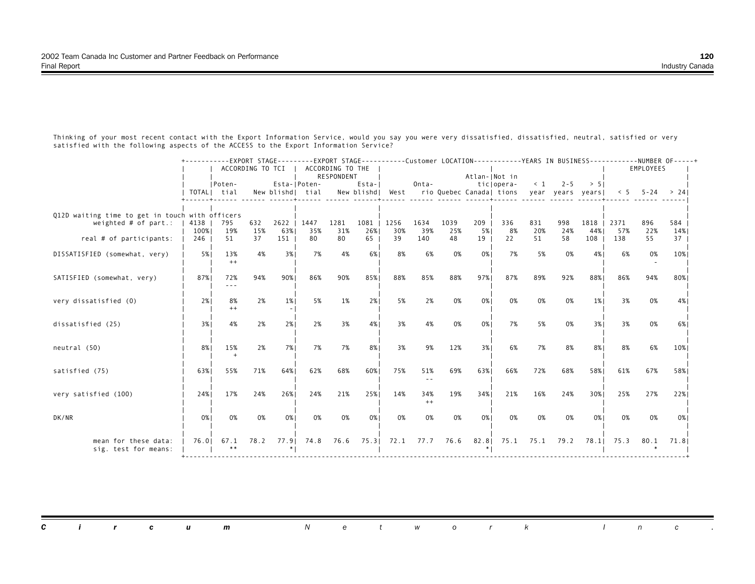|                                                                           |                | +----------EXPORT STAGE--------EXPORT STAGE----------Customer LOCATION-----------YEARS IN BUSINESS-----------NUMBER OF-----+ |            | ACCORDING TO TCI   |                                  | ACCORDING TO THE |               |                          |                |             | Atlan- Not in |                                                         |            |            |             |             | EMPLOYEES        |            |
|---------------------------------------------------------------------------|----------------|------------------------------------------------------------------------------------------------------------------------------|------------|--------------------|----------------------------------|------------------|---------------|--------------------------|----------------|-------------|---------------|---------------------------------------------------------|------------|------------|-------------|-------------|------------------|------------|
|                                                                           |                | Poten-<br>TOTAL  tial                                                                                                        |            |                    | Esta- Poten-<br>New blishd  tial | RESPONDENT       | Esta-I        | New blishd  West         | Onta-          |             |               | ticlopera-<br>rio Quebec Canada  tions year years years | $\leq 1$   | $2 - 5$    | > 51        |             | $< 5$ 5-24 > 241 |            |
| Q12D waiting time to get in touch with officers<br>weighted $#$ of part.: | 4138  <br>100% | 795<br>19%                                                                                                                   | 632<br>15% | 2622   1447<br>63% | 35%                              | 1281<br>31%      | 1081  <br>26% | 1256<br>30%              | 1634<br>39%    | 1039<br>25% | 209<br>5% 1   | 336<br>8%                                               | 831<br>20% | 998<br>24% | 1818<br>44% | 2371<br>57% | 896<br>22%       | 584<br>14% |
| real # of participants:                                                   | 246            | 51                                                                                                                           | 37         | 151                | 80                               | 80               | 65            | 39                       | 140            | 48          | 19            | 22                                                      | 51         | 58         | 108         | 138         | 55               | 37         |
| DISSATISFIED (somewhat, very)                                             | 5%             | 13%<br>$^{++}$                                                                                                               | 4%         | 3%                 | 7%                               | 4%               | 6%            | 8%                       | 6%             | 0%          | 0%            | 7%                                                      | 5%         | 0%         | 4%          | 6%          | 0%               | 10%        |
| SATISFIED (somewhat, very)                                                | 87%            | 72%<br>$- - -$                                                                                                               | 94%        | 90%                | 86%                              | 90%              | 85%           | 88%                      | 85%            | 88%         | 97%           | 87%                                                     | 89%        | 92%        | 88%         | 86%         | 94%              | 80%        |
| very dissatisfied (0)                                                     | 2%             | 8%<br>$++$                                                                                                                   | 2%         | $1\%$              | 5%                               | 1%               | 2%1           | 5%                       | 2%             | 0%          | 0%            | 0%                                                      | 0%         | 0%         | $1\%$       | 3%          | 0%               | 4%         |
| dissatisfied (25)                                                         | 3%             | 4%                                                                                                                           | 2%         | 2%                 | 2%                               | 3%               | 4%            | 3%                       | 4%             | 0%          | 0%            | 7%                                                      | 5%         | 0%         | 3% l        | 3%          | 0%               | 6%         |
| neutral (50)                                                              | 8%             | 15%                                                                                                                          | 2%         | 7%                 | 7%                               | 7%               | 8%            | 3%                       | 9%             | 12%         | 3%            | 6%                                                      | 7%         | 8%         | 8%          | 8%          | 6%               | 10%        |
| satisfied (75)                                                            | 63%            | 55%                                                                                                                          | 71%        | 64%                | 62%                              | 68%              | 60%           | 75%                      | 51%            | 69%         | 63%           | 66%                                                     | 72%        | 68%        | 58%         | 61%         | 67%              | 58%        |
| very satisfied (100)                                                      | 24%            | 17%                                                                                                                          | 24%        | 26%                | 24%                              | 21%              | 25%           | 14%                      | 34%<br>$^{++}$ | 19%         | 34%           | 21%                                                     | 16%        | 24%        | 30%         | 25%         | 27%              | 22%        |
| DK/NR                                                                     | 0%             | 0%                                                                                                                           | 0%         | 0%                 | 0%                               | 0%               | 0%            | 0%                       | 0%             | 0%          | 0%            | 0%                                                      | 0%         | 0%         | 0%          | 0%          | 0%               | 0%         |
| mean for these data:<br>sig. test for means:                              | 76.01          | 67.1<br>**                                                                                                                   | 78.2       |                    | 77.9 74.8                        |                  |               | 76.6 75.3 72.1 77.7 76.6 |                |             |               | 82.8 75.1 75.1 79.2 78.1 75.3                           |            |            |             |             | 80.1             | 71.81      |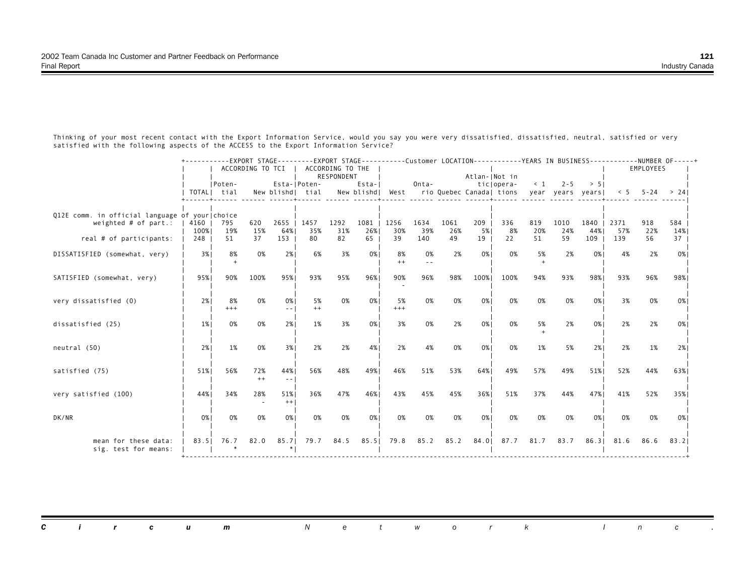|                                                                          |                | +-----------EXPORT STAGE---------EXPORT STAGE----------Customer LOCATION-----------YEARS IN BUSINESS-----------NUMBER OF-----+ |             | ACCORDING TO TCI I |                  | ACCORDING TO THE |             |                  |               |             |               |                                                              |            |             |             |             | EMPLOYEES  |            |
|--------------------------------------------------------------------------|----------------|--------------------------------------------------------------------------------------------------------------------------------|-------------|--------------------|------------------|------------------|-------------|------------------|---------------|-------------|---------------|--------------------------------------------------------------|------------|-------------|-------------|-------------|------------|------------|
|                                                                          |                | IPoten-                                                                                                                        |             |                    | Esta- Poten-     | RESPONDENT       | Esta-I      |                  | Onta-         |             | Atlan- Not in | ticlopera-                                                   |            | $< 1$ 2-5   | > 51        |             |            |            |
|                                                                          |                | TOTAL  tial                                                                                                                    |             |                    | New blishd  tial |                  |             | New blishd  West |               |             |               | rio Quebec Canada  tions year years years  $\leq$ 5 -24 > 24 |            |             |             |             |            |            |
| Q12E comm. in official language of your choice<br>weighted $#$ of part.: | 4160  <br>100% | 795<br>19%                                                                                                                     | 620<br>15%  | $2655$  <br>64%    | 1457<br>35%      | 1292<br>31%      | 1081<br>26% | 1256<br>30%      | 1634<br>39%   | 1061<br>26% | 209<br>5%     | 336<br>8%                                                    | 819<br>20% | 1010<br>24% | 1840<br>44% | 2371<br>57% | 918<br>22% | 584<br>14% |
| real # of participants:                                                  | 248            | 51                                                                                                                             | 37          | 153                | 80               | 82               | 65          | 39               | 140           | 49          | 19            | 22                                                           | 51         | 59          | 109         | 139         | 56         | 37         |
| DISSATISFIED (somewhat, very)                                            | 3%             | 8%                                                                                                                             | 0%          | 2%                 | 6%               | 3%               | 0%          | 8%<br>$++$       | 0%<br>$=$ $=$ | 2%          | 0%            | 0%                                                           | 5%         | 2%          | 0%          | 4%          | 2%         | 0% I       |
| SATISFIED (somewhat, very)                                               | 95%1           | 90%                                                                                                                            | 100%        | 95%1               | 93%              | 95%              | 96%         | 90%              | 96%           | 98%         | 100%          | 100%                                                         | 94%        | 93%         | 98%         | 93%         | 96%        | 98%        |
| very dissatisfied (0)                                                    | 2%1            | 8%<br>$+++$                                                                                                                    | 0%          | 0%<br>$- -$        | 5%<br>$^{++}$    | 0%               | 0%          | 5%<br>$+++$      | 0%            | 0%          | 0%            | 0%                                                           | 0%         | 0%          | 0%          | 3%          | 0%         | 0%         |
| dissatisfied (25)                                                        | $1\%$          | 0%                                                                                                                             | 0%          | 2%                 | 1%               | 3%               | 0%          | 3%               | 0%            | 2%          | 0%            | 0%                                                           | 5%         | 2%          | 0%          | 2%          | 2%         | 0% I       |
| neutral (50)                                                             | 2%1            | 1%                                                                                                                             | 0%          | 3%                 | 2%               | 2%               | 4%          | 2%               | 4%            | 0%          | 0%            | 0%                                                           | 1%         | 5%          | 2%          | 2%          | 1%         | 2%1        |
| satisfied (75)                                                           | 51%            | 56%                                                                                                                            | 72%<br>$++$ | 44%<br>--1         | 56%              | 48%              | 49%         | 46%              | 51%           | 53%         | 64%           | 49%                                                          | 57%        | 49%         | 51%         | 52%         | 44%        | 63%        |
| very satisfied (100)                                                     | 44%            | 34%                                                                                                                            | 28%         | 51%<br>$++$        | 36%              | 47%              | 46%         | 43%              | 45%           | 45%         | 36%           | 51%                                                          | 37%        | 44%         | 47%         | 41%         | 52%        | 35%        |
| DK/NR                                                                    | 0%             | 0%                                                                                                                             | 0%          | 0%                 | 0%               | 0%               | 0%          | 0%               | 0%            | 0%          | 0%            | 0%                                                           | 0%         | 0%          | 0%          | 0%          | 0%         | 0%         |
| mean for these data:<br>sig. test for means:                             | 83.51          | 76.7                                                                                                                           | 82.0        |                    | 85.7 79.7        | 84.5             |             | 85.5 79.8        | 85.2          | 85.2        | 84.0          | 87.7                                                         | 81.7       | 83.7        |             | 86.3 81.6   | 86.6       | 83.21      |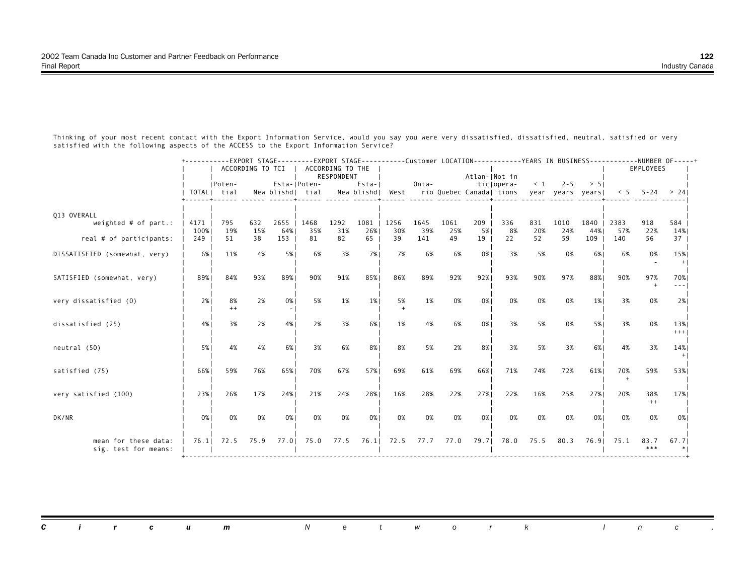|                                              |             | +----------EXPORT STAGE--------EXPORT STAGE----------Customer LOCATION-----------YEARS IN BUSINESS-----------NUMBER OF-----+ | ACCORDING TO TCI |            |                                  | ACCORDING TO THE<br>RESPONDENT |             |                          |            |           | Atlan- Not in           |                                                         |                     |           |            |            | EMPLOYEES        |                                                                                                                                                                                                                                                                                                                                                                                                     |
|----------------------------------------------|-------------|------------------------------------------------------------------------------------------------------------------------------|------------------|------------|----------------------------------|--------------------------------|-------------|--------------------------|------------|-----------|-------------------------|---------------------------------------------------------|---------------------|-----------|------------|------------|------------------|-----------------------------------------------------------------------------------------------------------------------------------------------------------------------------------------------------------------------------------------------------------------------------------------------------------------------------------------------------------------------------------------------------|
|                                              |             | IPoten-<br>TOTALI tial                                                                                                       |                  |            | Esta- Poten-<br>New blishd  tial |                                | Esta-I      | New blishd  West         | Onta-      |           |                         | tic opera-<br>rio Quebec Canada  tions year years years | $\langle 1 \rangle$ | $2 - 5$   | > 51       |            | $< 5$ 5-24 > 241 |                                                                                                                                                                                                                                                                                                                                                                                                     |
| Q13 OVERALL<br>weighted $#$ of part.:        | 4171        | 795                                                                                                                          | 632              | 2655       | 1468                             | 1292                           | 1081   1256 |                          | 1645       | 1061      | $209$                   | 336                                                     | 831                 | 1010      | 1840       | 2383       | 918              | 584                                                                                                                                                                                                                                                                                                                                                                                                 |
| real # of participants:                      | 100%<br>249 | 19%<br>51                                                                                                                    | 15%<br>38        | 64%<br>153 | 35%<br>81                        | 31%<br>82                      | 26%<br>65   | 30%<br>39                | 39%<br>141 | 25%<br>49 | 5%  <br>19 <sup>1</sup> | 8%<br>22                                                | 20%<br>52           | 24%<br>59 | 44%<br>109 | 57%<br>140 | 22%<br>56        | 14%<br>37                                                                                                                                                                                                                                                                                                                                                                                           |
| DISSATISFIED (somewhat, very)                | $6\%$       | 11%                                                                                                                          | 4%               | 5%         | 6%                               | 3%                             | 7%          | 7%                       | 6%         | 6%        | 0%                      | 3%                                                      | 5%                  | 0%        | 6%         | 6%         | 0%               | 15%                                                                                                                                                                                                                                                                                                                                                                                                 |
| SATISFIED (somewhat, very)                   | 89%         | 84%                                                                                                                          | 93%              | 89%        | 90%                              | 91%                            | 85%         | 86%                      | 89%        | 92%       | 92%                     | 93%                                                     | 90%                 | 97%       | 88%        | 90%        | 97%              | 70%<br>$\frac{1}{2} \frac{1}{2} \frac{1}{2} \frac{1}{2} \frac{1}{2} \frac{1}{2} \frac{1}{2} \frac{1}{2} \frac{1}{2} \frac{1}{2} \frac{1}{2} \frac{1}{2} \frac{1}{2} \frac{1}{2} \frac{1}{2} \frac{1}{2} \frac{1}{2} \frac{1}{2} \frac{1}{2} \frac{1}{2} \frac{1}{2} \frac{1}{2} \frac{1}{2} \frac{1}{2} \frac{1}{2} \frac{1}{2} \frac{1}{2} \frac{1}{2} \frac{1}{2} \frac{1}{2} \frac{1}{2} \frac{$ |
| very dissatisfied (0)                        | 2%          | 8%<br>$^{++}$                                                                                                                | 2%               | 0%         | 5%                               | 1%                             | $1\%$       | 5%                       | 1%         | 0%        | 0%                      | 0%                                                      | 0%                  | 0%        | $1\%$      | 3%         | 0%               | 2%                                                                                                                                                                                                                                                                                                                                                                                                  |
| dissatisfied (25)                            | 4%          | 3%                                                                                                                           | 2%               | 4%         | 2%                               | 3%                             | 6%          | 1%                       | 4%         | 6%        | 0%                      | 3%                                                      | 5%                  | 0%        | 5%         | 3%         | 0%               | 13%<br>$+++$                                                                                                                                                                                                                                                                                                                                                                                        |
| neutral (50)                                 | 5%          | 4%                                                                                                                           | 4%               | 6%         | 3%                               | 6%                             | 8%          | 8%                       | 5%         | 2%        | 8%                      | 3%                                                      | 5%                  | 3%        | 6%         | 4%         | 3%               | 14%                                                                                                                                                                                                                                                                                                                                                                                                 |
| satisfied (75)                               | 66%         | 59%                                                                                                                          | 76%              | 65%        | 70%                              | 67%                            | 57%         | 69%                      | 61%        | 69%       | 66%                     | 71%                                                     | 74%                 | 72%       | 61%        | 70%        | 59%              | 53%                                                                                                                                                                                                                                                                                                                                                                                                 |
| very satisfied (100)                         | 23%         | 26%                                                                                                                          | 17%              | 24%        | 21%                              | 24%                            | 28%         | 16%                      | 28%        | 22%       | 27%                     | 22%                                                     | 16%                 | 25%       | 27%        | 20%        | 38%<br>$++$      | 17%                                                                                                                                                                                                                                                                                                                                                                                                 |
| DK/NR                                        | 0%          | 0%                                                                                                                           | 0%               | 0%         | 0%                               | 0%                             | 0%          | 0%                       | 0%         | 0%        | 0%                      | 0%                                                      | 0%                  | 0%        | 0%         | 0%         | 0%               | $0\%$                                                                                                                                                                                                                                                                                                                                                                                               |
| mean for these data:<br>sig. test for means: |             | 76.11 72.5                                                                                                                   |                  |            | 75.9 77.0 75.0                   |                                |             | 77.5 76.1 72.5 77.7 77.0 |            |           |                         | 79.71 78.0                                              | 75.5                | 80.3      |            | 76.9 75.1  | 83.7<br>***      | 67.71                                                                                                                                                                                                                                                                                                                                                                                               |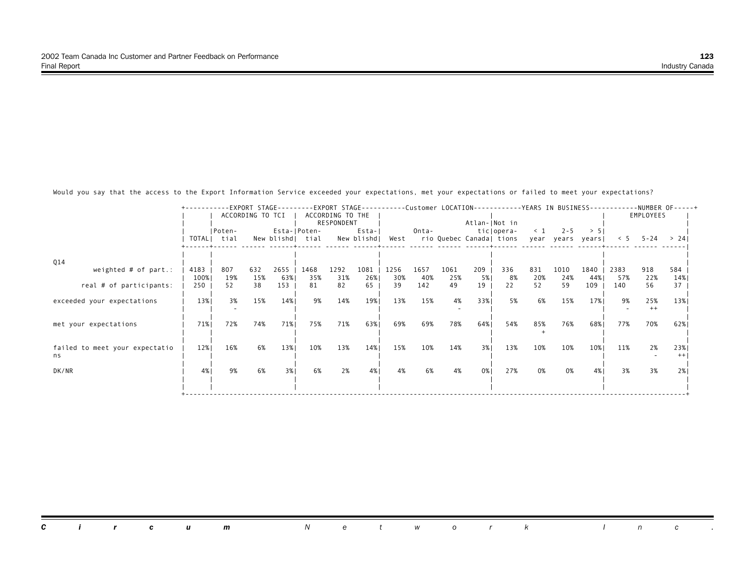Would you say that the access to the Export Information Service exceeded your expectations, met your expectations or failed to meet your expectations?

| ACCORDING TO TCI<br>EMPLOYEES<br>ACCORDING TO THE<br>RESPONDENT<br>Atlan- Not in<br>Onta-<br>Esta- Poten-<br>Esta-l<br>ticlopera-<br>$\leq 1$<br>$2 - 5$<br> Poten-<br>> 51<br>rio Quebec Canada  tions<br>TOTALI tial<br>New blishd  tial<br>New blishd <br>West<br>year years years<br>$5 - 5 - 24$ > 24<br>Q14<br>1292<br>1081<br>4183<br>632<br>2655<br>1468<br>1256<br>1657<br>209<br>336<br>831<br>1010<br>weighted $#$ of part.:<br>807<br>1061<br>1840<br>2383<br>918<br>584<br>26%<br>19%<br>15%<br>63% <br>31%<br>30%<br>40%<br>25%<br>5%  <br>20%<br>24%<br>100%<br>35%<br>8%<br>44% <br>22%<br>14% <br>57%<br>142<br>52<br>153<br>82<br>65<br>49<br>22<br>52<br>59<br>real # of participants:<br>250<br>38<br>81<br>39<br>19<br>109<br>56<br>140<br>37<br>14%<br>9%<br>14%<br>19%<br>13%<br>15%<br>4%<br>33%<br>5%<br>15%<br>25%<br>13%<br>15%<br>6%<br>17%<br>9%<br>3%<br>13%<br>exceeded your expectations<br>$++$<br>69%<br>69%<br>76%<br>72%<br>74%<br>71%<br>75%<br>71%<br>63% <br>78%<br>64%<br>54%<br>85%<br>68%<br>77%<br>70%<br>71%<br>62% <br>met your expectations<br>12%<br>13%<br>13%<br>15%<br>10%<br>13%<br>10%<br>16%<br>6%<br>10%<br>14%<br>14%<br>3%<br>10%<br>2%<br>10%<br>11%<br>23%<br>failed to meet your expectatio<br>$++$<br>ns<br>9%<br>3%<br>2%<br>4%<br>6%<br>0% I<br>27%<br>0%<br>3%<br>3%<br>6%<br>6%<br>4%<br>4%<br>0%<br>DK/NR<br>4%  <br>4%<br>2%1 |  |  |  |  |  |  |  |  |  | --EXPORT STAGE---------EXPORT STAGE----------Customer LOCATION-----------YEARS IN BUSINESS-----------NUMBER OF-----+ |
|-------------------------------------------------------------------------------------------------------------------------------------------------------------------------------------------------------------------------------------------------------------------------------------------------------------------------------------------------------------------------------------------------------------------------------------------------------------------------------------------------------------------------------------------------------------------------------------------------------------------------------------------------------------------------------------------------------------------------------------------------------------------------------------------------------------------------------------------------------------------------------------------------------------------------------------------------------------------------------------------------------------------------------------------------------------------------------------------------------------------------------------------------------------------------------------------------------------------------------------------------------------------------------------------------------------------------------------------------------------------------------------------------|--|--|--|--|--|--|--|--|--|----------------------------------------------------------------------------------------------------------------------|
|                                                                                                                                                                                                                                                                                                                                                                                                                                                                                                                                                                                                                                                                                                                                                                                                                                                                                                                                                                                                                                                                                                                                                                                                                                                                                                                                                                                                 |  |  |  |  |  |  |  |  |  |                                                                                                                      |
|                                                                                                                                                                                                                                                                                                                                                                                                                                                                                                                                                                                                                                                                                                                                                                                                                                                                                                                                                                                                                                                                                                                                                                                                                                                                                                                                                                                                 |  |  |  |  |  |  |  |  |  |                                                                                                                      |
|                                                                                                                                                                                                                                                                                                                                                                                                                                                                                                                                                                                                                                                                                                                                                                                                                                                                                                                                                                                                                                                                                                                                                                                                                                                                                                                                                                                                 |  |  |  |  |  |  |  |  |  |                                                                                                                      |
|                                                                                                                                                                                                                                                                                                                                                                                                                                                                                                                                                                                                                                                                                                                                                                                                                                                                                                                                                                                                                                                                                                                                                                                                                                                                                                                                                                                                 |  |  |  |  |  |  |  |  |  |                                                                                                                      |
|                                                                                                                                                                                                                                                                                                                                                                                                                                                                                                                                                                                                                                                                                                                                                                                                                                                                                                                                                                                                                                                                                                                                                                                                                                                                                                                                                                                                 |  |  |  |  |  |  |  |  |  |                                                                                                                      |
|                                                                                                                                                                                                                                                                                                                                                                                                                                                                                                                                                                                                                                                                                                                                                                                                                                                                                                                                                                                                                                                                                                                                                                                                                                                                                                                                                                                                 |  |  |  |  |  |  |  |  |  |                                                                                                                      |
|                                                                                                                                                                                                                                                                                                                                                                                                                                                                                                                                                                                                                                                                                                                                                                                                                                                                                                                                                                                                                                                                                                                                                                                                                                                                                                                                                                                                 |  |  |  |  |  |  |  |  |  |                                                                                                                      |
|                                                                                                                                                                                                                                                                                                                                                                                                                                                                                                                                                                                                                                                                                                                                                                                                                                                                                                                                                                                                                                                                                                                                                                                                                                                                                                                                                                                                 |  |  |  |  |  |  |  |  |  |                                                                                                                      |
|                                                                                                                                                                                                                                                                                                                                                                                                                                                                                                                                                                                                                                                                                                                                                                                                                                                                                                                                                                                                                                                                                                                                                                                                                                                                                                                                                                                                 |  |  |  |  |  |  |  |  |  |                                                                                                                      |
|                                                                                                                                                                                                                                                                                                                                                                                                                                                                                                                                                                                                                                                                                                                                                                                                                                                                                                                                                                                                                                                                                                                                                                                                                                                                                                                                                                                                 |  |  |  |  |  |  |  |  |  |                                                                                                                      |
|                                                                                                                                                                                                                                                                                                                                                                                                                                                                                                                                                                                                                                                                                                                                                                                                                                                                                                                                                                                                                                                                                                                                                                                                                                                                                                                                                                                                 |  |  |  |  |  |  |  |  |  |                                                                                                                      |
|                                                                                                                                                                                                                                                                                                                                                                                                                                                                                                                                                                                                                                                                                                                                                                                                                                                                                                                                                                                                                                                                                                                                                                                                                                                                                                                                                                                                 |  |  |  |  |  |  |  |  |  |                                                                                                                      |
|                                                                                                                                                                                                                                                                                                                                                                                                                                                                                                                                                                                                                                                                                                                                                                                                                                                                                                                                                                                                                                                                                                                                                                                                                                                                                                                                                                                                 |  |  |  |  |  |  |  |  |  |                                                                                                                      |
|                                                                                                                                                                                                                                                                                                                                                                                                                                                                                                                                                                                                                                                                                                                                                                                                                                                                                                                                                                                                                                                                                                                                                                                                                                                                                                                                                                                                 |  |  |  |  |  |  |  |  |  |                                                                                                                      |
|                                                                                                                                                                                                                                                                                                                                                                                                                                                                                                                                                                                                                                                                                                                                                                                                                                                                                                                                                                                                                                                                                                                                                                                                                                                                                                                                                                                                 |  |  |  |  |  |  |  |  |  |                                                                                                                      |
|                                                                                                                                                                                                                                                                                                                                                                                                                                                                                                                                                                                                                                                                                                                                                                                                                                                                                                                                                                                                                                                                                                                                                                                                                                                                                                                                                                                                 |  |  |  |  |  |  |  |  |  |                                                                                                                      |
|                                                                                                                                                                                                                                                                                                                                                                                                                                                                                                                                                                                                                                                                                                                                                                                                                                                                                                                                                                                                                                                                                                                                                                                                                                                                                                                                                                                                 |  |  |  |  |  |  |  |  |  |                                                                                                                      |
|                                                                                                                                                                                                                                                                                                                                                                                                                                                                                                                                                                                                                                                                                                                                                                                                                                                                                                                                                                                                                                                                                                                                                                                                                                                                                                                                                                                                 |  |  |  |  |  |  |  |  |  |                                                                                                                      |
|                                                                                                                                                                                                                                                                                                                                                                                                                                                                                                                                                                                                                                                                                                                                                                                                                                                                                                                                                                                                                                                                                                                                                                                                                                                                                                                                                                                                 |  |  |  |  |  |  |  |  |  |                                                                                                                      |
|                                                                                                                                                                                                                                                                                                                                                                                                                                                                                                                                                                                                                                                                                                                                                                                                                                                                                                                                                                                                                                                                                                                                                                                                                                                                                                                                                                                                 |  |  |  |  |  |  |  |  |  |                                                                                                                      |
|                                                                                                                                                                                                                                                                                                                                                                                                                                                                                                                                                                                                                                                                                                                                                                                                                                                                                                                                                                                                                                                                                                                                                                                                                                                                                                                                                                                                 |  |  |  |  |  |  |  |  |  |                                                                                                                      |
|                                                                                                                                                                                                                                                                                                                                                                                                                                                                                                                                                                                                                                                                                                                                                                                                                                                                                                                                                                                                                                                                                                                                                                                                                                                                                                                                                                                                 |  |  |  |  |  |  |  |  |  |                                                                                                                      |

*Circum Network Inc.* $\sim 10$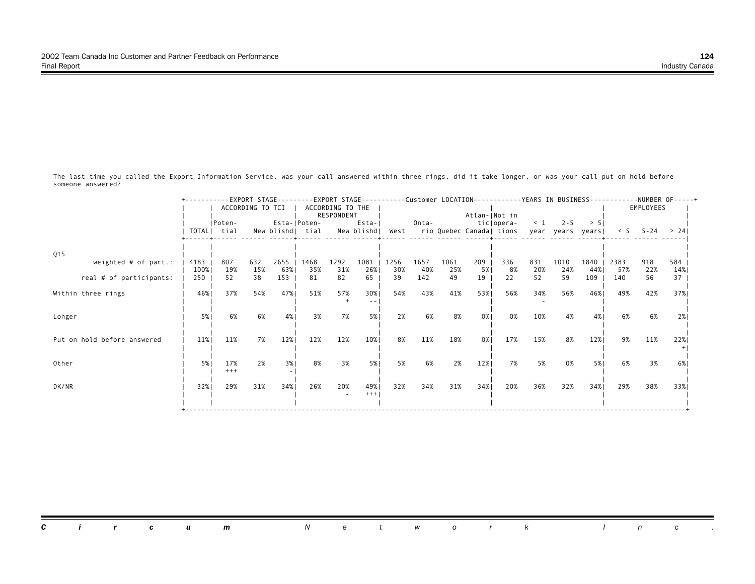The last time you called the Export Information Service, was your call answered within three rings, did it take longer, or was your call put on hold before someone answered?

|                             |      |             |                  | -EXPORT STAGE-------- |                  |                  |            |      |       |      |               | -EXPORT STAGE----------Customer LOCATION-----------YEARS IN BUSINESS-----------NUMBER OF-----+ |          |         |                  |      |                   |      |  |
|-----------------------------|------|-------------|------------------|-----------------------|------------------|------------------|------------|------|-------|------|---------------|------------------------------------------------------------------------------------------------|----------|---------|------------------|------|-------------------|------|--|
|                             |      |             | ACCORDING TO TCI |                       |                  | ACCORDING TO THE |            |      |       |      |               |                                                                                                |          |         |                  |      | EMPLOYEES         |      |  |
|                             |      |             |                  |                       |                  | RESPONDENT       |            |      |       |      | Atlan- Not in |                                                                                                |          |         |                  |      |                   |      |  |
|                             |      | IPoten-     |                  |                       | Esta-IPoten-     |                  | Esta-I     |      | Onta- |      |               | ticlopera-                                                                                     | $\leq 1$ | $2 - 5$ | > 51             |      |                   |      |  |
|                             |      | TOTALI tial |                  |                       | New blishd  tial |                  | New blishd | West |       |      |               | rio Quebec Canada  tions                                                                       |          |         | year years years |      | $5 - 5 - 24$ > 24 |      |  |
|                             |      |             |                  |                       |                  |                  |            |      |       |      |               |                                                                                                |          |         |                  |      |                   |      |  |
|                             |      |             |                  |                       |                  |                  |            |      |       |      |               |                                                                                                |          |         |                  |      |                   |      |  |
| Q15                         |      |             |                  |                       |                  |                  |            |      |       |      |               |                                                                                                |          |         |                  |      |                   |      |  |
| weighted $#$ of part.:      | 4183 | 807         | 632              | 2655                  | 1468             | 1292             | 1081       | 1256 | 1657  | 1061 | 209           | 336                                                                                            | 831      | 1010    | 1840             | 2383 | 918               | 584  |  |
|                             | 100% | 19%         | 15%              | 63%                   | 35%              | 31%              | 26%        | 30%  | 40%   | 25%  | 5%            | 8%                                                                                             | 20%      | 24%     | 44%              | 57%  | 22%               | 14%  |  |
| real # of participants:     | 250  | 52          | 38               | 153                   | 81               | 82               | 65         | 39   | 142   | 49   | 19            | 22                                                                                             | 52       | 59      | 109              | 140  | 56                | 37   |  |
|                             |      |             |                  |                       |                  |                  |            |      |       |      |               |                                                                                                |          |         |                  |      |                   |      |  |
| Within three rings          | 46%  | 37%         | 54%              | 47%                   | 51%              | 57%              | 30%        | 54%  | 43%   | 41%  | 53%           | 56%                                                                                            | 34%      | 56%     | 46%              | 49%  | 42%               | 37%  |  |
|                             |      |             |                  |                       |                  |                  |            |      |       |      |               |                                                                                                |          |         |                  |      |                   |      |  |
|                             |      |             |                  |                       |                  |                  |            |      |       |      |               |                                                                                                |          |         |                  |      |                   |      |  |
| Longer                      | 5%   | 6%          | 6%               | 4%                    | 3%               | 7%               | 5%         | 2%   | 6%    | 8%   | 0%            | 0%                                                                                             | 10%      | 4%      | 4%               | 6%   | 6%                | 2%   |  |
|                             |      |             |                  |                       |                  |                  |            |      |       |      |               |                                                                                                |          |         |                  |      |                   |      |  |
|                             |      |             |                  |                       |                  |                  |            |      |       |      |               |                                                                                                |          |         |                  |      |                   |      |  |
| Put on hold before answered | 11%  | 11%         | 7%               | 12%                   | 12%              | 12%              | 10%        | 8%   | 11%   | 18%  | 0%            | 17%                                                                                            | 15%      | 8%      | 12%              | 9%   | 11%               | 22%  |  |
|                             |      |             |                  |                       |                  |                  |            |      |       |      |               |                                                                                                |          |         |                  |      |                   |      |  |
|                             |      |             |                  |                       |                  |                  |            |      |       |      |               |                                                                                                |          |         |                  |      |                   |      |  |
| Other                       | 5%   | 17%         | 2%               | 3%                    | 8%               | 3%               | 5%         | 5%   | 6%    | 2%   | 12%           | 7%                                                                                             | 5%       | 0%      | 5% l             | 6%   | 3%                | 6% I |  |
|                             |      | $+++$       |                  |                       |                  |                  |            |      |       |      |               |                                                                                                |          |         |                  |      |                   |      |  |
|                             |      |             |                  |                       |                  |                  |            |      |       |      |               |                                                                                                |          |         |                  |      |                   |      |  |
| DK/NR                       | 32%  | 29%         | 31%              | 34%                   | 26%              | 20%              | 49%        | 32%  | 34%   | 31%  | 34%           | 20%                                                                                            | 36%      | 32%     | 34%              | 29%  | 38%               | 33%1 |  |
|                             |      |             |                  |                       |                  |                  | $^{+++}$   |      |       |      |               |                                                                                                |          |         |                  |      |                   |      |  |
|                             |      |             |                  |                       |                  |                  |            |      |       |      |               |                                                                                                |          |         |                  |      |                   |      |  |
|                             |      |             |                  |                       |                  |                  |            |      |       |      |               |                                                                                                |          |         |                  |      |                   |      |  |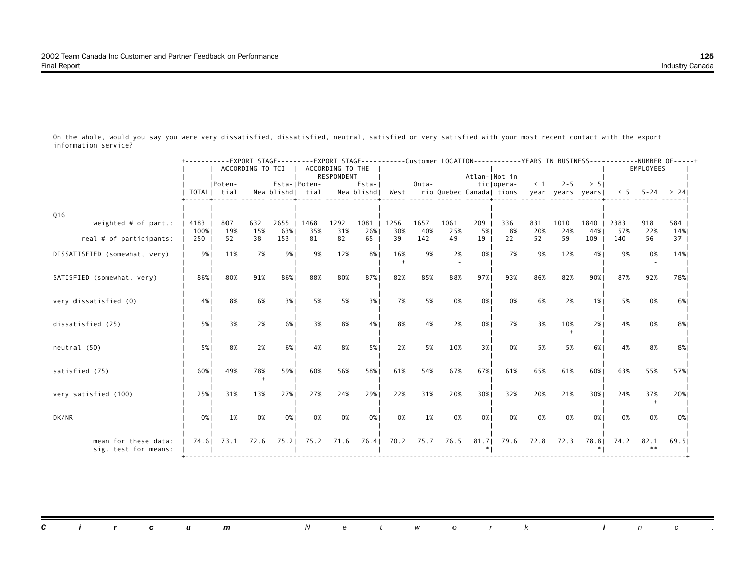On the whole, would you say you were very dissatisfied, dissatisfied, neutral, satisfied or very satisfied with your most recent contact with the export information service?

|                                              |             | +----------EXPORT STAGE--------EXPORT STAGE----------Customer LOCATION-----------YEARS IN BUSINESS-----------NUMBER OF-----+ | ACCORDING TO TCI |             |                                  | ACCORDING TO THE<br>RESPONDENT |           |                  |            |           | Atlan- Not in |                                                         |                     |           |            |             | EMPLOYEES        |                         |
|----------------------------------------------|-------------|------------------------------------------------------------------------------------------------------------------------------|------------------|-------------|----------------------------------|--------------------------------|-----------|------------------|------------|-----------|---------------|---------------------------------------------------------|---------------------|-----------|------------|-------------|------------------|-------------------------|
|                                              |             | Poten-<br>TOTAL  tial                                                                                                        |                  |             | Esta- Poten-<br>New blishd  tial |                                | Esta-I    | New blishd  West | Onta-      |           |               | ticlopera-<br>rio Quebec Canada  tions year years years | $\langle 1 \rangle$ | $2 - 5$   | > 51       |             | $< 5$ 5-24 > 241 |                         |
| Q16<br>weighted $#$ of part.:                | 4183        | 807                                                                                                                          | 632              | 2655   1468 |                                  | 1292                           | 1081      | 1256             | 1657       | 1061      | 209           | 336                                                     | 831                 | 1010      | 1840       | 2383        | 918              | 584                     |
| real # of participants:                      | 100%<br>250 | 19%<br>52                                                                                                                    | 15%<br>38        | 63%<br>153  | 35%<br>81                        | 31%<br>82                      | 26%<br>65 | 30%<br>39        | 40%<br>142 | 25%<br>49 | 5% 1<br>19    | 8%<br>22                                                | 20%<br>52           | 24%<br>59 | 44%<br>109 | 57%<br>140  | 22%<br>56        | 14% <br>37 <sup>2</sup> |
| DISSATISFIED (somewhat, very)                | 9%          | 11%                                                                                                                          | 7%               | 9%          | 9%                               | 12%                            | 8%        | 16%              | 9%         | 2%        | 0%            | 7%                                                      | 9%                  | 12%       | 4%         | 9%          | 0%               | 14%                     |
| SATISFIED (somewhat, very)                   | 86%         | 80%                                                                                                                          | 91%              | 86%1        | 88%                              | 80%                            | 87%       | 82%              | 85%        | 88%       | 97%           | 93%                                                     | 86%                 | 82%       | 90%        | 87%         | 92%              | 78%                     |
| very dissatisfied (0)                        | 4%          | 8%                                                                                                                           | 6%               | 3%          | 5%                               | 5%                             | 3%        | 7%               | 5%         | 0%        | 0%            | 0%                                                      | 6%                  | 2%        | $1\%$      | 5%          | 0%               | 6%                      |
| dissatisfied (25)                            | 5%          | 3%                                                                                                                           | 2%               | 6%          | 3%                               | 8%                             | 4%        | 8%               | 4%         | 2%        | 0%            | 7%                                                      | 3%                  | 10%       | 2%         | 4%          | 0%               | 8%                      |
| neutral (50)                                 | 5%          | 8%                                                                                                                           | 2%               | 6%          | 4%                               | 8%                             | 5%        | 2%               | 5%         | 10%       | 3%            | 0%                                                      | 5%                  | 5%        | 6%         | 4%          | 8%               | 8%1                     |
| satisfied (75)                               | 60%1        | 49%                                                                                                                          | 78%              | 59%         | 60%                              | 56%                            | 58%       | 61%              | 54%        | 67%       | 67%           | 61%                                                     | 65%                 | 61%       | 60%        | 63%         | 55%              | 57%1                    |
| very satisfied (100)                         | 25%         | 31%                                                                                                                          | 13%              | 27%         | 27%                              | 24%                            | 29%       | 22%              | 31%        | 20%       | 30%           | 32%                                                     | 20%                 | 21%       | 30%        | 24%         | 37%              | 20%                     |
| DK/NR                                        | 0%          | 1%                                                                                                                           | 0%               | 0%          | 0%                               | 0%                             | 0%        | 0%               | 1%         | 0%        | 0%            | 0%                                                      | 0%                  | 0%        | 0%         | 0%          | 0%               | 0%                      |
| mean for these data:<br>sig. test for means: |             | 74.6   73.1 72.6 75.2   75.2 71.6 76.4   70.2 75.7 76.5                                                                      |                  |             |                                  |                                |           |                  |            |           |               | $81.7$   79.6                                           |                     | 72.8 72.3 |            | 78.8   74.2 | 82.1             | 69.51                   |

|  |  | <b>Circum</b> Network Inc. |  |  |  |  |  |
|--|--|----------------------------|--|--|--|--|--|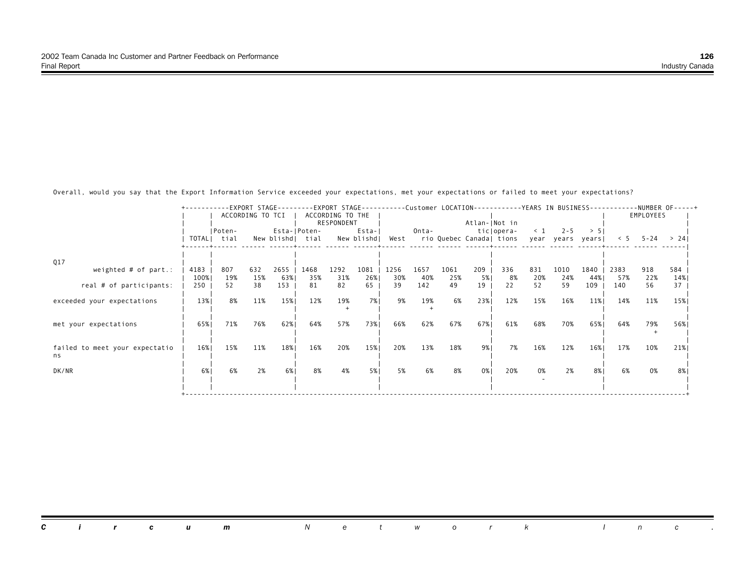Overall, would you say that the Export Information Service exceeded your expectations, met your expectations or failed to meet your expectations?

|                                |      |             |                  |      |                  |                  |            |      |       |      |               | -EXPORT STAGE---------EXPORT STAGE----------Customer LOCATION----------YEARS IN BUSINESS-----------NUMBER OF-----+ |          |                  |      |      |            |       |  |
|--------------------------------|------|-------------|------------------|------|------------------|------------------|------------|------|-------|------|---------------|--------------------------------------------------------------------------------------------------------------------|----------|------------------|------|------|------------|-------|--|
|                                |      |             | ACCORDING TO TCI |      |                  | ACCORDING TO THE |            |      |       |      |               |                                                                                                                    |          |                  |      |      | EMPLOYEES  |       |  |
|                                |      |             |                  |      |                  | RESPONDENT       |            |      |       |      | Atlan- Not in |                                                                                                                    |          |                  |      |      |            |       |  |
|                                |      | Poten-      |                  |      | Esta- Poten-     |                  | Esta-l     |      | Onta- |      |               | ticlopera-                                                                                                         | $\leq 1$ | $2 - 5$          | > 51 |      |            |       |  |
|                                |      | TOTALI tial |                  |      | New blishd  tial |                  | New blishd | West |       |      |               | rio Quebec Canada  tions                                                                                           |          | year years years |      |      | $< 5$ 5-24 | > 241 |  |
|                                |      |             |                  |      |                  |                  |            |      |       |      |               |                                                                                                                    |          |                  |      |      |            |       |  |
|                                |      |             |                  |      |                  |                  |            |      |       |      |               |                                                                                                                    |          |                  |      |      |            |       |  |
| Q17                            |      |             |                  |      |                  |                  |            |      |       |      |               |                                                                                                                    |          |                  |      |      |            |       |  |
| weighted $#$ of part.:         | 4183 | 807         | 632              | 2655 | 1468             | 1292             | 1081       | 1256 | 1657  | 1061 | 209           | 336                                                                                                                | 831      | 1010             | 1840 | 2383 | 918        | 584   |  |
|                                | 100% | 19%         | 15%              | 63%  | 35%              | 31%              | 26%        | 30%  | 40%   | 25%  | 5%            | 8%                                                                                                                 | 20%      | 24%              | 44%  | 57%  | 22%        | 14%   |  |
| real # of participants:        | 250  | 52          | 38               | 153  | 81               | 82               | 65         | 39   | 142   | 49   | 19            | 22                                                                                                                 | 52       | 59               | 109  | 140  | 56         | 37    |  |
|                                | 13%  | 8%          | 11%              | 15%  | 12%              | 19%              | 7%         | 9%   | 19%   | 6%   | 23%           | 12%                                                                                                                | 15%      | 16%              | 11%  | 14%  | 11%        |       |  |
| exceeded your expectations     |      |             |                  |      |                  |                  |            |      |       |      |               |                                                                                                                    |          |                  |      |      |            | 15%   |  |
|                                |      |             |                  |      |                  |                  |            |      |       |      |               |                                                                                                                    |          |                  |      |      |            |       |  |
| met your expectations          | 65%  | 71%         | 76%              | 62%  | 64%              | 57%              | 73%1       | 66%  | 62%   | 67%  | 67%           | 61%                                                                                                                | 68%      | 70%              | 65%  | 64%  | 79%        | 56%   |  |
|                                |      |             |                  |      |                  |                  |            |      |       |      |               |                                                                                                                    |          |                  |      |      |            |       |  |
|                                |      |             |                  |      |                  |                  |            |      |       |      |               |                                                                                                                    |          |                  |      |      |            |       |  |
| failed to meet your expectatio | 16%  | 15%         | 11%              | 18%  | 16%              | 20%              | 15%        | 20%  | 13%   | 18%  | 9%            | 7%                                                                                                                 | 16%      | 12%              | 16%  | 17%  | 10%        | 21%   |  |
| ns                             |      |             |                  |      |                  |                  |            |      |       |      |               |                                                                                                                    |          |                  |      |      |            |       |  |
|                                |      |             |                  |      |                  |                  |            |      |       |      |               |                                                                                                                    |          |                  |      |      |            |       |  |
| DK/NR                          | 6%   | 6%          | 2%               | 6%   | 8%               | 4%               | 5%         | 5%   | 6%    | 8%   | 0%            | 20%                                                                                                                | 0%       | 2%               | 8%   | 6%   | 0%         | 8% I  |  |
|                                |      |             |                  |      |                  |                  |            |      |       |      |               |                                                                                                                    |          |                  |      |      |            |       |  |
|                                |      |             |                  |      |                  |                  |            |      |       |      |               |                                                                                                                    |          |                  |      |      |            |       |  |
|                                |      |             |                  |      |                  |                  |            |      |       |      |               |                                                                                                                    |          |                  |      |      |            |       |  |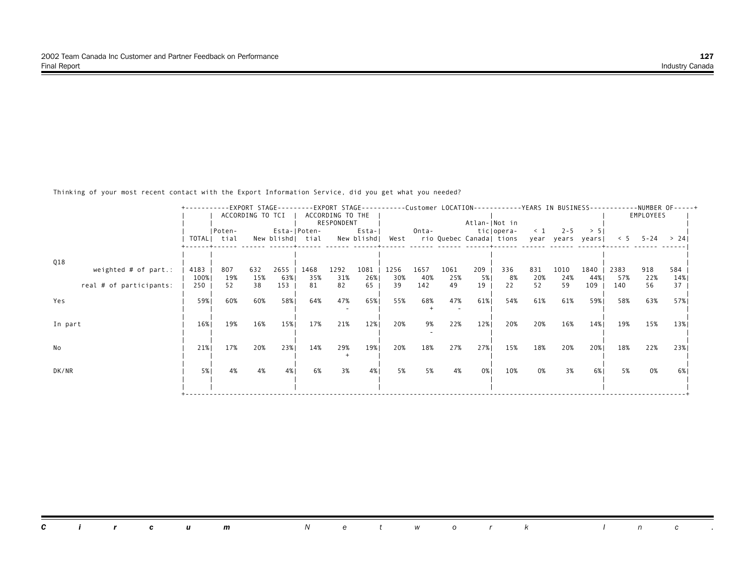Thinking of your most recent contact with the Export Information Service, did you get what you needed?

|                         |      | +-----------EXPORT STAGE---------EXPORT STAGE----------Customer LOCATION-----------YEARS IN BUSINESS------------NUMBER OF-----+ |                  |      |                  |                  |        |                  |       |      |               |                          |          |                  |      |      |                   |           |
|-------------------------|------|---------------------------------------------------------------------------------------------------------------------------------|------------------|------|------------------|------------------|--------|------------------|-------|------|---------------|--------------------------|----------|------------------|------|------|-------------------|-----------|
|                         |      |                                                                                                                                 | ACCORDING TO TCI |      |                  | ACCORDING TO THE |        |                  |       |      |               |                          |          |                  |      |      | EMPLOYEES         |           |
|                         |      |                                                                                                                                 |                  |      |                  | RESPONDENT       |        |                  |       |      | Atlan- Not in |                          |          |                  |      |      |                   |           |
|                         |      | Poten-                                                                                                                          |                  |      | Esta- Poten-     |                  | Esta-l |                  | Onta- |      |               | ticlopera-               | $\leq$ 1 | $2 - 5$          | > 51 |      |                   |           |
|                         |      | TOTALI tial                                                                                                                     |                  |      | New blishd  tial |                  |        | New blishd  West |       |      |               | rio Quebec Canada  tions |          | year years years |      |      | $5 - 5 - 24$ > 24 |           |
|                         |      |                                                                                                                                 |                  |      |                  |                  |        |                  |       |      |               |                          |          |                  |      |      |                   |           |
|                         |      |                                                                                                                                 |                  |      |                  |                  |        |                  |       |      |               |                          |          |                  |      |      |                   |           |
| Q18                     |      |                                                                                                                                 |                  |      |                  |                  |        |                  |       |      |               |                          |          |                  |      |      |                   |           |
| weighted $#$ of part.:  | 4183 | 807                                                                                                                             | 632              | 2655 | 1468             | 1292             | 1081   | 1256             | 1657  | 1061 | 209           | 336                      | 831      | 1010             | 1840 | 2383 | 918               | 584       |
|                         | 100% | 19%                                                                                                                             | 15%              | 63%  | 35%              | 31%              | 26%    | 30%              | 40%   | 25%  | 5%            | 8%                       | 20%      | 24%              | 44%  | 57%  | 22%               | 14%       |
| real # of participants: | 250  | 52                                                                                                                              | 38               | 153  | 81               | 82               | 65     | 39               | 142   | 49   | 19            | 22                       | 52       | 59               | 109  | 140  | 56                | 37        |
|                         |      |                                                                                                                                 |                  |      |                  |                  |        |                  |       |      |               |                          |          |                  |      |      |                   |           |
| Yes                     | 59%  | 60%                                                                                                                             | 60%              | 58%  | 64%              | 47%              | 65%    | 55%              | 68%   | 47%  | 61%           | 54%                      | 61%      | 61%              | 59%  | 58%  | 63%               | 57%       |
|                         |      |                                                                                                                                 |                  |      |                  |                  |        |                  |       |      |               |                          |          |                  |      |      |                   |           |
|                         |      |                                                                                                                                 |                  |      |                  |                  |        |                  |       |      |               |                          |          |                  |      |      |                   |           |
| In part                 | 16%  | 19%                                                                                                                             | 16%              | 15%  | 17%              | 21%              | 12%    | 20%              | 9%    | 22%  | 12%           | 20%                      | 20%      | 16%              | 14%  | 19%  | 15%               | 13%       |
|                         |      |                                                                                                                                 |                  |      |                  |                  |        |                  |       |      |               |                          |          |                  |      |      |                   |           |
|                         |      |                                                                                                                                 |                  |      |                  |                  |        |                  |       |      |               |                          |          |                  |      |      |                   |           |
| No                      | 21%  | 17%                                                                                                                             | 20%              | 23%  | 14%              | 29%              | 19%    | 20%              | 18%   | 27%  | 27%           | 15%                      | 18%      | 20%              | 20%  | 18%  | 22%               | 23%       |
|                         |      |                                                                                                                                 |                  |      |                  |                  |        |                  |       |      |               |                          |          |                  |      |      |                   |           |
|                         |      |                                                                                                                                 |                  |      |                  |                  |        |                  |       |      |               |                          |          |                  |      |      |                   |           |
| DK/NR                   | 5%   | 4%                                                                                                                              | 4%               | 4%   | 6%               | 3%               | 4%     | 5%               | 5%    | 4%   | 0%            | 10%                      | 0%       | 3%               | 6%   | 5%   | 0%                | <b>6%</b> |
|                         |      |                                                                                                                                 |                  |      |                  |                  |        |                  |       |      |               |                          |          |                  |      |      |                   |           |
|                         |      |                                                                                                                                 |                  |      |                  |                  |        |                  |       |      |               |                          |          |                  |      |      |                   |           |
|                         |      |                                                                                                                                 |                  |      |                  |                  |        |                  |       |      |               |                          |          |                  |      |      |                   |           |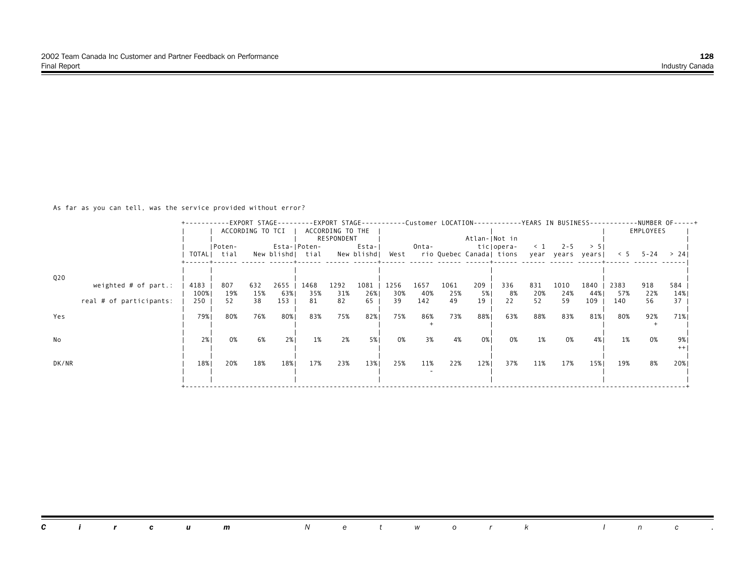As far as you can tell, was the service provided without error?

| ACCORDING TO TCI<br>EMPLOYEES<br>ACCORDING TO THE<br>RESPONDENT<br>Atlan- Not in<br>Esta-I<br>ticlopera-<br>2 - 5<br>Esta- Poten-<br>Onta-<br>$\leq 1$<br> Poten-<br>> 51<br>rio Quebec Canada  tions<br>TOTALI tial<br>New blishd  tial<br>New blishd  West<br>year years years<br>$< 5$ 5-24<br>>241<br>Q20 |                        | +--------- |     |     |      |      |      |      |      |      |      |     |     |     |      |      |      |     | -EXPORT STAGE---------EXPORT STAGE----------Customer LOCATION-----------YEARS IN BUSINESS-----------NUMBER OF-----+ |
|---------------------------------------------------------------------------------------------------------------------------------------------------------------------------------------------------------------------------------------------------------------------------------------------------------------|------------------------|------------|-----|-----|------|------|------|------|------|------|------|-----|-----|-----|------|------|------|-----|---------------------------------------------------------------------------------------------------------------------|
|                                                                                                                                                                                                                                                                                                               |                        |            |     |     |      |      |      |      |      |      |      |     |     |     |      |      |      |     |                                                                                                                     |
|                                                                                                                                                                                                                                                                                                               |                        |            |     |     |      |      |      |      |      |      |      |     |     |     |      |      |      |     |                                                                                                                     |
|                                                                                                                                                                                                                                                                                                               |                        |            |     |     |      |      |      |      |      |      |      |     |     |     |      |      |      |     |                                                                                                                     |
|                                                                                                                                                                                                                                                                                                               |                        |            |     |     |      |      |      |      |      |      |      |     |     |     |      |      |      |     |                                                                                                                     |
|                                                                                                                                                                                                                                                                                                               |                        |            |     |     |      |      |      |      |      |      |      |     |     |     |      |      |      |     |                                                                                                                     |
|                                                                                                                                                                                                                                                                                                               |                        |            |     |     |      |      |      |      |      |      |      |     |     |     |      |      |      |     |                                                                                                                     |
|                                                                                                                                                                                                                                                                                                               | weighted $#$ of part.: | 4183       | 807 | 632 | 2655 | 1468 | 1292 | 1081 | 1256 | 1657 | 1061 | 209 | 336 | 831 | 1010 | 1840 | 2383 | 918 | 584                                                                                                                 |
| 19%<br>26%<br>5%  <br>100%<br>15%<br>63% <br>35%<br>31%<br>30%<br>40%<br>25%<br>20%<br>24%<br>44% <br>57%<br>22%<br>8%                                                                                                                                                                                        |                        |            |     |     |      |      |      |      |      |      |      |     |     |     |      |      |      |     | 14%                                                                                                                 |
| 142<br>250<br>52<br>38<br>153<br>81<br>82<br>65<br>39<br>49<br>19<br>22<br>52<br>59<br>109<br>140<br>real # of participants:<br>56                                                                                                                                                                            |                        |            |     |     |      |      |      |      |      |      |      |     |     |     |      |      |      |     | 37                                                                                                                  |
|                                                                                                                                                                                                                                                                                                               |                        |            |     |     |      |      |      |      |      |      |      |     |     |     |      |      |      |     |                                                                                                                     |
| 63%<br>75%<br>86%<br>73%<br>88% <br>88%<br>83%<br>80%<br>76%<br>80%<br>83%<br>75%<br>82% <br>81%<br>80%<br>92%<br>Yes<br>79%                                                                                                                                                                                  |                        |            |     |     |      |      |      |      |      |      |      |     |     |     |      |      |      |     | 71%                                                                                                                 |
|                                                                                                                                                                                                                                                                                                               |                        |            |     |     |      |      |      |      |      |      |      |     |     |     |      |      |      |     |                                                                                                                     |
|                                                                                                                                                                                                                                                                                                               |                        |            |     |     |      |      |      |      |      |      |      |     |     |     |      |      |      |     |                                                                                                                     |
| 2%<br>4%<br>No<br>2%1<br>2%1<br>1%<br>3%<br>0%  <br>0%<br>0%<br>0%<br>6%<br>5%  <br>1%<br>0%<br>4%  <br>1%<br>0%                                                                                                                                                                                              |                        |            |     |     |      |      |      |      |      |      |      |     |     |     |      |      |      |     | 9%                                                                                                                  |
|                                                                                                                                                                                                                                                                                                               |                        |            |     |     |      |      |      |      |      |      |      |     |     |     |      |      |      |     | $^{++}$                                                                                                             |
|                                                                                                                                                                                                                                                                                                               |                        |            |     |     |      |      |      |      |      |      |      |     |     |     |      |      |      |     |                                                                                                                     |
| 20%<br>23%<br>13%<br>12%<br>37%<br>DK/NR<br>18%<br>18%<br>18%<br>25%<br>11%<br>22%<br>11%<br>17%<br>15%<br>19%<br>17%<br>8%                                                                                                                                                                                   |                        |            |     |     |      |      |      |      |      |      |      |     |     |     |      |      |      |     | 20%                                                                                                                 |
|                                                                                                                                                                                                                                                                                                               |                        |            |     |     |      |      |      |      |      |      |      |     |     |     |      |      |      |     |                                                                                                                     |
|                                                                                                                                                                                                                                                                                                               |                        |            |     |     |      |      |      |      |      |      |      |     |     |     |      |      |      |     |                                                                                                                     |

*Circum Network Inc.* $\sim 10$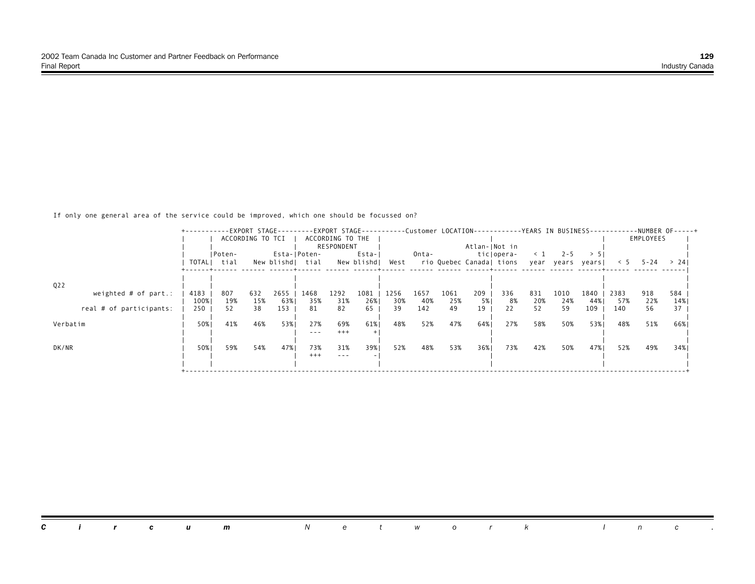If only one general area of the service could be improved, which one should be focussed on?

|                         | +---------   |             |                  |               |                  |                                                                                                                                                                                                                                                                                                                                                                                              |             |             |             |             |               |                          |            |                  |             |             |                   | --EXPORT STAGE---------EXPORT STAGE----------Customer LOCATION-----------YEARS IN BUSINESS-----------NUMBER OF-----+ |
|-------------------------|--------------|-------------|------------------|---------------|------------------|----------------------------------------------------------------------------------------------------------------------------------------------------------------------------------------------------------------------------------------------------------------------------------------------------------------------------------------------------------------------------------------------|-------------|-------------|-------------|-------------|---------------|--------------------------|------------|------------------|-------------|-------------|-------------------|----------------------------------------------------------------------------------------------------------------------|
|                         |              |             | ACCORDING TO TCI |               |                  | ACCORDING TO THE                                                                                                                                                                                                                                                                                                                                                                             |             |             |             |             |               |                          |            |                  |             |             | EMPLOYEES         |                                                                                                                      |
|                         |              |             |                  |               |                  | RESPONDENT                                                                                                                                                                                                                                                                                                                                                                                   |             |             |             |             | Atlan-INot in |                          |            |                  |             |             |                   |                                                                                                                      |
|                         |              | IPoten-     |                  |               | Esta- Poten-     |                                                                                                                                                                                                                                                                                                                                                                                              | Esta-l      |             | Onta-       |             |               | ticlopera-               | $\leq 1$   | $2 - 5$          | > 51        |             |                   |                                                                                                                      |
|                         |              | TOTALI tial |                  |               | New blishd  tial |                                                                                                                                                                                                                                                                                                                                                                                              | New blishd  | West        |             |             |               | rio Quebec Canada  tions |            | year years years |             |             | $5 - 5 - 24$ > 24 |                                                                                                                      |
|                         |              |             |                  |               |                  |                                                                                                                                                                                                                                                                                                                                                                                              |             |             |             |             |               |                          |            |                  |             |             |                   |                                                                                                                      |
|                         |              |             |                  |               |                  |                                                                                                                                                                                                                                                                                                                                                                                              |             |             |             |             |               |                          |            |                  |             |             |                   |                                                                                                                      |
| Q <sub>2</sub>          |              |             |                  |               |                  |                                                                                                                                                                                                                                                                                                                                                                                              |             |             |             |             |               |                          |            |                  |             |             |                   |                                                                                                                      |
| weighted $#$ of part.:  | 4183<br>100% | 807<br>19%  | 632<br>15%       | 2655  <br>63% | 1468<br>35%      | 1292<br>31%                                                                                                                                                                                                                                                                                                                                                                                  | 1081<br>26% | 1256<br>30% | 1657<br>40% | 1061<br>25% | 209<br>5%     | 336<br>8%                | 831<br>20% | 1010<br>24%      | 1840<br>44% | 2383<br>57% | 918<br>22%        | 584<br>14%                                                                                                           |
| real # of participants: | 250          | 52          | 38               | 153           | 81               | 82                                                                                                                                                                                                                                                                                                                                                                                           | 65          | 39          | 142         | 49          | 19            | 22                       | 52         | 59               | 109         | 140         | 56                | 37                                                                                                                   |
|                         |              |             |                  |               |                  |                                                                                                                                                                                                                                                                                                                                                                                              |             |             |             |             |               |                          |            |                  |             |             |                   |                                                                                                                      |
| Verbatim                | 50%          | 41%         | 46%              | 53%1          | 27%              | 69%                                                                                                                                                                                                                                                                                                                                                                                          | 61%         | 48%         | 52%         | 47%         | 64%           | 27%                      | 58%        | 50%              | 53%         | 48%         | 51%               | 66%।                                                                                                                 |
|                         |              |             |                  |               |                  | $+++$                                                                                                                                                                                                                                                                                                                                                                                        |             |             |             |             |               |                          |            |                  |             |             |                   |                                                                                                                      |
|                         |              |             |                  |               |                  |                                                                                                                                                                                                                                                                                                                                                                                              |             |             |             |             |               |                          |            |                  |             |             |                   |                                                                                                                      |
| DK/NR                   | 50%          | 59%         | 54%              | 47%           | 73%              | 31%                                                                                                                                                                                                                                                                                                                                                                                          | 39%1        | 52%         | 48%         | 53%         | 36%           | 73%                      | 42%        | 50%              | 47%         | 52%         | 49%               | 34%                                                                                                                  |
|                         |              |             |                  |               | $^{+++}$         | $\frac{1}{2} \frac{1}{2} \frac{1}{2} \frac{1}{2} \frac{1}{2} \frac{1}{2} \frac{1}{2} \frac{1}{2} \frac{1}{2} \frac{1}{2} \frac{1}{2} \frac{1}{2} \frac{1}{2} \frac{1}{2} \frac{1}{2} \frac{1}{2} \frac{1}{2} \frac{1}{2} \frac{1}{2} \frac{1}{2} \frac{1}{2} \frac{1}{2} \frac{1}{2} \frac{1}{2} \frac{1}{2} \frac{1}{2} \frac{1}{2} \frac{1}{2} \frac{1}{2} \frac{1}{2} \frac{1}{2} \frac{$ |             |             |             |             |               |                          |            |                  |             |             |                   |                                                                                                                      |
|                         |              |             |                  |               |                  |                                                                                                                                                                                                                                                                                                                                                                                              |             |             |             |             |               |                          |            |                  |             |             |                   |                                                                                                                      |
|                         |              |             |                  |               |                  |                                                                                                                                                                                                                                                                                                                                                                                              |             |             |             |             |               |                          |            |                  |             |             |                   |                                                                                                                      |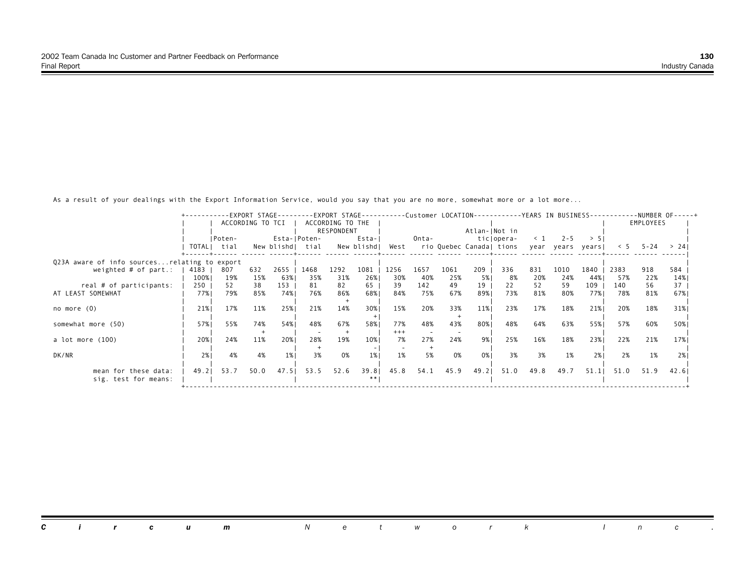|                                              |        |                  |      |       |                  |                  |            |       |       |      |                          |            |          |         |                  |      |           | +-----------EXPORT STAGE---------EXPORT STAGE----------Customer LOCATION----------YEARS IN BUSINESS------------NUMBER OF-----+ |
|----------------------------------------------|--------|------------------|------|-------|------------------|------------------|------------|-------|-------|------|--------------------------|------------|----------|---------|------------------|------|-----------|--------------------------------------------------------------------------------------------------------------------------------|
|                                              |        | ACCORDING TO TCI |      |       |                  | ACCORDING TO THE |            |       |       |      |                          |            |          |         |                  |      | EMPLOYEES |                                                                                                                                |
|                                              |        |                  |      |       |                  | RESPONDENT       |            |       |       |      | Atlan- Not in            |            |          |         |                  |      |           |                                                                                                                                |
|                                              |        | Poten-           |      |       | Esta-IPoten-     |                  | Esta-l     |       | Onta- |      |                          | ticlopera- | $\leq$ 1 | $2 - 5$ | > 51             |      |           |                                                                                                                                |
|                                              | TOTALI | tial             |      |       | New blishd  tial |                  | New blishd | West  |       |      | rio Quebec Canadal tions |            |          |         | year years years | < 5  | 5 - 24    | > 241                                                                                                                          |
| Q23A aware of info sourcesrelating to export |        |                  |      |       |                  |                  |            |       |       |      |                          |            |          |         |                  |      |           |                                                                                                                                |
| weighted $#$ of part.:                       | 4183   | 807              | 632  | 2655  | 1468             | 1292             | 1081       | 1256  | 1657  | 1061 | 209                      | 336        | 831      | 1010    | 1840             | 2383 | 918       | 584                                                                                                                            |
|                                              | 100%   | 19%              | 15%  | 63%   | 35%              | 31%              | 26%        | 30%   | 40%   | 25%  | 5%                       | 8%         | 20%      | 24%     | 44%              | 57%  | 22%       | 14%                                                                                                                            |
| real # of participants:                      | 250    | 52               | 38   | 153   | 81               | 82               | 65         | 39    | 142   | 49   | 19                       | 22         | 52       | 59      | 109              | 140  | 56        | 37                                                                                                                             |
| AT LEAST SOMEWHAT                            | 77%    | 79%              | 85%  | 74%   | 76%              | 86%              | 68%        | 84%   | 75%   | 67%  | 89%1                     | 73%        | 81%      | 80%     | 77%              | 78%  | 81%       | 67% 1                                                                                                                          |
|                                              |        |                  |      |       |                  |                  |            |       |       |      |                          |            |          |         |                  |      |           |                                                                                                                                |
| no more (0)                                  | 21%    | 17%              | 11%  | 25%   | 21%              | 14%              | 30%        | 15%   | 20%   | 33%  | 11%                      | 23%        | 17%      | 18%     | 21%              | 20%  | 18%       | 31%                                                                                                                            |
|                                              |        |                  |      |       |                  |                  |            |       |       |      |                          |            |          |         |                  |      |           |                                                                                                                                |
| somewhat more (50)                           | 57%    | 55%              | 74%  | 54%   | 48%              | 67%              | 58%        | 77%   | 48%   | 43%  | 80%                      | 48%        | 64%      | 63%     | 55%              | 57%  | 60%       | 50%                                                                                                                            |
|                                              |        |                  |      |       |                  |                  |            | $+++$ |       |      |                          |            |          |         |                  |      |           |                                                                                                                                |
| a lot more (100)                             | 20%    | 24%              | 11%  | 20%   | 28%              | 19%              | 10%        | 7%    | 27%   | 24%  | 9%                       | 25%        | 16%      | 18%     | 23%              | 22%  | 21%       | 17%                                                                                                                            |
|                                              | 2%     | 4%               | 4%   | 1%    | 3%               | 0%               | $1\%$      | 1%    | 5%    | 0%   | 0%                       | 3%         | 3%       | 1%      | 2%               | 2%   | 1%        |                                                                                                                                |
| DK/NR                                        |        |                  |      |       |                  |                  |            |       |       |      |                          |            |          |         |                  |      |           | 2%                                                                                                                             |
| mean for these data:                         | 49.21  | 53.7             | 50.0 | 47.51 | 53.5             | 52.6             | 39.8       | 45.8  | 54.1  | 45.9 | 49.21                    | 51.0       | 49.8     | 49.7    | 51.1             | 51.0 | 51.9      | 42.61                                                                                                                          |
| sig. test for means:                         |        |                  |      |       |                  |                  |            |       |       |      |                          |            |          |         |                  |      |           |                                                                                                                                |
|                                              |        |                  |      |       |                  |                  |            |       |       |      |                          |            |          |         |                  |      |           |                                                                                                                                |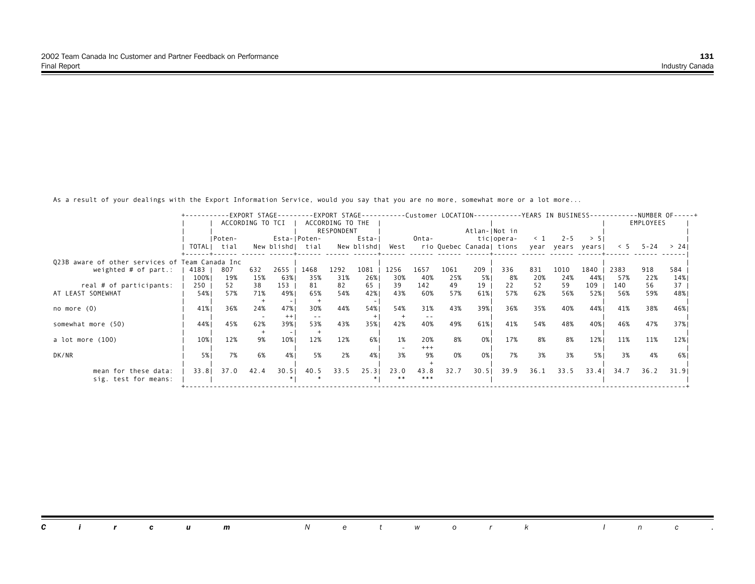|                                                 |         |        |                  |         |                 |                  |            |      |       |      |                          |            |          |            |        |      |           | -EXPORT STAGE---------EXPORT STAGE----------Customer LOCATION-----------YEARS IN BUSINESS-----------NUMBER OF-----+ |
|-------------------------------------------------|---------|--------|------------------|---------|-----------------|------------------|------------|------|-------|------|--------------------------|------------|----------|------------|--------|------|-----------|---------------------------------------------------------------------------------------------------------------------|
|                                                 |         |        | ACCORDING TO TCI |         |                 | ACCORDING TO THE |            |      |       |      |                          |            |          |            |        |      | EMPLOYEES |                                                                                                                     |
|                                                 |         |        |                  |         |                 | RESPONDENT       |            |      |       |      | Atlan- Not in            |            |          |            |        |      |           |                                                                                                                     |
|                                                 |         | Poten- |                  |         | Esta- Poten-    |                  | $Esta-$    |      | Onta- |      |                          | ticlopera- | $\leq 1$ | $2 - 5$    | > 51   |      |           |                                                                                                                     |
|                                                 | TOTAL I | tial   |                  |         | New blishd!tial |                  | New blishd | West |       |      | rio Quebec Canada  tions |            |          | year years | vearsl | < 5  | 5 - 24    | > 241                                                                                                               |
|                                                 |         |        |                  |         |                 |                  |            |      |       |      |                          |            |          |            |        |      |           |                                                                                                                     |
| Q23B aware of other services of Team Canada Inc |         |        |                  |         |                 |                  |            |      |       |      |                          |            |          |            |        |      |           |                                                                                                                     |
| weighted $#$ of part.:                          | 4183    | 807    | 632              | 2655    | 1468            | 1292             | 1081       | 1256 | 1657  | 1061 | 209                      | 336        | 831      | 1010       | 1840   | 2383 | 918       | 584                                                                                                                 |
|                                                 | 100%    | 19%    | 15%              | 63%     | 35%             | 31%              | 26%        | 30%  | 40%   | 25%  | 5%                       | 8%         | 20%      | 24%        | 44%    | 57%  | 22%       | 14%                                                                                                                 |
| real # of participants:                         | 250     | 52     | 38               | 153     | 81              | 82               | 65         | 39   | 142   | 49   | 19                       | 22         | 52       | 59         | 109    | 140  | 56        | 37                                                                                                                  |
| AT LEAST SOMEWHAT                               | 54%     | 57%    | 71%              | 49%     | 65%             | 54%              | 42%        | 43%  | 60%   | 57%  | 61%                      | 57%        | 62%      | 56%        | 52%    | 56%  | 59%       | 48%                                                                                                                 |
|                                                 |         |        |                  |         |                 |                  |            |      |       |      |                          |            |          |            |        |      |           |                                                                                                                     |
| no more (0)                                     | 41%     | 36%    | 24%              | 47%     | 30%             | 44%              | 54%        | 54%  | 31%   | 43%  | 39%                      | 36%        | 35%      | 40%        | 44%    | 41%  | 38%       | 46%                                                                                                                 |
|                                                 |         |        |                  | $^{++}$ |                 |                  |            |      | $ -$  |      |                          |            |          |            |        |      |           |                                                                                                                     |
| somewhat more (50)                              | 44%     | 45%    | 62%              | 39%     | 53%             | 43%              | 35%        | 42%  | 40%   | 49%  | 61%                      | 41%        | 54%      | 48%        | 40%    | 46%  | 47%       | 37%                                                                                                                 |
|                                                 |         |        |                  |         |                 |                  |            |      |       |      |                          |            |          |            |        |      |           |                                                                                                                     |
| a lot more (100)                                | 10%     | 12%    | 9%               | 10%     | 12%             | 12%              | 6% I       | 1%   | 20%   | 8%   | 0%                       | 17%        | 8%       | 8%         | 12%    | 11%  | 11%       | 12%                                                                                                                 |
|                                                 |         |        |                  |         |                 |                  |            |      | $+++$ |      |                          |            |          |            |        |      |           |                                                                                                                     |
| DK/NR                                           | 5%      | 7%     | 6%               | 4%      | 5%              | 2%               | 4%         | 3%   | 9%    | 0%   | 0%                       | 7%         | 3%       | 3%         | 5%     | 3%   | 4%        | 6%                                                                                                                  |
|                                                 |         |        |                  |         |                 |                  |            |      |       |      |                          |            |          |            |        |      |           |                                                                                                                     |
| mean for these data:                            | 33.81   | 37.0   | 42.4             | 30.51   | 40.5            | 33.5             | 25.31      | 23.0 | 43.8  | 32.7 | 30.51                    | 39.9       | 36.1     | 33.5       | 33.4   | 34.7 | 36.2      | 31.9                                                                                                                |
| sig. test for means:                            |         |        |                  |         |                 |                  |            |      | ***   |      |                          |            |          |            |        |      |           |                                                                                                                     |
|                                                 |         |        |                  |         |                 |                  |            |      |       |      |                          |            |          |            |        |      |           |                                                                                                                     |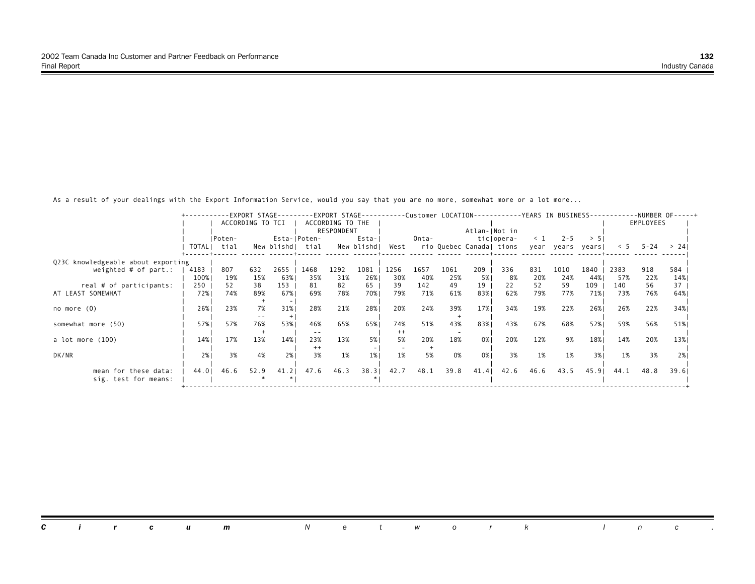|                                    |       |        |                  |      |                  |                  |            |         |       |      |               |                          |          |            |        |      |           | +-----------EXPORT STAGE---------EXPORT STAGE----------Customer LOCATION-----------YEARS IN BUSINESS-----------NUMBER OF-----+ |
|------------------------------------|-------|--------|------------------|------|------------------|------------------|------------|---------|-------|------|---------------|--------------------------|----------|------------|--------|------|-----------|--------------------------------------------------------------------------------------------------------------------------------|
|                                    |       |        | ACCORDING TO TCI |      |                  | ACCORDING TO THE |            |         |       |      |               |                          |          |            |        |      | EMPLOYEES |                                                                                                                                |
|                                    |       |        |                  |      |                  | RESPONDENT       |            |         |       |      | Atlan- Not in |                          |          |            |        |      |           |                                                                                                                                |
|                                    |       | Poten- |                  |      | Esta- Poten-     |                  | Esta-l     |         | Onta- |      |               | ticlopera-               | $\leq$ 1 | $2 - 5$    | > 51   |      |           |                                                                                                                                |
|                                    | TOTAL | tial   |                  |      | New blishd  tial |                  | New blishd | West    |       |      |               | rio Quebec Canadal tions |          | year years | vearsl | &5   | 5 - 24    | > 241                                                                                                                          |
| Q23C knowledgeable about exporting |       |        |                  |      |                  |                  |            |         |       |      |               |                          |          |            |        |      |           |                                                                                                                                |
| weighted $#$ of part.:             | 4183  | 807    | 632              | 2655 | 1468             | 1292             | 1081       | 1256    | 1657  | 1061 | 209           | 336                      | 831      | 1010       | 1840   | 2383 | 918       | 584                                                                                                                            |
|                                    | 100%  | 19%    | 15%              | 63%  | 35%              | 31%              | 26%        | 30%     | 40%   | 25%  | 5%            | 8%                       | 20%      | 24%        | 44%    | 57%  | 22%       | 14%                                                                                                                            |
| real # of participants:            | 250   | 52     | 38               | 153  | 81               | 82               | 65         | 39      | 142   | 49   | 19            | 22                       | 52       | 59         | 109    | 140  | 56        | 37                                                                                                                             |
| AT LEAST SOMEWHAT                  | 72%   | 74%    | 89%              | 67%  | 69%              | 78%              | 70%        | 79%     | 71%   | 61%  | 83%           | 62%                      | 79%      | 77%        | 71%    | 73%  | 76%       | 64%                                                                                                                            |
|                                    |       |        |                  |      |                  |                  |            |         |       |      |               |                          |          |            |        |      |           |                                                                                                                                |
| no more (0)                        | 26%   | 23%    | 7%               | 31%  | 28%              | 21%              | 28%        | 20%     | 24%   | 39%  | 17%           | 34%                      | 19%      | 22%        | 26%    | 26%  | 22%       | 34%                                                                                                                            |
|                                    |       |        |                  |      |                  |                  |            |         |       |      |               |                          |          |            |        |      |           |                                                                                                                                |
| somewhat more (50)                 | 57%   | 57%    | 76%              | 53%1 | 46%              | 65%              | 65%        | 74%     | 51%   | 43%  | 83%           | 43%                      | 67%      | 68%        | 52%    | 59%  | 56%       | 51%                                                                                                                            |
|                                    |       |        |                  |      |                  |                  |            | $^{++}$ |       |      |               |                          |          |            |        |      |           |                                                                                                                                |
| a lot more (100)                   | 14%   | 17%    | 13%              | 14%  | 23%<br>$^{++}$   | 13%              | 5%         | 5%      | 20%   | 18%  | 0%            | 20%                      | 12%      | 9%         | 18%    | 14%  | 20%       | 13%                                                                                                                            |
| DK/NR                              | 2%1   | 3%     | 4%               | 2%1  | 3%               | 1%               | $1\%$      | 1%      | 5%    | 0%   | 0%            | 3%                       | 1%       | 1%         | 3%     | 1%   | 3%        | 2%                                                                                                                             |
|                                    |       |        |                  |      |                  |                  |            |         |       |      |               |                          |          |            |        |      |           |                                                                                                                                |
| mean for these data:               | 44.0  | 46.6   | 52.9             | 41.2 | 47.6             | 46.3             | 38.3       | 42.7    | 48.1  | 39.8 | 41.4          | 42.6                     | 46.6     | 43.5       | 45.91  | 44.1 | 48.8      | 39.61                                                                                                                          |
| sig. test for means:               |       |        |                  |      |                  |                  |            |         |       |      |               |                          |          |            |        |      |           |                                                                                                                                |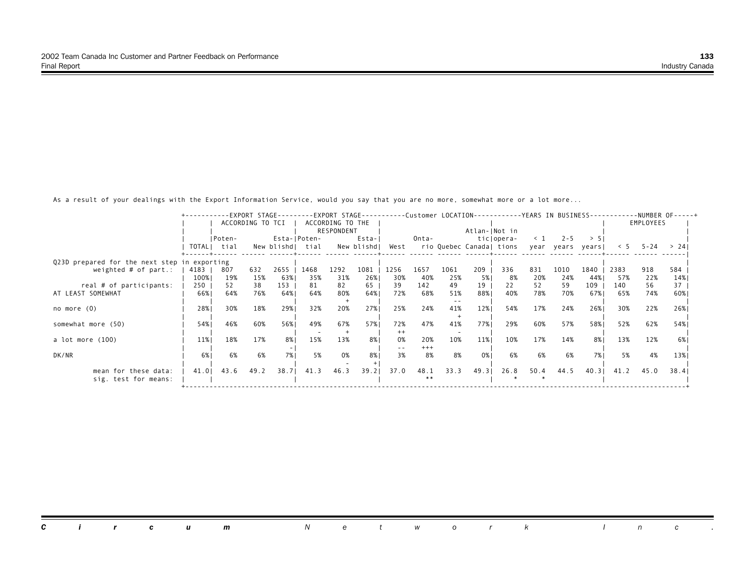|                                              |        |        |                  |       |                  |                  |            |                |       |      |                          |            |          |                  |      |      |           | +-----------EXPORT STAGE---------EXPORT STAGE----------Customer LOCATION----------YEARS IN BUSINESS------------NUMBER OF-----+ |
|----------------------------------------------|--------|--------|------------------|-------|------------------|------------------|------------|----------------|-------|------|--------------------------|------------|----------|------------------|------|------|-----------|--------------------------------------------------------------------------------------------------------------------------------|
|                                              |        |        | ACCORDING TO TCI |       |                  | ACCORDING TO THE |            |                |       |      |                          |            |          |                  |      |      | EMPLOYEES |                                                                                                                                |
|                                              |        |        |                  |       |                  | RESPONDENT       |            |                |       |      | Atlan- Not in            |            |          |                  |      |      |           |                                                                                                                                |
|                                              |        | Poten- |                  |       | Esta-IPoten-     |                  | Esta-l     |                | Onta- |      |                          | ticlopera- | $\leq$ 1 | $2 - 5$          | > 51 |      |           |                                                                                                                                |
|                                              | TOTALI | tial   |                  |       | New blishd  tial |                  | New blishd | West           |       |      | rio Quebec Canadal tions |            |          | year years years |      | < 5  | 5 - 24    | > 241                                                                                                                          |
|                                              |        |        |                  |       |                  |                  |            |                |       |      |                          |            |          |                  |      |      |           |                                                                                                                                |
| Q23D prepared for the next step in exporting |        |        |                  |       |                  |                  |            |                |       |      |                          |            |          |                  |      |      |           |                                                                                                                                |
| weighted $#$ of part.:                       | 4183   | 807    | 632              | 2655  | 1468             | 1292             | 1081       | 1256           | 1657  | 1061 | 209                      | 336        | 831      | 1010             | 1840 | 2383 | 918       | 584                                                                                                                            |
|                                              | 100%   | 19%    | 15%              | 63%   | 35%              | 31%              | 26%        | 30%            | 40%   | 25%  | 5%                       | 8%         | 20%      | 24%              | 44%  | 57%  | 22%       | 14%                                                                                                                            |
| real # of participants:                      | 250    | 52     | 38               | 153   | 81               | 82               | 65         | 39             | 142   | 49   | 19                       | 22         | 52       | 59               | 109  | 140  | 56        | 37                                                                                                                             |
| AT LEAST SOMEWHAT                            | 66%    | 64%    | 76%              | 64%   | 64%              | 80%              | 64%        | 72%            | 68%   | 51%  | 88%                      | 40%        | 78%      | 70%              | 67%  | 65%  | 74%       | 60%                                                                                                                            |
|                                              |        |        |                  |       |                  |                  |            |                |       |      |                          |            |          |                  |      |      |           |                                                                                                                                |
| no more (0)                                  | 28%    | 30%    | 18%              | 29%   | 32%              | 20%              | 27%        | 25%            | 24%   | 41%  | 12%                      | 54%        | 17%      | 24%              | 26%  | 30%  | 22%       | 26%                                                                                                                            |
|                                              |        |        |                  |       |                  |                  |            |                |       |      |                          |            |          |                  |      |      |           |                                                                                                                                |
| somewhat more (50)                           | 54%    | 46%    | 60%              | 56%   | 49%              | 67%              | 57%        | 72%<br>$^{++}$ | 47%   | 41%  | 77%                      | 29%        | 60%      | 57%              | 58%  | 52%  | 62%       | 54%                                                                                                                            |
| a lot more (100)                             | 11%    | 18%    | 17%              | 8%    | 15%              | 13%              | 8%         | 0%             | 20%   | 10%  | 11%                      | 10%        | 17%      | 14%              | 8%   | 13%  | 12%       | 6%                                                                                                                             |
|                                              |        |        |                  |       |                  |                  |            |                | $+++$ |      |                          |            |          |                  |      |      |           |                                                                                                                                |
| DK/NR                                        | 6%     | 6%     | 6%               | 7%1   | 5%               | 0%               | 8%         | 3%             | 8%    | 8%   | 0%                       | 6%         | 6%       | 6%               | 7%   | 5%   | 4%        | 13%                                                                                                                            |
|                                              |        |        |                  |       |                  |                  |            |                |       |      |                          |            |          |                  |      |      |           |                                                                                                                                |
| mean for these data:                         | 41.0   | 43.6   | 49.2             | 38.71 | 41.3             | 46.3             | 39.21      | 37.0           | 48.1  | 33.3 | 49.31                    | 26.8       | 50.4     | 44.5             | 40.3 | 41.2 | 45.0      | 38.41                                                                                                                          |
| sig. test for means:                         |        |        |                  |       |                  |                  |            |                | $* *$ |      |                          |            |          |                  |      |      |           |                                                                                                                                |
|                                              |        |        |                  |       |                  |                  |            |                |       |      |                          |            |          |                  |      |      |           |                                                                                                                                |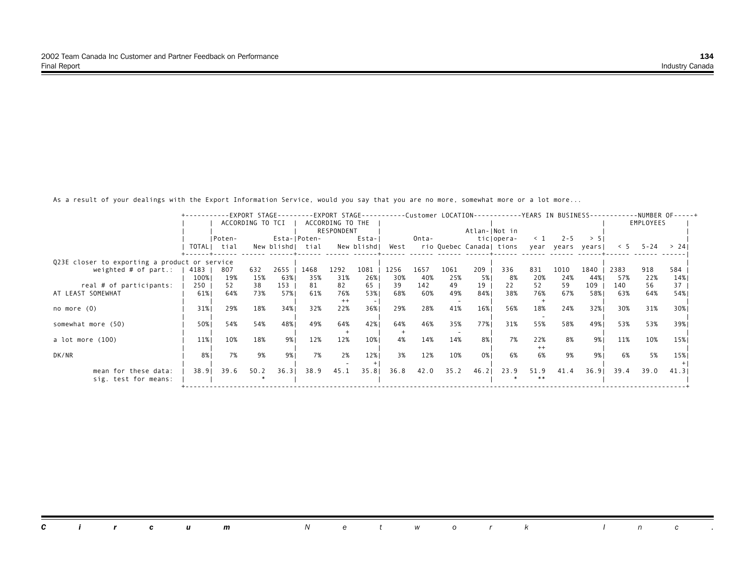|                                               |       |        |                  |       |                  |                  |                  |      |       |      |                          |            |          |                  |       |      |           | +-----------EXPORT STAGE---------EXPORT STAGE----------Customer LOCATION-----------YEARS IN BUSINESS------------NUMBER OF-----+ |
|-----------------------------------------------|-------|--------|------------------|-------|------------------|------------------|------------------|------|-------|------|--------------------------|------------|----------|------------------|-------|------|-----------|---------------------------------------------------------------------------------------------------------------------------------|
|                                               |       |        | ACCORDING TO TCI |       |                  | ACCORDING TO THE |                  |      |       |      |                          |            |          |                  |       |      | EMPLOYEES |                                                                                                                                 |
|                                               |       |        |                  |       |                  | RESPONDENT       |                  |      |       |      | Atlan- Not in            |            |          |                  |       |      |           |                                                                                                                                 |
|                                               |       | Poten- |                  |       | Esta- Poten-     |                  | Esta-I           |      | Onta- |      |                          | ticlopera- | $\leq 1$ | $2 - 5$          | > 51  |      |           |                                                                                                                                 |
|                                               | TOTAL | tial   |                  |       | New blishd  tial |                  | New blishd  West |      |       |      | rio Quebec Canadal tions |            |          | year years years |       | < 5  |           | $5 - 24$ > 24                                                                                                                   |
| Q23E closer to exporting a product or service |       |        |                  |       |                  |                  |                  |      |       |      |                          |            |          |                  |       |      |           |                                                                                                                                 |
| weighted $#$ of part.:                        | 4183  | 807    | 632              | 2655  | 1468             | 1292             | 1081             | 1256 | 1657  | 1061 | 209                      | 336        | 831      | 1010             | 1840  | 2383 | 918       | 584                                                                                                                             |
|                                               | 100%  | 19%    | 15%              | 63%   | 35%              | 31%              | 26%              | 30%  | 40%   | 25%  | 5%                       | 8%         | 20%      | 24%              | 44%   | 57%  | 22%       | 14%                                                                                                                             |
| real # of participants:                       | 250   | 52     | 38               | 153   | 81               | 82               | 65               | 39   | 142   | 49   | 19                       | 22         | 52       | 59               | 109   | 140  | 56        | 37                                                                                                                              |
| AT LEAST SOMEWHAT                             | 61%   | 64%    | 73%              | 57%   | 61%              | 76%              | 53%              | 68%  | 60%   | 49%  | 84%                      | 38%        | 76%      | 67%              | 58%1  | 63%  | 64%       | 54%                                                                                                                             |
|                                               |       |        |                  |       |                  | $^{++}$          |                  |      |       |      |                          |            |          |                  |       |      |           |                                                                                                                                 |
| no more (0)                                   | 31%   | 29%    | 18%              | 34%   | 32%              | 22%              | 36%              | 29%  | 28%   | 41%  | 16%                      | 56%        | 18%      | 24%              | 32%   | 30%  | 31%       | 30%                                                                                                                             |
|                                               |       |        |                  |       |                  |                  |                  |      |       |      |                          |            |          |                  |       |      |           |                                                                                                                                 |
| somewhat more (50)                            | 50%   | 54%    | 54%              | 48%   | 49%              | 64%              | 42%              | 64%  | 46%   | 35%  | 77%                      | 31%        | 55%      | 58%              | 49%   | 53%  | 53%       | 39%                                                                                                                             |
| a lot more (100)                              | 11%   | 10%    | 18%              | 9%1   | 12%              | 12%              | 10%              | 4%   | 14%   | 14%  | 8%                       | 7%         | 22%      | 8%               | 9%    | 11%  | 10%       | 15%                                                                                                                             |
|                                               |       |        |                  |       |                  |                  |                  |      |       |      |                          |            |          |                  |       |      |           |                                                                                                                                 |
| DK/NR                                         | 8%    | 7%     | 9%               | 9%    | 7%               | 2%               | 12%              | 3%   | 12%   | 10%  | 0%                       | 6%         | 6%       | 9%               | 9% 1  | 6%   | 5%        | 15%                                                                                                                             |
|                                               |       |        |                  |       |                  |                  |                  |      |       |      |                          |            |          |                  |       |      |           |                                                                                                                                 |
| mean for these data:                          | 38.91 | 39.6   | 50.2             | 36.31 | 38.9             | 45.1             | 35.8             | 36.8 | 42.0  | 35.2 | 46.21                    | 23.9       | 51.9     | 41.4             | 36.91 | 39.4 | 39.0      | 41.3                                                                                                                            |
| sig. test for means:                          |       |        |                  |       |                  |                  |                  |      |       |      |                          |            |          |                  |       |      |           |                                                                                                                                 |
|                                               |       |        |                  |       |                  |                  |                  |      |       |      |                          |            |          |                  |       |      |           |                                                                                                                                 |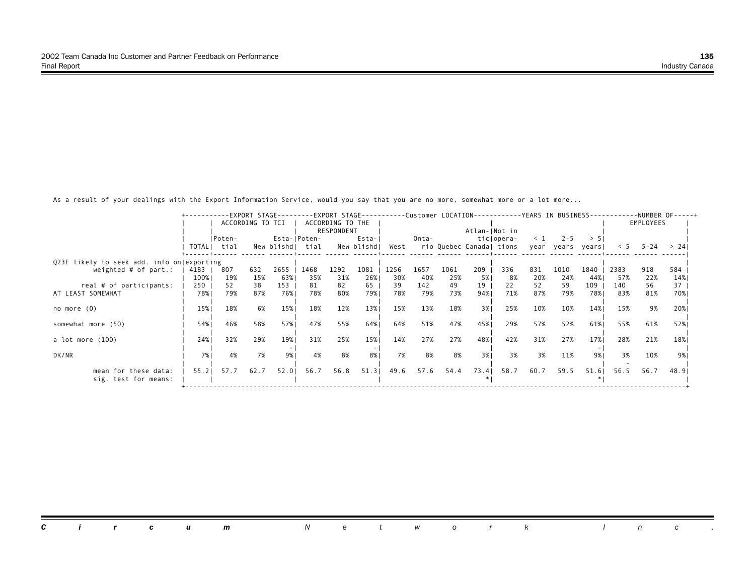|                                              |       |             |                  |                  |              |                  |            |      |       |      |               |                          |          |                  |      |      |           | -EXPORT STAGE---------EXPORT STAGE----------Customer LOCATION-----------YEARS IN BUSINESS-----------NUMBER OF-----+ |
|----------------------------------------------|-------|-------------|------------------|------------------|--------------|------------------|------------|------|-------|------|---------------|--------------------------|----------|------------------|------|------|-----------|---------------------------------------------------------------------------------------------------------------------|
|                                              |       |             | ACCORDING TO TCI |                  |              | ACCORDING TO THE |            |      |       |      |               |                          |          |                  |      |      | EMPLOYEES |                                                                                                                     |
|                                              |       |             |                  |                  |              | RESPONDENT       |            |      |       |      | Atlan-INot in |                          |          |                  |      |      |           |                                                                                                                     |
|                                              |       | Poten-      |                  |                  | Esta-IPoten- |                  | Esta-l     |      | Onta- |      |               | ticlopera-               | $\leq 1$ | $2 - 5$          | > 51 |      |           |                                                                                                                     |
|                                              |       | TOTALI tial |                  | New blishd  tial |              |                  | New blishd | West |       |      |               | rio Quebec Canadal tions |          | year years years |      | < 5  | 5 - 24    | > 241                                                                                                               |
|                                              |       |             |                  |                  |              |                  |            |      |       |      |               |                          |          |                  |      |      |           |                                                                                                                     |
| Q23F likely to seek add. info on exporting   |       |             |                  |                  |              |                  |            |      |       |      |               |                          |          |                  |      |      |           |                                                                                                                     |
| weighted $#$ of part.:                       | 4183  | 807         | 632              | 2655             | 1468         | 1292             | 1081       | 1256 | 1657  | 1061 | 209           | 336                      | 831      | 1010             | 1840 | 2383 | 918       | 584                                                                                                                 |
|                                              | 100%  | 19%         | 15%              | 63%              | 35%          | 31%              | 26%        | 30%  | 40%   | 25%  | 5%            | 8%                       | 20%      | 24%              | 44%  | 57%  | 22%       | 14%                                                                                                                 |
| real # of participants:                      | 250   | 52          | 38               | 153              | 81           | 82               | 65         | 39   | 142   | 49   | 19            | 22                       | 52       | 59               | 109  | 140  | 56        | 37                                                                                                                  |
| AT LEAST SOMEWHAT                            | 78%   | 79%         | 87%              | 76%              | 78%          | 80%              | 79%        | 78%  | 79%   | 73%  | 94%           | 71%                      | 87%      | 79%              | 78%  | 83%  | 81%       | 70% I                                                                                                               |
| no more $(0)$                                | 15%   | 18%         | 6%               | 15%              | 18%          | 12%              | 13%        | 15%  | 13%   | 18%  | 3%1           | 25%                      | 10%      | 10%              | 14%  | 15%  | 9%        | 20%                                                                                                                 |
|                                              |       |             |                  |                  |              |                  |            |      |       |      |               |                          |          |                  |      |      |           |                                                                                                                     |
| somewhat more (50)                           | 54%   | 46%         | 58%              | 57%              | 47%          | 55%              | 64%        | 64%  | 51%   | 47%  | 45%           | 29%                      | 57%      | 52%              | 61%  | 55%  | 61%       | 52%                                                                                                                 |
| a lot more (100)                             | 24%   | 32%         | 29%              | 19%              | 31%          | 25%              | 15%        | 14%  | 27%   | 27%  | 48%           | 42%                      | 31%      | 27%              | 17%  | 28%  | 21%       | 18%                                                                                                                 |
|                                              |       |             |                  |                  |              |                  |            |      |       |      |               |                          |          |                  |      |      |           |                                                                                                                     |
| DK/NR                                        | 7% I  | 4%          | 7%               | 9%               | 4%           | 8%               | 8%         | 7%   | 8%    | 8%   | 3%            | 3%                       | 3%       | 11%              | 9%   | 3%   | 10%       | 9%                                                                                                                  |
| mean for these data:<br>sig. test for means: | 55.21 | 57.7        | 62.7             | 52.0             | 56.7         | 56.8             | 51.3       | 49.6 | 57.6  | 54.4 | 73.4          | 58.7                     | 60.7     | 59.5             | 51.6 | 56.5 | 56.7      | 48.91                                                                                                               |
|                                              |       |             |                  |                  |              |                  |            |      |       |      |               |                          |          |                  |      |      |           |                                                                                                                     |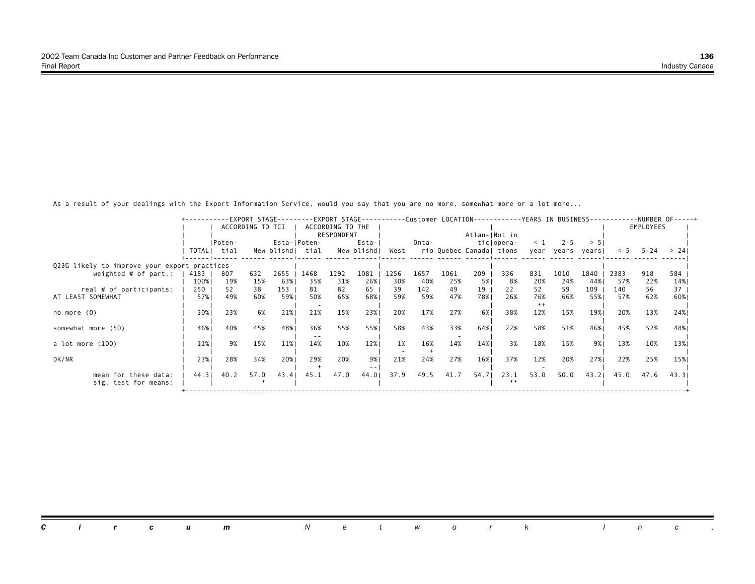|                                              |       |                  |      |                  |                  |      |            |      |       |      |      | -EXPORT STAGE---------EXPORT STAGE----------Customer LOCATION-----------YEARS IN BUSINESS-----------NUMBER OF-----+ |          |         |                  |      |           |       |  |
|----------------------------------------------|-------|------------------|------|------------------|------------------|------|------------|------|-------|------|------|---------------------------------------------------------------------------------------------------------------------|----------|---------|------------------|------|-----------|-------|--|
|                                              |       | ACCORDING TO TCI |      |                  | ACCORDING TO THE |      |            |      |       |      |      |                                                                                                                     |          |         |                  |      | EMPLOYEES |       |  |
|                                              |       |                  |      |                  | RESPONDENT       |      |            |      |       |      |      | Atlan-INot in                                                                                                       |          |         |                  |      |           |       |  |
|                                              |       | Poten-           |      |                  | Esta-IPoten-     |      | Esta-l     |      | Onta- |      |      | ticlopera-                                                                                                          | $\leq 1$ | $2 - 5$ | > 51             |      |           |       |  |
|                                              |       | TOTALI tial      |      | New blishd  tial |                  |      | New blishd | West |       |      |      | rio Quebec Canadal tions                                                                                            |          |         | year years years | < 5  | 5 - 24    | > 241 |  |
|                                              |       |                  |      |                  |                  |      |            |      |       |      |      |                                                                                                                     |          |         |                  |      |           |       |  |
| Q23G likely to improve your export practices |       |                  |      |                  |                  |      |            |      |       |      |      |                                                                                                                     |          |         |                  |      |           |       |  |
| weighted $#$ of part.:                       | 4183  | 807              | 632  | 2655             | 1468             | 1292 | 1081       | 1256 | 1657  | 1061 | 209  | 336                                                                                                                 | 831      | 1010    | 1840             | 2383 | 918       | 584   |  |
|                                              | 100%  | 19%              | 15%  | 63%              | 35%              | 31%  | 26%        | 30%  | 40%   | 25%  | 5%   | 8%                                                                                                                  | 20%      | 24%     | 44%              | 57%  | 22%       | 14%   |  |
| real # of participants:                      | 250   | 52               | 38   | 153              | 81               | 82   | 65         | 39   | 142   | 49   | 19   | 22                                                                                                                  | 52       | 59      | 109              | 140  | 56        | 37    |  |
| AT LEAST SOMEWHAT                            | 57%   | 49%              | 60%  | 59%              | 50%              | 65%  | 68%        | 59%  | 59%   | 47%  | 78%  | 26%                                                                                                                 | 76%      | 66%     | 55%              | 57%  | 62%       | 60%   |  |
|                                              |       |                  |      |                  |                  |      |            |      |       |      |      |                                                                                                                     | $^{++}$  |         |                  |      |           |       |  |
| no more $(0)$                                | 20%   | 23%              | 6%   | 21%              | 21%              | 15%  | 23%        | 20%  | 17%   | 27%  | 6%   | 38%                                                                                                                 | 12%      | 15%     | 19%              | 20%  | 13%       | 24%   |  |
|                                              |       |                  |      |                  |                  |      |            |      |       |      |      |                                                                                                                     |          |         |                  |      |           |       |  |
| somewhat more (50)                           | 46%   | 40%              | 45%  | 48%              | 36%              | 55%  | 55%        | 58%  | 43%   | 33%  | 64%  | 22%                                                                                                                 | 58%      | 51%     | 46%              | 45%  | 52%       | 48%   |  |
|                                              |       |                  |      |                  |                  |      |            |      |       |      |      |                                                                                                                     |          |         |                  |      |           |       |  |
| a lot more (100)                             | 11%   | 9%               | 15%  | 11%              | 14%              | 10%  | 12%        | 1%   | 16%   | 14%  | 14%  | 3%                                                                                                                  | 18%      | 15%     | 9%               | 13%  | 10%       | 13%   |  |
|                                              |       |                  |      |                  |                  |      |            |      |       |      |      |                                                                                                                     |          |         |                  |      |           |       |  |
| DK/NR                                        | 23%   | 28%              | 34%  | 20%              | 29%              | 20%  | 9%         | 21%  | 24%   | 27%  | 16%  | 37%                                                                                                                 | 12%      | 20%     | 27%              | 22%  | 25%       | 15%   |  |
|                                              |       |                  |      |                  |                  |      |            |      |       |      |      |                                                                                                                     |          |         |                  |      |           |       |  |
| mean for these data:                         | 44.31 | 40.2             | 57.0 | 43.4             | 45.1             | 47.0 | 44.01      | 37.9 | 49.5  | 41.7 | 54.7 | 23.1                                                                                                                | 53.0     | 50.0    | 43.21            | 45.0 | 47.6      | 43.3  |  |
| sig. test for means:                         |       |                  |      |                  |                  |      |            |      |       |      |      |                                                                                                                     |          |         |                  |      |           |       |  |
|                                              |       |                  |      |                  |                  |      |            |      |       |      |      |                                                                                                                     |          |         |                  |      |           |       |  |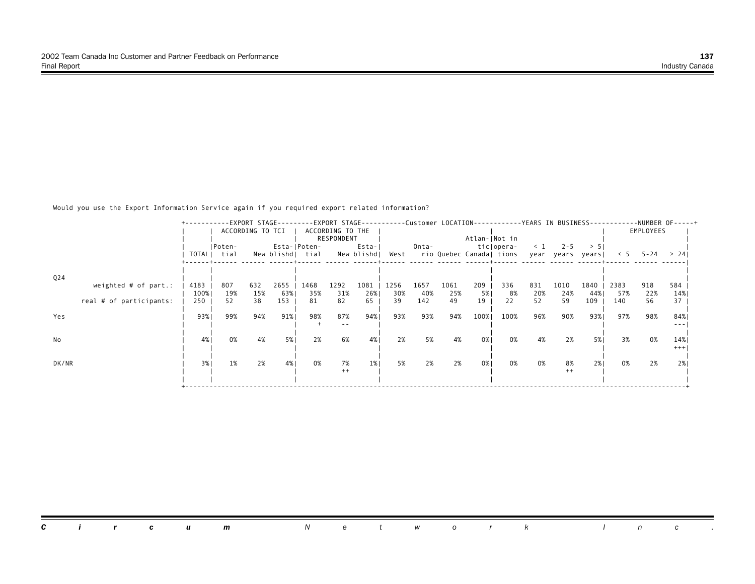Would you use the Export Information Service again if you required export related information?

|       |                         |      |             |                  |      |                  |                                |            |      |       |      |               |                          |          |            |        |      |           | -EXPORT STAGE---------EXPORT STAGE----------Customer LOCATION-----------YEARS IN BUSINESS-----------NUMBER OF-----+ |
|-------|-------------------------|------|-------------|------------------|------|------------------|--------------------------------|------------|------|-------|------|---------------|--------------------------|----------|------------|--------|------|-----------|---------------------------------------------------------------------------------------------------------------------|
|       |                         |      |             | ACCORDING TO TCI |      |                  | ACCORDING TO THE<br>RESPONDENT |            |      |       |      | Atlan-INot in |                          |          |            |        |      | EMPLOYEES |                                                                                                                     |
|       |                         |      | Poten-      |                  |      | Esta- Poten-     |                                | Esta-      |      | Onta- |      |               | tic opera-               | $\leq 1$ | $2 - 5$    | > 51   |      |           |                                                                                                                     |
|       |                         |      | TOTALI tial |                  |      | New blishd  tial |                                | New blishd | West |       |      |               | rio Quebec Canada  tions |          | year years | vearsl | < 5  |           | $5 - 24$ > 24                                                                                                       |
|       |                         |      |             |                  |      |                  |                                |            |      |       |      |               |                          |          |            |        |      |           |                                                                                                                     |
| Q24   | weighted $#$ of part.:  | 4183 | 807         | 632              | 2655 | 1468             | 1292                           | 1081       | 1256 | 1657  | 1061 | 209           | 336                      | 831      | 1010       | 1840   | 2383 | 918       | 584                                                                                                                 |
|       |                         | 100% | 19%         | 15%              | 63%  | 35%              | 31%                            | 26%        | 30%  | 40%   | 25%  | 5%            | 8%                       | 20%      | 24%        | 44%    | 57%  | 22%       | 14%                                                                                                                 |
|       | real # of participants: | 250  | 52          | 38               | 153  | 81               | 82                             | 65         | 39   | 142   | 49   | 19            | 22                       | 52       | 59         | 109    | 140  | 56        | 37                                                                                                                  |
| Yes   |                         | 93%  | 99%         | 94%              | 91%  | 98%              | 87%                            | 94%        | 93%  | 93%   | 94%  | 100%          | 100%                     | 96%      | 90%        | 93%    | 97%  | 98%       | 84%                                                                                                                 |
|       |                         |      |             |                  |      |                  | $- -$                          |            |      |       |      |               |                          |          |            |        |      |           | $- - -$                                                                                                             |
| No    |                         | 4%   | 0%          | 4%               | 5%   | 2%               | 6%                             | 4%         | 2%   | 5%    | 4%   | 0%            | 0%                       | 4%       | 2%         | 5%     | 3%   | 0%        | 14%                                                                                                                 |
|       |                         |      |             |                  |      |                  |                                |            |      |       |      |               |                          |          |            |        |      |           | $+++$                                                                                                               |
| DK/NR |                         | 3%   | 1%          | 2%               | 4%   | 0%               | 7%                             | $1\%$      | 5%   | 2%    | 2%   | 0%            | 0%                       | 0%       | 8%         | 2% 1   | 0%   | 2%        | 2% I                                                                                                                |
|       |                         |      |             |                  |      |                  | $^{++}$                        |            |      |       |      |               |                          |          | $++$       |        |      |           |                                                                                                                     |
|       |                         |      |             |                  |      |                  |                                |            |      |       |      |               |                          |          |            |        |      |           |                                                                                                                     |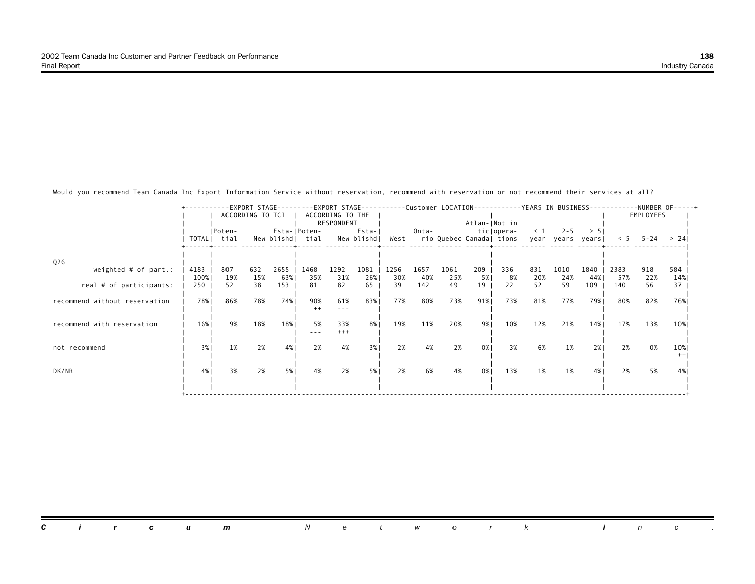Would you recommend Team Canada Inc Export Information Service without reservation, recommend with reservation or not recommend their services at all?

|                               |      |             |                  |      |                                   |                                                                                                                                                                                                                                                                                                                                                                                                     |        |      |       |      |               |                          |          |                  |      |      |                   | -EXPORT STAGE---------EXPORT STAGE----------Customer LOCATION----------YEARS IN BUSINESS-----------NUMBER OF-----+ |
|-------------------------------|------|-------------|------------------|------|-----------------------------------|-----------------------------------------------------------------------------------------------------------------------------------------------------------------------------------------------------------------------------------------------------------------------------------------------------------------------------------------------------------------------------------------------------|--------|------|-------|------|---------------|--------------------------|----------|------------------|------|------|-------------------|--------------------------------------------------------------------------------------------------------------------|
|                               |      |             | ACCORDING TO TCI |      |                                   | ACCORDING TO THE                                                                                                                                                                                                                                                                                                                                                                                    |        |      |       |      |               |                          |          |                  |      |      | EMPLOYEES         |                                                                                                                    |
|                               |      |             |                  |      |                                   | RESPONDENT                                                                                                                                                                                                                                                                                                                                                                                          |        |      |       |      | Atlan- Not in |                          |          |                  |      |      |                   |                                                                                                                    |
|                               |      | Poten-      |                  |      | Esta- Poten-                      |                                                                                                                                                                                                                                                                                                                                                                                                     | Esta-l |      | Onta- |      |               | tic opera-               | $\leq 1$ | $2 - 5$          | > 51 |      |                   |                                                                                                                    |
|                               |      | TOTALI tial |                  |      | New blishd  tial New blishd  West |                                                                                                                                                                                                                                                                                                                                                                                                     |        |      |       |      |               | rio Quebec Canada  tions |          | year years years |      |      | $5 - 5 - 24$ > 24 |                                                                                                                    |
|                               |      |             |                  |      |                                   |                                                                                                                                                                                                                                                                                                                                                                                                     |        |      |       |      |               |                          |          |                  |      |      |                   |                                                                                                                    |
|                               |      |             |                  |      |                                   |                                                                                                                                                                                                                                                                                                                                                                                                     |        |      |       |      |               |                          |          |                  |      |      |                   |                                                                                                                    |
| Q26                           |      |             |                  |      |                                   |                                                                                                                                                                                                                                                                                                                                                                                                     |        |      |       |      |               |                          |          |                  |      |      |                   |                                                                                                                    |
| weighted $#$ of part.:        | 4183 | 807         | 632              | 2655 | 1468                              | 1292                                                                                                                                                                                                                                                                                                                                                                                                | 1081   | 1256 | 1657  | 1061 | 209           | 336                      | 831      | 1010             | 1840 | 2383 | 918               | 584                                                                                                                |
|                               | 100% | 19%         | 15%              | 63%  | 35%                               | 31%                                                                                                                                                                                                                                                                                                                                                                                                 | 26%    | 30%  | 40%   | 25%  | 5%            | 8%                       | 20%      | 24%              | 44%  | 57%  | 22%               | 14%                                                                                                                |
| real # of participants:       | 250  | 52          | 38               | 153  | 81                                | 82                                                                                                                                                                                                                                                                                                                                                                                                  | 65     | 39   | 142   | 49   | 19            | 22                       | 52       | 59               | 109  | 140  | 56                | 37                                                                                                                 |
|                               |      |             |                  |      |                                   |                                                                                                                                                                                                                                                                                                                                                                                                     |        |      |       |      |               |                          |          |                  |      |      |                   |                                                                                                                    |
| recommend without reservation | 78%  | 86%         | 78%              | 74%  | 90%<br>$++$                       | 61%<br>$\frac{1}{2} \frac{1}{2} \frac{1}{2} \frac{1}{2} \frac{1}{2} \frac{1}{2} \frac{1}{2} \frac{1}{2} \frac{1}{2} \frac{1}{2} \frac{1}{2} \frac{1}{2} \frac{1}{2} \frac{1}{2} \frac{1}{2} \frac{1}{2} \frac{1}{2} \frac{1}{2} \frac{1}{2} \frac{1}{2} \frac{1}{2} \frac{1}{2} \frac{1}{2} \frac{1}{2} \frac{1}{2} \frac{1}{2} \frac{1}{2} \frac{1}{2} \frac{1}{2} \frac{1}{2} \frac{1}{2} \frac{$ | 83%    | 77%  | 80%   | 73%  | 91%           | 73%                      | 81%      | 77%              | 79%  | 80%  | 82%               | 76%                                                                                                                |
|                               |      |             |                  |      |                                   |                                                                                                                                                                                                                                                                                                                                                                                                     |        |      |       |      |               |                          |          |                  |      |      |                   |                                                                                                                    |
| recommend with reservation    | 16%  | 9%          | 18%              | 18%  | 5%                                | 33%                                                                                                                                                                                                                                                                                                                                                                                                 | 8% I   | 19%  | 11%   | 20%  | 9% 1          | 10%                      | 12%      | 21%              | 14%  | 17%  | 13%               | 10%                                                                                                                |
|                               |      |             |                  |      |                                   | $+++$                                                                                                                                                                                                                                                                                                                                                                                               |        |      |       |      |               |                          |          |                  |      |      |                   |                                                                                                                    |
|                               |      |             |                  |      |                                   |                                                                                                                                                                                                                                                                                                                                                                                                     |        |      |       |      |               |                          |          |                  |      |      |                   |                                                                                                                    |
| not recommend                 | 3%   | 1%          | 2%               | 4%   | 2%                                | 4%                                                                                                                                                                                                                                                                                                                                                                                                  | 3%     | 2%   | 4%    | 2%   | 0%            | 3%                       | 6%       | 1%               | 2% l | 2%   | 0%                | 10%                                                                                                                |
|                               |      |             |                  |      |                                   |                                                                                                                                                                                                                                                                                                                                                                                                     |        |      |       |      |               |                          |          |                  |      |      |                   | $++$                                                                                                               |
|                               |      |             |                  |      |                                   |                                                                                                                                                                                                                                                                                                                                                                                                     |        |      |       |      |               |                          |          |                  |      |      |                   |                                                                                                                    |
| DK/NR                         | 4%   | 3%          | 2%               | 5%   | 4%                                | 2%                                                                                                                                                                                                                                                                                                                                                                                                  | 5%     | 2%   | 6%    | 4%   | 0%            | 13%                      | 1%       | 1%               | 4%   | 2%   | 5%                | 4%                                                                                                                 |
|                               |      |             |                  |      |                                   |                                                                                                                                                                                                                                                                                                                                                                                                     |        |      |       |      |               |                          |          |                  |      |      |                   |                                                                                                                    |
|                               |      |             |                  |      |                                   |                                                                                                                                                                                                                                                                                                                                                                                                     |        |      |       |      |               |                          |          |                  |      |      |                   |                                                                                                                    |
|                               |      |             |                  |      |                                   |                                                                                                                                                                                                                                                                                                                                                                                                     |        |      |       |      |               |                          |          |                  |      |      |                   |                                                                                                                    |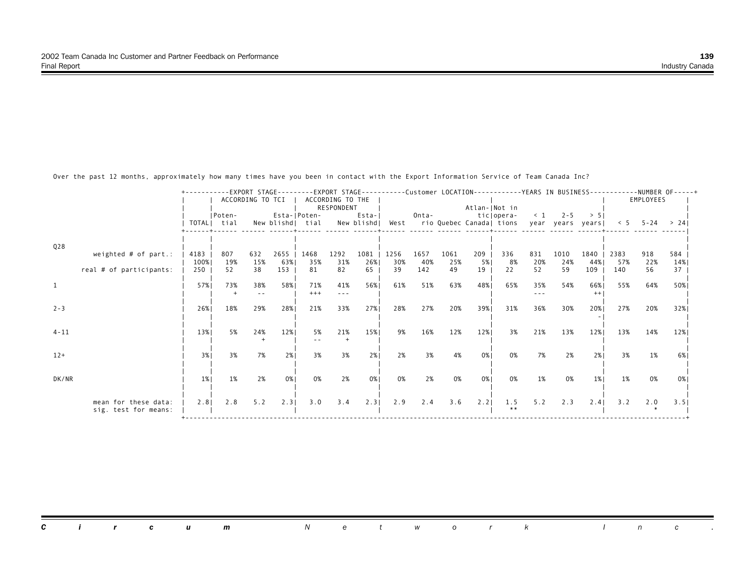Over the past 12 months, approximately how many times have you been in contact with the Export Information Service of Team Canada Inc?

|                         |              |             |                  |                 |                  |                                                                                                                                                                                                                                                                                                                                                                                              |             |      |             |             |                             |                          |            |                   |             |             |                   | -EXPORT STAGE--------EXPORT STAGE----------Customer LOCATION-----------YEARS IN BUSINESS-----------NUMBER OF-----+ |  |
|-------------------------|--------------|-------------|------------------|-----------------|------------------|----------------------------------------------------------------------------------------------------------------------------------------------------------------------------------------------------------------------------------------------------------------------------------------------------------------------------------------------------------------------------------------------|-------------|------|-------------|-------------|-----------------------------|--------------------------|------------|-------------------|-------------|-------------|-------------------|--------------------------------------------------------------------------------------------------------------------|--|
|                         |              |             | ACCORDING TO TCI |                 |                  | ACCORDING TO THE                                                                                                                                                                                                                                                                                                                                                                             |             |      |             |             |                             |                          |            |                   |             |             | EMPLOYEES         |                                                                                                                    |  |
|                         |              | Poten-      |                  |                 | Esta- Poten-     | RESPONDENT                                                                                                                                                                                                                                                                                                                                                                                   | Esta-       |      | Onta-       |             | Atlan- Not in<br>tic opera- |                          | $\leq 1$   | $2 - 5$           | > 51        |             |                   |                                                                                                                    |  |
|                         |              | TOTALI tial |                  |                 | New blishd  tial |                                                                                                                                                                                                                                                                                                                                                                                              | New blishd  | West |             |             |                             | rio Quebec Canada  tions |            | year years years! |             |             | $5 - 5 - 24$ > 24 |                                                                                                                    |  |
|                         |              |             |                  |                 |                  |                                                                                                                                                                                                                                                                                                                                                                                              |             |      |             |             |                             |                          |            |                   |             |             |                   |                                                                                                                    |  |
|                         |              |             |                  |                 |                  |                                                                                                                                                                                                                                                                                                                                                                                              |             |      |             |             |                             |                          |            |                   |             |             |                   |                                                                                                                    |  |
| Q28                     |              | 807         | 632              |                 |                  |                                                                                                                                                                                                                                                                                                                                                                                              |             | 1256 |             |             | 209                         |                          |            |                   |             |             |                   |                                                                                                                    |  |
| weighted $#$ of part.:  | 4183<br>100% | 19%         | 15%              | $2655$  <br>63% | 1468<br>35%      | 1292<br>31%                                                                                                                                                                                                                                                                                                                                                                                  | 1081<br>26% | 30%  | 1657<br>40% | 1061<br>25% | 5%                          | 336<br>8%                | 831<br>20% | 1010<br>24%       | 1840<br>44% | 2383<br>57% | 918<br>22%        | 584<br>14%                                                                                                         |  |
| real # of participants: | 250          | 52          | 38               | 153             | 81               | 82                                                                                                                                                                                                                                                                                                                                                                                           | 65          | 39   | 142         | 49          | 19                          | 22                       | 52         | 59                | 109         | 140         | 56                | 37                                                                                                                 |  |
|                         |              |             |                  |                 |                  |                                                                                                                                                                                                                                                                                                                                                                                              |             |      |             |             |                             |                          |            |                   |             |             |                   |                                                                                                                    |  |
|                         | 57%          | 73%         | 38%              | 58%             | 71%              | 41%                                                                                                                                                                                                                                                                                                                                                                                          | 56%         | 61%  | 51%         | 63%         | 48%                         | 65%                      | 35%        | 54%               | 66%         | 55%         | 64%               | 50%                                                                                                                |  |
|                         |              |             | $- -$            |                 | $+++$            | $\frac{1}{2} \frac{1}{2} \frac{1}{2} \frac{1}{2} \frac{1}{2} \frac{1}{2} \frac{1}{2} \frac{1}{2} \frac{1}{2} \frac{1}{2} \frac{1}{2} \frac{1}{2} \frac{1}{2} \frac{1}{2} \frac{1}{2} \frac{1}{2} \frac{1}{2} \frac{1}{2} \frac{1}{2} \frac{1}{2} \frac{1}{2} \frac{1}{2} \frac{1}{2} \frac{1}{2} \frac{1}{2} \frac{1}{2} \frac{1}{2} \frac{1}{2} \frac{1}{2} \frac{1}{2} \frac{1}{2} \frac{$ |             |      |             |             |                             |                          | $- - -$    |                   | $^{++}$     |             |                   |                                                                                                                    |  |
| $2 - 3$                 | 26%          | 18%         | 29%              | 28%             | 21%              | 33%                                                                                                                                                                                                                                                                                                                                                                                          | 27%         | 28%  | 27%         | 20%         | 39%                         | 31%                      | 36%        | 30%               | 20%         | 27%         | 20%               | 32%                                                                                                                |  |
|                         |              |             |                  |                 |                  |                                                                                                                                                                                                                                                                                                                                                                                              |             |      |             |             |                             |                          |            |                   |             |             |                   |                                                                                                                    |  |
|                         |              |             |                  |                 |                  |                                                                                                                                                                                                                                                                                                                                                                                              |             |      |             |             |                             |                          |            |                   |             |             |                   |                                                                                                                    |  |
| $4 - 11$                | 13%          | 5%          | 24%              | 12%             | 5%               | 21%                                                                                                                                                                                                                                                                                                                                                                                          | 15%         | 9%   | 16%         | 12%         | 12%                         | 3%                       | 21%        | 13%               | 12%         | 13%         | 14%               | 12%                                                                                                                |  |
|                         |              |             |                  |                 |                  |                                                                                                                                                                                                                                                                                                                                                                                              |             |      |             |             |                             |                          |            |                   |             |             |                   |                                                                                                                    |  |
| $12+$                   | 3%           | 3%          | 7%               | 2%              | 3%               | 3%                                                                                                                                                                                                                                                                                                                                                                                           | 2%1         | 2%   | 3%          | 4%          | 0%                          | 0%                       | 7%         | 2%                | 2%1         | 3%          | 1%                | 6%                                                                                                                 |  |
|                         |              |             |                  |                 |                  |                                                                                                                                                                                                                                                                                                                                                                                              |             |      |             |             |                             |                          |            |                   |             |             |                   |                                                                                                                    |  |
| DK/NR                   | 1%           | 1%          | 2%               | 0%              | 0%               | 2%                                                                                                                                                                                                                                                                                                                                                                                           | 0%          | 0%   | 2%          | 0%          | 0%                          | 0%                       | 1%         | 0%                | 1%          | 1%          | 0%                | $0\%$                                                                                                              |  |
|                         |              |             |                  |                 |                  |                                                                                                                                                                                                                                                                                                                                                                                              |             |      |             |             |                             |                          |            |                   |             |             |                   |                                                                                                                    |  |
|                         |              |             |                  |                 |                  |                                                                                                                                                                                                                                                                                                                                                                                              |             |      |             |             |                             |                          |            |                   |             |             |                   |                                                                                                                    |  |
| mean for these data:    | 2.8          | 2.8         | 5.2              | 2.3             | 3.0              | 3.4                                                                                                                                                                                                                                                                                                                                                                                          | 2.3         | 2.9  | 2.4         | 3.6         | 2.2                         | 1.5                      | 5.2        | 2.3               | 2.4         | 3.2         | 2.0               | 3.5                                                                                                                |  |
| sig. test for means:    |              |             |                  |                 |                  |                                                                                                                                                                                                                                                                                                                                                                                              |             |      |             |             |                             |                          |            |                   |             |             |                   |                                                                                                                    |  |
|                         |              |             |                  |                 |                  |                                                                                                                                                                                                                                                                                                                                                                                              |             |      |             |             |                             |                          |            |                   |             |             |                   |                                                                                                                    |  |

*Circum Network Inc.* $\mathcal{L}$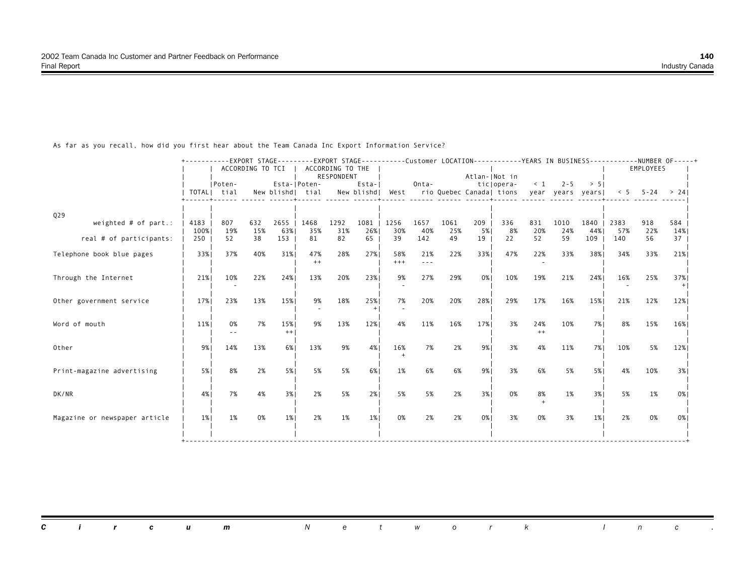|                                                   |              | +-----------EXPORT STAGE---------EXPORT STAGE----------Customer LOCATION-----------YEARS IN BUSINESS------------NUMBER OF-----+ | ACCORDING TO TCI |                  |              | ACCORDING TO THE<br>RESPONDENT |                       |              |                |           | Atlan- Not in |                                        |             |                             |            |            | EMPLOYEES       |            |  |
|---------------------------------------------------|--------------|---------------------------------------------------------------------------------------------------------------------------------|------------------|------------------|--------------|--------------------------------|-----------------------|--------------|----------------|-----------|---------------|----------------------------------------|-------------|-----------------------------|------------|------------|-----------------|------------|--|
|                                                   |              | IPoten-<br>TOTAL  tial                                                                                                          |                  | New blishd  tial | Esta- Poten- |                                | Esta-I<br>New blishdl | West         | Onta-          |           |               | ticlopera-<br>rio Quebec Canada  tions | $\leq 1$    | $2 - 5$<br>year years years | > 51       |            | $< 5$ 5-24 > 24 |            |  |
| Q29                                               | 4183         | 807                                                                                                                             | 632              | 2655             | 1468         | 1292                           | 1081                  | 1256         | 1657           | 1061      | 209           | 336                                    | 831         | 1010                        | 1840       | 2383       | 918             | 584        |  |
| weighted $#$ of part.:<br>real # of participants: | 100%<br>250  | 19%<br>52                                                                                                                       | 15%<br>38        | 63%<br>153       | 35%<br>81    | 31%<br>82                      | 26%<br>65             | 30%<br>39    | 40%<br>142     | 25%<br>49 | 5%  <br>19    | 8%<br>22                               | 20%<br>52   | 24%<br>59                   | 44%<br>109 | 57%<br>140 | 22%<br>56       | 14% <br>37 |  |
| Telephone book blue pages                         | 33%          | 37%                                                                                                                             | 40%              | 31%              | 47%<br>$++$  | 28%                            | 27%                   | 58%<br>$+++$ | 21%<br>$- - -$ | 22%       | 33%           | 47%                                    | 22%         | 33%                         | 38%        | 34%        | 33%             | 21%        |  |
| Through the Internet                              | 21%          | 10%                                                                                                                             | 22%              | 24%              | 13%          | 20%                            | 23%                   | 9%           | 27%            | 29%       | 0%            | 10%                                    | 19%         | 21%                         | 24%        | 16%        | 25%             | 37%        |  |
| Other government service                          | 17%          | 23%                                                                                                                             | 13%              | 15%              | 9%           | 18%                            | 25%                   | 7%           | 20%            | 20%       | 28%           | 29%                                    | 17%         | 16%                         | 15%        | 21%        | 12%             | 12%        |  |
| Word of mouth                                     | 11%          | 0%                                                                                                                              | 7%               | 15%<br>$++$      | 9%           | 13%                            | 12%                   | 4%           | 11%            | 16%       | 17%           | 3%                                     | 24%<br>$++$ | 10%                         | 7%         | 8%         | 15%             | 16%        |  |
| Other                                             | 9%           | 14%                                                                                                                             | 13%              | 6%               | 13%          | 9%                             | 4%                    | 16%          | 7%             | 2%        | 9%            | 3%                                     | 4%          | 11%                         | 7%         | 10%        | 5%              | 12%        |  |
| Print-magazine advertising                        | 5%           | 8%                                                                                                                              | 2%               | 5%               | 5%           | 5%                             | 6%                    | 1%           | 6%             | 6%        | 9%            | 3%                                     | 6%          | 5%                          | 5%         | 4%         | 10%             | 3%         |  |
| DK/NR                                             | 4%           | 7%                                                                                                                              | 4%               | 3%               | 2%           | 5%                             | 2%1                   | 5%           | 5%             | 2%        | 3%            | 0%                                     | 8%          | 1%                          | 3%         | 5%         | 1%              | 0%         |  |
| Magazine or newspaper article                     | $1\%$        | 1%                                                                                                                              | 0%               | $1\%$            | 2%           | 1%                             | 1%                    | 0%           | 2%             | 2%        | 0%            | 3%                                     | 0%          | 3%                          | $1\%$      | 2%         | 0%              | 0%         |  |
|                                                   | +----------- |                                                                                                                                 |                  |                  |              |                                |                       |              |                |           |               |                                        |             |                             |            |            |                 |            |  |

As far as you recall, how did you first hear about the Team Canada Inc Export Information Service?

|  |  | <b>Circum</b> Network Inc. |  |  |  |  |  |
|--|--|----------------------------|--|--|--|--|--|
|  |  |                            |  |  |  |  |  |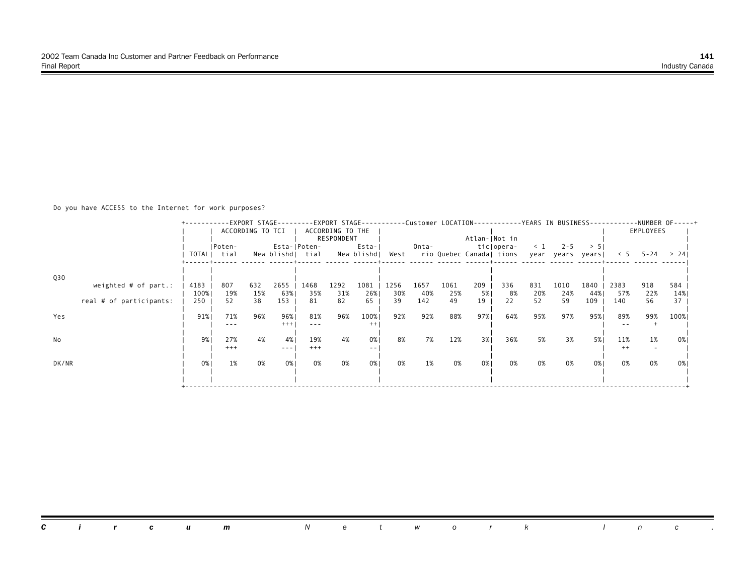Do you have ACCESS to the Internet for work purposes?

|       |                         | +--------- |             |                  |              |                  |                  |                 |      |       |      |               |                          |          |                  |      |      |                  | --EXPORT STAGE---------EXPORT STAGE----------Customer LOCATION-----------YEARS IN BUSINESS-----------NUMBER OF-----+ |
|-------|-------------------------|------------|-------------|------------------|--------------|------------------|------------------|-----------------|------|-------|------|---------------|--------------------------|----------|------------------|------|------|------------------|----------------------------------------------------------------------------------------------------------------------|
|       |                         |            |             | ACCORDING TO TCI |              |                  | ACCORDING TO THE |                 |      |       |      |               |                          |          |                  |      |      | <b>EMPLOYEES</b> |                                                                                                                      |
|       |                         |            |             |                  |              |                  | RESPONDENT       |                 |      |       |      | Atlan- Not in |                          |          |                  |      |      |                  |                                                                                                                      |
|       |                         |            | Poten-      |                  |              | Esta- Poten-     |                  | Esta-           |      | Onta- |      |               | tic opera-               | $\leq 1$ | $2 - 5$          | > 51 |      |                  |                                                                                                                      |
|       |                         |            | TOTALI tial |                  |              | New blishd  tial |                  | New blishd      | West |       |      |               | rio Quebec Canada  tions |          | year years years |      |      | $< 5$ 5-24       | > 241                                                                                                                |
|       |                         |            |             |                  |              |                  |                  |                 |      |       |      |               |                          |          |                  |      |      |                  |                                                                                                                      |
|       |                         |            |             |                  |              |                  |                  |                 |      |       |      |               |                          |          |                  |      |      |                  |                                                                                                                      |
| Q30   |                         |            |             |                  |              |                  |                  |                 |      |       |      |               |                          |          |                  |      |      |                  |                                                                                                                      |
|       | weighted $#$ of part.:  | 4183       | 807         | 632              | 2655         | 1468             | 1292             | 1081            | 1256 | 1657  | 1061 | 209           | 336                      | 831      | 1010             | 1840 | 2383 | 918              | 584                                                                                                                  |
|       |                         | 100%       | 19%         | 15%              | 63%          | 35%              | 31%              | 26%             | 30%  | 40%   | 25%  | 5%            | 8%                       | 20%      | 24%              | 44%  | 57%  | 22%              | 14%                                                                                                                  |
|       | real # of participants: | 250        | 52          | 38               | 153          | 81               | 82               | 65              | 39   | 142   | 49   | 19            | 22                       | 52       | 59               | 109  | 140  | 56               | 37                                                                                                                   |
|       |                         |            |             |                  |              |                  |                  |                 |      |       |      |               |                          |          |                  |      |      |                  |                                                                                                                      |
| Yes   |                         | 91%        | 71%         | 96%              | 96%<br>$+++$ | 81%              | 96%              | 100%<br>$^{++}$ | 92%  | 92%   | 88%  | 97%           | 64%                      | 95%      | 97%              | 95%  | 89%  | 99%              | 100%                                                                                                                 |
|       |                         |            | $- - -$     |                  |              | ---              |                  |                 |      |       |      |               |                          |          |                  |      | $ -$ |                  |                                                                                                                      |
| No    |                         | 9%         | 27%         | 4%               | 4%           | 19%              | 4%               | 0%              | 8%   | 7%    | 12%  | 3%            | 36%                      | 5%       | 3%               | 5%   | 11%  | 1%               | 0%                                                                                                                   |
|       |                         |            | $+++$       |                  | $- - -$      | $+++$            |                  |                 |      |       |      |               |                          |          |                  |      | $++$ |                  |                                                                                                                      |
|       |                         |            |             |                  |              |                  |                  |                 |      |       |      |               |                          |          |                  |      |      |                  |                                                                                                                      |
| DK/NR |                         | 0%         | 1%          | 0%               | 0%           | 0%               | 0%               | 0%              | 0%   | 1%    | 0%   | 0%            | 0%                       | 0%       | 0%               | 0%   | 0%   | 0%               | 0%                                                                                                                   |
|       |                         |            |             |                  |              |                  |                  |                 |      |       |      |               |                          |          |                  |      |      |                  |                                                                                                                      |
|       |                         |            |             |                  |              |                  |                  |                 |      |       |      |               |                          |          |                  |      |      |                  |                                                                                                                      |
|       |                         |            |             |                  |              |                  |                  |                 |      |       |      |               |                          |          |                  |      |      |                  |                                                                                                                      |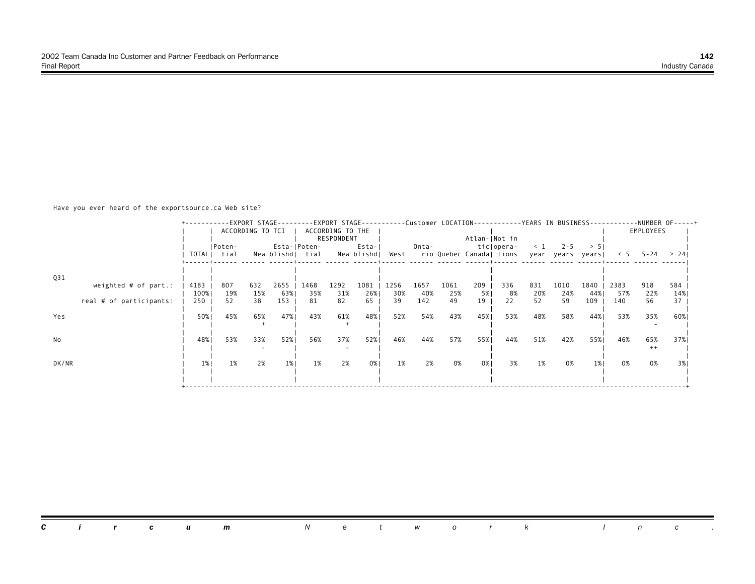Have you ever heard of the exportsource.ca Web site?

|                         |       |             |                  |       |                  |                  |            |      |       |      |                          |            |          |                  |       |      |           | -EXPORT STAGE--------EXPORT STAGE----------Customer LOCATION----------YEARS IN BUSINESS-----------NUMBER OF-----+ |
|-------------------------|-------|-------------|------------------|-------|------------------|------------------|------------|------|-------|------|--------------------------|------------|----------|------------------|-------|------|-----------|-------------------------------------------------------------------------------------------------------------------|
|                         |       |             | ACCORDING TO TCI |       |                  | ACCORDING TO THE |            |      |       |      |                          |            |          |                  |       |      | EMPLOYEES |                                                                                                                   |
|                         |       |             |                  |       |                  | RESPONDENT       |            |      |       |      | Atlan- Not in            |            |          |                  |       |      |           |                                                                                                                   |
|                         |       | Poten-      |                  |       | Esta- Poten-     |                  | Esta-      |      | Onta- |      |                          | tic opera- | $\leq 1$ | $2 - 5$          | > 51  |      |           |                                                                                                                   |
|                         |       | TOTALI tial |                  |       | New blishd  tial |                  | New blishd | West |       |      | rio Quebec Canada  tions |            |          | year years years |       | < 5  | 5 – 24    | $> 24$                                                                                                            |
|                         |       |             |                  |       |                  |                  |            |      |       |      |                          |            |          |                  |       |      |           |                                                                                                                   |
|                         |       |             |                  |       |                  |                  |            |      |       |      |                          |            |          |                  |       |      |           |                                                                                                                   |
| Q31                     |       |             |                  |       |                  |                  |            |      |       |      |                          |            |          |                  |       |      |           |                                                                                                                   |
| weighted $#$ of part.:  | 4183  | 807         | 632              | 2655  | 1468             | 1292             | 1081       | 1256 | 1657  | 1061 | 209                      | 336        | 831      | 1010             | 1840  | 2383 | 918       | 584                                                                                                               |
|                         | 100%  | 19%         | 15%              | 63%   | 35%              | 31%              | 26%        | 30%  | 40%   | 25%  | 5%                       | 8%         | 20%      | 24%              | 44%   | 57%  | 22%       | 14%                                                                                                               |
| real # of participants: | 250   | 52          | 38               | 153   | 81               | 82               | 65         | 39   | 142   | 49   | 19                       | 22         | 52       | 59               | 109   | 140  | 56        | 37                                                                                                                |
|                         |       |             |                  |       |                  |                  |            |      |       |      |                          |            |          |                  |       |      |           |                                                                                                                   |
| Yes                     | 50%   | 45%         | 65%              | 47%   | 43%              | 61%              | 48%        | 52%  | 54%   | 43%  | 45%                      | 53%        | 48%      | 58%              | 44%   | 53%  | 35%       | 60%                                                                                                               |
|                         |       |             |                  |       |                  |                  |            |      |       |      |                          |            |          |                  |       |      |           |                                                                                                                   |
| No                      | 48%   | 53%         | 33%              | 52%   | 56%              | 37%              | 52%        | 46%  | 44%   | 57%  | 55%                      | 44%        | 51%      | 42%              | 55%   | 46%  | 65%       | 37%                                                                                                               |
|                         |       |             |                  |       |                  |                  |            |      |       |      |                          |            |          |                  |       |      | $^{++}$   |                                                                                                                   |
|                         |       |             |                  |       |                  |                  |            |      |       |      |                          |            |          |                  |       |      |           |                                                                                                                   |
| DK/NR                   | $1\%$ | 1%          | 2%               | $1\%$ | 1%               | 2%               | 0%         | 1%   | 2%    | 0%   | 0%                       | 3%         | 1%       | 0%               | $1\%$ | 0%   | 0%        | 3% I                                                                                                              |
|                         |       |             |                  |       |                  |                  |            |      |       |      |                          |            |          |                  |       |      |           |                                                                                                                   |
|                         |       |             |                  |       |                  |                  |            |      |       |      |                          |            |          |                  |       |      |           |                                                                                                                   |
|                         |       |             |                  |       |                  |                  |            |      |       |      |                          |            |          |                  |       |      |           |                                                                                                                   |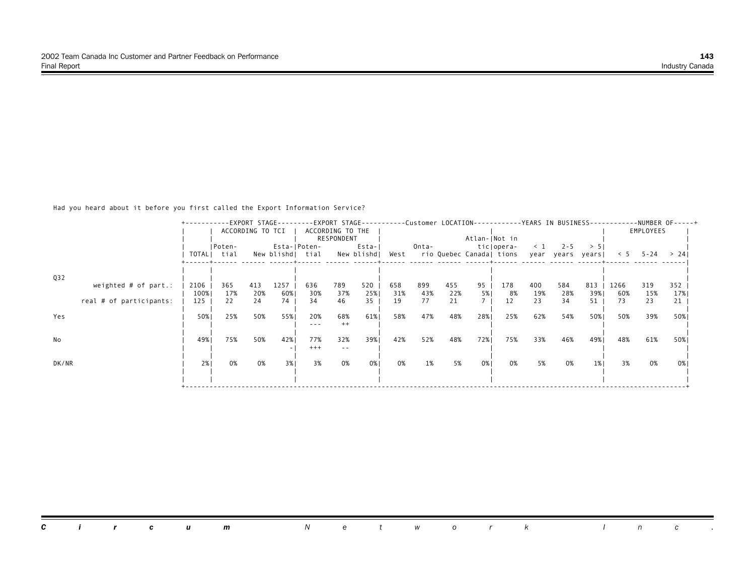Had you heard about it before you first called the Export Information Service?

|                         | +--------   |             |                  |           |                  |                                |            |           |           |           |               |                          |           |            |            |           |           | -EXPORT STAGE---------EXPORT STAGE----------Customer LOCATION-----------YEARS IN BUSINESS-----------NUMBER OF-----+ |
|-------------------------|-------------|-------------|------------------|-----------|------------------|--------------------------------|------------|-----------|-----------|-----------|---------------|--------------------------|-----------|------------|------------|-----------|-----------|---------------------------------------------------------------------------------------------------------------------|
|                         |             |             | ACCORDING TO TCI |           |                  | ACCORDING TO THE<br>RESPONDENT |            |           |           |           | Atlan-INot in |                          |           |            |            |           | EMPLOYEES |                                                                                                                     |
|                         |             | Poten-      |                  |           | Esta- Poten-     |                                | Esta-      |           | Onta-     |           |               | tic opera-               | $\leq 1$  | $2 - 5$    | > 51       |           |           |                                                                                                                     |
|                         |             | TOTALI tial |                  |           | New blishd  tial |                                | New blishd | West      |           |           |               | rio Quebec Canada  tions |           | year years | vearsl     | < 5       |           | $5 - 24$ > 24                                                                                                       |
| Q32                     |             |             |                  |           |                  |                                |            |           |           |           |               |                          |           |            |            |           |           |                                                                                                                     |
| weighted $#$ of part.:  | 2106        | 365         | 413              | 1257      | 636              | 789                            | 520        | 658       | 899       | 455       | 95            | 178                      | 400       | 584        | 813        | 1266      | 319       | 352                                                                                                                 |
| real # of participants: | 100%<br>125 | 17%<br>22   | 20%<br>24        | 60%<br>74 | 30%<br>34        | 37%<br>46                      | 25%<br>35  | 31%<br>19 | 43%<br>77 | 22%<br>21 | 5%            | 8%<br>12                 | 19%<br>23 | 28%<br>34  | 39% <br>51 | 60%<br>73 | 15%<br>23 | 17% <br>21                                                                                                          |
|                         |             |             |                  |           |                  |                                |            |           |           |           |               |                          |           |            |            |           |           |                                                                                                                     |
| Yes                     | 50%         | 25%         | 50%              | 55%       | 20%<br>---       | 68%<br>$++$                    | 61%        | 58%       | 47%       | 48%       | 28%           | 25%                      | 62%       | 54%        | 50%        | 50%       | 39%       | 50%                                                                                                                 |
| No                      | 49%         | 75%         | 50%              | 42%       | 77%              | 32%                            |            | 42%       | 52%       | 48%       | 72%1          | 75%                      | 33%       | 46%        | 49%        | 48%       | 61%       |                                                                                                                     |
|                         |             |             |                  |           | $+++$            | $- -$                          | 39%        |           |           |           |               |                          |           |            |            |           |           | 50%                                                                                                                 |
| DK/NR                   | 2%1         | 0%          | 0%               | 3%        | 3%               | 0%                             | 0%         | 0%        | 1%        | 5%        | 0%            | 0%                       | 5%        | 0%         | $1\%$      | 3%        | 0%        | 0% I                                                                                                                |
|                         |             |             |                  |           |                  |                                |            |           |           |           |               |                          |           |            |            |           |           |                                                                                                                     |
|                         |             |             |                  |           |                  |                                |            |           |           |           |               |                          |           |            |            |           |           |                                                                                                                     |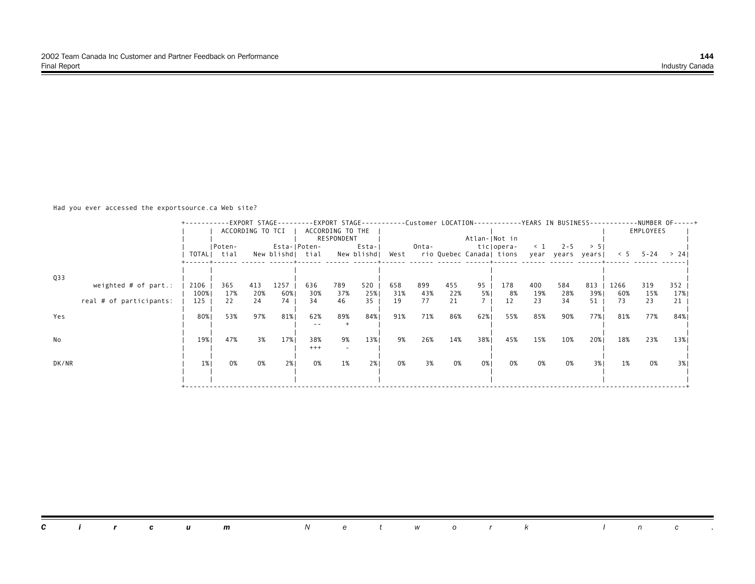Had you ever accessed the exportsource.ca Web site?

|       |                         | +--------- |             |                  |             |                  |                  |            |      |       |     |                          |            |          |                  |      |      |            | --EXPORT STAGE---------EXPORT STAGE----------Customer LOCATION-----------YEARS IN BUSINESS-----------NUMBER OF-----+ |
|-------|-------------------------|------------|-------------|------------------|-------------|------------------|------------------|------------|------|-------|-----|--------------------------|------------|----------|------------------|------|------|------------|----------------------------------------------------------------------------------------------------------------------|
|       |                         |            |             | ACCORDING TO TCI |             |                  | ACCORDING TO THE |            |      |       |     |                          |            |          |                  |      |      | EMPLOYEES  |                                                                                                                      |
|       |                         |            |             |                  |             |                  | RESPONDENT       |            |      |       |     | Atlan- Not in            |            |          |                  |      |      |            |                                                                                                                      |
|       |                         |            | Poten-      |                  |             | Esta- Poten-     |                  | Esta-      |      | Onta- |     |                          | ticlopera- | $\leq 1$ | $2 - 5$          | > 51 |      |            |                                                                                                                      |
|       |                         |            | TOTALI tial |                  |             | New blishd  tial |                  | New blishd | West |       |     | rio Quebec Canada  tions |            |          | year years years |      |      | $< 5$ 5-24 | > 241                                                                                                                |
|       |                         |            |             |                  |             |                  |                  |            |      |       |     |                          |            |          |                  |      |      |            |                                                                                                                      |
|       |                         |            |             |                  |             |                  |                  |            |      |       |     |                          |            |          |                  |      |      |            |                                                                                                                      |
| Q33   |                         | 2106       | 365         | 413              |             | 636              | 789              |            | 658  | 899   | 455 | 95                       | 178        | 400      |                  | 813  | 1266 | 319        |                                                                                                                      |
|       | weighted $#$ of part.:  | 100%       | 17%         | 20%              | 1257<br>60% | 30%              | 37%              | 520<br>25% | 31%  | 43%   | 22% | 5%                       | 8%         | 19%      | 584<br>28%       | 39%  | 60%  | 15%        | 352<br>17%                                                                                                           |
|       | real # of participants: | 125        | 22          | 24               | 74          | 34               | 46               | 35         | 19   | 77    | 21  |                          | 12         | 23       | 34               | 51   | 73   | 23         | 21                                                                                                                   |
|       |                         |            |             |                  |             |                  |                  |            |      |       |     |                          |            |          |                  |      |      |            |                                                                                                                      |
| Yes   |                         | 80%        | 53%         | 97%              | 81%         | 62%              | 89%              | 84%        | 91%  | 71%   | 86% | 62%                      | 55%        | 85%      | 90%              | 77%  | 81%  | 77%        | 84%                                                                                                                  |
|       |                         |            |             |                  |             | $- -$            |                  |            |      |       |     |                          |            |          |                  |      |      |            |                                                                                                                      |
|       |                         |            |             |                  |             |                  |                  |            |      |       |     |                          |            |          |                  |      |      |            |                                                                                                                      |
| No    |                         | 19%        | 47%         | 3%               | 17%         | 38%              | 9%               | 13%        | 9%   | 26%   | 14% | 38%                      | 45%        | 15%      | 10%              | 20%  | 18%  | 23%        | 13%                                                                                                                  |
|       |                         |            |             |                  |             | $+++$            |                  |            |      |       |     |                          |            |          |                  |      |      |            |                                                                                                                      |
|       |                         |            |             |                  |             |                  |                  |            |      |       |     |                          |            |          |                  |      |      |            |                                                                                                                      |
| DK/NR |                         | $1\%$      | 0%          | 0%               | 2%1         | 0%               | 1%               | 2%         | 0%   | 3%    | 0%  | 0%                       | 0%         | 0%       | 0%               | 3%   | 1%   | 0%         | 3%                                                                                                                   |
|       |                         |            |             |                  |             |                  |                  |            |      |       |     |                          |            |          |                  |      |      |            |                                                                                                                      |
|       |                         |            |             |                  |             |                  |                  |            |      |       |     |                          |            |          |                  |      |      |            |                                                                                                                      |
|       |                         |            |             |                  |             |                  |                  |            |      |       |     |                          |            |          |                  |      |      |            |                                                                                                                      |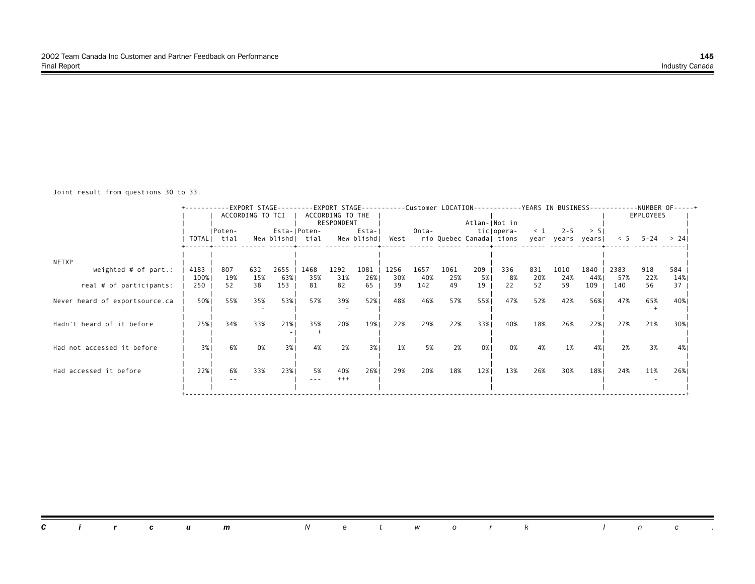Joint result from questions 30 to 33.

|                                |      |                  |     | EXPORT STAGE-------- |                  |                  |            |      |       |      |     | -EXPORT STAGE----------Customer LOCATION-----------YEARS IN BUSINESS-- |          |                  |      |      | -NUMBER OF-----+ |               |  |
|--------------------------------|------|------------------|-----|----------------------|------------------|------------------|------------|------|-------|------|-----|------------------------------------------------------------------------|----------|------------------|------|------|------------------|---------------|--|
|                                |      | ACCORDING TO TCI |     |                      |                  | ACCORDING TO THE |            |      |       |      |     |                                                                        |          |                  |      |      | EMPLOYEES        |               |  |
|                                |      |                  |     |                      |                  | RESPONDENT       |            |      |       |      |     | Atlan- Not in                                                          |          |                  |      |      |                  |               |  |
|                                |      | Poten-           |     |                      | Esta- Poten-     |                  | Esta-      |      | Onta- |      |     | ticlopera-                                                             | $\leq 1$ | $2 - 5$          | > 51 |      |                  |               |  |
|                                |      | TOTAL  tial      |     |                      | New blishd  tial |                  | New blishd | West |       |      |     | rio Quebec Canadal tions                                               |          | year years years |      | < 5  |                  | $5 - 24$ > 24 |  |
|                                |      |                  |     |                      |                  |                  |            |      |       |      |     |                                                                        |          |                  |      |      |                  |               |  |
|                                |      |                  |     |                      |                  |                  |            |      |       |      |     |                                                                        |          |                  |      |      |                  |               |  |
| <b>NETXP</b>                   |      |                  |     |                      |                  |                  |            |      |       |      |     |                                                                        |          |                  |      |      |                  |               |  |
| weighted $#$ of part.:         | 4183 | 807              | 632 | $2655$               | 1468             | 1292             | 1081       | 1256 | 1657  | 1061 | 209 | 336                                                                    | 831      | 1010             | 1840 | 2383 | 918              | 584           |  |
|                                | 100% | 19%              | 15% | 63%                  | 35%              | 31%              | 26%        | 30%  | 40%   | 25%  | 5%  | 8%                                                                     | 20%      | 24%              | 44%  | 57%  | 22%              | 14%           |  |
| real # of participants:        | 250  | 52               | 38  | 153                  | 81               | 82               | 65         | 39   | 142   | 49   | 19  | 22                                                                     | 52       | 59               | 109  | 140  | 56               | 37            |  |
|                                |      |                  |     |                      |                  |                  |            |      |       |      |     |                                                                        |          |                  |      |      |                  |               |  |
| Never heard of exportsource.ca | 50%  | 55%              | 35% | 53%                  | 57%              | 39%              | 52%        | 48%  | 46%   | 57%  | 55% | 47%                                                                    | 52%      | 42%              | 56%  | 47%  | 65%              | 40%           |  |
|                                |      |                  |     |                      |                  |                  |            |      |       |      |     |                                                                        |          |                  |      |      |                  |               |  |
|                                |      |                  |     |                      |                  |                  |            |      |       |      |     |                                                                        |          |                  |      |      |                  |               |  |
| Hadn't heard of it before      | 25%  | 34%              | 33% | 21%                  | 35%              | 20%              | 19%        | 22%  | 29%   | 22%  | 33% | 40%                                                                    | 18%      | 26%              | 22%  | 27%  | 21%              | 30%           |  |
|                                |      |                  |     |                      |                  |                  |            |      |       |      |     |                                                                        |          |                  |      |      |                  |               |  |
| Had not accessed it before     | 3%1  | 6%               | 0%  | 3%                   | 4%               | 2%               | 3%         | 1%   | 5%    | 2%   | 0%  | 0%                                                                     | 4%       | 1%               | 4%   | 2%   | 3%               | 4% I          |  |
|                                |      |                  |     |                      |                  |                  |            |      |       |      |     |                                                                        |          |                  |      |      |                  |               |  |
|                                |      |                  |     |                      |                  |                  |            |      |       |      |     |                                                                        |          |                  |      |      |                  |               |  |
| Had accessed it before         | 22%  | 6%               | 33% | 23%                  | 5%               | 40%              | 26%        | 29%  | 20%   | 18%  | 12% | 13%                                                                    | 26%      | 30%              | 18%  | 24%  | 11%              | 26%           |  |
|                                |      |                  |     |                      |                  | $+++$            |            |      |       |      |     |                                                                        |          |                  |      |      |                  |               |  |
|                                |      |                  |     |                      |                  |                  |            |      |       |      |     |                                                                        |          |                  |      |      |                  |               |  |
|                                |      |                  |     |                      |                  |                  |            |      |       |      |     |                                                                        |          |                  |      |      |                  |               |  |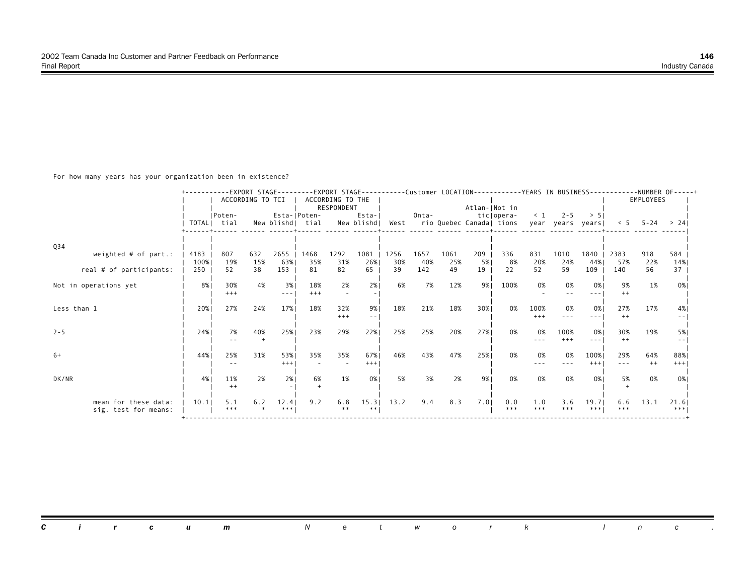For how many years has your organization been in existence?

|                         |      |              |                  |         |                  |                  |            |      |       |      |               |                          |          |                  |          |      |           | --EXPORT STAGE--------EXPORT STAGE----------Customer LOCATION----------YEARS IN BUSINESS------------NUMBER OF-----+ |
|-------------------------|------|--------------|------------------|---------|------------------|------------------|------------|------|-------|------|---------------|--------------------------|----------|------------------|----------|------|-----------|---------------------------------------------------------------------------------------------------------------------|
|                         |      |              | ACCORDING TO TCI |         |                  | ACCORDING TO THE |            |      |       |      |               |                          |          |                  |          |      | EMPLOYEES |                                                                                                                     |
|                         |      |              |                  |         |                  | RESPONDENT       |            |      |       |      | Atlan- Not in |                          |          |                  |          |      |           |                                                                                                                     |
|                         |      | Poten-       |                  |         | Esta- Poten-     |                  | Esta-      |      | Onta- |      |               | ticlopera-               | $\leq 1$ | $2 - 5$          | > 51     |      |           |                                                                                                                     |
|                         |      | TOTALI tial  |                  |         | New blishd  tial |                  | New blishd | West |       |      |               | rio Quebec Canada  tions |          | year years years |          | < 5  |           | $5 - 24$ > 241                                                                                                      |
|                         |      |              |                  |         |                  |                  |            |      |       |      |               |                          |          |                  |          |      |           |                                                                                                                     |
|                         |      |              |                  |         |                  |                  |            |      |       |      |               |                          |          |                  |          |      |           |                                                                                                                     |
| Q34                     |      |              |                  |         |                  |                  |            |      |       |      |               |                          |          |                  |          |      |           |                                                                                                                     |
| weighted $#$ of part.:  | 4183 | 807          | 632              | $2655$  | 1468             | 1292             | 1081       | 1256 | 1657  | 1061 | 209           | 336                      | 831      | 1010             | 1840     | 2383 | 918       | 584                                                                                                                 |
|                         | 100% | 19%          | 15%              | 63%     | 35%              | 31%              | 26%        | 30%  | 40%   | 25%  | 5%            | 8%                       | 20%      | 24%              | 44%      | 57%  | 22%       | 14%                                                                                                                 |
| real # of participants: | 250  | 52           | 38               | 153     | 81               | 82               | 65         | 39   | 142   | 49   | 19            | 22                       | 52       | 59               | 109      | 140  | 56        | 37                                                                                                                  |
|                         |      |              |                  |         |                  |                  |            |      |       |      |               |                          |          |                  |          |      |           |                                                                                                                     |
| Not in operations yet   | 8%   | 30%<br>$+++$ | 4%               | 3%      | 18%              | 2%               | 2%1        | 6%   | 7%    | 12%  | 9%            | 100%                     | 0%       | 0%               | 0%       | 9%   | 1%        | 0% I                                                                                                                |
|                         |      |              |                  | $- - -$ | $+++$            |                  |            |      |       |      |               |                          |          |                  |          | $++$ |           |                                                                                                                     |
| Less than 1             | 20%  | 27%          | 24%              | 17%     | 18%              | 32%              | 9%         | 18%  | 21%   | 18%  | 30%           | 0%                       | 100%     | 0%               | 0%       | 27%  | 17%       | 4%                                                                                                                  |
|                         |      |              |                  |         |                  | $+++$            |            |      |       |      |               |                          | $^{+++}$ | $- - -$          |          | $++$ |           |                                                                                                                     |
|                         |      |              |                  |         |                  |                  |            |      |       |      |               |                          |          |                  |          |      |           |                                                                                                                     |
| $2 - 5$                 | 24%  | 7%           | 40%              | 25%     | 23%              | 29%              | 22%        | 25%  | 25%   | 20%  | 27%           | 0%                       | 0%       | 100%             | 0%       | 30%  | 19%       | 5%                                                                                                                  |
|                         |      |              |                  |         |                  |                  |            |      |       |      |               |                          | $- - -$  | $^{+++}$         | ---      | $++$ |           |                                                                                                                     |
|                         |      |              |                  |         |                  |                  |            |      |       |      |               |                          |          |                  |          |      |           |                                                                                                                     |
| $6+$                    | 44%  | 25%          | 31%              | 53%     | 35%              | 35%              | 67%        | 46%  | 43%   | 47%  | 25%           | 0%                       | 0%       | 0%               | 100%     | 29%  | 64%       | 88%                                                                                                                 |
|                         |      |              |                  | $+++$   |                  |                  | $+++$      |      |       |      |               |                          |          |                  | $^{+++}$ | ---  | $++$      | $+++$                                                                                                               |
|                         |      |              |                  |         |                  |                  |            |      |       |      |               |                          |          |                  |          |      |           |                                                                                                                     |
| DK/NR                   | 4%   | 11%          | 2%               | 2%      | 6%               | 1%               | 0%         | 5%   | 3%    | 2%   | 9%            | 0%                       | 0%       | 0%               | 0%       | 5%   | 0%        | 0% I                                                                                                                |
|                         |      | $^{++}$      |                  |         |                  |                  |            |      |       |      |               |                          |          |                  |          |      |           |                                                                                                                     |
|                         |      |              |                  |         |                  |                  |            |      |       |      |               |                          |          |                  |          |      |           |                                                                                                                     |
| mean for these data:    | 10.1 | 5.1          | 6.2              | 12.4    | 9.2              | 6.8              | 15.3       | 13.2 | 9.4   | 8.3  | 7.0           | 0.0                      | 1.0      | 3.6              | 19.71    | 6.6  | 13.1      | 21.6                                                                                                                |
| sig. test for means:    |      | ***          |                  | ***     |                  | **               |            |      |       |      |               | ***                      | ***      | ***              | ***      | ***  |           | ***                                                                                                                 |
|                         |      |              |                  |         |                  |                  |            |      |       |      |               |                          |          |                  |          |      |           |                                                                                                                     |

|  |  | <b>Circum</b> Network Inc. |  |  |  |  |  |
|--|--|----------------------------|--|--|--|--|--|
|  |  |                            |  |  |  |  |  |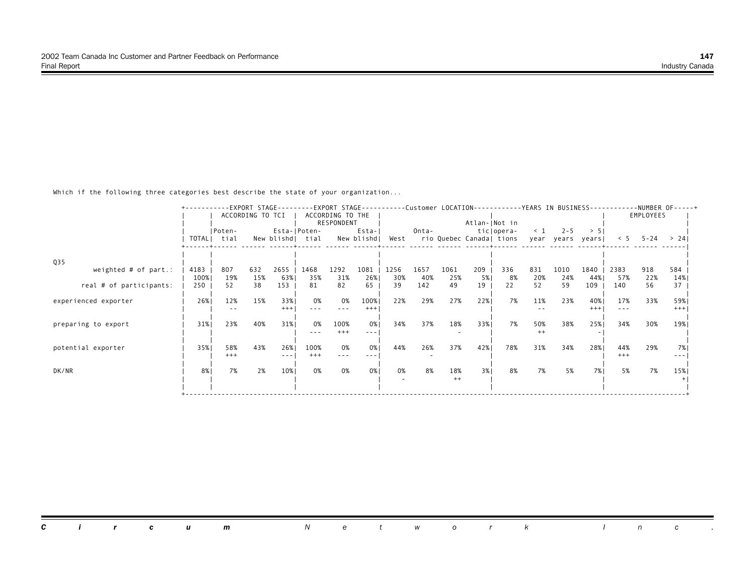Which if the following three categories best describe the state of your organization...

|                         | -EXPORT STAGE----------Customer LOCATION------------YEARS IN BUSINESS--<br>-EXPORT STAGE- |             |                  |         |                  |                  |            |      |       |         |     |                          |          | --NUMBER OF-----+ |             |           |        |               |
|-------------------------|-------------------------------------------------------------------------------------------|-------------|------------------|---------|------------------|------------------|------------|------|-------|---------|-----|--------------------------|----------|-------------------|-------------|-----------|--------|---------------|
|                         |                                                                                           |             | ACCORDING TO TCI |         |                  | ACCORDING TO THE |            |      |       |         |     |                          |          |                   |             | EMPLOYEES |        |               |
|                         |                                                                                           |             |                  |         |                  | RESPONDENT       |            |      |       |         |     | Atlan- Not in            |          |                   |             |           |        |               |
|                         |                                                                                           | Poten-      |                  |         | Esta- Poten-     |                  | Esta-l     |      | Onta- |         |     | ticlopera-               | $\leq$ 1 | $2 - 5$           | > 51        |           |        |               |
|                         |                                                                                           | TOTALI tial |                  |         | New blishd  tial |                  | New blishd | West |       |         |     | rio Quebec Canadal tions | vear     |                   | years years | < 5       | 5 - 24 | > 241         |
|                         |                                                                                           |             |                  |         |                  |                  |            |      |       |         |     |                          |          |                   |             |           |        |               |
| Q35                     |                                                                                           |             |                  |         |                  |                  |            |      |       |         |     |                          |          |                   |             |           |        |               |
| weighted $#$ of part.:  | 4183                                                                                      | 807         | 632              | 2655    | 1468             | 1292             | 1081       | 1256 | 1657  | 1061    | 209 | 336                      | 831      | 1010              | 1840        | 2383      | 918    | 584           |
|                         | 100%                                                                                      | 19%         | 15%              | 63%     | 35%              | 31%              | 26%        | 30%  | 40%   | 25%     | 5%  | 8%                       | 20%      | 24%               | 44%         | 57%       | 22%    | 14%           |
| real # of participants: | 250                                                                                       | 52          | 38               | 153     | 81               | 82               | 65         | 39   | 142   | 49      | 19  | 22                       | 52       | 59                | 109         | 140       | 56     | 37            |
|                         |                                                                                           |             |                  |         |                  |                  |            |      |       |         |     |                          |          |                   |             |           |        |               |
| experienced exporter    | 26%                                                                                       | 12%         | 15%              | 33%     | 0%               | 0%               | 100%       | 22%  | 29%   | 27%     | 22% | 7%                       | 11%      | 23%               | 40%         | 17%       | 33%    | 59%           |
|                         |                                                                                           |             |                  | $^{++}$ |                  |                  | $^{+++}$   |      |       |         |     |                          |          |                   | $+++$       |           |        | $+++$         |
|                         |                                                                                           |             |                  |         |                  |                  |            |      |       |         |     |                          |          |                   |             |           |        |               |
| preparing to export     | 31%                                                                                       | 23%         | 40%              | 31%     | 0%               | 100%             | 0%         | 34%  | 37%   | 18%     | 33% | 7%                       | 50%      | 38%               | 25%         | 34%       | 30%    | 19%           |
|                         |                                                                                           |             |                  |         |                  | $+++$            |            |      |       |         |     |                          | $^{++}$  |                   |             |           |        |               |
|                         |                                                                                           | 58%         | 43%              | 26%     |                  | 0%               | 0%         | 44%  | 26%   | 37%     | 42% | 78%                      | 31%      | 34%               | 28%         | 44%       | 29%    |               |
| potential exporter      | 35%                                                                                       | $+++$       |                  | $- - -$ | 100%<br>$^{+++}$ | $- - -$          |            |      |       |         |     |                          |          |                   |             | $+++$     |        | 7%<br>$- - -$ |
|                         |                                                                                           |             |                  |         |                  |                  |            |      |       |         |     |                          |          |                   |             |           |        |               |
| DK/NR                   | 8% I                                                                                      | 7%          | 2%               | 10%     | 0%               | 0%               | 0%         | 0%   | 8%    | 18%     | 3%  | 8%                       | 7%       | 5%                | <b>7%</b>   | 5%        | 7%     | 15%           |
|                         |                                                                                           |             |                  |         |                  |                  |            |      |       | $^{++}$ |     |                          |          |                   |             |           |        |               |
|                         |                                                                                           |             |                  |         |                  |                  |            |      |       |         |     |                          |          |                   |             |           |        |               |
|                         |                                                                                           |             |                  |         |                  |                  |            |      |       |         |     |                          |          |                   |             |           |        |               |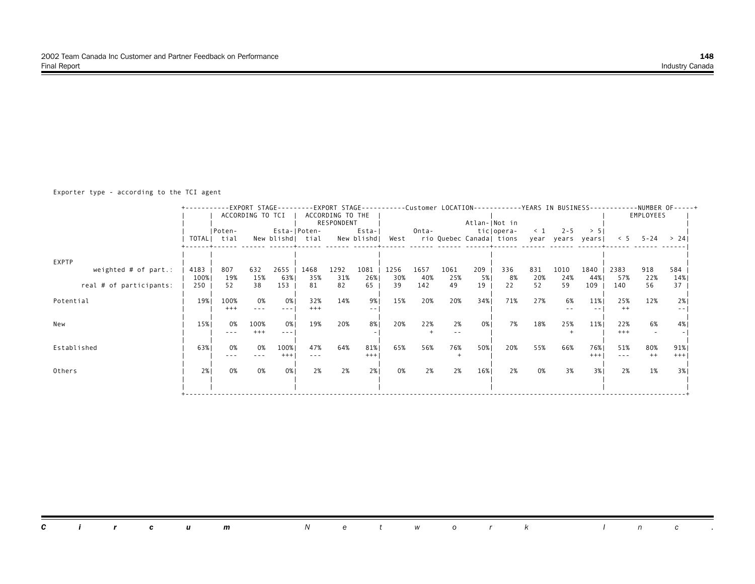Exporter type - according to the TCI agent

|                         |      |               |                  | -EXPORT STAGE-------- |                  |                  |              |      |       |      |     | -EXPORT STAGE----------Customer LOCATION-----------YEARS IN BUSINESS-----------NUMBER OF-----+ |          |                  |              |                                                                                                                                                                                                                                                                                                                                                                                                     |             |              |  |
|-------------------------|------|---------------|------------------|-----------------------|------------------|------------------|--------------|------|-------|------|-----|------------------------------------------------------------------------------------------------|----------|------------------|--------------|-----------------------------------------------------------------------------------------------------------------------------------------------------------------------------------------------------------------------------------------------------------------------------------------------------------------------------------------------------------------------------------------------------|-------------|--------------|--|
|                         |      |               | ACCORDING TO TCI |                       |                  | ACCORDING TO THE |              |      |       |      |     |                                                                                                |          |                  |              | EMPLOYEES                                                                                                                                                                                                                                                                                                                                                                                           |             |              |  |
|                         |      |               |                  |                       |                  | RESPONDENT       |              |      |       |      |     | Atlan- Not in                                                                                  |          |                  |              |                                                                                                                                                                                                                                                                                                                                                                                                     |             |              |  |
|                         |      | Poten-        |                  |                       | Esta-IPoten-     |                  | Esta-l       |      | Onta- |      |     | ticlopera-                                                                                     | $\leq 1$ | $2 - 5$          | > 51         |                                                                                                                                                                                                                                                                                                                                                                                                     |             |              |  |
|                         |      | TOTALI tial   |                  |                       | New blishd  tial |                  | New blishd   | West |       |      |     | rio Quebec Canadal tions                                                                       |          | year years years |              | < 5                                                                                                                                                                                                                                                                                                                                                                                                 | $5 - 24$    | >241         |  |
|                         |      |               |                  |                       |                  |                  |              |      |       |      |     |                                                                                                |          |                  |              |                                                                                                                                                                                                                                                                                                                                                                                                     |             |              |  |
| EXPTP                   |      |               |                  |                       |                  |                  |              |      |       |      |     |                                                                                                |          |                  |              |                                                                                                                                                                                                                                                                                                                                                                                                     |             |              |  |
| weighted $#$ of part.:  | 4183 | 807           | 632              | 2655                  | 1468             | 1292             | 1081         | 1256 | 1657  | 1061 | 209 | 336                                                                                            | 831      | 1010             | 1840         | 2383                                                                                                                                                                                                                                                                                                                                                                                                | 918         | 584          |  |
|                         | 100% | 19%           | 15%              | 63%                   | 35%              | 31%              | 26%          | 30%  | 40%   | 25%  | 5%  | 8%                                                                                             | 20%      | 24%              | 44%          | 57%                                                                                                                                                                                                                                                                                                                                                                                                 | 22%         | 14%          |  |
| real # of participants: | 250  | 52            | 38               | 153                   | 81               | 82               | 65           | 39   | 142   | 49   | 19  | 22                                                                                             | 52       | 59               | 109          | 140                                                                                                                                                                                                                                                                                                                                                                                                 | 56          | 37           |  |
|                         |      |               |                  |                       |                  |                  |              |      |       |      |     |                                                                                                |          |                  |              |                                                                                                                                                                                                                                                                                                                                                                                                     |             |              |  |
| Potential               | 19%  | 100%<br>$+++$ | 0%               | 0%                    | 32%<br>$+++$     | 14%              | 9%           | 15%  | 20%   | 20%  | 34% | 71%                                                                                            | 27%      | 6%               | 11%          | 25%<br>$++$                                                                                                                                                                                                                                                                                                                                                                                         | 12%         | 2%1          |  |
|                         |      |               |                  |                       |                  |                  |              |      |       |      |     |                                                                                                |          |                  |              |                                                                                                                                                                                                                                                                                                                                                                                                     |             |              |  |
| New                     | 15%  | 0%            | 100%             | 0%1                   | 19%              | 20%              | 8%           | 20%  | 22%   | 2%   | 0%1 | 7%                                                                                             | 18%      | 25%              | 11%          | 22%                                                                                                                                                                                                                                                                                                                                                                                                 | 6%          | 4%           |  |
|                         |      | $- - -$       | $+++$            | $- - -$               |                  |                  |              |      |       |      |     |                                                                                                |          |                  |              | $+++$                                                                                                                                                                                                                                                                                                                                                                                               |             |              |  |
|                         |      |               |                  |                       |                  |                  |              |      |       |      |     |                                                                                                |          |                  |              |                                                                                                                                                                                                                                                                                                                                                                                                     |             |              |  |
| Established             | 63%  | 0%            | 0%               | 100%<br>$+++$         | 47%<br>---       | 64%              | 81%<br>$+++$ | 65%  | 56%   | 76%  | 50% | 20%                                                                                            | 55%      | 66%              | 76%<br>$+++$ | 51%<br>$\frac{1}{2} \frac{1}{2} \frac{1}{2} \frac{1}{2} \frac{1}{2} \frac{1}{2} \frac{1}{2} \frac{1}{2} \frac{1}{2} \frac{1}{2} \frac{1}{2} \frac{1}{2} \frac{1}{2} \frac{1}{2} \frac{1}{2} \frac{1}{2} \frac{1}{2} \frac{1}{2} \frac{1}{2} \frac{1}{2} \frac{1}{2} \frac{1}{2} \frac{1}{2} \frac{1}{2} \frac{1}{2} \frac{1}{2} \frac{1}{2} \frac{1}{2} \frac{1}{2} \frac{1}{2} \frac{1}{2} \frac{$ | 80%<br>$++$ | 91%<br>$+++$ |  |
|                         |      |               |                  |                       |                  |                  |              |      |       |      |     |                                                                                                |          |                  |              |                                                                                                                                                                                                                                                                                                                                                                                                     |             |              |  |
| Others                  | 2%1  | 0%            | 0%               | 0%                    | 2%               | 2%               | 2%           | 0%   | 2%    | 2%   | 16% | 2%                                                                                             | 0%       | 3%               | 3%           | 2%                                                                                                                                                                                                                                                                                                                                                                                                  | 1%          | 3%1          |  |
|                         |      |               |                  |                       |                  |                  |              |      |       |      |     |                                                                                                |          |                  |              |                                                                                                                                                                                                                                                                                                                                                                                                     |             |              |  |
|                         |      |               |                  |                       |                  |                  |              |      |       |      |     |                                                                                                |          |                  |              |                                                                                                                                                                                                                                                                                                                                                                                                     |             |              |  |
|                         |      |               |                  |                       |                  |                  |              |      |       |      |     |                                                                                                |          |                  |              |                                                                                                                                                                                                                                                                                                                                                                                                     |             |              |  |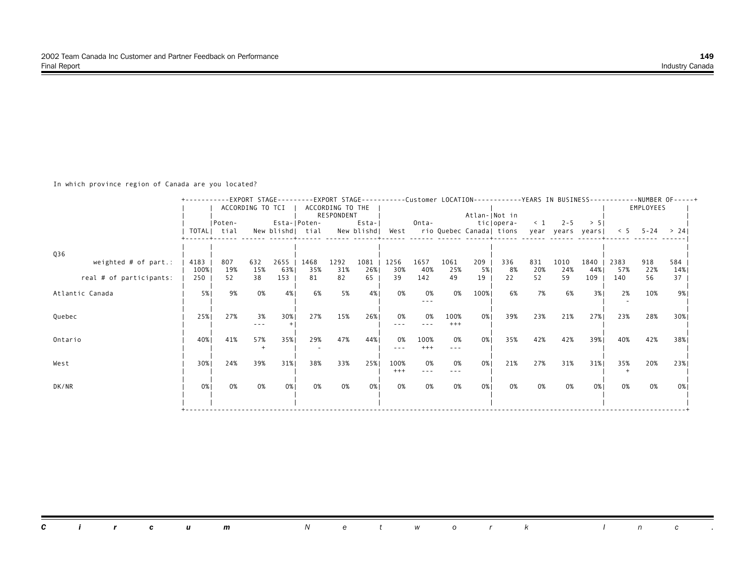In which province region of Canada are you located?

|                         |      |             |                  |      |                                   |                  |        |       |               |       |      | -EXPORT STAGE---------EXPORT STAGE----------Customer LOCATION-----------YEARS IN BUSINESS-----------NUMBER OF-----+ |          |         |      |      |                  |      |  |
|-------------------------|------|-------------|------------------|------|-----------------------------------|------------------|--------|-------|---------------|-------|------|---------------------------------------------------------------------------------------------------------------------|----------|---------|------|------|------------------|------|--|
|                         |      |             | ACCORDING TO TCI |      |                                   | ACCORDING TO THE |        |       |               |       |      |                                                                                                                     |          |         |      |      | EMPLOYEES        |      |  |
|                         |      |             |                  |      |                                   | RESPONDENT       |        |       | Atlan- Not in |       |      |                                                                                                                     |          |         |      |      |                  |      |  |
|                         |      | Poten-      |                  |      | Esta- Poten-                      |                  | Esta-  |       | Onta-         |       |      | tic opera-                                                                                                          | $\leq 1$ | $2 - 5$ | > 51 |      |                  |      |  |
|                         |      | TOTALI tial |                  |      | New blishd  tial New blishd  West |                  |        |       |               |       |      | rio Quebec Canada  tions year years years                                                                           |          |         |      |      | $< 5$ 5-24 > 241 |      |  |
|                         |      |             |                  |      |                                   |                  |        |       |               |       |      |                                                                                                                     |          |         |      |      |                  |      |  |
|                         |      |             |                  |      |                                   |                  |        |       |               |       |      |                                                                                                                     |          |         |      |      |                  |      |  |
| Q36                     |      |             |                  |      |                                   |                  |        |       |               |       |      |                                                                                                                     |          |         |      |      |                  |      |  |
| weighted $#$ of part.:  | 4183 | 807         | 632              | 2655 | 1468                              | 1292             | $1081$ | 1256  | 1657          | 1061  | 209  | 336                                                                                                                 | 831      | 1010    | 1840 | 2383 | 918              | 584  |  |
|                         | 100% | 19%         | 15%              | 63%  | 35%                               | 31%              | 26%    | 30%   | 40%           | 25%   | 5%   | 8%                                                                                                                  | 20%      | 24%     | 44%  | 57%  | 22%              | 14%  |  |
| real # of participants: | 250  | 52          | 38               | 153  | 81                                | 82               | 65     | 39    | 142           | 49    | 19   | 22                                                                                                                  | 52       | 59      | 109  | 140  | 56               | 37   |  |
|                         |      |             |                  |      |                                   |                  |        |       |               |       |      |                                                                                                                     |          |         |      |      |                  |      |  |
| Atlantic Canada         | 5%   | 9%          | 0%               | 4%   | 6%                                | 5%               | 4%     | 0%    | 0%            | 0%    | 100% | 6%                                                                                                                  | 7%       | 6%      | 3%   | 2%   | 10%              | 9%1  |  |
|                         |      |             |                  |      |                                   |                  |        |       |               |       |      |                                                                                                                     |          |         |      |      |                  |      |  |
|                         |      |             |                  |      |                                   |                  |        |       |               |       |      |                                                                                                                     |          |         |      |      |                  |      |  |
| Quebec                  | 25%  | 27%         | 3%               | 30%  | 27%                               | 15%              | 26%    | 0%    | 0%            | 100%  | 0%   | 39%                                                                                                                 | 23%      | 21%     | 27%  | 23%  | 28%              | 30%  |  |
|                         |      |             | $\frac{1}{2}$    |      |                                   |                  |        |       |               | $+++$ |      |                                                                                                                     |          |         |      |      |                  |      |  |
|                         |      |             |                  |      |                                   |                  |        |       |               |       |      |                                                                                                                     |          |         |      |      |                  |      |  |
| Ontario                 | 40%  | 41%         | 57%              | 35%1 | 29%                               | 47%              | 44%    | 0%    | 100%          | 0%    | 0%   | 35%                                                                                                                 | 42%      | 42%     | 39%  | 40%  | 42%              | 38%  |  |
|                         |      |             |                  |      |                                   |                  |        |       | $+++$         | ---   |      |                                                                                                                     |          |         |      |      |                  |      |  |
|                         |      |             |                  |      |                                   |                  |        |       |               |       |      |                                                                                                                     |          |         |      |      |                  |      |  |
| West                    | 30%  | 24%         | 39%              | 31%  | 38%                               | 33%              | 25%    | 100%  | 0%            | 0%    | 0%   | 21%                                                                                                                 | 27%      | 31%     | 31%  | 35%  | 20%              | 23%  |  |
|                         |      |             |                  |      |                                   |                  |        | $+++$ | $- - -$       |       |      |                                                                                                                     |          |         |      |      |                  |      |  |
|                         |      |             |                  |      |                                   |                  |        |       |               |       |      |                                                                                                                     |          |         |      |      |                  |      |  |
| DK/NR                   | 0%   | 0%          | 0%               | 0%   | 0%                                | 0%               | 0%     | 0%    | 0%            | 0%    | 0%   | 0%                                                                                                                  | 0%       | 0%      | 0%   | 0%   | 0%               | 0% I |  |
|                         |      |             |                  |      |                                   |                  |        |       |               |       |      |                                                                                                                     |          |         |      |      |                  |      |  |
|                         |      |             |                  |      |                                   |                  |        |       |               |       |      |                                                                                                                     |          |         |      |      |                  |      |  |
|                         |      |             |                  |      |                                   |                  |        |       |               |       |      |                                                                                                                     |          |         |      |      |                  |      |  |